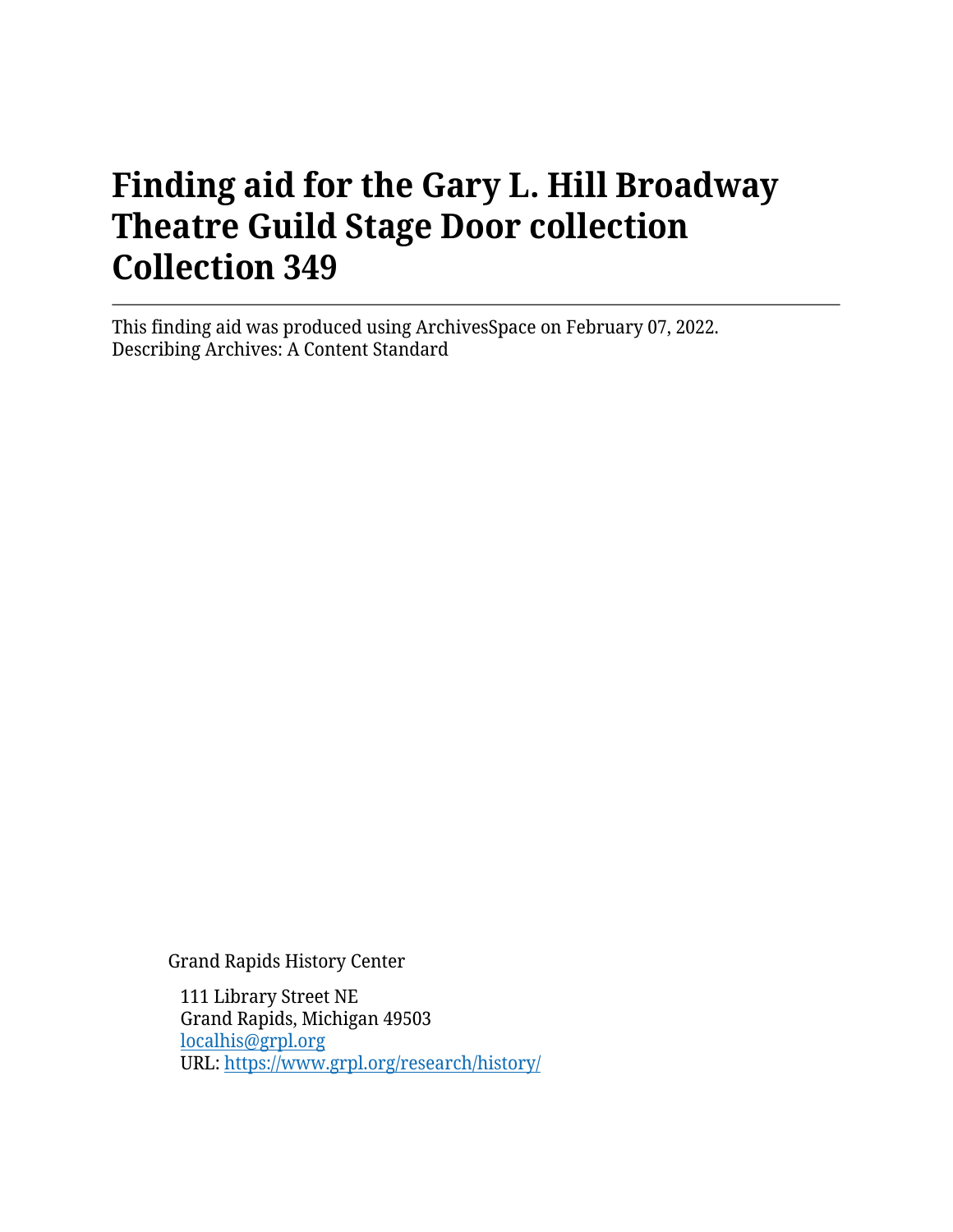# **Finding aid for the Gary L. Hill Broadway Theatre Guild Stage Door collection Collection 349**

This finding aid was produced using ArchivesSpace on February 07, 2022. Describing Archives: A Content Standard

Grand Rapids History Center

111 Library Street NE Grand Rapids, Michigan 49503 [localhis@grpl.org](mailto:localhis@grpl.org) URL:<https://www.grpl.org/research/history/>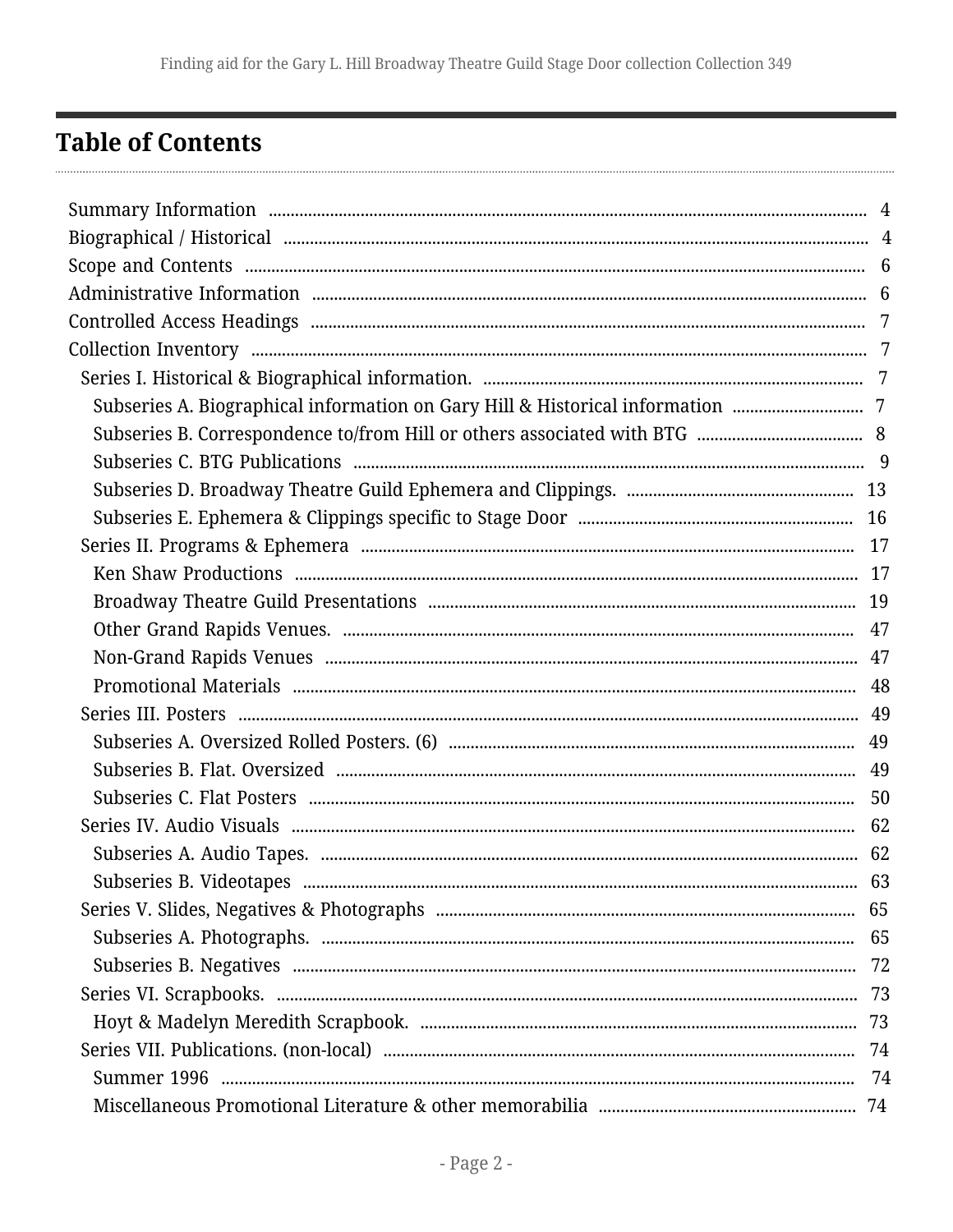## <span id="page-1-0"></span>**Table of Contents**

| Subseries A. Biographical information on Gary Hill & Historical information  7 |    |
|--------------------------------------------------------------------------------|----|
|                                                                                |    |
|                                                                                |    |
|                                                                                |    |
|                                                                                |    |
|                                                                                |    |
|                                                                                |    |
|                                                                                |    |
|                                                                                |    |
|                                                                                |    |
|                                                                                |    |
|                                                                                |    |
|                                                                                |    |
|                                                                                |    |
|                                                                                |    |
|                                                                                |    |
|                                                                                |    |
|                                                                                | 63 |
|                                                                                |    |
|                                                                                |    |
|                                                                                |    |
|                                                                                |    |
|                                                                                |    |
|                                                                                |    |
|                                                                                |    |
|                                                                                |    |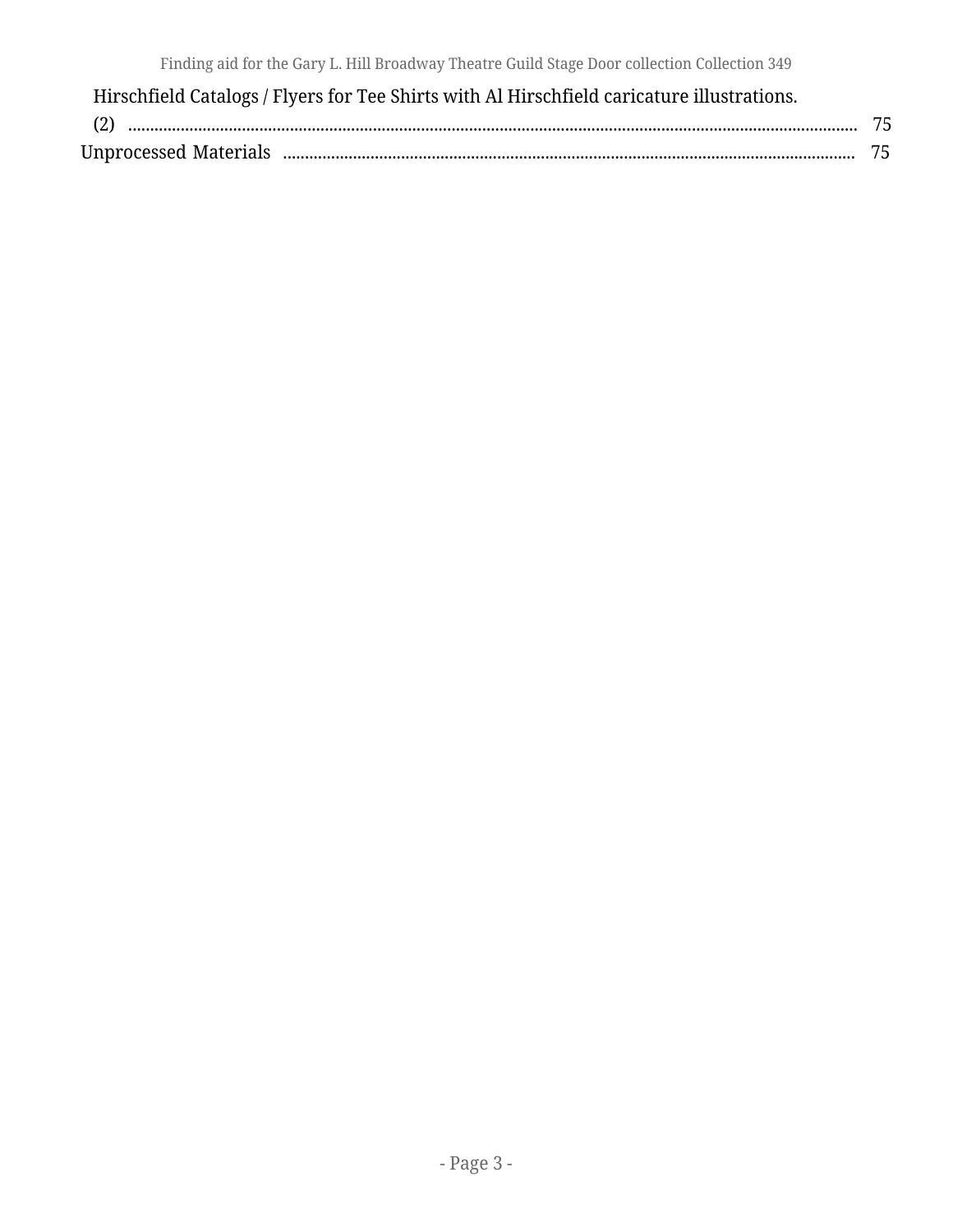| Hirschfield Catalogs / Flyers for Tee Shirts with Al Hirschfield caricature illustrations. |  |
|--------------------------------------------------------------------------------------------|--|
| $(2)$                                                                                      |  |
|                                                                                            |  |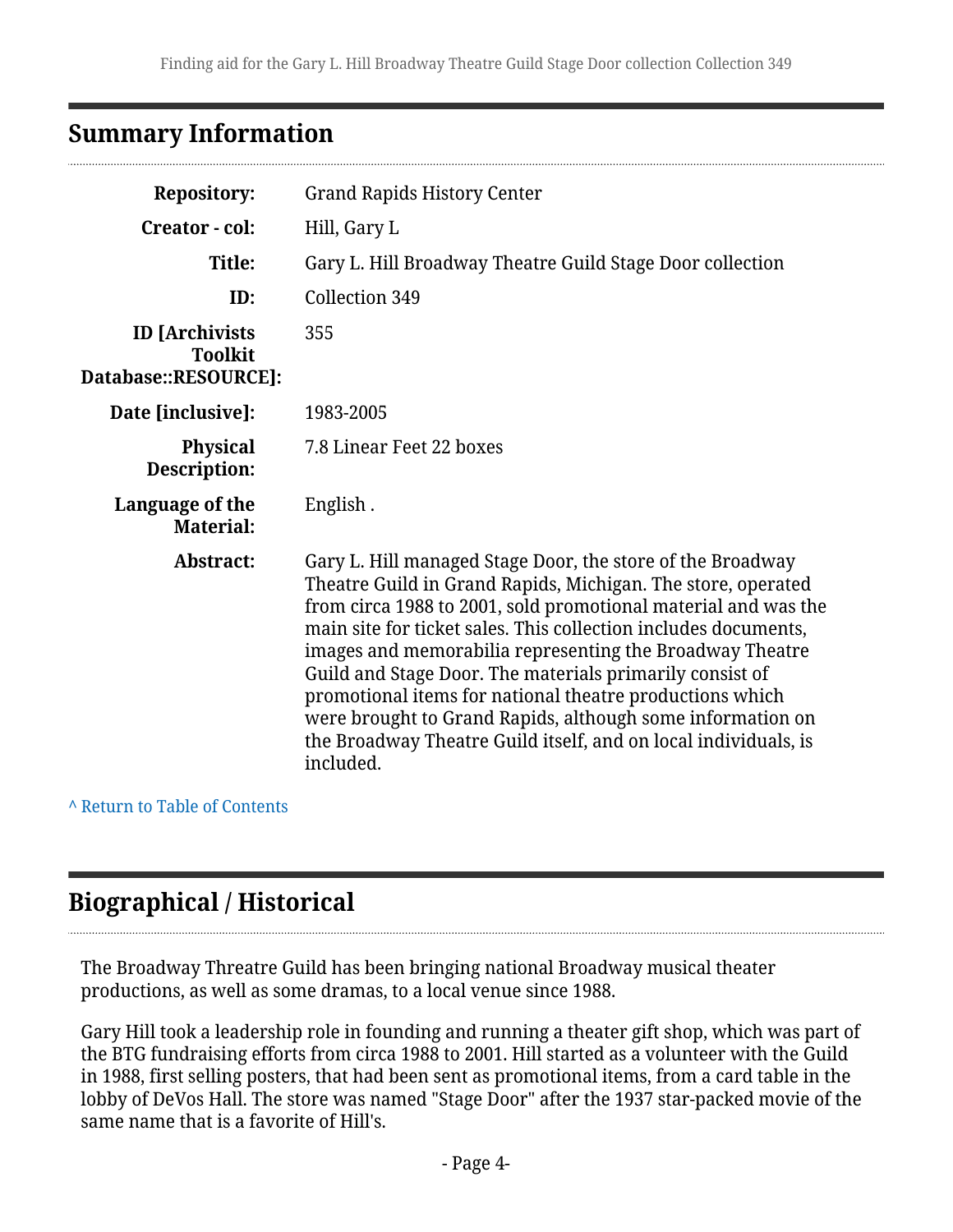## <span id="page-3-0"></span>**Summary Information**

| <b>Repository:</b>                                              | <b>Grand Rapids History Center</b>                                                                                                                                                                                                                                                                                                                                                                                                                                                                                                                                                                |
|-----------------------------------------------------------------|---------------------------------------------------------------------------------------------------------------------------------------------------------------------------------------------------------------------------------------------------------------------------------------------------------------------------------------------------------------------------------------------------------------------------------------------------------------------------------------------------------------------------------------------------------------------------------------------------|
| Creator - col:                                                  | Hill, Gary L                                                                                                                                                                                                                                                                                                                                                                                                                                                                                                                                                                                      |
| Title:                                                          | Gary L. Hill Broadway Theatre Guild Stage Door collection                                                                                                                                                                                                                                                                                                                                                                                                                                                                                                                                         |
| ID:                                                             | Collection 349                                                                                                                                                                                                                                                                                                                                                                                                                                                                                                                                                                                    |
| <b>ID</b> [Archivists<br><b>Toolkit</b><br>Database::RESOURCE]: | 355                                                                                                                                                                                                                                                                                                                                                                                                                                                                                                                                                                                               |
| Date [inclusive]:                                               | 1983-2005                                                                                                                                                                                                                                                                                                                                                                                                                                                                                                                                                                                         |
| <b>Physical</b><br>Description:                                 | 7.8 Linear Feet 22 boxes                                                                                                                                                                                                                                                                                                                                                                                                                                                                                                                                                                          |
| Language of the<br><b>Material:</b>                             | English.                                                                                                                                                                                                                                                                                                                                                                                                                                                                                                                                                                                          |
| Abstract:                                                       | Gary L. Hill managed Stage Door, the store of the Broadway<br>Theatre Guild in Grand Rapids, Michigan. The store, operated<br>from circa 1988 to 2001, sold promotional material and was the<br>main site for ticket sales. This collection includes documents,<br>images and memorabilia representing the Broadway Theatre<br>Guild and Stage Door. The materials primarily consist of<br>promotional items for national theatre productions which<br>were brought to Grand Rapids, although some information on<br>the Broadway Theatre Guild itself, and on local individuals, is<br>included. |

**^** [Return to Table of Contents](#page-1-0)

## <span id="page-3-1"></span>**Biographical / Historical**

The Broadway Threatre Guild has been bringing national Broadway musical theater productions, as well as some dramas, to a local venue since 1988.

Gary Hill took a leadership role in founding and running a theater gift shop, which was part of the BTG fundraising efforts from circa 1988 to 2001. Hill started as a volunteer with the Guild in 1988, first selling posters, that had been sent as promotional items, from a card table in the lobby of DeVos Hall. The store was named "Stage Door" after the 1937 star-packed movie of the same name that is a favorite of Hill's.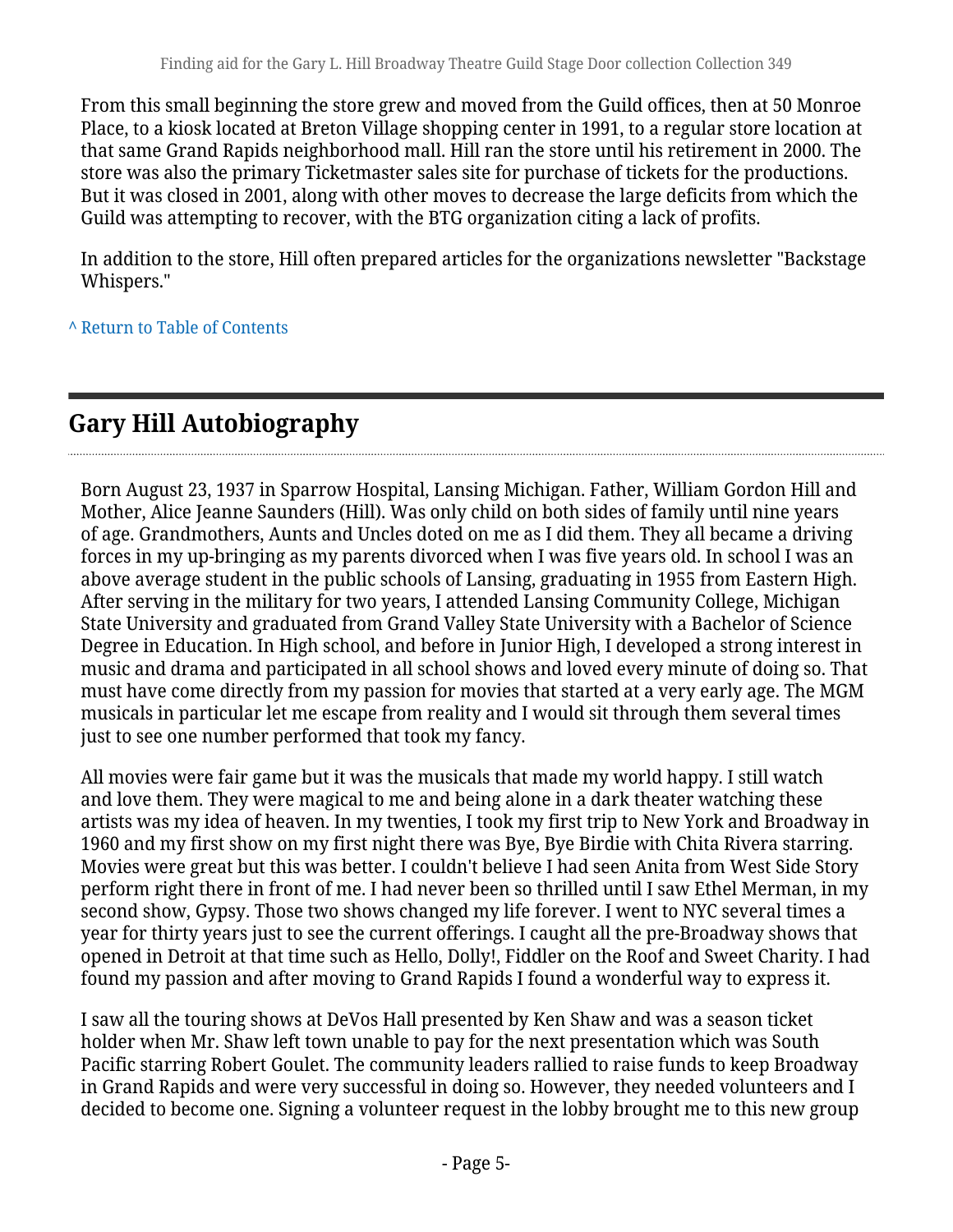From this small beginning the store grew and moved from the Guild offices, then at 50 Monroe Place, to a kiosk located at Breton Village shopping center in 1991, to a regular store location at that same Grand Rapids neighborhood mall. Hill ran the store until his retirement in 2000. The store was also the primary Ticketmaster sales site for purchase of tickets for the productions. But it was closed in 2001, along with other moves to decrease the large deficits from which the Guild was attempting to recover, with the BTG organization citing a lack of profits.

In addition to the store, Hill often prepared articles for the organizations newsletter "Backstage Whispers."

**^** [Return to Table of Contents](#page-1-0)

## **Gary Hill Autobiography**

Born August 23, 1937 in Sparrow Hospital, Lansing Michigan. Father, William Gordon Hill and Mother, Alice Jeanne Saunders (Hill). Was only child on both sides of family until nine years of age. Grandmothers, Aunts and Uncles doted on me as I did them. They all became a driving forces in my up-bringing as my parents divorced when I was five years old. In school I was an above average student in the public schools of Lansing, graduating in 1955 from Eastern High. After serving in the military for two years, I attended Lansing Community College, Michigan State University and graduated from Grand Valley State University with a Bachelor of Science Degree in Education. In High school, and before in Junior High, I developed a strong interest in music and drama and participated in all school shows and loved every minute of doing so. That must have come directly from my passion for movies that started at a very early age. The MGM musicals in particular let me escape from reality and I would sit through them several times just to see one number performed that took my fancy.

All movies were fair game but it was the musicals that made my world happy. I still watch and love them. They were magical to me and being alone in a dark theater watching these artists was my idea of heaven. In my twenties, I took my first trip to New York and Broadway in 1960 and my first show on my first night there was Bye, Bye Birdie with Chita Rivera starring. Movies were great but this was better. I couldn't believe I had seen Anita from West Side Story perform right there in front of me. I had never been so thrilled until I saw Ethel Merman, in my second show, Gypsy. Those two shows changed my life forever. I went to NYC several times a year for thirty years just to see the current offerings. I caught all the pre-Broadway shows that opened in Detroit at that time such as Hello, Dolly!, Fiddler on the Roof and Sweet Charity. I had found my passion and after moving to Grand Rapids I found a wonderful way to express it.

I saw all the touring shows at DeVos Hall presented by Ken Shaw and was a season ticket holder when Mr. Shaw left town unable to pay for the next presentation which was South Pacific starring Robert Goulet. The community leaders rallied to raise funds to keep Broadway in Grand Rapids and were very successful in doing so. However, they needed volunteers and I decided to become one. Signing a volunteer request in the lobby brought me to this new group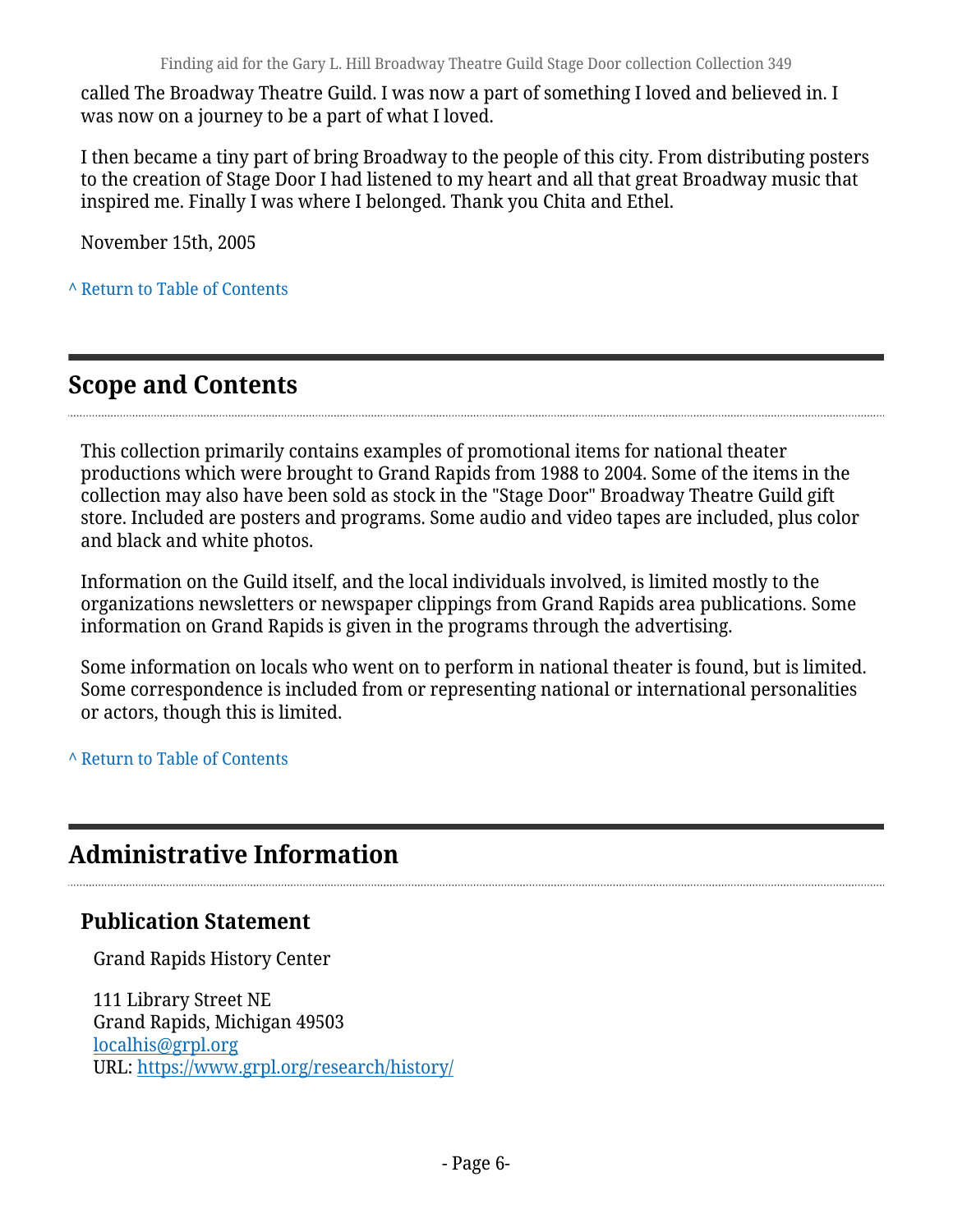called The Broadway Theatre Guild. I was now a part of something I loved and believed in. I was now on a journey to be a part of what I loved.

I then became a tiny part of bring Broadway to the people of this city. From distributing posters to the creation of Stage Door I had listened to my heart and all that great Broadway music that inspired me. Finally I was where I belonged. Thank you Chita and Ethel.

November 15th, 2005

**^** [Return to Table of Contents](#page-1-0)

## <span id="page-5-0"></span>**Scope and Contents**

This collection primarily contains examples of promotional items for national theater productions which were brought to Grand Rapids from 1988 to 2004. Some of the items in the collection may also have been sold as stock in the "Stage Door" Broadway Theatre Guild gift store. Included are posters and programs. Some audio and video tapes are included, plus color and black and white photos.

Information on the Guild itself, and the local individuals involved, is limited mostly to the organizations newsletters or newspaper clippings from Grand Rapids area publications. Some information on Grand Rapids is given in the programs through the advertising.

Some information on locals who went on to perform in national theater is found, but is limited. Some correspondence is included from or representing national or international personalities or actors, though this is limited.

**^** [Return to Table of Contents](#page-1-0)

## <span id="page-5-1"></span>**Administrative Information**

### **Publication Statement**

Grand Rapids History Center

111 Library Street NE Grand Rapids, Michigan 49503 [localhis@grpl.org](mailto:localhis@grpl.org) URL:<https://www.grpl.org/research/history/>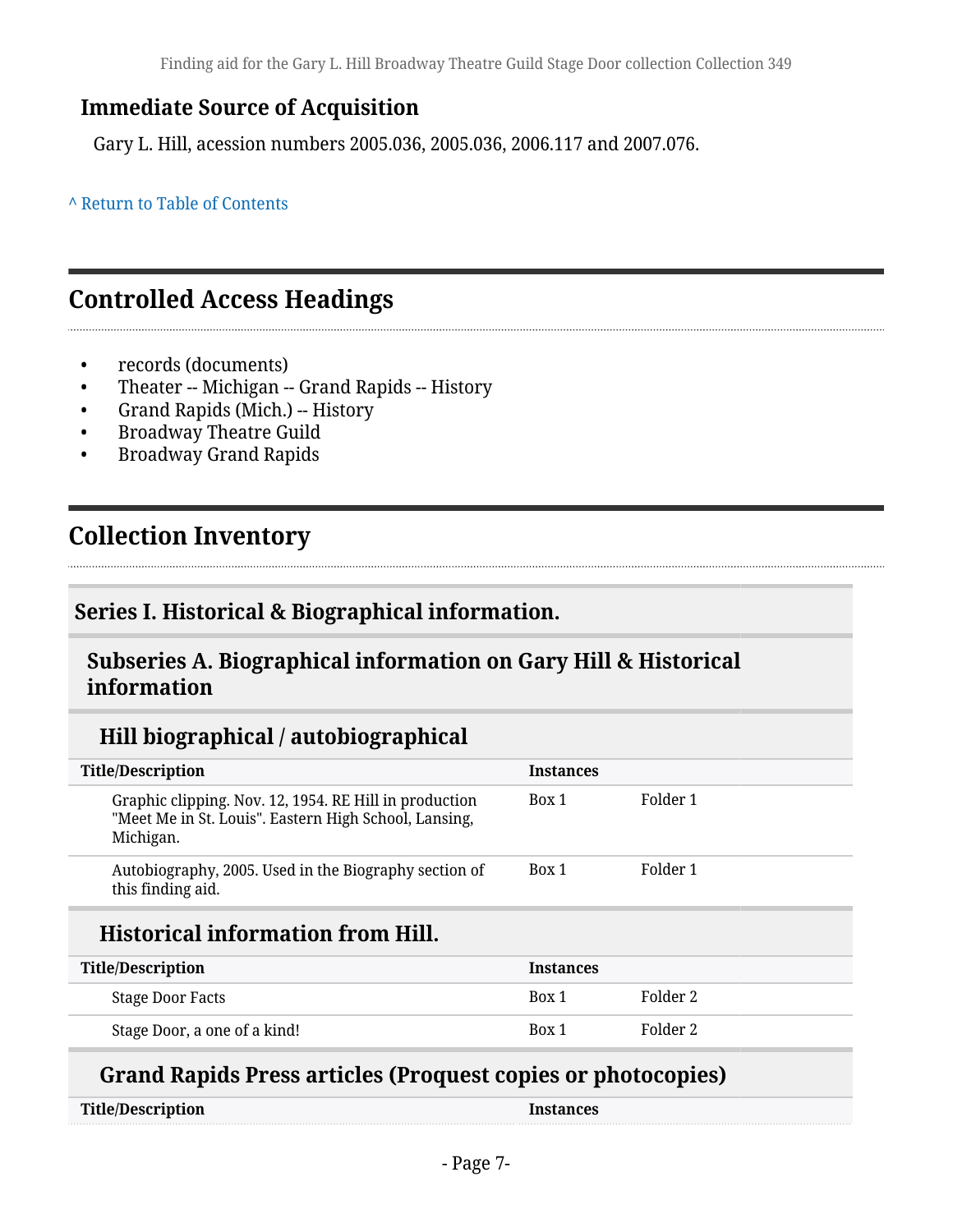## **Immediate Source of Acquisition**

Gary L. Hill, acession numbers 2005.036, 2005.036, 2006.117 and 2007.076.

**^** [Return to Table of Contents](#page-1-0)

## <span id="page-6-0"></span>**Controlled Access Headings**

- records (documents)
- Theater -- Michigan -- Grand Rapids -- History
- Grand Rapids (Mich.) -- History
- Broadway Theatre Guild
- Broadway Grand Rapids

## <span id="page-6-1"></span>**Collection Inventory**

### <span id="page-6-2"></span>**Series I. Historical & Biographical information.**

#### <span id="page-6-3"></span>**Subseries A. Biographical information on Gary Hill & Historical information**

### **Hill biographical / autobiographical**

| <b>Title/Description</b>                                                                                                     | <b>Instances</b> |          |
|------------------------------------------------------------------------------------------------------------------------------|------------------|----------|
| Graphic clipping. Nov. 12, 1954. RE Hill in production<br>"Meet Me in St. Louis". Eastern High School, Lansing,<br>Michigan. | Box 1            | Folder 1 |
| Autobiography, 2005. Used in the Biography section of<br>this finding aid.                                                   | Box 1            | Folder 1 |
| TT'  ' I ' . C ' C TT'II                                                                                                     |                  |          |

### **Historical information from Hill.**

| <b>Title/Description</b>     | <b>Instances</b> |          |
|------------------------------|------------------|----------|
| <b>Stage Door Facts</b>      | Box 1            | Folder 2 |
| Stage Door, a one of a kind! | Box 1            | Folder 2 |

### **Grand Rapids Press articles (Proquest copies or photocopies)**

| <b>Title/Description</b> | Instances |
|--------------------------|-----------|
|--------------------------|-----------|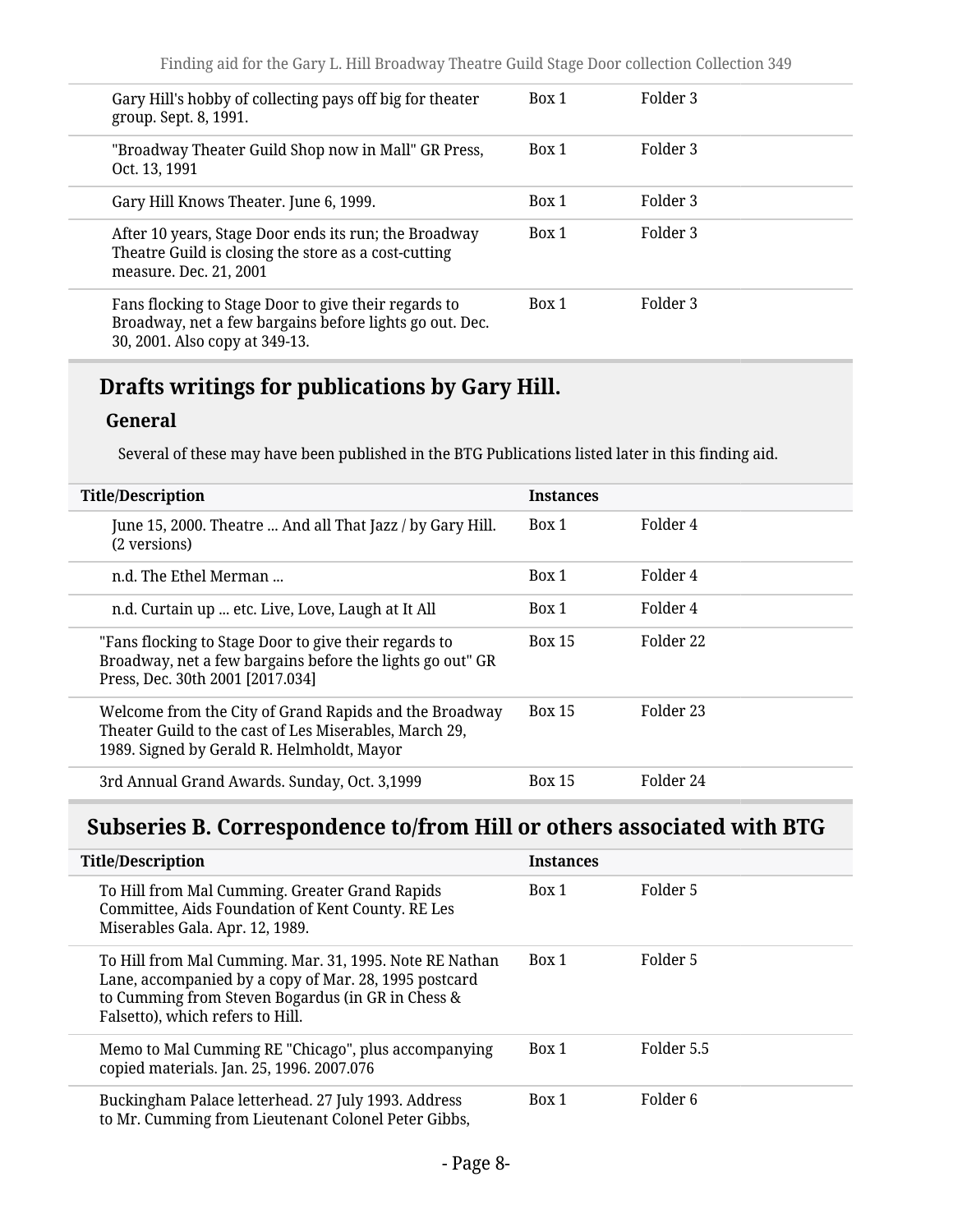| Gary Hill's hobby of collecting pays off big for theater<br>group. Sept. 8, 1991.                                                                 | Box 1 | Folder 3 |
|---------------------------------------------------------------------------------------------------------------------------------------------------|-------|----------|
| "Broadway Theater Guild Shop now in Mall" GR Press,<br>Oct. 13, 1991                                                                              | Box 1 | Folder 3 |
| Gary Hill Knows Theater. June 6, 1999.                                                                                                            | Box 1 | Folder 3 |
| After 10 years, Stage Door ends its run; the Broadway<br>Theatre Guild is closing the store as a cost-cutting<br>measure. Dec. 21, 2001           | Box 1 | Folder 3 |
| Fans flocking to Stage Door to give their regards to<br>Broadway, net a few bargains before lights go out. Dec.<br>30, 2001. Also copy at 349-13. | Box 1 | Folder 3 |
|                                                                                                                                                   |       |          |

## **Drafts writings for publications by Gary Hill.**

#### **General**

Several of these may have been published in the BTG Publications listed later in this finding aid.

| <b>Title/Description</b>                                                                                                                                       | <b>Instances</b> |           |
|----------------------------------------------------------------------------------------------------------------------------------------------------------------|------------------|-----------|
| June 15, 2000. Theatre  And all That Jazz / by Gary Hill.<br>(2 versions)                                                                                      | Box 1            | Folder 4  |
| n.d. The Ethel Merman                                                                                                                                          | Box 1            | Folder 4  |
| n.d. Curtain up  etc. Live, Love, Laugh at It All                                                                                                              | Box 1            | Folder 4  |
| "Fans flocking to Stage Door to give their regards to<br>Broadway, net a few bargains before the lights go out" GR<br>Press, Dec. 30th 2001 [2017.034]         | <b>Box 15</b>    | Folder 22 |
| Welcome from the City of Grand Rapids and the Broadway<br>Theater Guild to the cast of Les Miserables, March 29,<br>1989. Signed by Gerald R. Helmholdt, Mayor | <b>Box 15</b>    | Folder 23 |
| 3rd Annual Grand Awards. Sunday, Oct. 3,1999                                                                                                                   | <b>Box 15</b>    | Folder 24 |

## <span id="page-7-0"></span>**Subseries B. Correspondence to/from Hill or others associated with BTG**

| <b>Title/Description</b> |                                                                                                                                                                                                           | <b>Instances</b> |            |
|--------------------------|-----------------------------------------------------------------------------------------------------------------------------------------------------------------------------------------------------------|------------------|------------|
|                          | To Hill from Mal Cumming. Greater Grand Rapids<br>Committee, Aids Foundation of Kent County. RE Les<br>Miserables Gala. Apr. 12, 1989.                                                                    | Box 1            | Folder 5   |
|                          | To Hill from Mal Cumming. Mar. 31, 1995. Note RE Nathan<br>Lane, accompanied by a copy of Mar. 28, 1995 postcard<br>to Cumming from Steven Bogardus (in GR in Chess &<br>Falsetto), which refers to Hill. | Box 1            | Folder 5   |
|                          | Memo to Mal Cumming RE "Chicago", plus accompanying<br>copied materials. Jan. 25, 1996. 2007.076                                                                                                          | Box 1            | Folder 5.5 |
|                          | Buckingham Palace letterhead. 27 July 1993. Address<br>to Mr. Cumming from Lieutenant Colonel Peter Gibbs,                                                                                                | Box 1            | Folder 6   |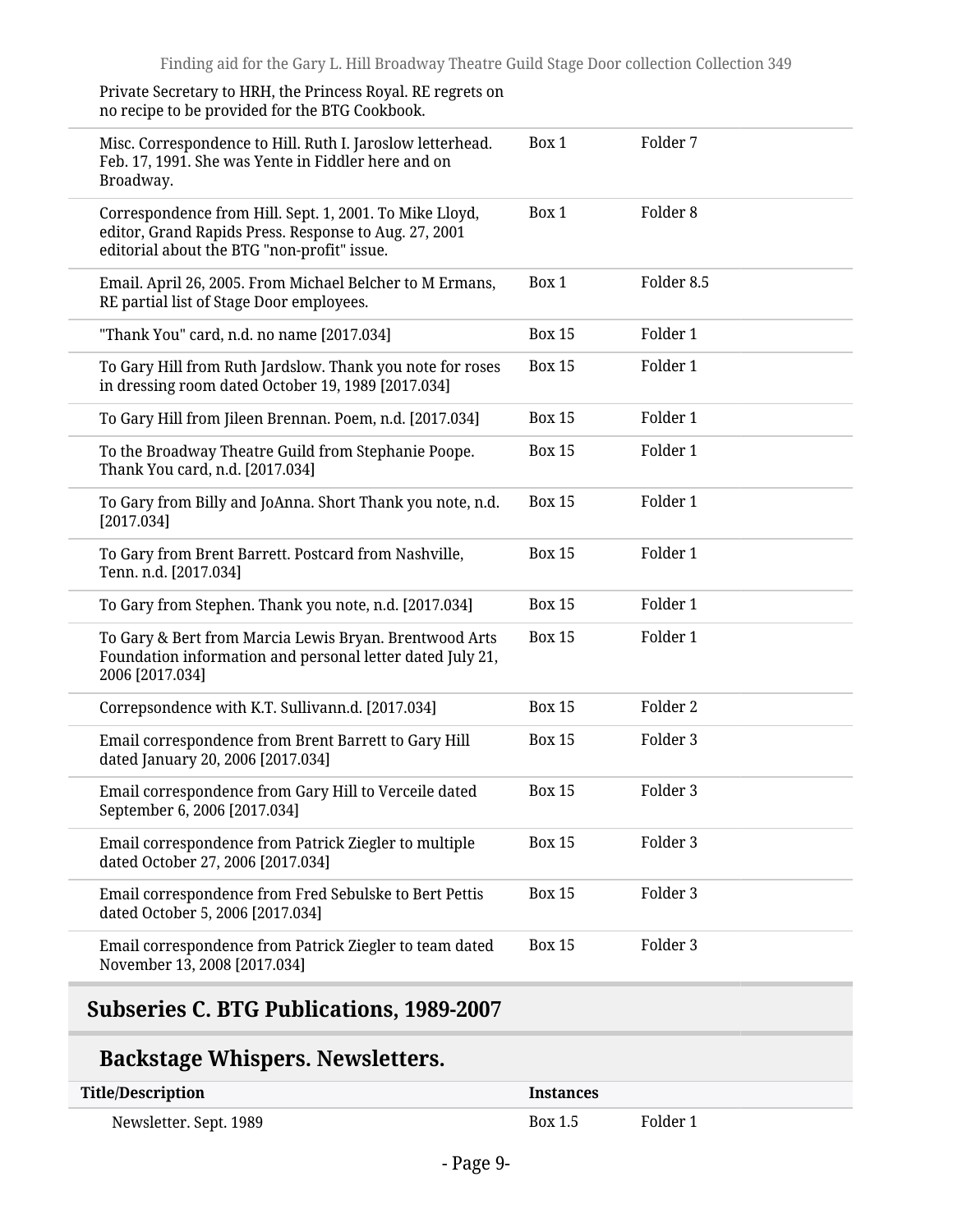| Private Secretary to HRH, the Princess Royal. RE regrets on<br>no recipe to be provided for the BTG Cookbook.                                                   |               |                     |
|-----------------------------------------------------------------------------------------------------------------------------------------------------------------|---------------|---------------------|
| Misc. Correspondence to Hill. Ruth I. Jaroslow letterhead.<br>Feb. 17, 1991. She was Yente in Fiddler here and on<br>Broadway.                                  | Box 1         | Folder 7            |
| Correspondence from Hill. Sept. 1, 2001. To Mike Lloyd,<br>editor, Grand Rapids Press. Response to Aug. 27, 2001<br>editorial about the BTG "non-profit" issue. | Box 1         | Folder <sub>8</sub> |
| Email. April 26, 2005. From Michael Belcher to M Ermans,<br>RE partial list of Stage Door employees.                                                            | Box 1         | Folder 8.5          |
| "Thank You" card, n.d. no name [2017.034]                                                                                                                       | <b>Box 15</b> | Folder 1            |
| To Gary Hill from Ruth Jardslow. Thank you note for roses<br>in dressing room dated October 19, 1989 [2017.034]                                                 | <b>Box 15</b> | Folder 1            |
| To Gary Hill from Jileen Brennan. Poem, n.d. [2017.034]                                                                                                         | <b>Box 15</b> | Folder 1            |
| To the Broadway Theatre Guild from Stephanie Poope.<br>Thank You card, n.d. [2017.034]                                                                          | <b>Box 15</b> | Folder 1            |
| To Gary from Billy and JoAnna. Short Thank you note, n.d.<br>[2017.034]                                                                                         | <b>Box 15</b> | Folder 1            |
| To Gary from Brent Barrett. Postcard from Nashville,<br>Tenn. n.d. [2017.034]                                                                                   | <b>Box 15</b> | Folder 1            |
| To Gary from Stephen. Thank you note, n.d. [2017.034]                                                                                                           | <b>Box 15</b> | Folder 1            |
| To Gary & Bert from Marcia Lewis Bryan. Brentwood Arts<br>Foundation information and personal letter dated July 21,<br>2006 [2017.034]                          | <b>Box 15</b> | Folder 1            |
| Correpsondence with K.T. Sullivann.d. [2017.034]                                                                                                                | <b>Box 15</b> | Folder 2            |
| Email correspondence from Brent Barrett to Gary Hill<br>dated January 20, 2006 [2017.034]                                                                       | <b>Box 15</b> | Folder 3            |
| Email correspondence from Gary Hill to Verceile dated<br>September 6, 2006 [2017.034]                                                                           | <b>Box 15</b> | Folder 3            |
| Email correspondence from Patrick Ziegler to multiple<br>dated October 27, 2006 [2017.034]                                                                      | <b>Box 15</b> | Folder 3            |
| Email correspondence from Fred Sebulske to Bert Pettis<br>dated October 5, 2006 [2017.034]                                                                      | <b>Box 15</b> | Folder 3            |
| Email correspondence from Patrick Ziegler to team dated<br>November 13, 2008 [2017.034]                                                                         | <b>Box 15</b> | Folder 3            |

## <span id="page-8-0"></span>**Subseries C. BTG Publications, 1989-2007**

## **Backstage Whispers. Newsletters.**

| <b>Title/Description</b> | <b>Instances</b> |          |
|--------------------------|------------------|----------|
| Newsletter. Sept. 1989   | Box 1.5          | Folder 1 |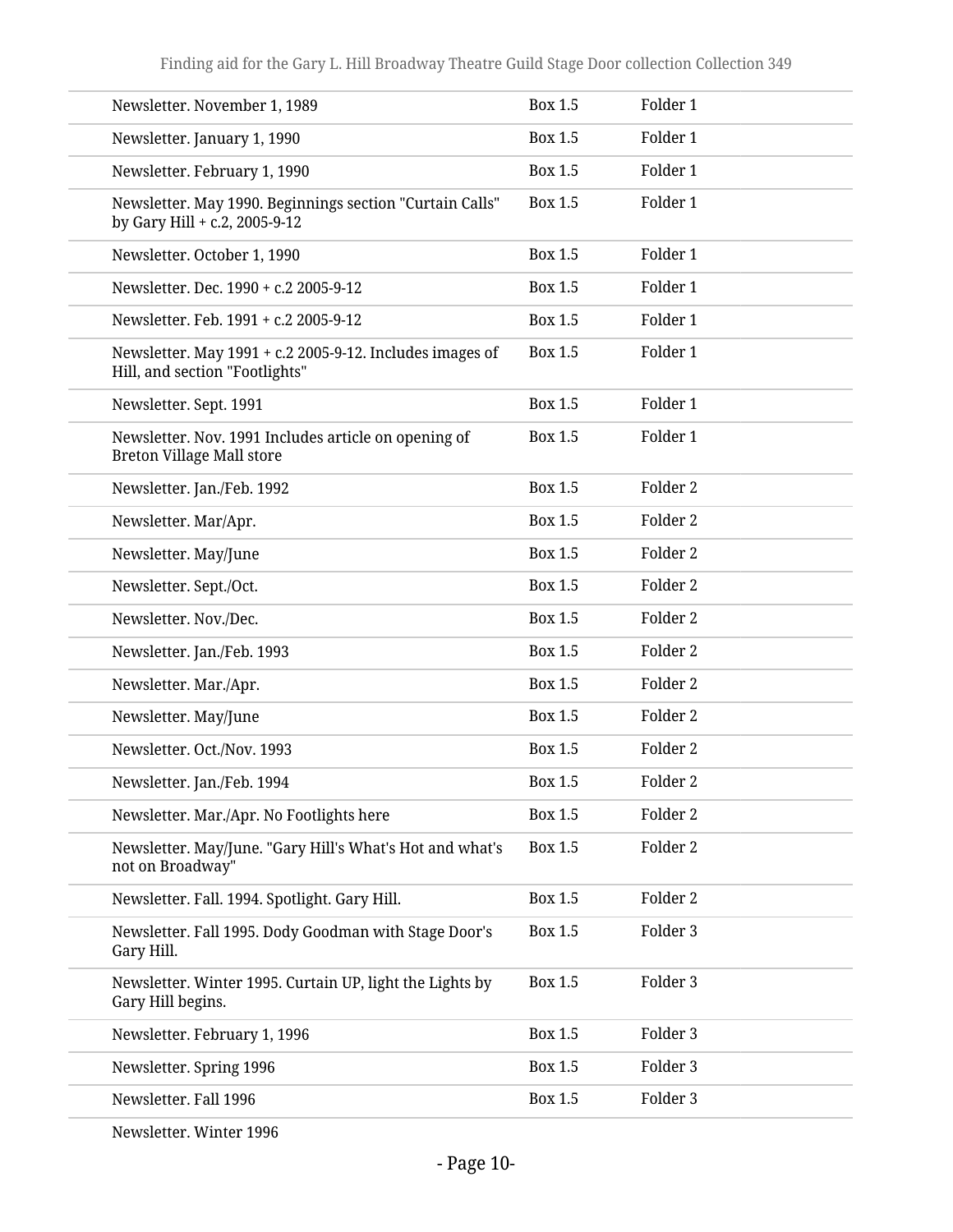| Newsletter. November 1, 1989                                                               | <b>Box 1.5</b> | Folder 1            |
|--------------------------------------------------------------------------------------------|----------------|---------------------|
| Newsletter. January 1, 1990                                                                | <b>Box 1.5</b> | Folder 1            |
| Newsletter. February 1, 1990                                                               | <b>Box 1.5</b> | Folder 1            |
| Newsletter. May 1990. Beginnings section "Curtain Calls"<br>by Gary Hill + c.2, 2005-9-12  | <b>Box 1.5</b> | Folder 1            |
| Newsletter. October 1, 1990                                                                | <b>Box 1.5</b> | Folder 1            |
| Newsletter. Dec. 1990 + c.2 2005-9-12                                                      | <b>Box 1.5</b> | Folder 1            |
| Newsletter. Feb. 1991 + c.2 2005-9-12                                                      | <b>Box 1.5</b> | Folder 1            |
| Newsletter. May 1991 + c.2 2005-9-12. Includes images of<br>Hill, and section "Footlights" | <b>Box 1.5</b> | Folder 1            |
| Newsletter. Sept. 1991                                                                     | <b>Box 1.5</b> | Folder 1            |
| Newsletter. Nov. 1991 Includes article on opening of<br><b>Breton Village Mall store</b>   | Box 1.5        | Folder 1            |
| Newsletter. Jan./Feb. 1992                                                                 | <b>Box 1.5</b> | Folder 2            |
| Newsletter. Mar/Apr.                                                                       | <b>Box 1.5</b> | Folder 2            |
| Newsletter. May/June                                                                       | <b>Box 1.5</b> | Folder 2            |
| Newsletter. Sept./Oct.                                                                     | <b>Box 1.5</b> | Folder 2            |
| Newsletter. Nov./Dec.                                                                      | <b>Box 1.5</b> | Folder 2            |
| Newsletter. Jan./Feb. 1993                                                                 | <b>Box 1.5</b> | Folder 2            |
| Newsletter. Mar./Apr.                                                                      | <b>Box 1.5</b> | Folder 2            |
| Newsletter. May/June                                                                       | <b>Box 1.5</b> | Folder 2            |
| Newsletter. Oct./Nov. 1993                                                                 | <b>Box 1.5</b> | Folder 2            |
| Newsletter. Jan./Feb. 1994                                                                 | Box 1.5        | Folder <sub>2</sub> |
| Newsletter. Mar./Apr. No Footlights here                                                   | <b>Box 1.5</b> | Folder 2            |
| Newsletter. May/June. "Gary Hill's What's Hot and what's<br>not on Broadway"               | <b>Box 1.5</b> | Folder 2            |
| Newsletter. Fall. 1994. Spotlight. Gary Hill.                                              | <b>Box 1.5</b> | Folder 2            |
| Newsletter. Fall 1995. Dody Goodman with Stage Door's<br>Gary Hill.                        | <b>Box 1.5</b> | Folder 3            |
| Newsletter. Winter 1995. Curtain UP, light the Lights by<br>Gary Hill begins.              | <b>Box 1.5</b> | Folder 3            |
| Newsletter. February 1, 1996                                                               | Box 1.5        | Folder 3            |
| Newsletter. Spring 1996                                                                    | <b>Box 1.5</b> | Folder 3            |
| Newsletter. Fall 1996                                                                      | Box 1.5        | Folder 3            |
|                                                                                            |                |                     |

Newsletter. Winter 1996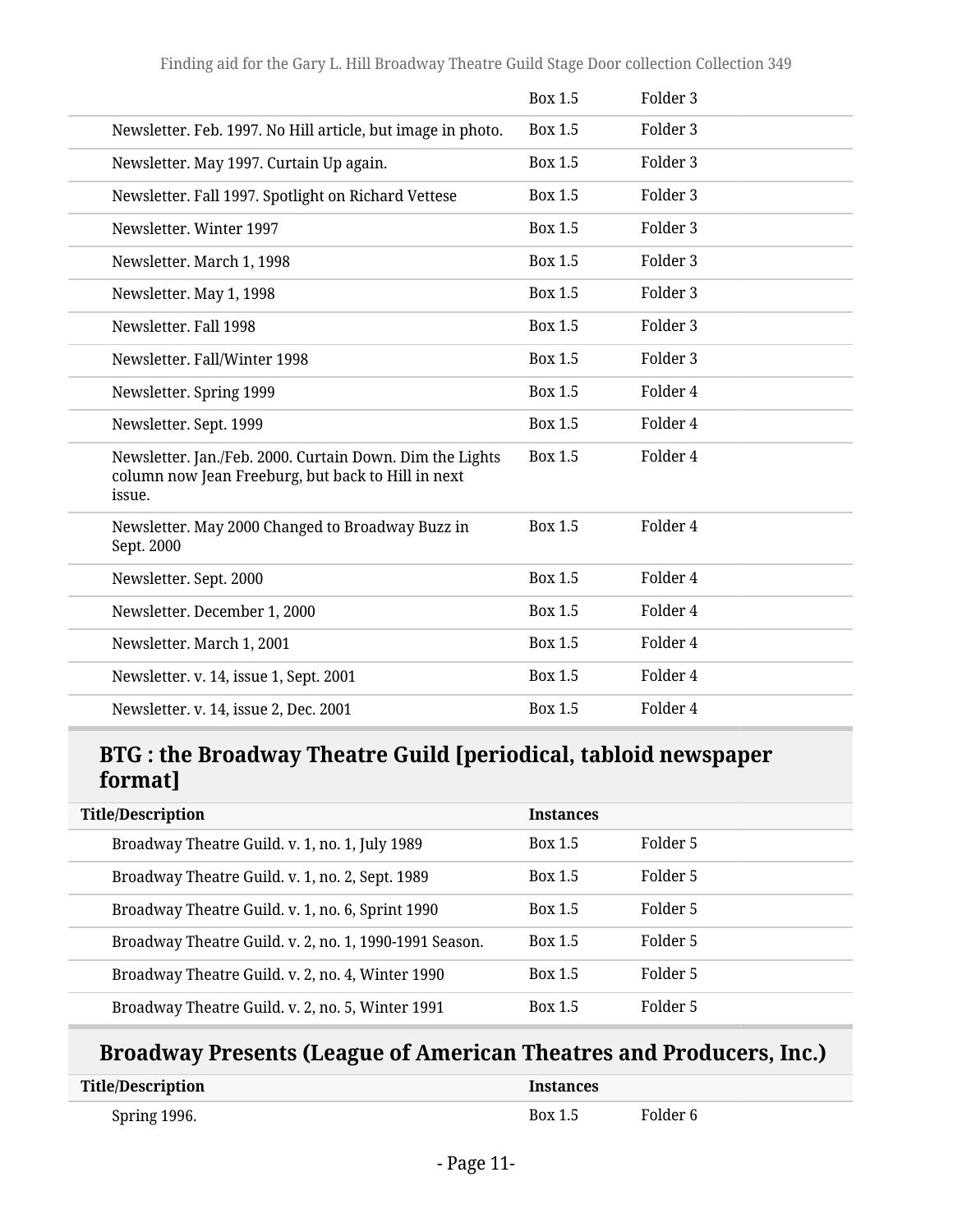|                                                                                                                          | Box 1.5        | Folder <sub>3</sub> |
|--------------------------------------------------------------------------------------------------------------------------|----------------|---------------------|
| Newsletter. Feb. 1997. No Hill article, but image in photo.                                                              | <b>Box 1.5</b> | Folder 3            |
| Newsletter. May 1997. Curtain Up again.                                                                                  | Box 1.5        | Folder <sub>3</sub> |
| Newsletter. Fall 1997. Spotlight on Richard Vettese                                                                      | Box 1.5        | Folder <sub>3</sub> |
| Newsletter, Winter 1997                                                                                                  | Box 1.5        | Folder <sub>3</sub> |
| Newsletter. March 1, 1998                                                                                                | <b>Box 1.5</b> | Folder 3            |
| Newsletter. May 1, 1998                                                                                                  | <b>Box 1.5</b> | Folder <sub>3</sub> |
| Newsletter. Fall 1998                                                                                                    | <b>Box 1.5</b> | Folder <sub>3</sub> |
| Newsletter. Fall/Winter 1998                                                                                             | <b>Box 1.5</b> | Folder <sub>3</sub> |
| Newsletter. Spring 1999                                                                                                  | <b>Box 1.5</b> | Folder 4            |
| Newsletter. Sept. 1999                                                                                                   | Box 1.5        | Folder 4            |
| Newsletter. Jan./Feb. 2000. Curtain Down. Dim the Lights<br>column now Jean Freeburg, but back to Hill in next<br>issue. | <b>Box 1.5</b> | Folder 4            |
| Newsletter. May 2000 Changed to Broadway Buzz in<br>Sept. 2000                                                           | <b>Box 1.5</b> | Folder 4            |
| Newsletter. Sept. 2000                                                                                                   | <b>Box 1.5</b> | Folder 4            |
| Newsletter. December 1, 2000                                                                                             | Box 1.5        | Folder 4            |
| Newsletter. March 1, 2001                                                                                                | <b>Box 1.5</b> | Folder 4            |
| Newsletter. v. 14, issue 1, Sept. 2001                                                                                   | <b>Box 1.5</b> | Folder 4            |
| Newsletter. v. 14, issue 2, Dec. 2001                                                                                    | <b>Box 1.5</b> | Folder 4            |

### **BTG : the Broadway Theatre Guild [periodical, tabloid newspaper format]**

| <b>Title/Description</b>                               | <b>Instances</b> |          |
|--------------------------------------------------------|------------------|----------|
| Broadway Theatre Guild. v. 1, no. 1, July 1989         | Box 1.5          | Folder 5 |
| Broadway Theatre Guild. v. 1, no. 2, Sept. 1989        | Box 1.5          | Folder 5 |
| Broadway Theatre Guild. v. 1, no. 6, Sprint 1990       | Box 1.5          | Folder 5 |
| Broadway Theatre Guild. v. 2, no. 1, 1990-1991 Season. | Box 1.5          | Folder 5 |
| Broadway Theatre Guild. v. 2, no. 4, Winter 1990       | Box 1.5          | Folder 5 |
| Broadway Theatre Guild. v. 2, no. 5, Winter 1991       | Box 1.5          | Folder 5 |

## **Broadway Presents (League of American Theatres and Producers, Inc.)**

| <b>Title/Description</b> | Instances      |          |
|--------------------------|----------------|----------|
| Spring 1996.             | <b>Box 1.5</b> | Folder 6 |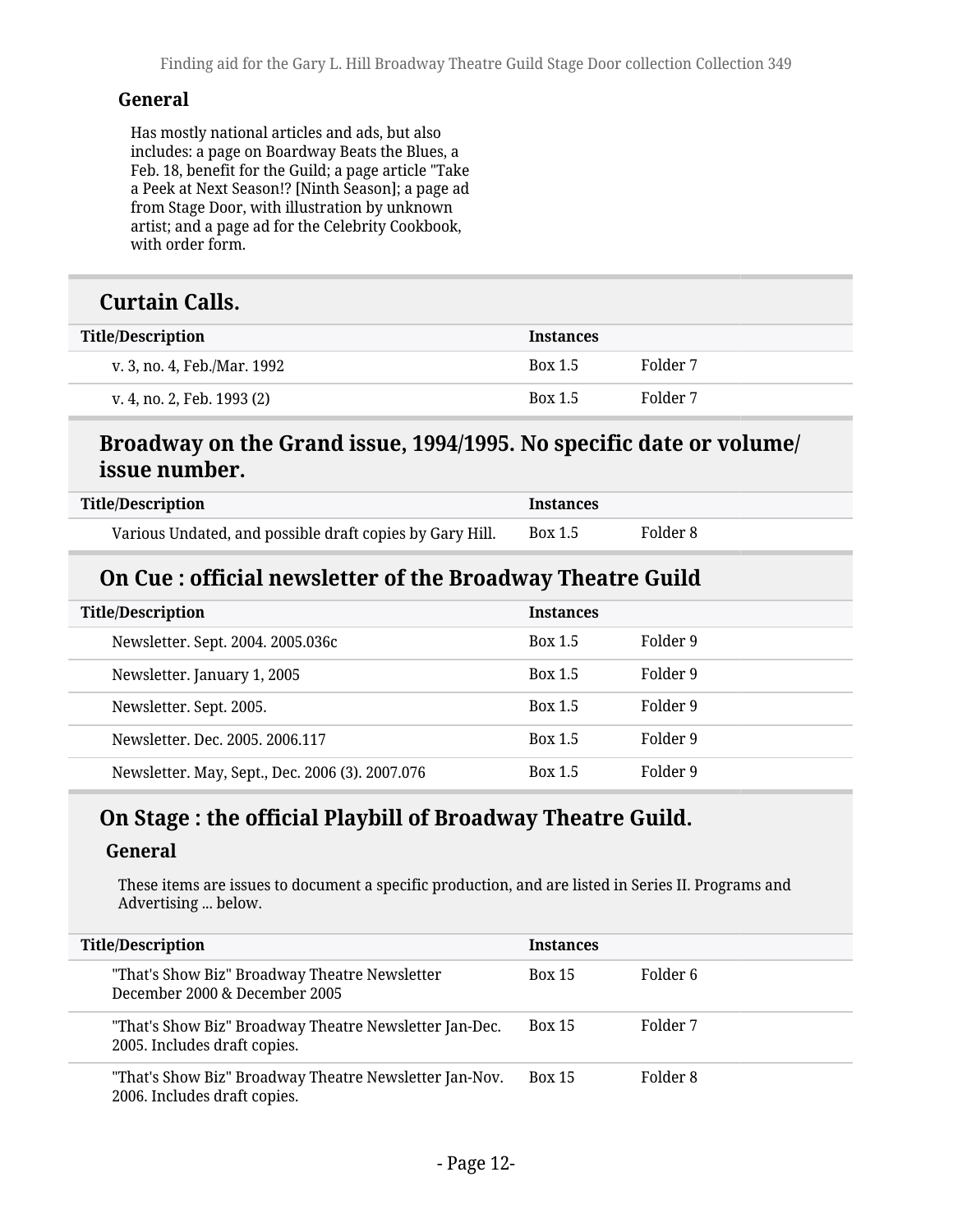#### **General**

Has mostly national articles and ads, but also includes: a page on Boardway Beats the Blues, a Feb. 18, benefit for the Guild; a page article "Take a Peek at Next Season!? [Ninth Season]; a page ad from Stage Door, with illustration by unknown artist; and a page ad for the Celebrity Cookbook, with order form.

#### **Curtain Calls.**

| <b>Title/Description</b>    | <b>Instances</b> |          |
|-----------------------------|------------------|----------|
| v. 3, no. 4, Feb./Mar. 1992 | <b>Box 1.5</b>   | Folder 7 |
| v. 4, no. 2, Feb. 1993 (2)  | Box 1.5          | Folder 7 |

#### **Broadway on the Grand issue, 1994/1995. No specific date or volume/ issue number.**

| <b>Title/Description</b>                                 | <b>Instances</b> |          |
|----------------------------------------------------------|------------------|----------|
| Various Undated, and possible draft copies by Gary Hill. | Box 1.5          | Folder 8 |

#### **On Cue : official newsletter of the Broadway Theatre Guild**

| <b>Title/Description</b>                        | <b>Instances</b> |          |
|-------------------------------------------------|------------------|----------|
| Newsletter. Sept. 2004. 2005.036c               | <b>Box 1.5</b>   | Folder 9 |
| Newsletter. January 1, 2005                     | <b>Box 1.5</b>   | Folder 9 |
| Newsletter. Sept. 2005.                         | <b>Box 1.5</b>   | Folder 9 |
| Newsletter, Dec. 2005, 2006.117                 | <b>Box 1.5</b>   | Folder 9 |
| Newsletter. May, Sept., Dec. 2006 (3). 2007.076 | <b>Box 1.5</b>   | Folder 9 |

#### **On Stage : the official Playbill of Broadway Theatre Guild.**

#### **General**

These items are issues to document a specific production, and are listed in Series II. Programs and Advertising ... below.

| <b>Title/Description</b>                                                               | <b>Instances</b> |          |
|----------------------------------------------------------------------------------------|------------------|----------|
| "That's Show Biz" Broadway Theatre Newsletter<br>December 2000 & December 2005         | <b>Box 15</b>    | Folder 6 |
| "That's Show Biz" Broadway Theatre Newsletter Jan-Dec.<br>2005. Includes draft copies. | <b>Box 15</b>    | Folder 7 |
| "That's Show Biz" Broadway Theatre Newsletter Jan-Nov.<br>2006. Includes draft copies. | <b>Box 15</b>    | Folder 8 |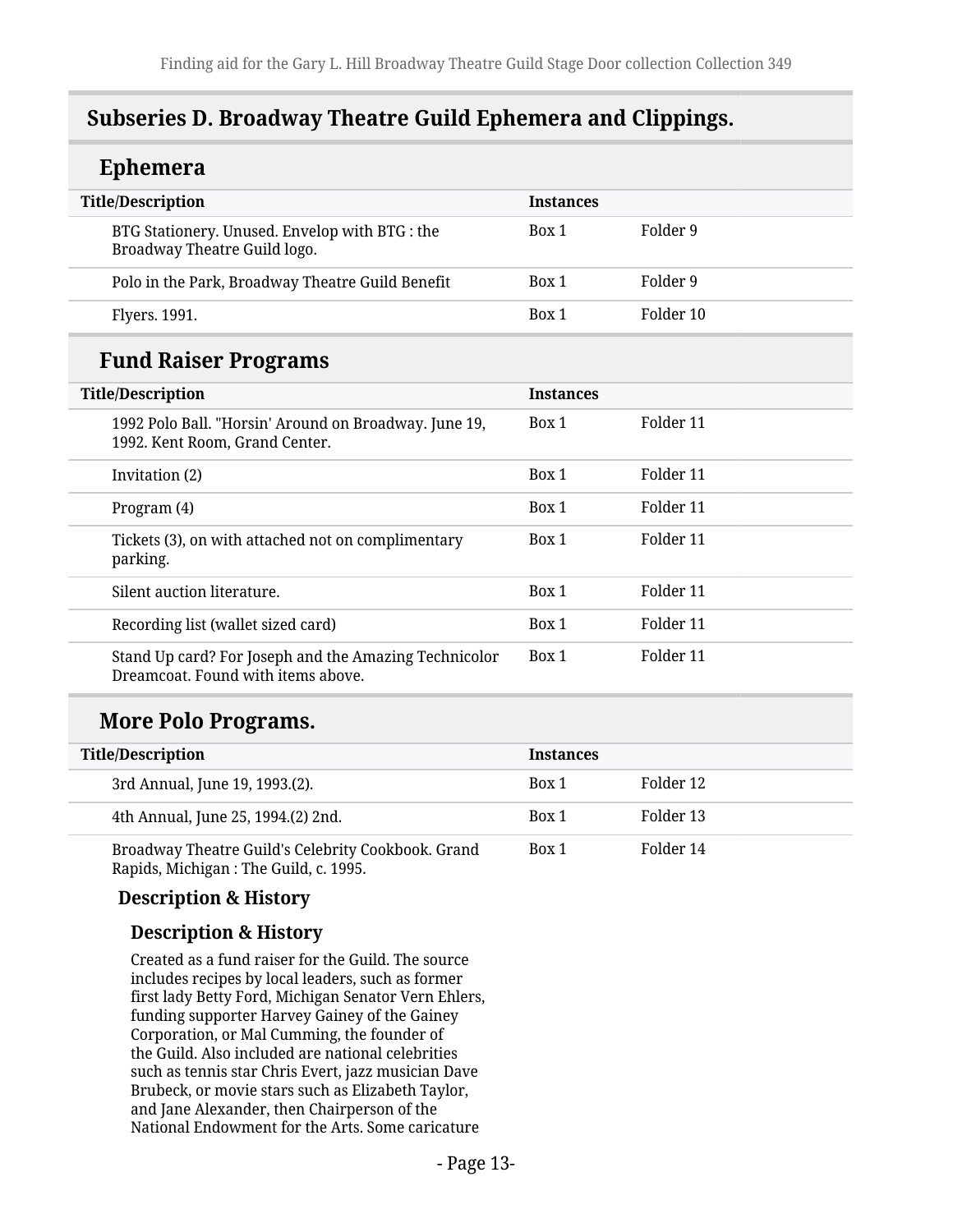### <span id="page-12-0"></span>**Subseries D. Broadway Theatre Guild Ephemera and Clippings.**

#### **Ephemera Title/Description Instances** BTG Stationery. Unused. Envelop with BTG : the Broadway Theatre Guild logo. Box 1 Folder 9 Polo in the Park, Broadway Theatre Guild Benefit Box 1 Folder 9 Flyers. 1991. Box 1 Folder 10 **Fund Raiser Programs Title/Description Instances** 1992 Polo Ball. "Horsin' Around on Broadway. June 19, 1992. Kent Room, Grand Center. Box 1 Folder 11 Invitation (2) and the set of the set of the set of the set of the set of the set of the set of the set of the set of the set of the set of the set of the set of the set of the set of the set of the set of the set of the s Program (4) Box 1 Folder 11 Tickets (3), on with attached not on complimentary parking. Box 1 Folder 11 Silent auction literature. The same section of the section of the section of the section of the section of the section of the section of the section of the section of the section of the section of the section of the sectio Recording list (wallet sized card) Box 1 Folder 11 Stand Up card? For Joseph and the Amazing Technicolor Dreamcoat. Found with items above. Box 1 Folder 11

### **More Polo Programs.**

| <b>Title/Description</b>                                                                    | <b>Instances</b> |           |
|---------------------------------------------------------------------------------------------|------------------|-----------|
| 3rd Annual, June 19, 1993.(2).                                                              | Box 1            | Folder 12 |
| 4th Annual, June 25, 1994.(2) 2nd.                                                          | Box 1            | Folder 13 |
| Broadway Theatre Guild's Celebrity Cookbook. Grand<br>Rapids, Michigan: The Guild, c. 1995. | Box 1            | Folder 14 |

**Description & History**

#### **Description & History**

Created as a fund raiser for the Guild. The source includes recipes by local leaders, such as former first lady Betty Ford, Michigan Senator Vern Ehlers, funding supporter Harvey Gainey of the Gainey Corporation, or Mal Cumming, the founder of the Guild. Also included are national celebrities such as tennis star Chris Evert, jazz musician Dave Brubeck, or movie stars such as Elizabeth Taylor, and Jane Alexander, then Chairperson of the National Endowment for the Arts. Some caricature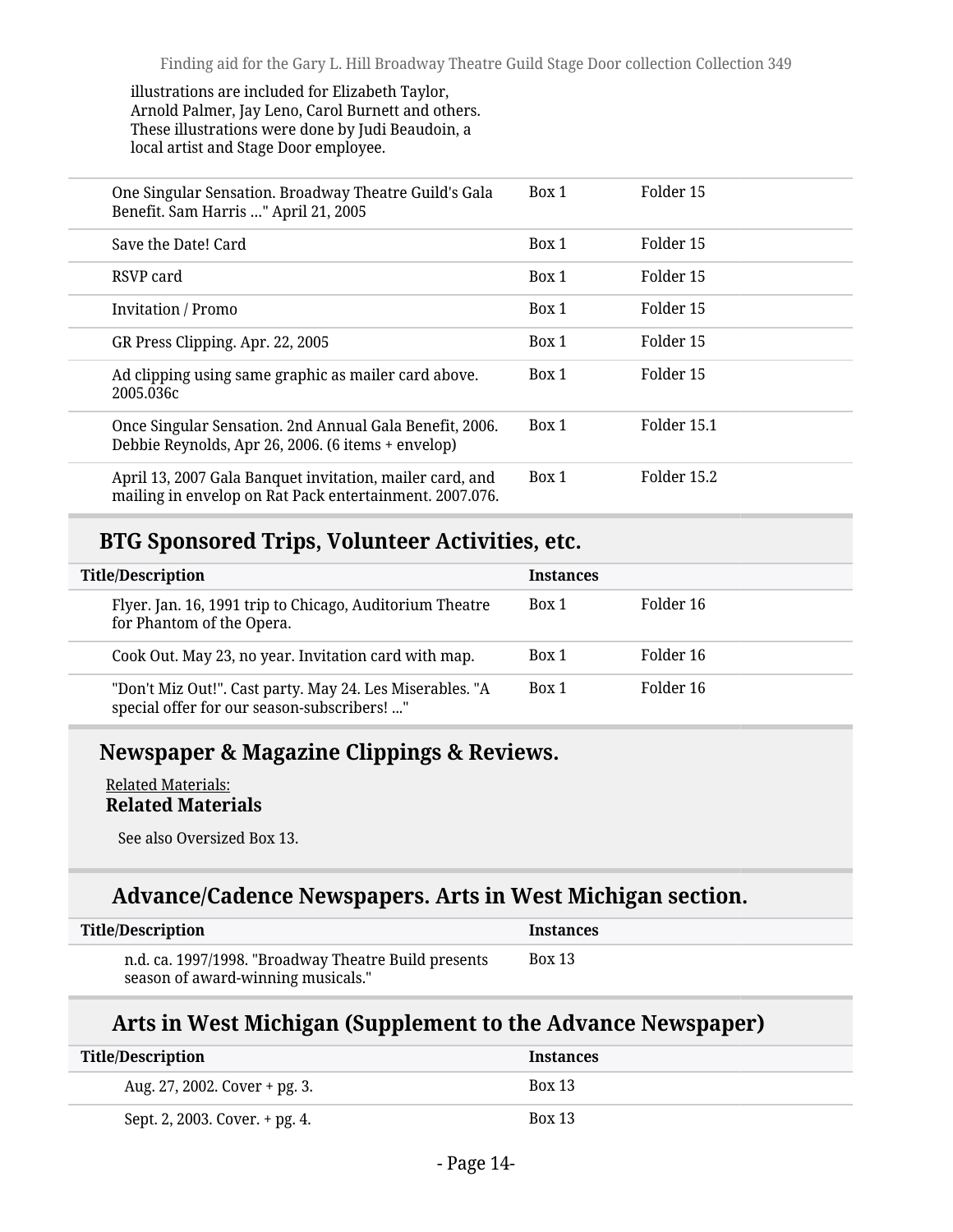illustrations are included for Elizabeth Taylor, Arnold Palmer, Jay Leno, Carol Burnett and others. These illustrations were done by Judi Beaudoin, a local artist and Stage Door employee.

| One Singular Sensation. Broadway Theatre Guild's Gala<br>Benefit. Sam Harris " April 21, 2005                       | Box 1 | Folder 15   |
|---------------------------------------------------------------------------------------------------------------------|-------|-------------|
| Save the Date! Card                                                                                                 | Box 1 | Folder 15   |
| RSVP card                                                                                                           | Box 1 | Folder 15   |
| <b>Invitation</b> / Promo                                                                                           | Box 1 | Folder 15   |
| GR Press Clipping. Apr. 22, 2005                                                                                    | Box 1 | Folder 15   |
| Ad clipping using same graphic as mailer card above.<br>2005.036c                                                   | Box 1 | Folder 15   |
| Once Singular Sensation. 2nd Annual Gala Benefit, 2006.<br>Debbie Reynolds, Apr 26, 2006. (6 items + envelop)       | Box 1 | Folder 15.1 |
| April 13, 2007 Gala Banquet invitation, mailer card, and<br>mailing in envelop on Rat Pack entertainment. 2007.076. | Box 1 | Folder 15.2 |

### **BTG Sponsored Trips, Volunteer Activities, etc.**

| <b>Title/Description</b>                                                                                | <b>Instances</b> |           |
|---------------------------------------------------------------------------------------------------------|------------------|-----------|
| Flyer. Jan. 16, 1991 trip to Chicago, Auditorium Theatre<br>for Phantom of the Opera.                   | Box 1            | Folder 16 |
| Cook Out. May 23, no year. Invitation card with map.                                                    | Box 1            | Folder 16 |
| "Don't Miz Out!". Cast party. May 24. Les Miserables. "A<br>special offer for our season-subscribers! " | Box 1            | Folder 16 |

#### **Newspaper & Magazine Clippings & Reviews.**

Related Materials: **Related Materials**

See also Oversized Box 13.

### **Advance/Cadence Newspapers. Arts in West Michigan section.**

| Title/Description                                                                          | <b>Instances</b> |
|--------------------------------------------------------------------------------------------|------------------|
| n.d. ca. 1997/1998. "Broadway Theatre Build presents<br>season of award-winning musicals." | Box 13           |

#### **Arts in West Michigan (Supplement to the Advance Newspaper)**

| <b>Title/Description</b>       | <b>Instances</b> |
|--------------------------------|------------------|
| Aug. 27, 2002. Cover + pg. 3.  | <b>Box 13</b>    |
| Sept. 2, 2003. Cover. + pg. 4. | <b>Box 13</b>    |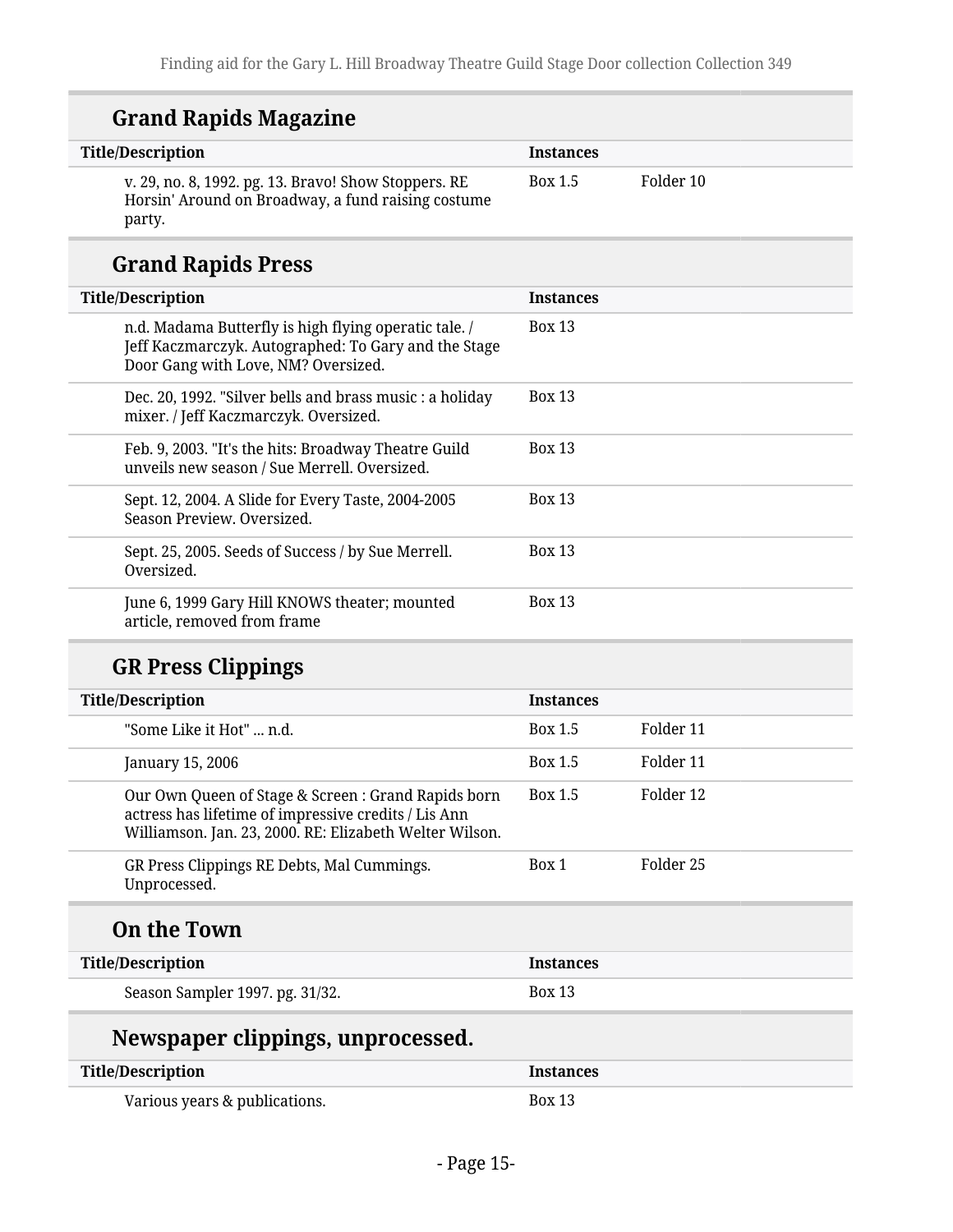| <b>Grand Rapids Magazine</b> |  |
|------------------------------|--|
|------------------------------|--|

| <b>Title/Description</b>                                                                                                                             | <b>Instances</b> |           |
|------------------------------------------------------------------------------------------------------------------------------------------------------|------------------|-----------|
| v. 29, no. 8, 1992. pg. 13. Bravo! Show Stoppers. RE<br>Horsin' Around on Broadway, a fund raising costume<br>party.                                 | Box 1.5          | Folder 10 |
| <b>Grand Rapids Press</b>                                                                                                                            |                  |           |
| <b>Title/Description</b>                                                                                                                             | <b>Instances</b> |           |
| n.d. Madama Butterfly is high flying operatic tale. /<br>Jeff Kaczmarczyk. Autographed: To Gary and the Stage<br>Door Gang with Love, NM? Oversized. | <b>Box 13</b>    |           |
| Dec. 20, 1992. "Silver bells and brass music : a holiday<br>mixer. / Jeff Kaczmarczyk. Oversized.                                                    | <b>Box 13</b>    |           |
| Feb. 9, 2003. "It's the hits: Broadway Theatre Guild<br>unveils new season / Sue Merrell. Oversized.                                                 | <b>Box 13</b>    |           |
| Sept. 12, 2004. A Slide for Every Taste, 2004-2005<br>Season Preview. Oversized.                                                                     | <b>Box 13</b>    |           |
| Sept. 25, 2005. Seeds of Success / by Sue Merrell.<br>Oversized.                                                                                     | <b>Box 13</b>    |           |
| June 6, 1999 Gary Hill KNOWS theater; mounted<br>article, removed from frame                                                                         | <b>Box 13</b>    |           |

| <b>Title/Description</b>                                                                                                                                               | <b>Instances</b> |           |
|------------------------------------------------------------------------------------------------------------------------------------------------------------------------|------------------|-----------|
| "Some Like it Hot"  n.d.                                                                                                                                               | Box 1.5          | Folder 11 |
| January 15, 2006                                                                                                                                                       | Box 1.5          | Folder 11 |
| Our Own Queen of Stage & Screen : Grand Rapids born<br>actress has lifetime of impressive credits / Lis Ann<br>Williamson. Jan. 23, 2000. RE: Elizabeth Welter Wilson. | Box 1.5          | Folder 12 |
| GR Press Clippings RE Debts, Mal Cummings.<br>Unprocessed.                                                                                                             | Box 1            | Folder 25 |
| <b>On the Town</b>                                                                                                                                                     |                  |           |
| <b>Title/Description</b>                                                                                                                                               | <b>Instances</b> |           |
| Season Sampler 1997. pg. 31/32.                                                                                                                                        | <b>Box 13</b>    |           |
| Newspaper clippings, unprocessed.                                                                                                                                      |                  |           |
| <b>Title/Description</b>                                                                                                                                               | <b>Instances</b> |           |

| Title/Description             | Instances     |
|-------------------------------|---------------|
| Various years & publications. | <b>Box 13</b> |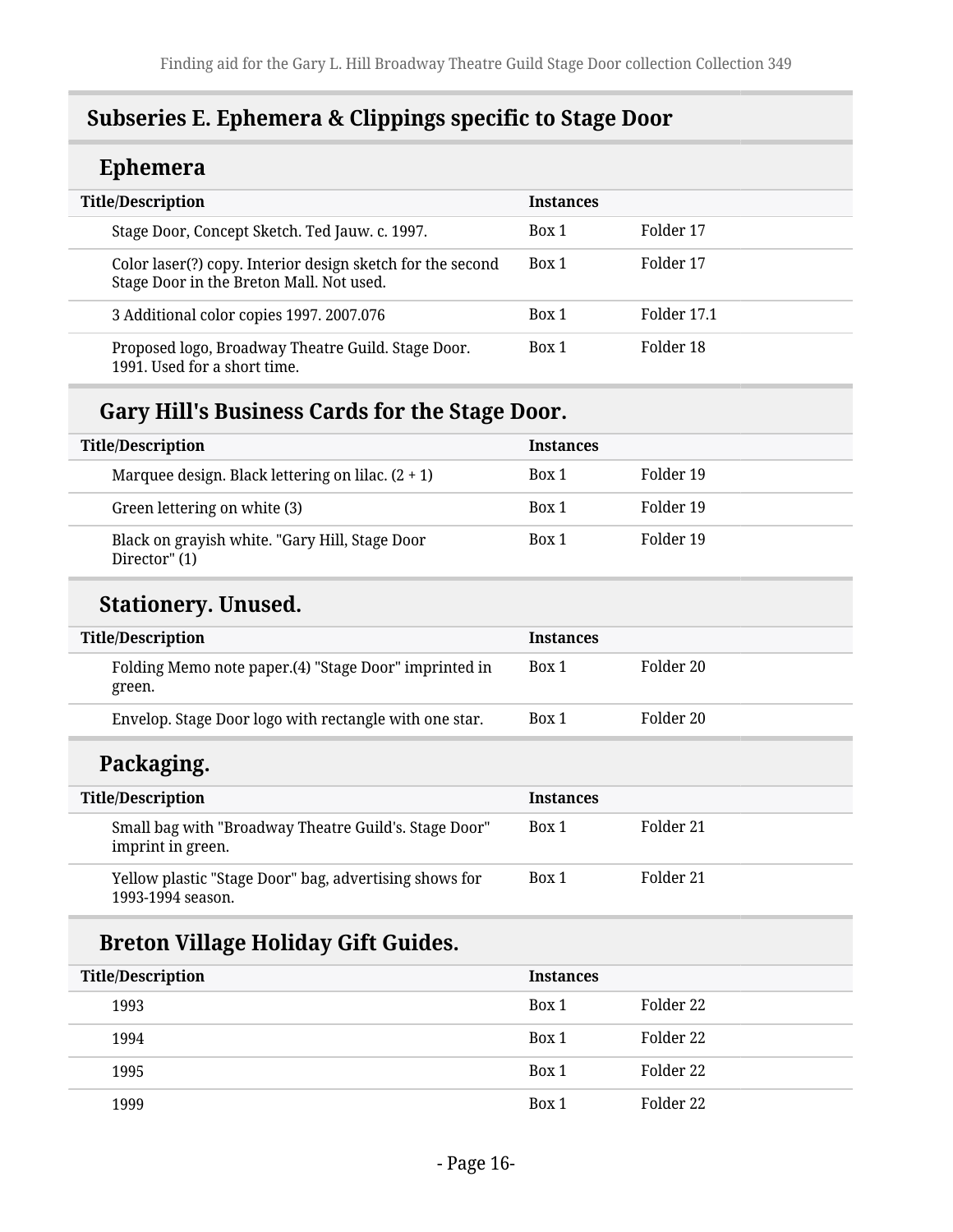## <span id="page-15-0"></span>**Subseries E. Ephemera & Clippings specific to Stage Door**

## **Ephemera**

| <b>Title/Description</b>                                                                               | <b>Instances</b> |             |
|--------------------------------------------------------------------------------------------------------|------------------|-------------|
| Stage Door, Concept Sketch. Ted Jauw. c. 1997.                                                         | Box 1            | Folder 17   |
| Color laser(?) copy. Interior design sketch for the second<br>Stage Door in the Breton Mall. Not used. | Box 1            | Folder 17   |
| 3 Additional color copies 1997. 2007.076                                                               | Box 1            | Folder 17.1 |
| Proposed logo, Broadway Theatre Guild. Stage Door.<br>1991. Used for a short time.                     | Box 1            | Folder 18   |

## **Gary Hill's Business Cards for the Stage Door.**

| <b>Title/Description</b>                                        | <b>Instances</b> |           |
|-----------------------------------------------------------------|------------------|-----------|
| Marquee design. Black lettering on lilac. $(2 + 1)$             | Box 1            | Folder 19 |
| Green lettering on white (3)                                    | Box 1            | Folder 19 |
| Black on grayish white. "Gary Hill, Stage Door<br>Director" (1) | Box 1            | Folder 19 |

### **Stationery. Unused.**

| <b>Title/Description</b>                                        | <b>Instances</b> |           |
|-----------------------------------------------------------------|------------------|-----------|
| Folding Memo note paper.(4) "Stage Door" imprinted in<br>green. | Box 1            | Folder 20 |
| Envelop. Stage Door logo with rectangle with one star.          | Box 1            | Folder 20 |

### **Packaging.**

| <b>Title/Description</b>                                                    | <b>Instances</b> |           |
|-----------------------------------------------------------------------------|------------------|-----------|
| Small bag with "Broadway Theatre Guild's. Stage Door"<br>imprint in green.  | Box 1            | Folder 21 |
| Yellow plastic "Stage Door" bag, advertising shows for<br>1993-1994 season. | Box 1            | Folder 21 |

## **Breton Village Holiday Gift Guides.**

| <b>Title/Description</b> | <b>Instances</b> |           |
|--------------------------|------------------|-----------|
| 1993                     | Box 1            | Folder 22 |
| 1994                     | Box 1            | Folder 22 |
| 1995                     | Box 1            | Folder 22 |
| 1999                     | Box 1            | Folder 22 |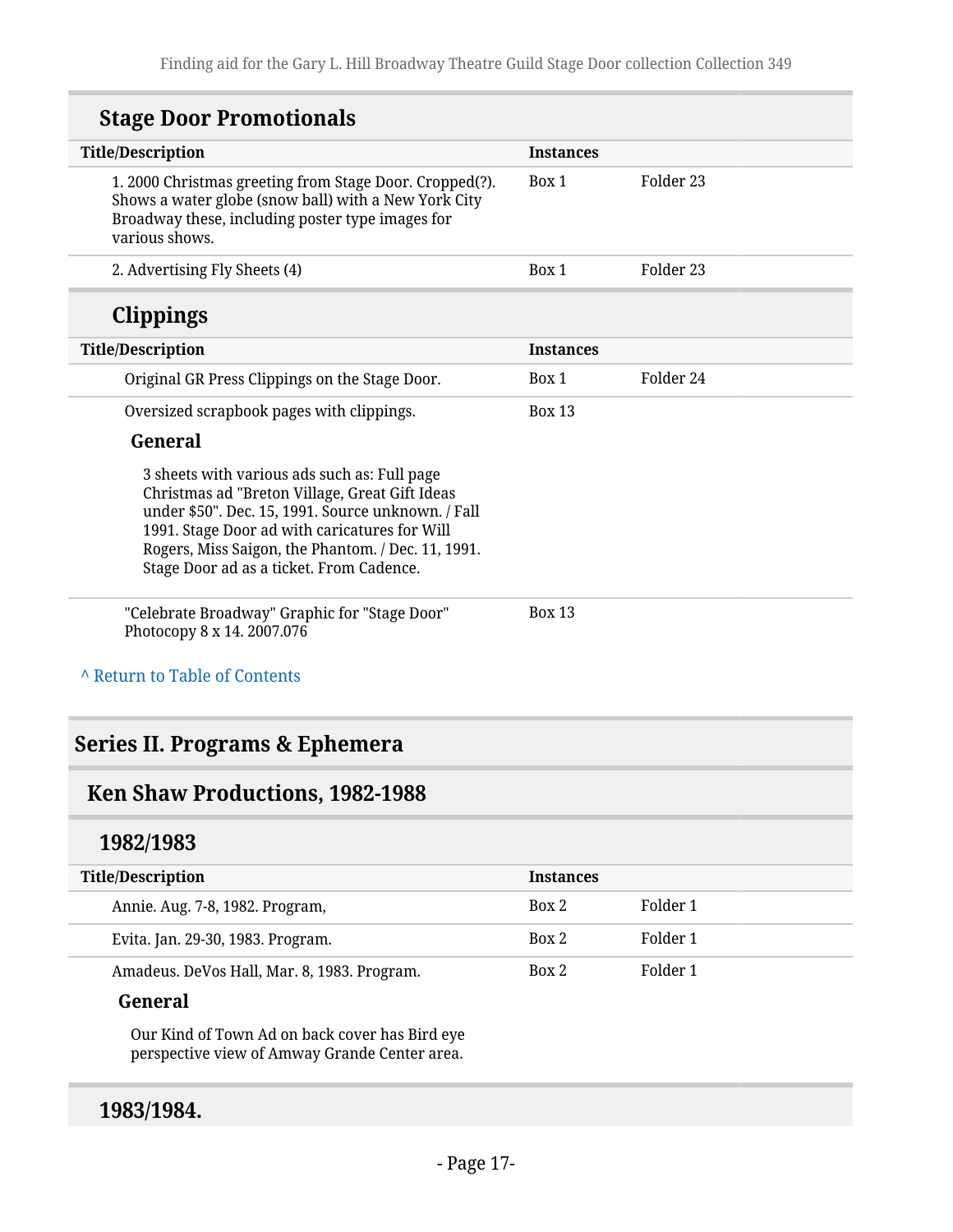## **Stage Door Promotionals**

| <b>Title/Description</b>                                                                                                                                                                                                                                                                                | <b>Instances</b> |           |
|---------------------------------------------------------------------------------------------------------------------------------------------------------------------------------------------------------------------------------------------------------------------------------------------------------|------------------|-----------|
| 1. 2000 Christmas greeting from Stage Door. Cropped(?).<br>Shows a water globe (snow ball) with a New York City<br>Broadway these, including poster type images for<br>various shows.                                                                                                                   | Box 1            | Folder 23 |
| 2. Advertising Fly Sheets (4)                                                                                                                                                                                                                                                                           | Box 1            | Folder 23 |
| <b>Clippings</b>                                                                                                                                                                                                                                                                                        |                  |           |
| <b>Title/Description</b>                                                                                                                                                                                                                                                                                | <b>Instances</b> |           |
| Original GR Press Clippings on the Stage Door.                                                                                                                                                                                                                                                          | Box 1            | Folder 24 |
| Oversized scrapbook pages with clippings.                                                                                                                                                                                                                                                               | <b>Box 13</b>    |           |
| General                                                                                                                                                                                                                                                                                                 |                  |           |
| 3 sheets with various ads such as: Full page<br>Christmas ad "Breton Village, Great Gift Ideas<br>under \$50". Dec. 15, 1991. Source unknown. / Fall<br>1991. Stage Door ad with caricatures for Will<br>Rogers, Miss Saigon, the Phantom. / Dec. 11, 1991.<br>Stage Door ad as a ticket. From Cadence. |                  |           |
| "Celebrate Broadway" Graphic for "Stage Door"<br>Photocopy 8 x 14. 2007.076                                                                                                                                                                                                                             | Box 13           |           |
| A Return to Table of Contents                                                                                                                                                                                                                                                                           |                  |           |
| Series II. Programs & Ephemera                                                                                                                                                                                                                                                                          |                  |           |
| Ken Shaw Productions, 1982-1988                                                                                                                                                                                                                                                                         |                  |           |
| 1982/1983                                                                                                                                                                                                                                                                                               |                  |           |
| <b>Title/Description</b>                                                                                                                                                                                                                                                                                | <b>Instances</b> |           |
| Annie. Aug. 7-8, 1982. Program,                                                                                                                                                                                                                                                                         | Box 2            | Folder 1  |
|                                                                                                                                                                                                                                                                                                         |                  |           |

Amadeus. DeVos Hall, Mar. 8, 1983. Program.

#### **General**

Our Kind of Town Ad on back cover has Bird eye perspective view of Amway Grande Center area.

#### **1983/1984.**

Box 2 Folder 1

<span id="page-16-1"></span><span id="page-16-0"></span>Evita. Jan. 29-30, 1983. Program. Box 2 Folder 1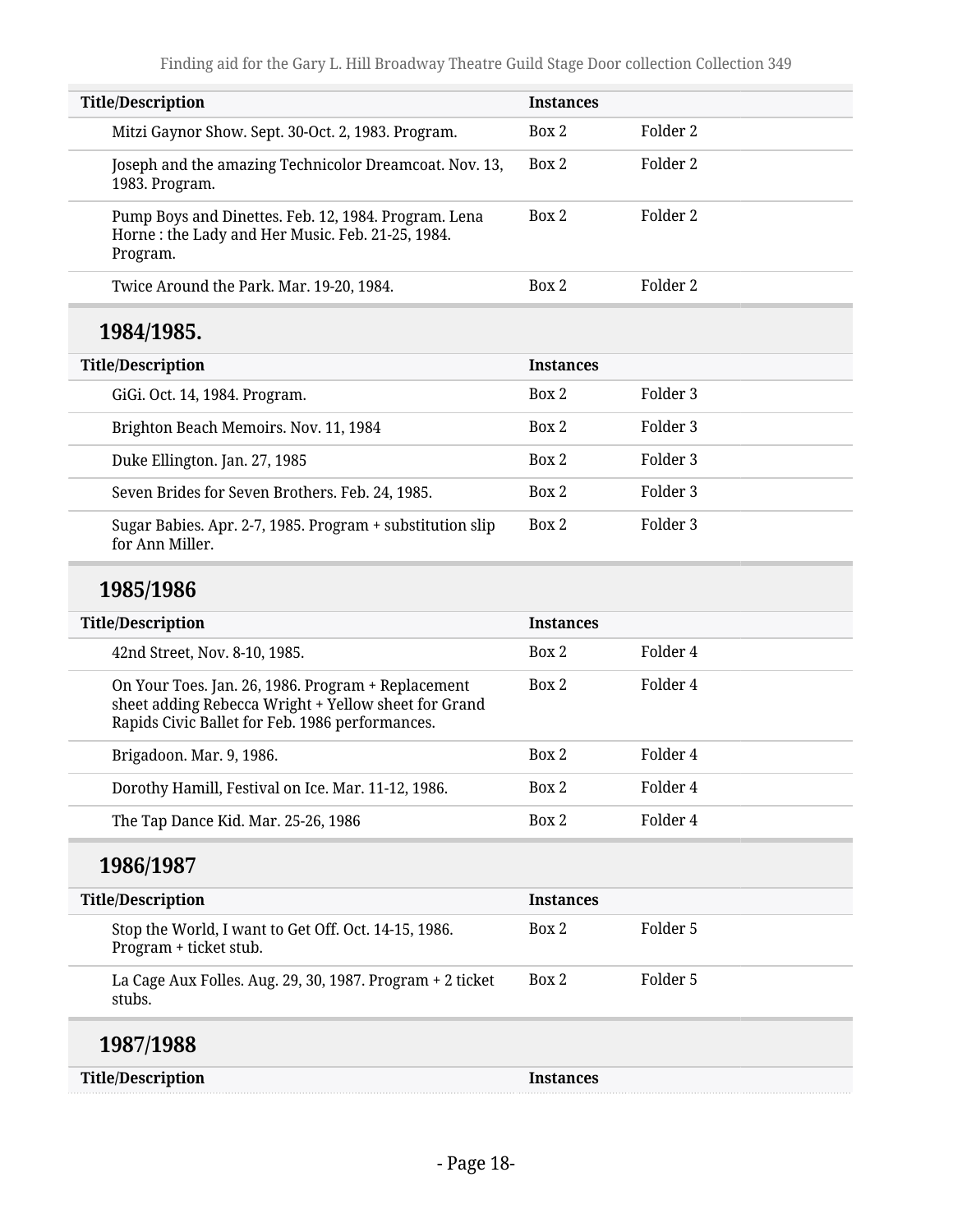| <b>Title/Description</b>                                                                                                                                      | <b>Instances</b> |          |  |
|---------------------------------------------------------------------------------------------------------------------------------------------------------------|------------------|----------|--|
| Mitzi Gaynor Show. Sept. 30-Oct. 2, 1983. Program.                                                                                                            | Box 2            | Folder 2 |  |
| Joseph and the amazing Technicolor Dreamcoat. Nov. 13,<br>1983. Program.                                                                                      | Box 2            | Folder 2 |  |
| Pump Boys and Dinettes. Feb. 12, 1984. Program. Lena<br>Horne: the Lady and Her Music. Feb. 21-25, 1984.<br>Program.                                          | Box 2            | Folder 2 |  |
| Twice Around the Park. Mar. 19-20, 1984.                                                                                                                      | Box 2            | Folder 2 |  |
| 1984/1985.                                                                                                                                                    |                  |          |  |
| <b>Title/Description</b>                                                                                                                                      | <b>Instances</b> |          |  |
| GiGi. Oct. 14, 1984. Program.                                                                                                                                 | Box 2            | Folder 3 |  |
| Brighton Beach Memoirs. Nov. 11, 1984                                                                                                                         | Box 2            | Folder 3 |  |
| Duke Ellington. Jan. 27, 1985                                                                                                                                 | Box 2            | Folder 3 |  |
| Seven Brides for Seven Brothers. Feb. 24, 1985.                                                                                                               | Box 2            | Folder 3 |  |
| Sugar Babies. Apr. 2-7, 1985. Program + substitution slip<br>for Ann Miller.                                                                                  | Box 2            | Folder 3 |  |
| 1985/1986                                                                                                                                                     |                  |          |  |
| <b>Title/Description</b>                                                                                                                                      | <b>Instances</b> |          |  |
| 42nd Street, Nov. 8-10, 1985.                                                                                                                                 | Box 2            | Folder 4 |  |
| On Your Toes. Jan. 26, 1986. Program + Replacement<br>sheet adding Rebecca Wright + Yellow sheet for Grand<br>Rapids Civic Ballet for Feb. 1986 performances. | Box 2            | Folder 4 |  |
| Brigadoon. Mar. 9, 1986.                                                                                                                                      | Box 2            | Folder 4 |  |
| Dorothy Hamill, Festival on Ice. Mar. 11-12, 1986.                                                                                                            | Box 2            | Folder 4 |  |
| The Tap Dance Kid. Mar. 25-26, 1986                                                                                                                           | Box 2            | Folder 4 |  |
| 1986/1987                                                                                                                                                     |                  |          |  |
| <b>Title/Description</b>                                                                                                                                      | <b>Instances</b> |          |  |
| Stop the World, I want to Get Off. Oct. 14-15, 1986.<br>Program + ticket stub.                                                                                | Box 2            | Folder 5 |  |
| La Cage Aux Folles. Aug. 29, 30, 1987. Program + 2 ticket<br>stubs.                                                                                           | Box 2            | Folder 5 |  |
| 1987/1988                                                                                                                                                     |                  |          |  |
| <b>Title/Description</b>                                                                                                                                      | <b>Instances</b> |          |  |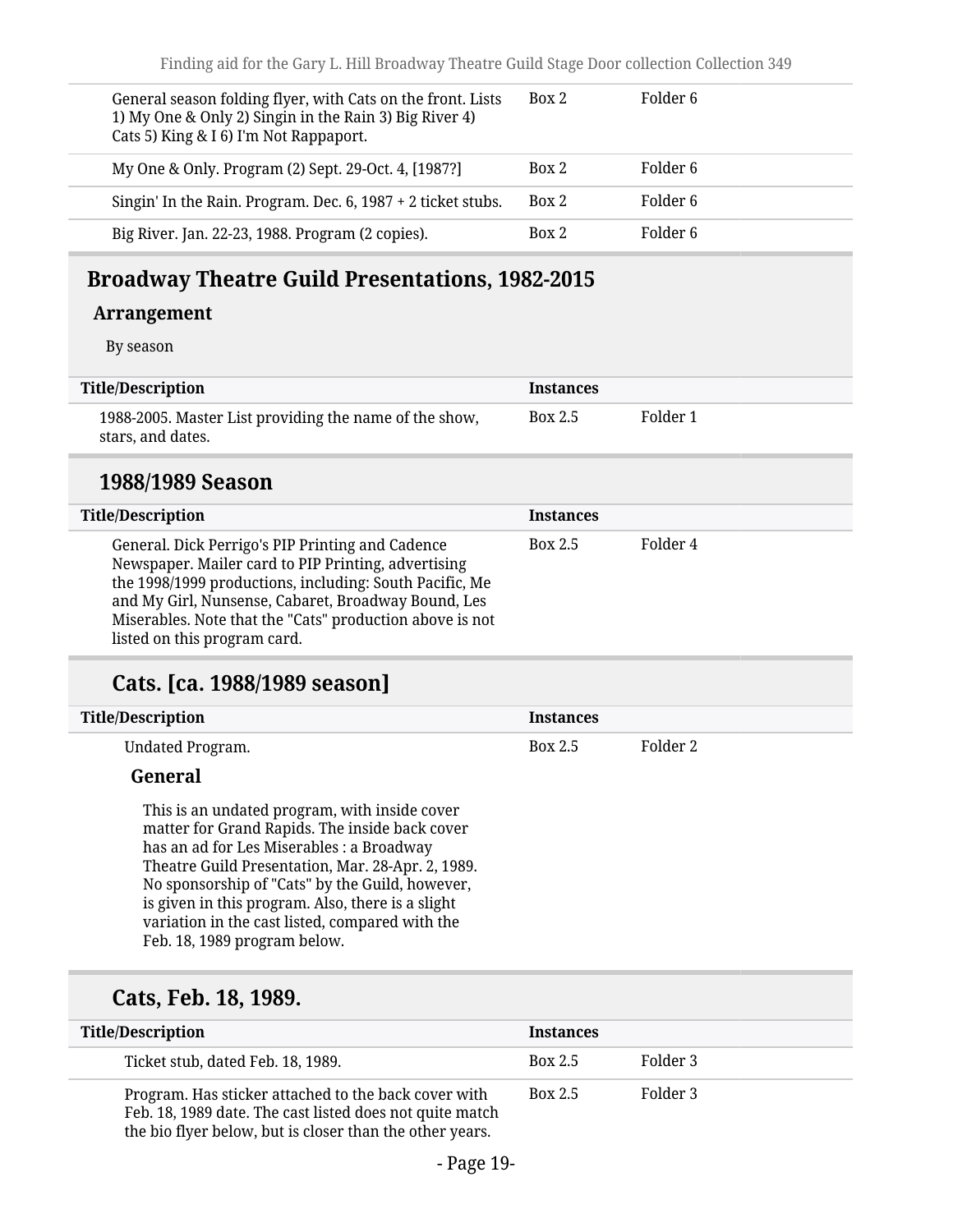| General season folding flyer, with Cats on the front. Lists<br>1) My One & Only 2) Singin in the Rain 3) Big River 4)<br>Cats 5) King & I 6) I'm Not Rappaport. | Box 2 | Folder 6 |
|-----------------------------------------------------------------------------------------------------------------------------------------------------------------|-------|----------|
| My One & Only. Program (2) Sept. 29-Oct. 4, [1987?]                                                                                                             | Box 2 | Folder 6 |
| Singin' In the Rain. Program. Dec. 6, 1987 + 2 ticket stubs.                                                                                                    | Box 2 | Folder 6 |
| Big River. Jan. 22-23, 1988. Program (2 copies).                                                                                                                | Box 2 | Folder 6 |

### <span id="page-18-0"></span>**Broadway Theatre Guild Presentations, 1982-2015**

#### **Arrangement**

By season

| <b>Title/Description</b>                                                    | <b>Instances</b> |          |
|-----------------------------------------------------------------------------|------------------|----------|
| 1988-2005. Master List providing the name of the show,<br>stars, and dates. | Box 2.5          | Folder 1 |

#### **1988/1989 Season**

| <b>Title/Description</b>                                                                                                                                                                                                                                                                                              | <b>Instances</b> |          |
|-----------------------------------------------------------------------------------------------------------------------------------------------------------------------------------------------------------------------------------------------------------------------------------------------------------------------|------------------|----------|
| General. Dick Perrigo's PIP Printing and Cadence<br>Newspaper. Mailer card to PIP Printing, advertising<br>the 1998/1999 productions, including: South Pacific, Me<br>and My Girl, Nunsense, Cabaret, Broadway Bound, Les<br>Miserables. Note that the "Cats" production above is not<br>listed on this program card. | Box 2.5          | Folder 4 |

### **Cats. [ca. 1988/1989 season]**

| <b>Title/Description</b> | Instances |          |
|--------------------------|-----------|----------|
| Undated Program.         | Box 2.5   | Folder 2 |

#### **General**

This is an undated program, with inside cover matter for Grand Rapids. The inside back cover has an ad for Les Miserables : a Broadway Theatre Guild Presentation, Mar. 28-Apr. 2, 1989. No sponsorship of "Cats" by the Guild, however, is given in this program. Also, there is a slight variation in the cast listed, compared with the Feb. 18, 1989 program below.

#### **Cats, Feb. 18, 1989.**

| <b>Title/Description</b>                                                                                                                                                     | Instances      |          |
|------------------------------------------------------------------------------------------------------------------------------------------------------------------------------|----------------|----------|
| Ticket stub, dated Feb. 18, 1989.                                                                                                                                            | <b>Box 2.5</b> | Folder 3 |
| Program. Has sticker attached to the back cover with<br>Feb. 18, 1989 date. The cast listed does not quite match<br>the bio flyer below, but is closer than the other years. | Box 2.5        | Folder 3 |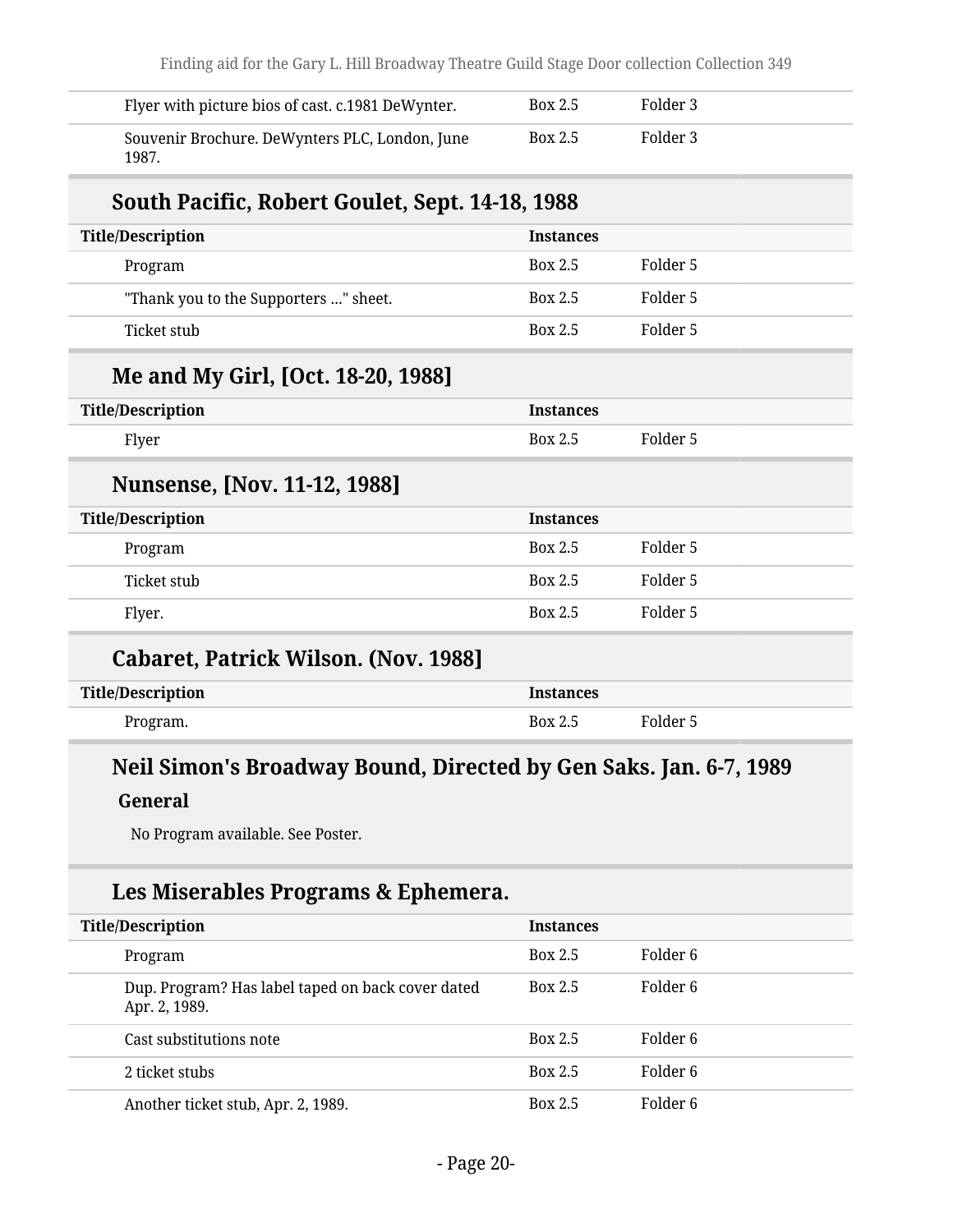| Flyer with picture bios of cast. c.1981 DeWynter.                 | <b>Box 2.5</b>   | Folder 3 |  |
|-------------------------------------------------------------------|------------------|----------|--|
| Souvenir Brochure. DeWynters PLC, London, June<br>1987.           | Box 2.5          | Folder 3 |  |
| South Pacific, Robert Goulet, Sept. 14-18, 1988                   |                  |          |  |
| <b>Title/Description</b>                                          | <b>Instances</b> |          |  |
| Program                                                           | <b>Box 2.5</b>   | Folder 5 |  |
| "Thank you to the Supporters " sheet.                             | Box 2.5          | Folder 5 |  |
| <b>Ticket stub</b>                                                | <b>Box 2.5</b>   | Folder 5 |  |
| Me and My Girl, [Oct. 18-20, 1988]                                |                  |          |  |
| <b>Title/Description</b>                                          | <b>Instances</b> |          |  |
| Flyer                                                             | Box 2.5          | Folder 5 |  |
| Nunsense, [Nov. 11-12, 1988]                                      |                  |          |  |
| <b>Title/Description</b>                                          | <b>Instances</b> |          |  |
| Program                                                           | <b>Box 2.5</b>   | Folder 5 |  |
| <b>Ticket stub</b>                                                | <b>Box 2.5</b>   | Folder 5 |  |
| Flyer.                                                            | <b>Box 2.5</b>   | Folder 5 |  |
| <b>Cabaret, Patrick Wilson. (Nov. 1988)</b>                       |                  |          |  |
| <b>Title/Description</b>                                          | <b>Instances</b> |          |  |
| Program.                                                          | Box 2.5          | Folder 5 |  |
| Neil Simon's Broadway Bound, Directed by Gen Saks. Jan. 6-7, 1989 |                  |          |  |
| General                                                           |                  |          |  |
|                                                                   |                  |          |  |
| No Program available. See Poster.                                 |                  |          |  |

## **Les Miserables Programs & Ephemera.**

| <b>Title/Description</b>                                           | <b>Instances</b> |          |
|--------------------------------------------------------------------|------------------|----------|
| Program                                                            | Box 2.5          | Folder 6 |
| Dup. Program? Has label taped on back cover dated<br>Apr. 2, 1989. | Box 2.5          | Folder 6 |
| Cast substitutions note                                            | Box 2.5          | Folder 6 |
| 2 ticket stubs                                                     | Box 2.5          | Folder 6 |
| Another ticket stub, Apr. 2, 1989.                                 | Box 2.5          | Folder 6 |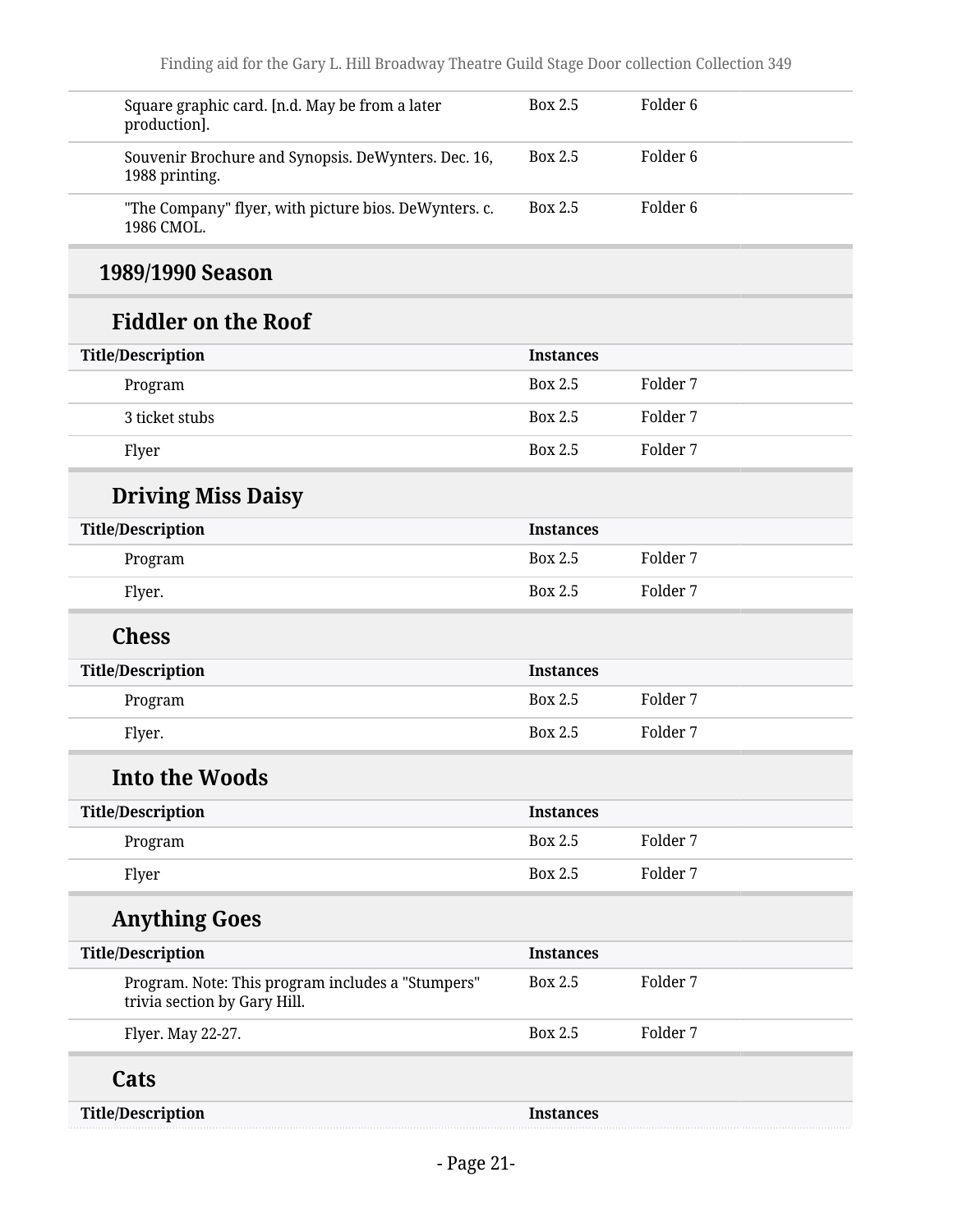| Square graphic card. [n.d. May be from a later<br>production].                    | Box 2.5          | Folder <sub>6</sub> |  |
|-----------------------------------------------------------------------------------|------------------|---------------------|--|
| Souvenir Brochure and Synopsis. DeWynters. Dec. 16,<br>1988 printing.             | Box 2.5          | Folder <sub>6</sub> |  |
| "The Company" flyer, with picture bios. DeWynters. c.<br>1986 CMOL.               | <b>Box 2.5</b>   | Folder <sub>6</sub> |  |
| 1989/1990 Season                                                                  |                  |                     |  |
| <b>Fiddler on the Roof</b>                                                        |                  |                     |  |
| <b>Title/Description</b>                                                          | <b>Instances</b> |                     |  |
| Program                                                                           | Box 2.5          | Folder 7            |  |
| 3 ticket stubs                                                                    | Box 2.5          | Folder 7            |  |
| Flyer                                                                             | <b>Box 2.5</b>   | Folder 7            |  |
| <b>Driving Miss Daisy</b>                                                         |                  |                     |  |
| <b>Title/Description</b>                                                          | <b>Instances</b> |                     |  |
| Program                                                                           | Box 2.5          | Folder 7            |  |
| Flyer.                                                                            | Box 2.5          | Folder 7            |  |
| <b>Chess</b>                                                                      |                  |                     |  |
| <b>Title/Description</b>                                                          | <b>Instances</b> |                     |  |
| Program                                                                           | Box 2.5          | Folder 7            |  |
| Flyer.                                                                            | Box 2.5          | Folder 7            |  |
| <b>Into the Woods</b>                                                             |                  |                     |  |
| <b>Title/Description</b>                                                          | <b>Instances</b> |                     |  |
| Program                                                                           | <b>Box 2.5</b>   | Folder 7            |  |
| Flyer                                                                             | <b>Box 2.5</b>   | Folder 7            |  |
| <b>Anything Goes</b>                                                              |                  |                     |  |
| <b>Title/Description</b>                                                          | <b>Instances</b> |                     |  |
| Program. Note: This program includes a "Stumpers"<br>trivia section by Gary Hill. | <b>Box 2.5</b>   | Folder 7            |  |
| Flyer. May 22-27.                                                                 | <b>Box 2.5</b>   | Folder 7            |  |
| Cats                                                                              |                  |                     |  |
| <b>Title/Description</b>                                                          | <b>Instances</b> |                     |  |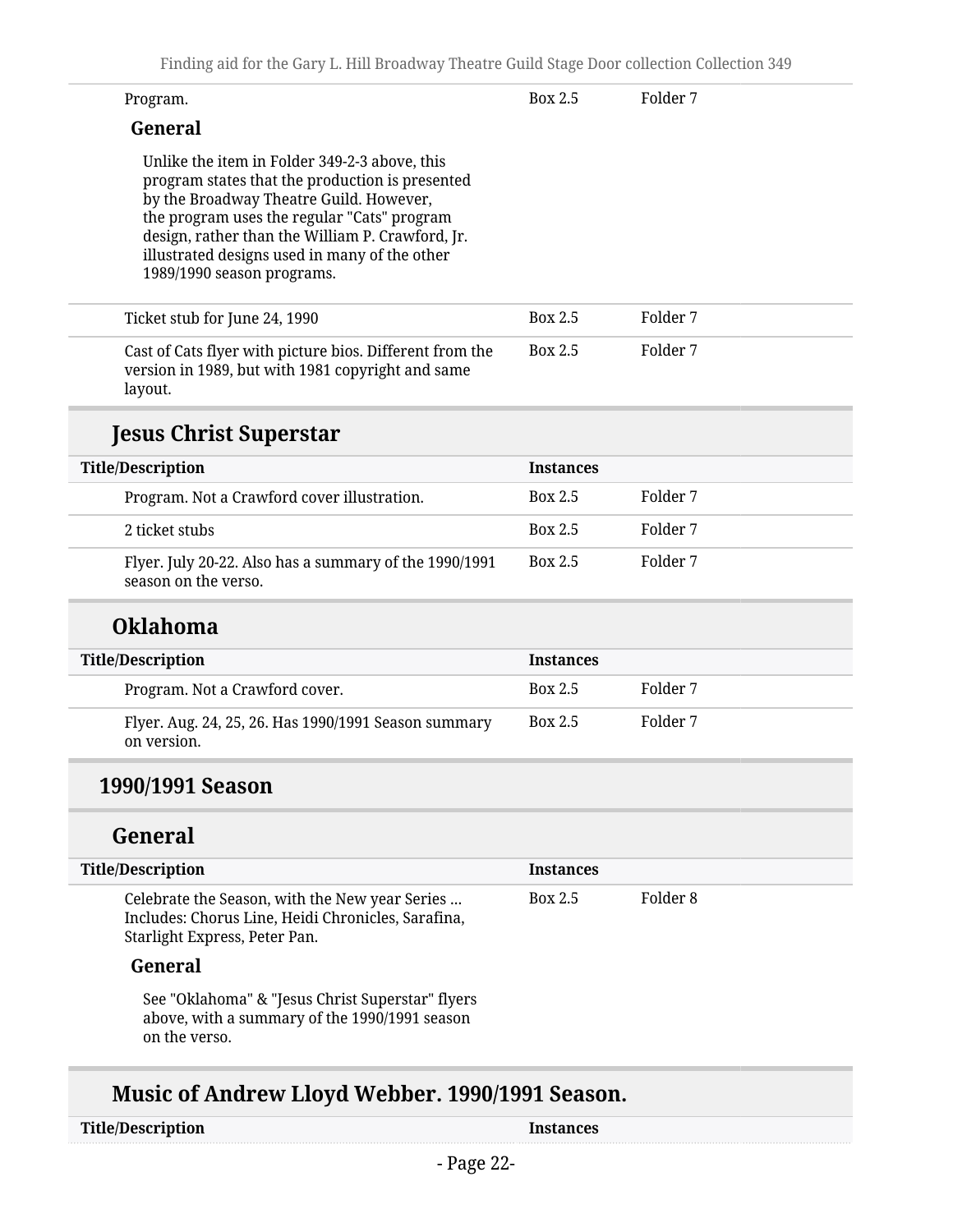| Finding aid for the Gary L. Hill Broadway Theatre Guild Stage Door collection Collection 349                                                                                                                                                                                                                                  |                  |          |
|-------------------------------------------------------------------------------------------------------------------------------------------------------------------------------------------------------------------------------------------------------------------------------------------------------------------------------|------------------|----------|
| Program.                                                                                                                                                                                                                                                                                                                      | <b>Box 2.5</b>   | Folder 7 |
| General                                                                                                                                                                                                                                                                                                                       |                  |          |
| Unlike the item in Folder 349-2-3 above, this<br>program states that the production is presented<br>by the Broadway Theatre Guild. However,<br>the program uses the regular "Cats" program<br>design, rather than the William P. Crawford, Jr.<br>illustrated designs used in many of the other<br>1989/1990 season programs. |                  |          |
| Ticket stub for June 24, 1990                                                                                                                                                                                                                                                                                                 | <b>Box 2.5</b>   | Folder 7 |
| Cast of Cats flyer with picture bios. Different from the<br>version in 1989, but with 1981 copyright and same<br>layout.                                                                                                                                                                                                      | Box 2.5          | Folder 7 |
| <b>Jesus Christ Superstar</b>                                                                                                                                                                                                                                                                                                 |                  |          |
| <b>Title/Description</b>                                                                                                                                                                                                                                                                                                      | <b>Instances</b> |          |
| Program. Not a Crawford cover illustration.                                                                                                                                                                                                                                                                                   | Box 2.5          | Folder 7 |
| 2 ticket stubs                                                                                                                                                                                                                                                                                                                | Box 2.5          | Folder 7 |
| Flyer. July 20-22. Also has a summary of the 1990/1991<br>season on the verso.                                                                                                                                                                                                                                                | Box 2.5          | Folder 7 |
| <b>Oklahoma</b>                                                                                                                                                                                                                                                                                                               |                  |          |
| <b>Title/Description</b>                                                                                                                                                                                                                                                                                                      | <b>Instances</b> |          |
| Program Not a Crawford cover                                                                                                                                                                                                                                                                                                  | <b>Box 2.5</b>   | Folder 7 |

| -Program. Not a Crawford cover.                                     | DUX 4.5 | FUILLEL, |
|---------------------------------------------------------------------|---------|----------|
| Flyer. Aug. 24, 25, 26. Has 1990/1991 Season summary<br>on version. | Box 2.5 | Folder 7 |

### **1990/1991 Season**

### **General**

| <b>Title/Description</b>                                                                                                              | <b>Instances</b> |          |  |
|---------------------------------------------------------------------------------------------------------------------------------------|------------------|----------|--|
| Celebrate the Season, with the New year Series<br>Includes: Chorus Line, Heidi Chronicles, Sarafina,<br>Starlight Express, Peter Pan. | Box 2.5          | Folder 8 |  |
| General                                                                                                                               |                  |          |  |
| Cas "Olilahoma" & "Josue Christ Cunerator" flyore                                                                                     |                  |          |  |

See "Oklahoma" & "Jesus Christ Superstar" flyers above, with a summary of the 1990/1991 season on the verso.

## **Music of Andrew Lloyd Webber. 1990/1991 Season.**

| <b>Title/Description</b> |  |
|--------------------------|--|
|--------------------------|--|

**Instances**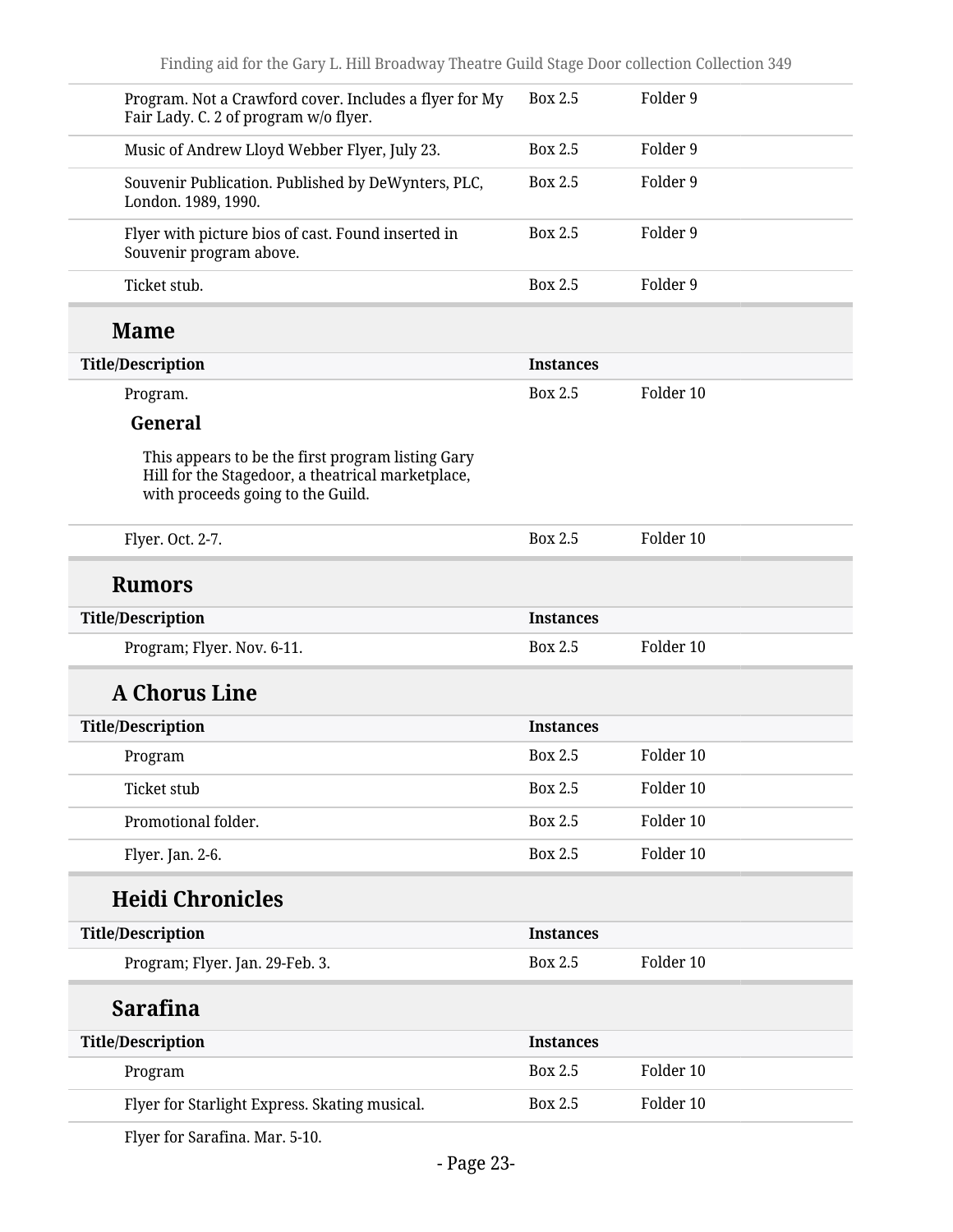| Program. Not a Crawford cover. Includes a flyer for My<br>Fair Lady. C. 2 of program w/o flyer.                                             | Box 2.5          | Folder 9  |
|---------------------------------------------------------------------------------------------------------------------------------------------|------------------|-----------|
| Music of Andrew Lloyd Webber Flyer, July 23.                                                                                                | <b>Box 2.5</b>   | Folder 9  |
| Souvenir Publication. Published by DeWynters, PLC,<br>London. 1989, 1990.                                                                   | <b>Box 2.5</b>   | Folder 9  |
| Flyer with picture bios of cast. Found inserted in<br>Souvenir program above.                                                               | Box 2.5          | Folder 9  |
| Ticket stub.                                                                                                                                | <b>Box 2.5</b>   | Folder 9  |
| <b>Mame</b>                                                                                                                                 |                  |           |
| <b>Title/Description</b>                                                                                                                    | <b>Instances</b> |           |
| Program.                                                                                                                                    | Box 2.5          | Folder 10 |
| General                                                                                                                                     |                  |           |
| This appears to be the first program listing Gary<br>Hill for the Stagedoor, a theatrical marketplace,<br>with proceeds going to the Guild. |                  |           |
| Flyer. Oct. 2-7.                                                                                                                            | <b>Box 2.5</b>   | Folder 10 |
| <b>Rumors</b>                                                                                                                               |                  |           |
| <b>Title/Description</b>                                                                                                                    | <b>Instances</b> |           |
| Program; Flyer. Nov. 6-11.                                                                                                                  | Box 2.5          | Folder 10 |
| <b>A Chorus Line</b>                                                                                                                        |                  |           |
| <b>Title/Description</b>                                                                                                                    | <b>Instances</b> |           |
| Program                                                                                                                                     | Box 2.5          | Folder 10 |
| <b>Ticket stub</b>                                                                                                                          | <b>Box 2.5</b>   | Folder 10 |
| Promotional folder.                                                                                                                         | Box 2.5          | Folder 10 |
| Flyer. Jan. 2-6.                                                                                                                            | <b>Box 2.5</b>   | Folder 10 |
| <b>Heidi Chronicles</b>                                                                                                                     |                  |           |
| <b>Title/Description</b>                                                                                                                    | <b>Instances</b> |           |
| Program; Flyer. Jan. 29-Feb. 3.                                                                                                             | <b>Box 2.5</b>   | Folder 10 |
| <b>Sarafina</b>                                                                                                                             |                  |           |
| <b>Title/Description</b>                                                                                                                    | <b>Instances</b> |           |
| Program                                                                                                                                     | <b>Box 2.5</b>   | Folder 10 |
| Flyer for Starlight Express. Skating musical.                                                                                               | Box 2.5          | Folder 10 |
|                                                                                                                                             |                  |           |

Flyer for Sarafina. Mar. 5-10.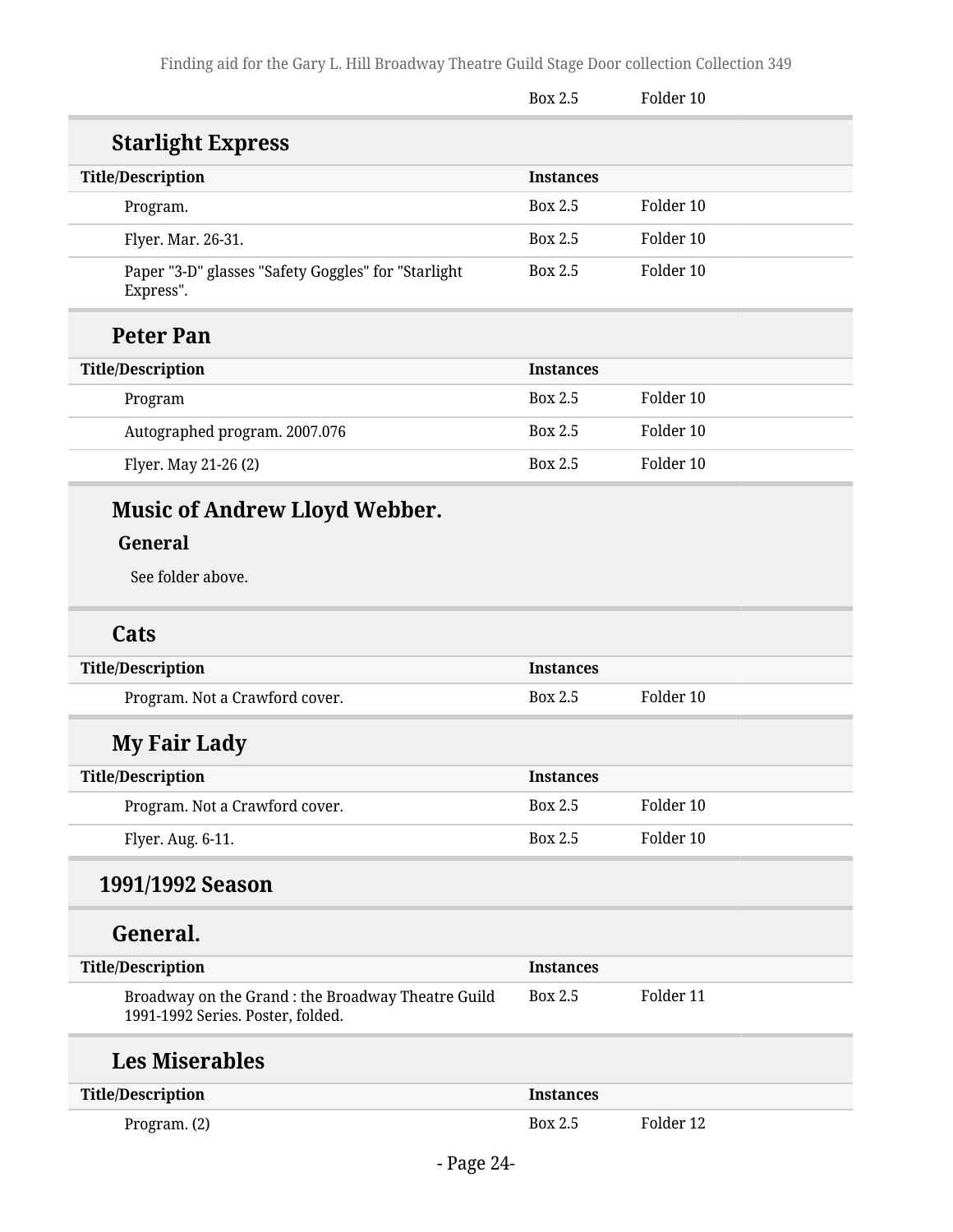|                                                                                         | <b>Box 2.5</b>   | Folder 10 |  |
|-----------------------------------------------------------------------------------------|------------------|-----------|--|
| <b>Starlight Express</b>                                                                |                  |           |  |
| <b>Title/Description</b>                                                                | <b>Instances</b> |           |  |
| Program.                                                                                | <b>Box 2.5</b>   | Folder 10 |  |
| Flyer. Mar. 26-31.                                                                      | <b>Box 2.5</b>   | Folder 10 |  |
| Paper "3-D" glasses "Safety Goggles" for "Starlight<br>Express".                        | Box 2.5          | Folder 10 |  |
| <b>Peter Pan</b>                                                                        |                  |           |  |
| <b>Title/Description</b>                                                                | <b>Instances</b> |           |  |
| Program                                                                                 | <b>Box 2.5</b>   | Folder 10 |  |
| Autographed program. 2007.076                                                           | <b>Box 2.5</b>   | Folder 10 |  |
| Flyer. May 21-26 (2)                                                                    | <b>Box 2.5</b>   | Folder 10 |  |
| <b>Music of Andrew Lloyd Webber.</b>                                                    |                  |           |  |
| General                                                                                 |                  |           |  |
| See folder above.                                                                       |                  |           |  |
| Cats                                                                                    |                  |           |  |
| <b>Title/Description</b>                                                                | <b>Instances</b> |           |  |
| Program. Not a Crawford cover.                                                          | Box 2.5          | Folder 10 |  |
| <b>My Fair Lady</b>                                                                     |                  |           |  |
| <b>Title/Description</b>                                                                | <b>Instances</b> |           |  |
| Program. Not a Crawford cover.                                                          | Box 2.5          | Folder 10 |  |
| Flyer. Aug. 6-11.                                                                       | <b>Box 2.5</b>   | Folder 10 |  |
| 1991/1992 Season                                                                        |                  |           |  |
| General.                                                                                |                  |           |  |
| <b>Title/Description</b>                                                                | <b>Instances</b> |           |  |
| Broadway on the Grand : the Broadway Theatre Guild<br>1991-1992 Series. Poster, folded. | <b>Box 2.5</b>   | Folder 11 |  |
| <b>Les Miserables</b>                                                                   |                  |           |  |
| <b>Title/Description</b>                                                                | <b>Instances</b> |           |  |
| Program. (2)                                                                            | Box 2.5          | Folder 12 |  |
|                                                                                         |                  |           |  |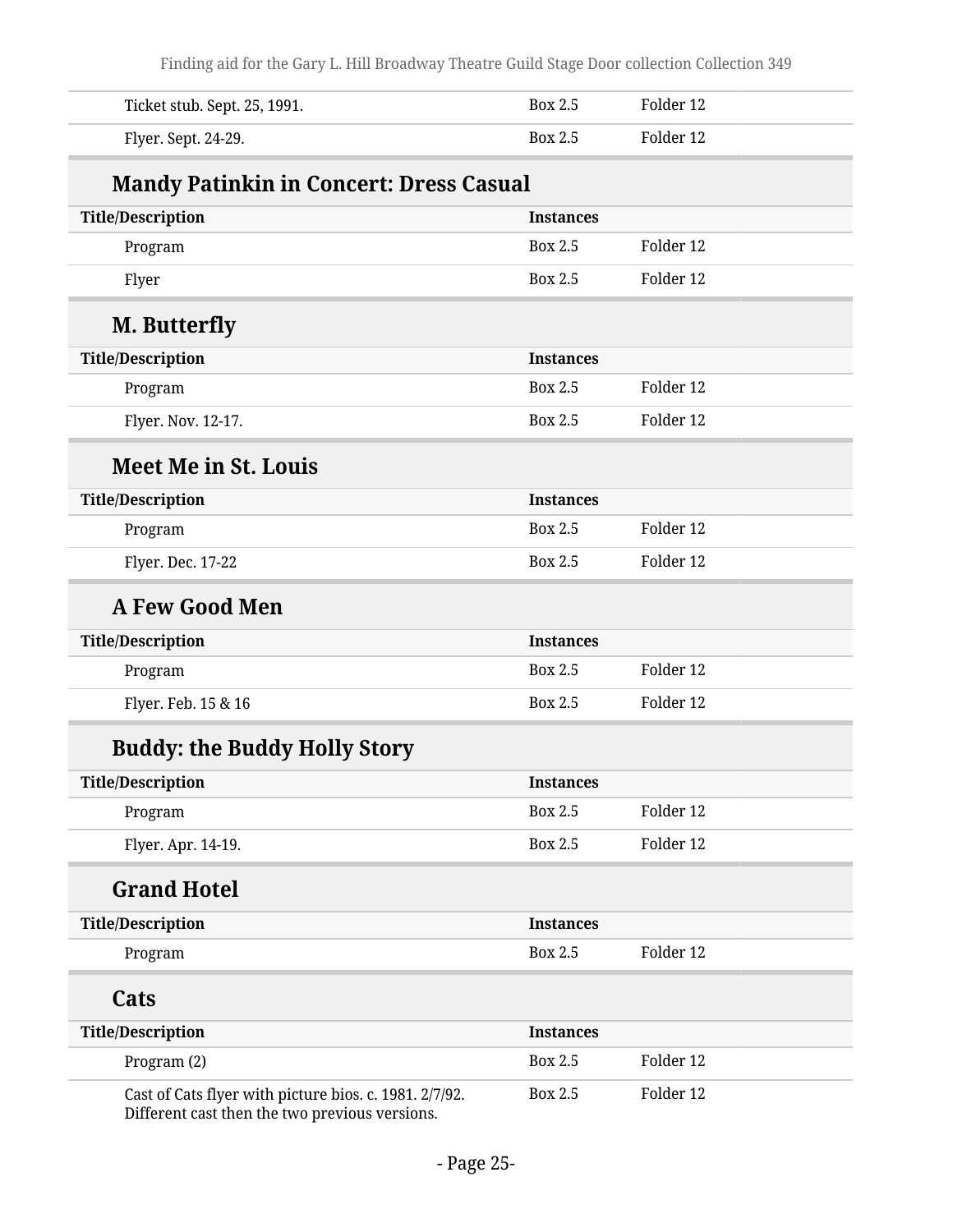Finding aid for the Gary L. Hill Broadway Theatre Guild Stage Door collection Collection 349

| Ticket stub. Sept. 25, 1991.                                                                             | Box 2.5          | Folder 12 |  |
|----------------------------------------------------------------------------------------------------------|------------------|-----------|--|
| Flyer. Sept. 24-29.                                                                                      | <b>Box 2.5</b>   | Folder 12 |  |
| <b>Mandy Patinkin in Concert: Dress Casual</b>                                                           |                  |           |  |
| <b>Title/Description</b>                                                                                 | <b>Instances</b> |           |  |
| Program                                                                                                  | Box 2.5          | Folder 12 |  |
| Flyer                                                                                                    | <b>Box 2.5</b>   | Folder 12 |  |
| M. Butterfly                                                                                             |                  |           |  |
| <b>Title/Description</b>                                                                                 | <b>Instances</b> |           |  |
| Program                                                                                                  | Box 2.5          | Folder 12 |  |
| Flyer. Nov. 12-17.                                                                                       | Box 2.5          | Folder 12 |  |
| <b>Meet Me in St. Louis</b>                                                                              |                  |           |  |
| <b>Title/Description</b>                                                                                 | <b>Instances</b> |           |  |
| Program                                                                                                  | <b>Box 2.5</b>   | Folder 12 |  |
| Flyer. Dec. 17-22                                                                                        | <b>Box 2.5</b>   | Folder 12 |  |
| <b>A Few Good Men</b>                                                                                    |                  |           |  |
| <b>Title/Description</b>                                                                                 | <b>Instances</b> |           |  |
| Program                                                                                                  | Box 2.5          | Folder 12 |  |
| Flyer. Feb. 15 & 16                                                                                      | Box 2.5          | Folder 12 |  |
| <b>Buddy: the Buddy Holly Story</b>                                                                      |                  |           |  |
| <b>Title/Description</b>                                                                                 | <b>Instances</b> |           |  |
| Program                                                                                                  | Box 2.5          | Folder 12 |  |
| Flyer. Apr. 14-19.                                                                                       | <b>Box 2.5</b>   | Folder 12 |  |
| <b>Grand Hotel</b>                                                                                       |                  |           |  |
| <b>Title/Description</b>                                                                                 | <b>Instances</b> |           |  |
| Program                                                                                                  | Box 2.5          | Folder 12 |  |
| Cats                                                                                                     |                  |           |  |
| <b>Title/Description</b>                                                                                 | <b>Instances</b> |           |  |
| Program (2)                                                                                              | <b>Box 2.5</b>   | Folder 12 |  |
| Cast of Cats flyer with picture bios. c. 1981. 2/7/92.<br>Different cast then the two previous versions. | Box 2.5          | Folder 12 |  |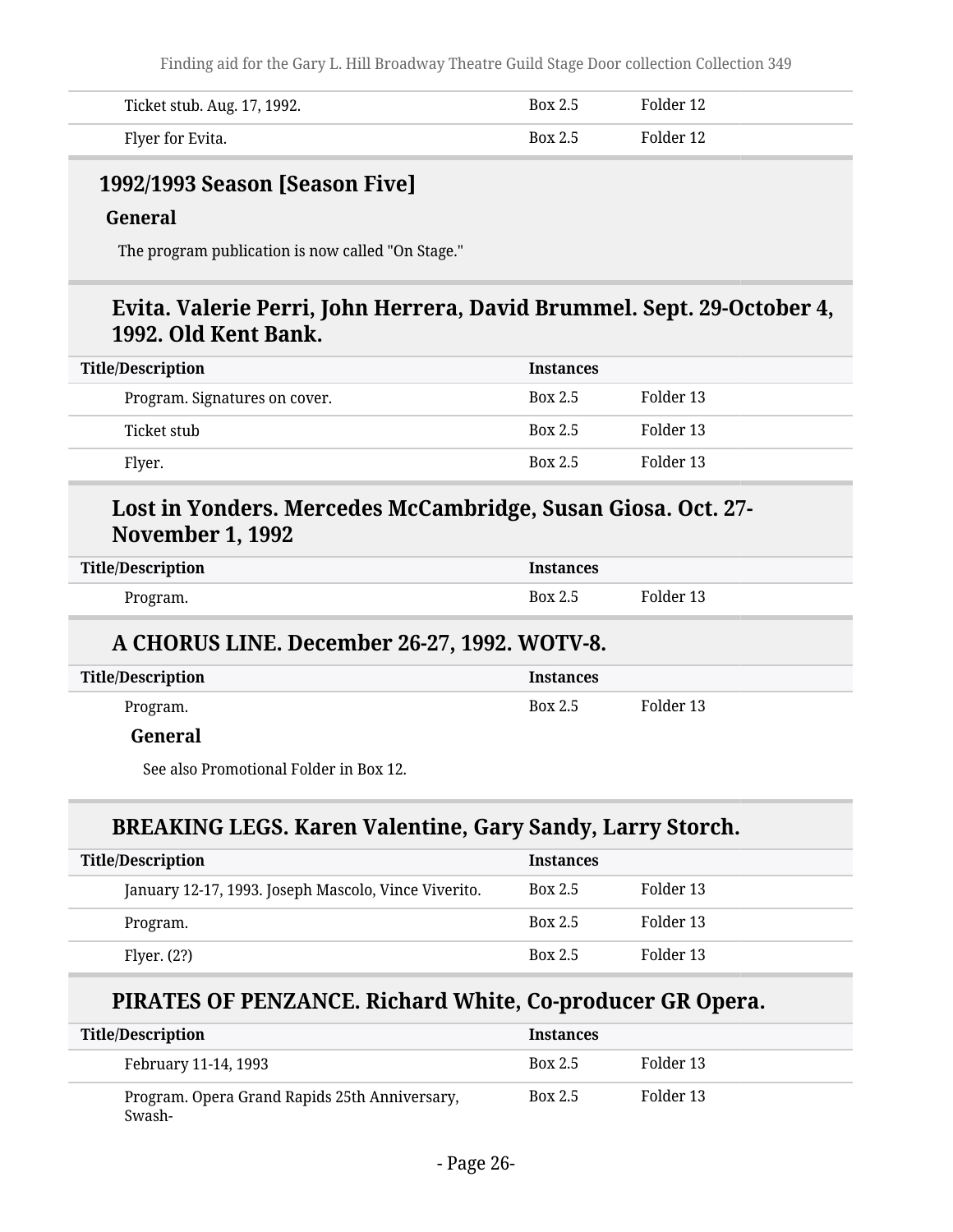| Ticket stub. Aug. 17, 1992. | <b>Box 2.5</b> | Folder 12 |
|-----------------------------|----------------|-----------|
| Flyer for Evita.            | <b>Box 2.5</b> | Folder 12 |

#### **1992/1993 Season [Season Five]**

#### **General**

The program publication is now called "On Stage."

#### **Evita. Valerie Perri, John Herrera, David Brummel. Sept. 29-October 4, 1992. Old Kent Bank.**

| <b>Title/Description</b>      | <b>Instances</b> |           |
|-------------------------------|------------------|-----------|
| Program. Signatures on cover. | <b>Box 2.5</b>   | Folder 13 |
| Ticket stub                   | <b>Box 2.5</b>   | Folder 13 |
| Flyer.                        | <b>Box 2.5</b>   | Folder 13 |

### **Lost in Yonders. Mercedes McCambridge, Susan Giosa. Oct. 27- November 1, 1992**

| <b>Title/Description</b> | <b>Instances</b> |           |
|--------------------------|------------------|-----------|
| Program.                 | Box 2.5          | Folder 13 |

#### **A CHORUS LINE. December 26-27, 1992. WOTV-8.**

| <b>Title/Description</b> | <b>Instances</b> |           |
|--------------------------|------------------|-----------|
| Program.                 | <b>Box 2.5</b>   | Folder 13 |

#### **General**

See also Promotional Folder in Box 12.

#### **BREAKING LEGS. Karen Valentine, Gary Sandy, Larry Storch.**

| <b>Title/Description</b>                             | <b>Instances</b> |           |
|------------------------------------------------------|------------------|-----------|
| January 12-17, 1993. Joseph Mascolo, Vince Viverito. | Box 2.5          | Folder 13 |
| Program.                                             | <b>Box 2.5</b>   | Folder 13 |
| Flyer. $(2?)$                                        | <b>Box 2.5</b>   | Folder 13 |

#### **PIRATES OF PENZANCE. Richard White, Co-producer GR Opera.**

| <b>Title/Description</b>                                | <b>Instances</b> |           |
|---------------------------------------------------------|------------------|-----------|
| February 11-14, 1993                                    | <b>Box 2.5</b>   | Folder 13 |
| Program. Opera Grand Rapids 25th Anniversary,<br>Swash- | Box 2.5          | Folder 13 |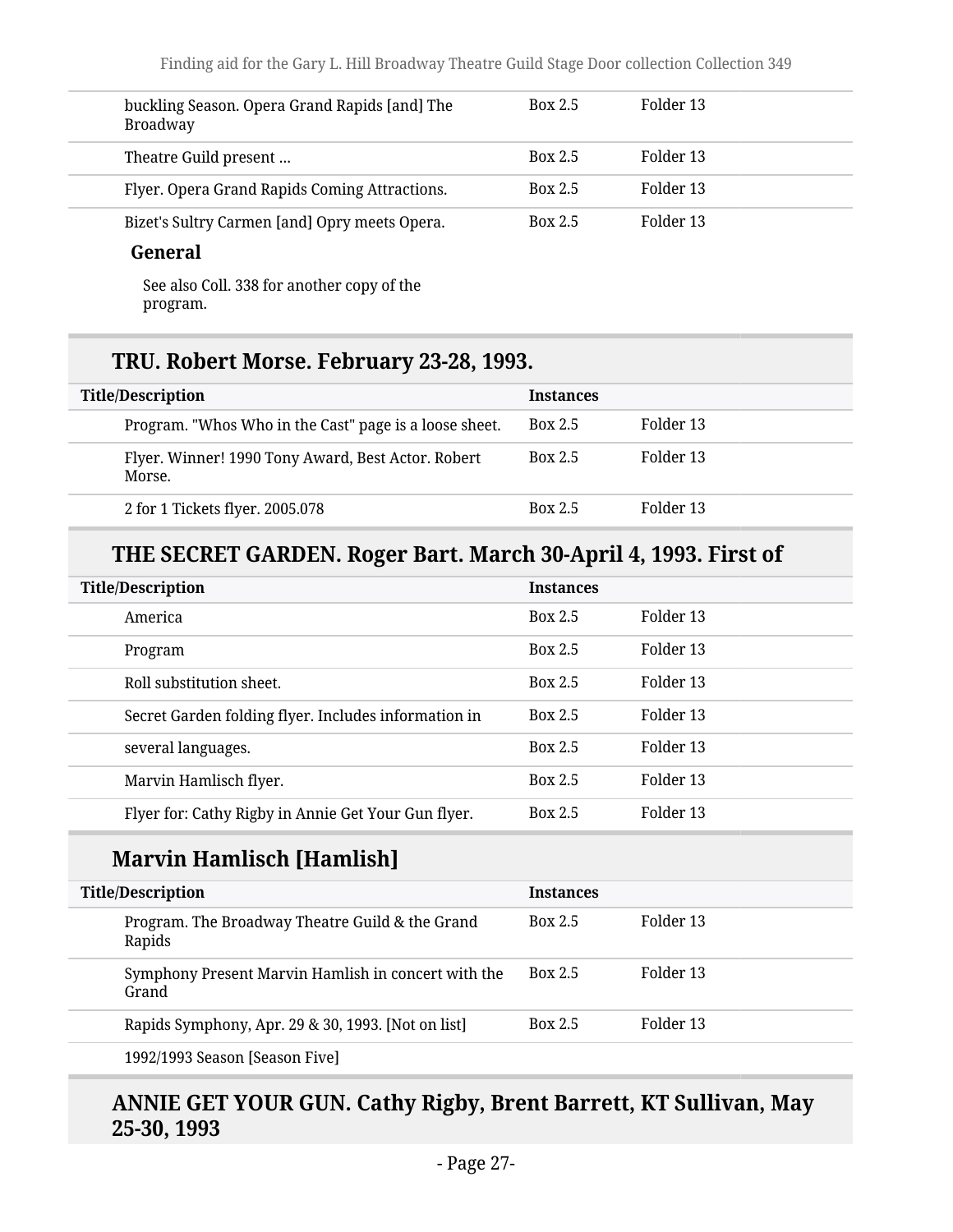| buckling Season. Opera Grand Rapids [and] The<br><b>Broadway</b> | <b>Box 2.5</b> | Folder 13 |
|------------------------------------------------------------------|----------------|-----------|
| Theatre Guild present                                            | <b>Box 2.5</b> | Folder 13 |
| Flyer. Opera Grand Rapids Coming Attractions.                    | <b>Box 2.5</b> | Folder 13 |
| Bizet's Sultry Carmen [and] Opry meets Opera.                    | <b>Box 2.5</b> | Folder 13 |
| General                                                          |                |           |

See also Coll. 338 for another copy of the program.

### **TRU. Robert Morse. February 23-28, 1993.**

| <b>Title/Description</b> |                                                              | <b>Instances</b> |           |
|--------------------------|--------------------------------------------------------------|------------------|-----------|
|                          | Program. "Whos Who in the Cast" page is a loose sheet.       | <b>Box 2.5</b>   | Folder 13 |
|                          | Flyer. Winner! 1990 Tony Award, Best Actor. Robert<br>Morse. | <b>Box 2.5</b>   | Folder 13 |
|                          | 2 for 1 Tickets flyer. 2005.078                              | <b>Box 2.5</b>   | Folder 13 |

### **THE SECRET GARDEN. Roger Bart. March 30-April 4, 1993. First of**

| <b>Title/Description</b>                             | <b>Instances</b> |           |
|------------------------------------------------------|------------------|-----------|
| America                                              | Box 2.5          | Folder 13 |
| Program                                              | Box 2.5          | Folder 13 |
| Roll substitution sheet.                             | Box 2.5          | Folder 13 |
| Secret Garden folding flyer. Includes information in | Box 2.5          | Folder 13 |
| several languages.                                   | Box 2.5          | Folder 13 |
| Marvin Hamlisch flyer.                               | Box 2.5          | Folder 13 |
| Flyer for: Cathy Rigby in Annie Get Your Gun flyer.  | Box 2.5          | Folder 13 |

### **Marvin Hamlisch [Hamlish]**

| <b>Title/Description</b> |                                                              | <b>Instances</b> |           |
|--------------------------|--------------------------------------------------------------|------------------|-----------|
|                          | Program. The Broadway Theatre Guild & the Grand<br>Rapids    | <b>Box 2.5</b>   | Folder 13 |
|                          | Symphony Present Marvin Hamlish in concert with the<br>Grand | Box 2.5          | Folder 13 |
|                          | Rapids Symphony, Apr. 29 & 30, 1993. [Not on list]           | <b>Box 2.5</b>   | Folder 13 |
|                          | 1992/1993 Season [Season Five]                               |                  |           |

#### **ANNIE GET YOUR GUN. Cathy Rigby, Brent Barrett, KT Sullivan, May 25-30, 1993**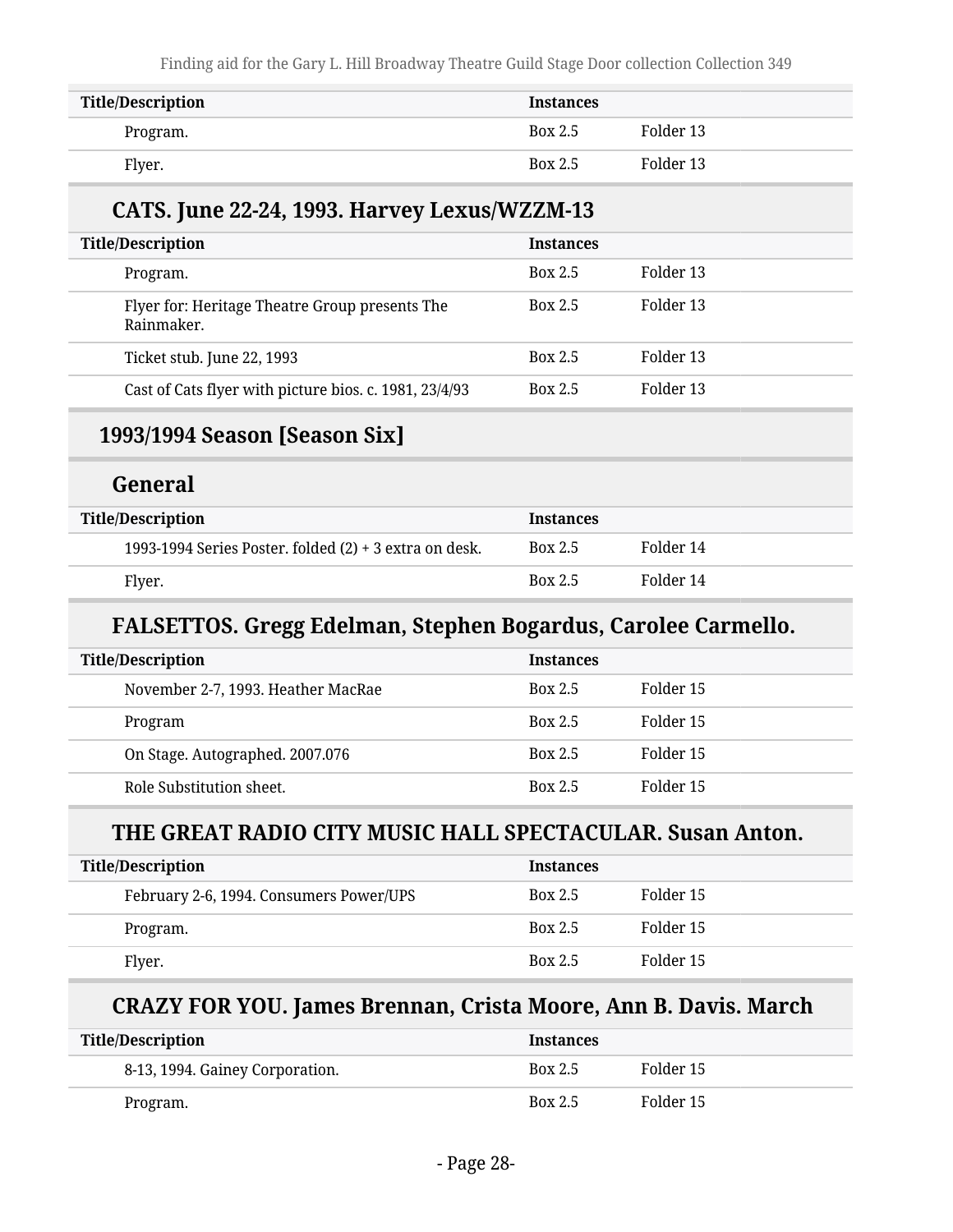| <b>Title/Description</b> | <b>Instances</b> |           |
|--------------------------|------------------|-----------|
| Program.                 | <b>Box 2.5</b>   | Folder 13 |
| Flyer.                   | <b>Box 2.5</b>   | Folder 13 |

### **CATS. June 22-24, 1993. Harvey Lexus/WZZM-13**

| <b>Title/Description</b>                                     | <b>Instances</b> |           |
|--------------------------------------------------------------|------------------|-----------|
| Program.                                                     | <b>Box 2.5</b>   | Folder 13 |
| Flyer for: Heritage Theatre Group presents The<br>Rainmaker. | <b>Box 2.5</b>   | Folder 13 |
| Ticket stub. June 22, 1993                                   | <b>Box 2.5</b>   | Folder 13 |
| Cast of Cats flyer with picture bios. c. 1981, 23/4/93       | <b>Box 2.5</b>   | Folder 13 |

#### **1993/1994 Season [Season Six]**

### **General**

| <b>Title/Description</b>                                 | <b>Instances</b> |           |
|----------------------------------------------------------|------------------|-----------|
| 1993-1994 Series Poster. folded $(2)$ + 3 extra on desk. | <b>Box 2.5</b>   | Folder 14 |
| Flyer.                                                   | <b>Box 2.5</b>   | Folder 14 |

#### **FALSETTOS. Gregg Edelman, Stephen Bogardus, Carolee Carmello.**

| <b>Title/Description</b>           | <b>Instances</b> |           |
|------------------------------------|------------------|-----------|
| November 2-7, 1993. Heather MacRae | <b>Box 2.5</b>   | Folder 15 |
| Program                            | <b>Box 2.5</b>   | Folder 15 |
| On Stage. Autographed. 2007.076    | <b>Box 2.5</b>   | Folder 15 |
| Role Substitution sheet.           | Box 2.5          | Folder 15 |

#### **THE GREAT RADIO CITY MUSIC HALL SPECTACULAR. Susan Anton.**

| <b>Title/Description</b>                | <b>Instances</b> |           |
|-----------------------------------------|------------------|-----------|
| February 2-6, 1994. Consumers Power/UPS | <b>Box 2.5</b>   | Folder 15 |
| Program.                                | <b>Box 2.5</b>   | Folder 15 |
| Flyer.                                  | <b>Box 2.5</b>   | Folder 15 |

### **CRAZY FOR YOU. James Brennan, Crista Moore, Ann B. Davis. March**

| <b>Title/Description</b>        | <b>Instances</b> |           |
|---------------------------------|------------------|-----------|
| 8-13, 1994. Gainey Corporation. | Box 2.5          | Folder 15 |
| Program.                        | <b>Box 2.5</b>   | Folder 15 |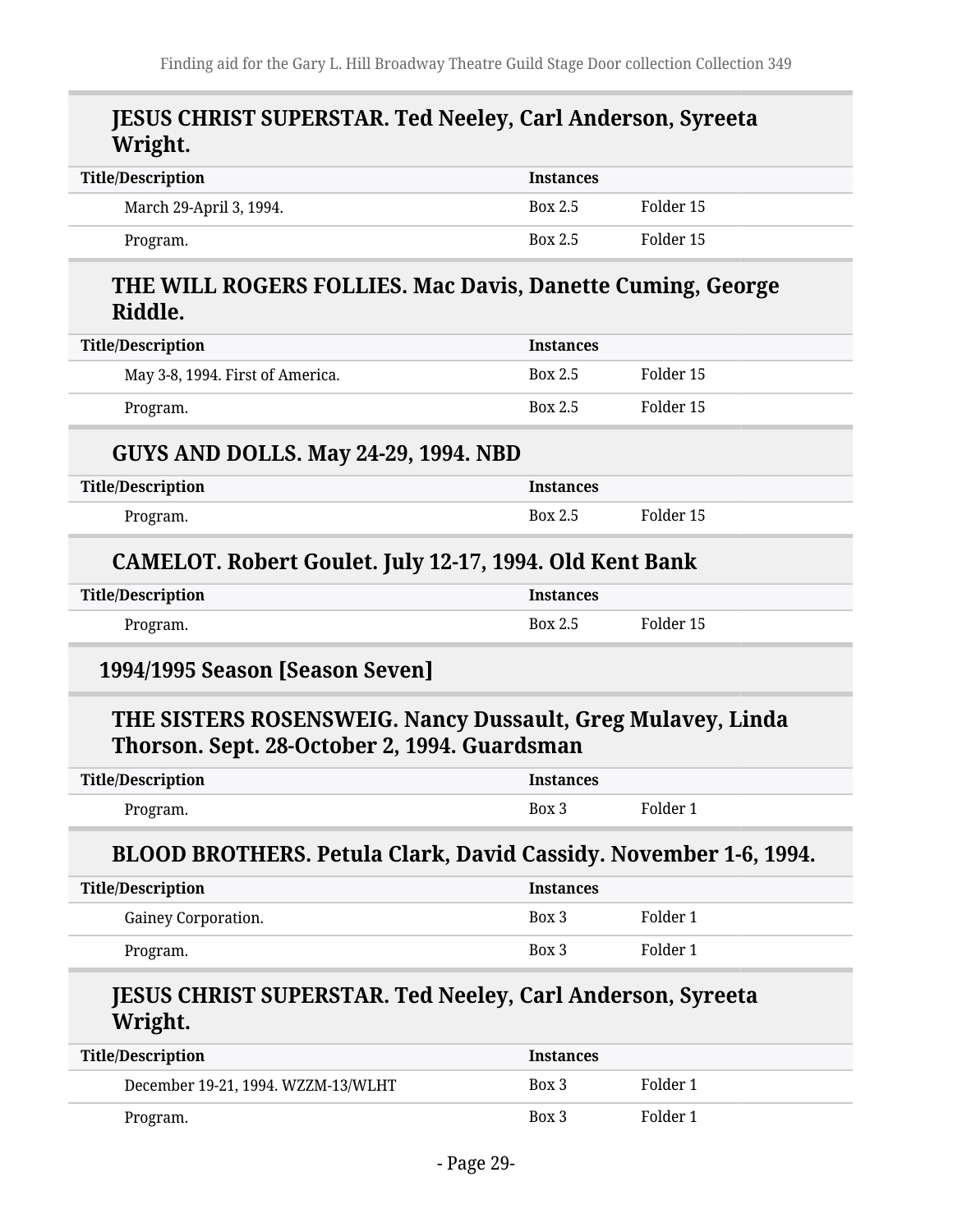#### **JESUS CHRIST SUPERSTAR. Ted Neeley, Carl Anderson, Syreeta Wright.**

| <b>Title/Description</b> | <b>Instances</b> |           |
|--------------------------|------------------|-----------|
| March 29-April 3, 1994.  | <b>Box 2.5</b>   | Folder 15 |
| Program.                 | Box 2.5          | Folder 15 |

#### **THE WILL ROGERS FOLLIES. Mac Davis, Danette Cuming, George Riddle.**

| Title/Description                | <b>Instances</b> |           |
|----------------------------------|------------------|-----------|
| May 3-8, 1994. First of America. | <b>Box 2.5</b>   | Folder 15 |
| Program.                         | <b>Box 2.5</b>   | Folder 15 |
|                                  |                  |           |

#### **GUYS AND DOLLS. May 24-29, 1994. NBD**

| <b>Title/Description</b> | <b>Instances</b> |           |
|--------------------------|------------------|-----------|
| Program.                 | Box 2.5          | Folder 15 |

#### **CAMELOT. Robert Goulet. July 12-17, 1994. Old Kent Bank**

| <b>Title/Description</b> | <b>Instances</b> |           |
|--------------------------|------------------|-----------|
| Program.                 | Box 2.5          | Folder 15 |

#### **1994/1995 Season [Season Seven]**

#### **THE SISTERS ROSENSWEIG. Nancy Dussault, Greg Mulavey, Linda Thorson. Sept. 28-October 2, 1994. Guardsman**

| <b>Title/Description</b> | <b>Instances</b> |          |
|--------------------------|------------------|----------|
| Program.                 | Box 3            | Folder 1 |

#### **BLOOD BROTHERS. Petula Clark, David Cassidy. November 1-6, 1994.**

| <b>Title/Description</b> |                     | Instances |          |
|--------------------------|---------------------|-----------|----------|
|                          | Gainey Corporation. | Box 3     | Folder 1 |
| Program.                 |                     | Box 3     | Folder 1 |

### **JESUS CHRIST SUPERSTAR. Ted Neeley, Carl Anderson, Syreeta Wright.**

| <b>Title/Description</b>           | <b>Instances</b> |          |  |
|------------------------------------|------------------|----------|--|
| December 19-21, 1994. WZZM-13/WLHT | Box 3            | Folder 1 |  |
| Program.                           | Box 3            | Folder 1 |  |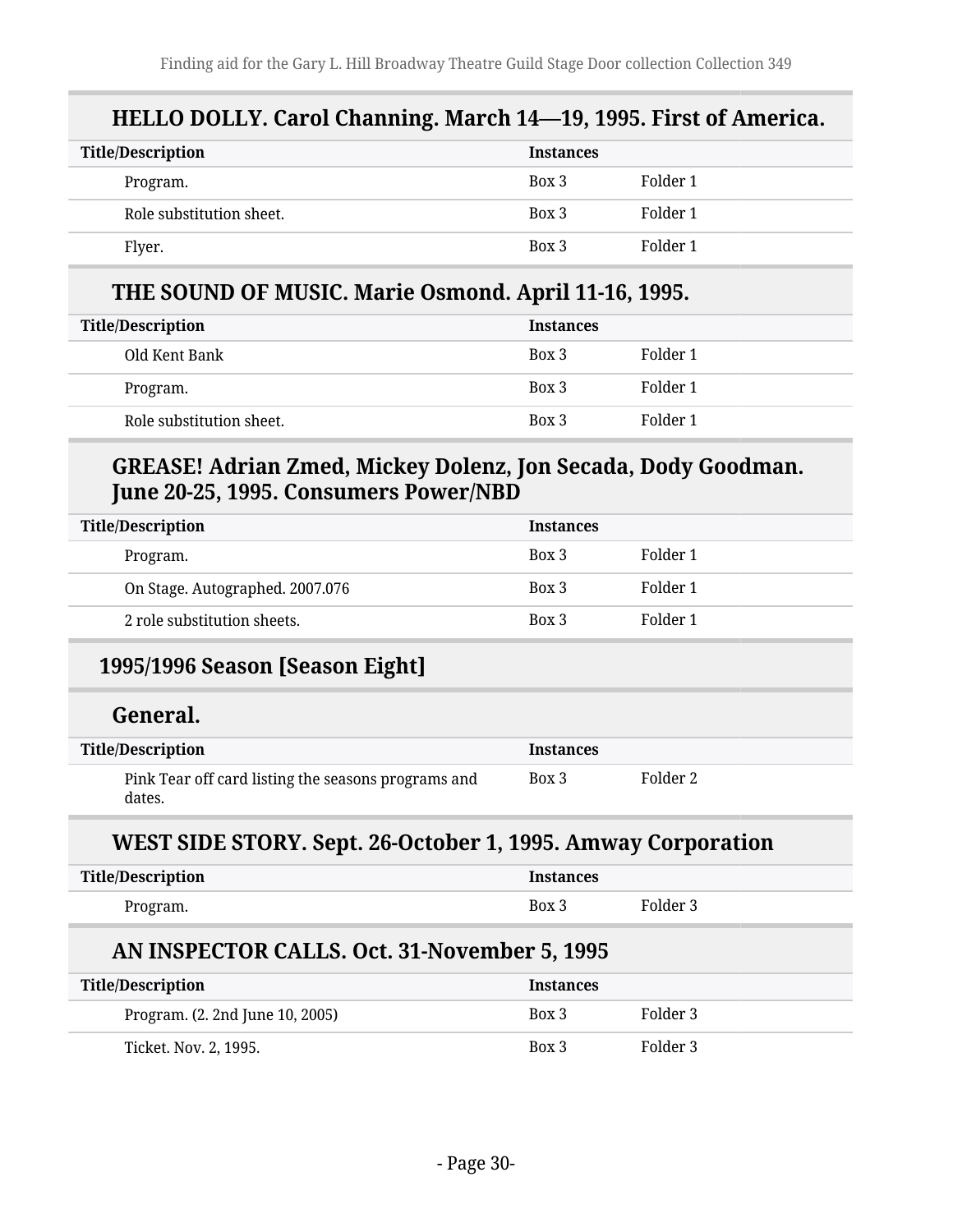### **HELLO DOLLY. Carol Channing. March 14—19, 1995. First of America.**

| <b>Title/Description</b> | <b>Instances</b> |          |
|--------------------------|------------------|----------|
| Program.                 | Box 3            | Folder 1 |
| Role substitution sheet. | Box 3            | Folder 1 |
| Flyer.                   | Box 3            | Folder 1 |

#### **THE SOUND OF MUSIC. Marie Osmond. April 11-16, 1995.**

| <b>Title/Description</b> | <b>Instances</b> |          |
|--------------------------|------------------|----------|
| Old Kent Bank            | Box 3            | Folder 1 |
| Program.                 | Box 3            | Folder 1 |
| Role substitution sheet. | Box 3            | Folder 1 |

### **GREASE! Adrian Zmed, Mickey Dolenz, Jon Secada, Dody Goodman. June 20-25, 1995. Consumers Power/NBD**

| <b>Title/Description</b>        | <b>Instances</b> |          |
|---------------------------------|------------------|----------|
| Program.                        | Box 3            | Folder 1 |
| On Stage. Autographed. 2007.076 | Box 3            | Folder 1 |
| 2 role substitution sheets.     | Box 3            | Folder 1 |

### **1995/1996 Season [Season Eight]**

#### **General.**

| <b>Title/Description</b>                                      | <b>Instances</b> |          |
|---------------------------------------------------------------|------------------|----------|
| Pink Tear off card listing the seasons programs and<br>dates. | Box 3            | Folder 2 |

#### **WEST SIDE STORY. Sept. 26-October 1, 1995. Amway Corporation**

| <b>Title/Description</b>                     | <b>Instances</b> |          |
|----------------------------------------------|------------------|----------|
| Program.                                     | Box 3            | Folder 3 |
| AN INSPECTOR CALLS. Oct. 31-November 5, 1995 |                  |          |
| <b>Title/Description</b>                     | <b>Instances</b> |          |
| Program. (2. 2nd June 10, 2005)              | Box 3            | Folder 3 |
| Ticket. Nov. 2, 1995.                        | Box 3            | Folder 3 |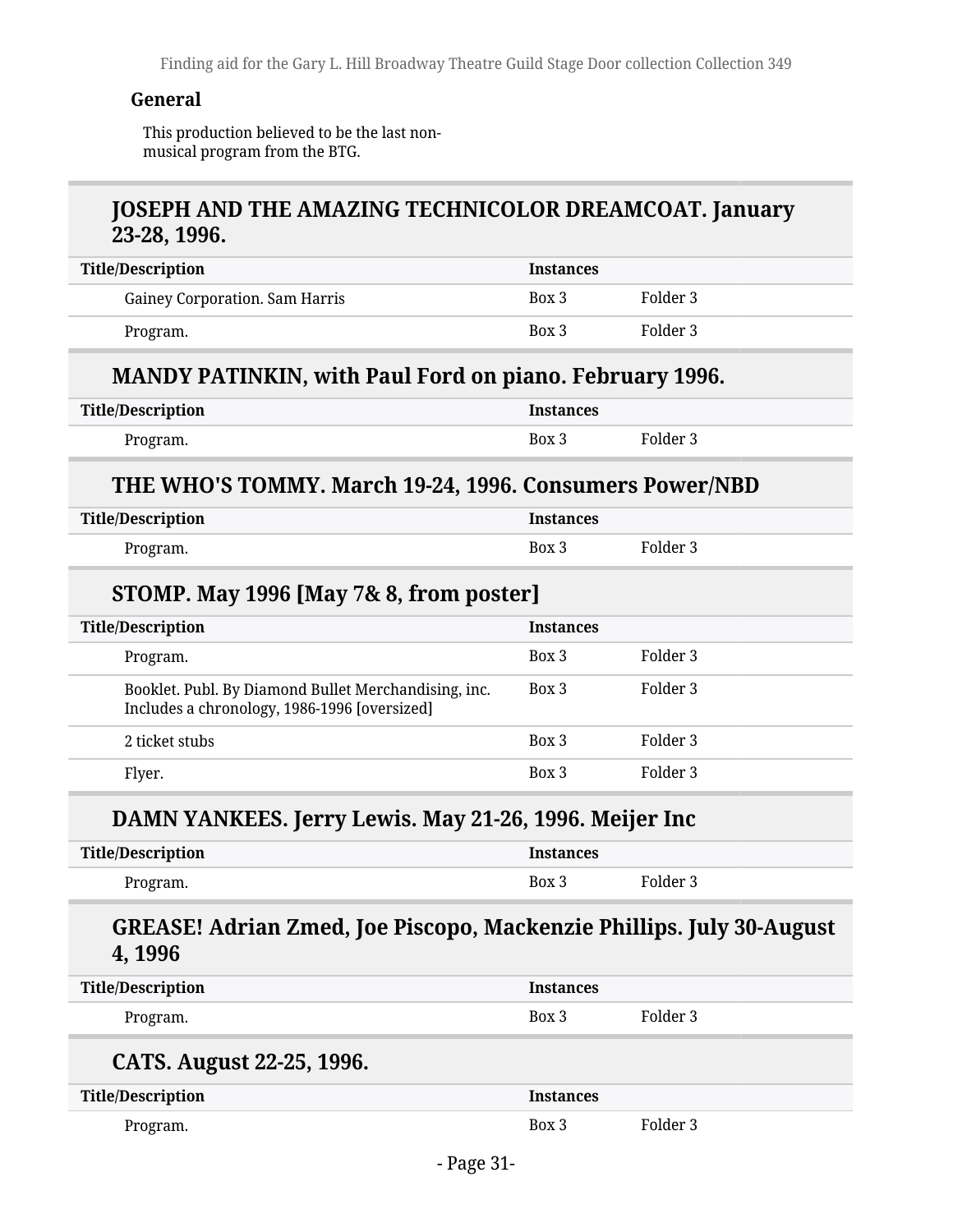Finding aid for the Gary L. Hill Broadway Theatre Guild Stage Door collection Collection 349

#### **General**

This production believed to be the last nonmusical program from the BTG.

#### **JOSEPH AND THE AMAZING TECHNICOLOR DREAMCOAT. January 23-28, 1996.**

| <b>Title/Description</b>              | <b>Instances</b> |          |
|---------------------------------------|------------------|----------|
| <b>Gainey Corporation. Sam Harris</b> | Box 3            | Folder 3 |
| Program.                              | Box 3            | Folder 3 |

#### **MANDY PATINKIN, with Paul Ford on piano. February 1996.**

| <b>Title/Description</b> | <b>Instances</b> |          |
|--------------------------|------------------|----------|
| Program.                 | Box 3            | Folder 3 |

#### **THE WHO'S TOMMY. March 19-24, 1996. Consumers Power/NBD**

| <b>Title/Description</b> | <b>Instances</b> |          |
|--------------------------|------------------|----------|
| Program.                 | Box 3            | Folder 3 |

#### **STOMP. May 1996 [May 7& 8, from poster]**

| <b>Title/Description</b>                                                                             | <b>Instances</b> |          |
|------------------------------------------------------------------------------------------------------|------------------|----------|
| Program.                                                                                             | Box 3            | Folder 3 |
| Booklet. Publ. By Diamond Bullet Merchandising, inc.<br>Includes a chronology, 1986-1996 [oversized] | Box 3            | Folder 3 |
| 2 ticket stubs                                                                                       | Box 3            | Folder 3 |
| Flyer.                                                                                               | Box 3            | Folder 3 |

#### **DAMN YANKEES. Jerry Lewis. May 21-26, 1996. Meijer Inc**

| <b>Title/Description</b> | stances |          |
|--------------------------|---------|----------|
| -Program.                | Box 3   | Folder 3 |

#### **GREASE! Adrian Zmed, Joe Piscopo, Mackenzie Phillips. July 30-August 4, 1996**

| <b>Title/Description</b>  | <b>Instances</b> |          |
|---------------------------|------------------|----------|
| Program.                  | Box 3            | Folder 3 |
| CATS. August 22-25, 1996. |                  |          |
|                           |                  |          |
| <b>Title/Description</b>  | <b>Instances</b> |          |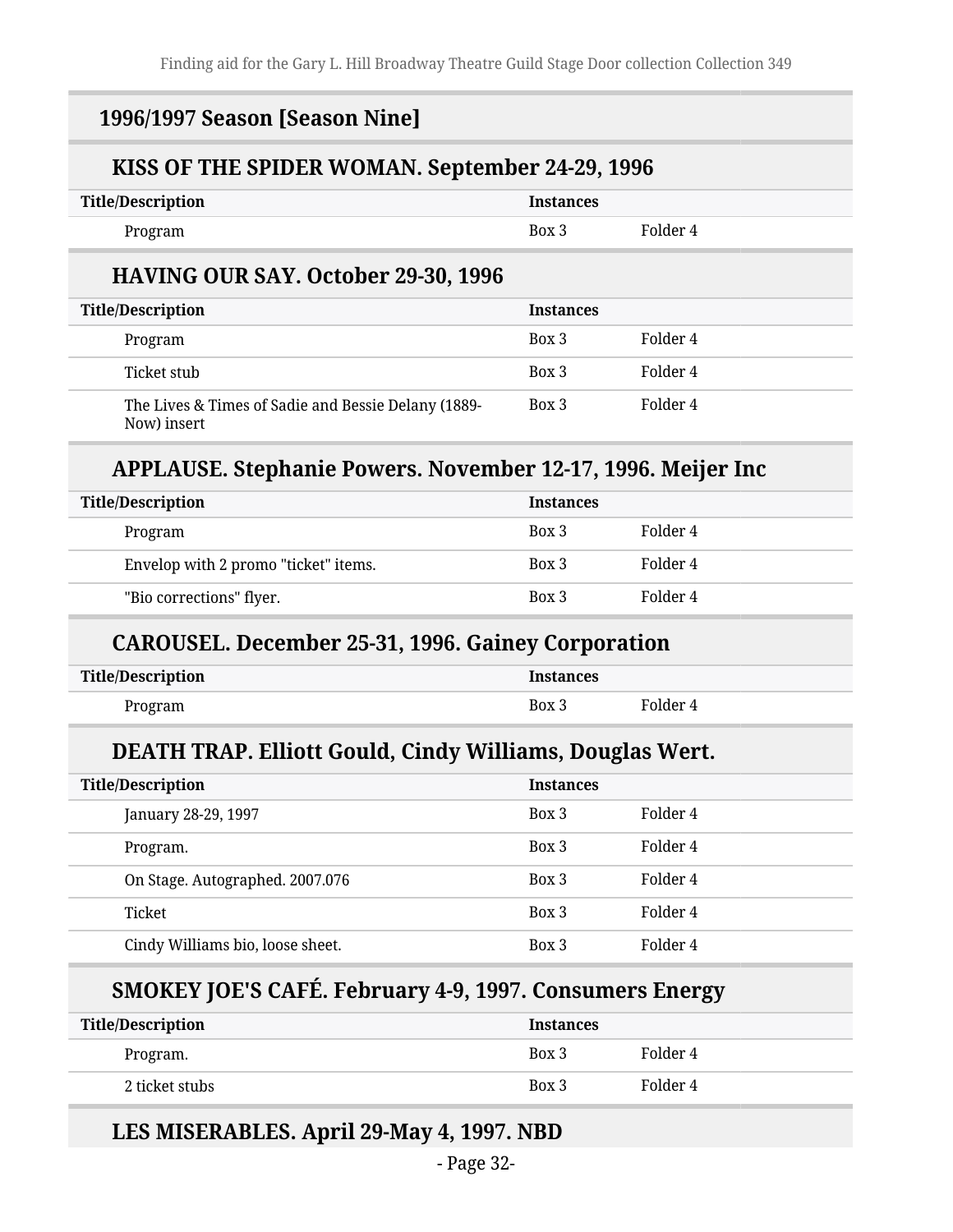#### **1996/1997 Season [Season Nine]**

#### **KISS OF THE SPIDER WOMAN. September 24-29, 1996**

| <b>Title/Description</b> | Instances |          |
|--------------------------|-----------|----------|
| Program                  | Box 3     | Folder 4 |

#### **HAVING OUR SAY. October 29-30, 1996**

| <b>Title/Description</b>                                           | <b>Instances</b> |          |
|--------------------------------------------------------------------|------------------|----------|
| Program                                                            | Box 3            | Folder 4 |
| Ticket stub                                                        | Box 3            | Folder 4 |
| The Lives & Times of Sadie and Bessie Delany (1889-<br>Now) insert | Box 3            | Folder 4 |

### **APPLAUSE. Stephanie Powers. November 12-17, 1996. Meijer Inc**

| <b>Title/Description</b> |                                      | <b>Instances</b> |          |
|--------------------------|--------------------------------------|------------------|----------|
| Program                  |                                      | Box 3            | Folder 4 |
|                          | Envelop with 2 promo "ticket" items. | Box 3            | Folder 4 |
| "Bio corrections" flyer. |                                      | Box 3            | Folder 4 |

#### **CAROUSEL. December 25-31, 1996. Gainey Corporation**

| Title/Description | <b>Instances</b> |          |
|-------------------|------------------|----------|
| Program           | Box 3            | Folder 4 |

#### **DEATH TRAP. Elliott Gould, Cindy Williams, Douglas Wert.**

| <b>Title/Description</b>         | <b>Instances</b> |          |
|----------------------------------|------------------|----------|
| January 28-29, 1997              | Box 3            | Folder 4 |
| Program.                         | Box 3            | Folder 4 |
| On Stage. Autographed. 2007.076  | Box 3            | Folder 4 |
| Ticket                           | Box 3            | Folder 4 |
| Cindy Williams bio, loose sheet. | Box 3            | Folder 4 |

### **SMOKEY JOE'S CAFÉ. February 4-9, 1997. Consumers Energy**

| <b>Title/Description</b> | <b>Instances</b> |          |
|--------------------------|------------------|----------|
| Program.                 | Box 3            | Folder 4 |
| 2 ticket stubs           | Box 3            | Folder 4 |

#### **LES MISERABLES. April 29-May 4, 1997. NBD**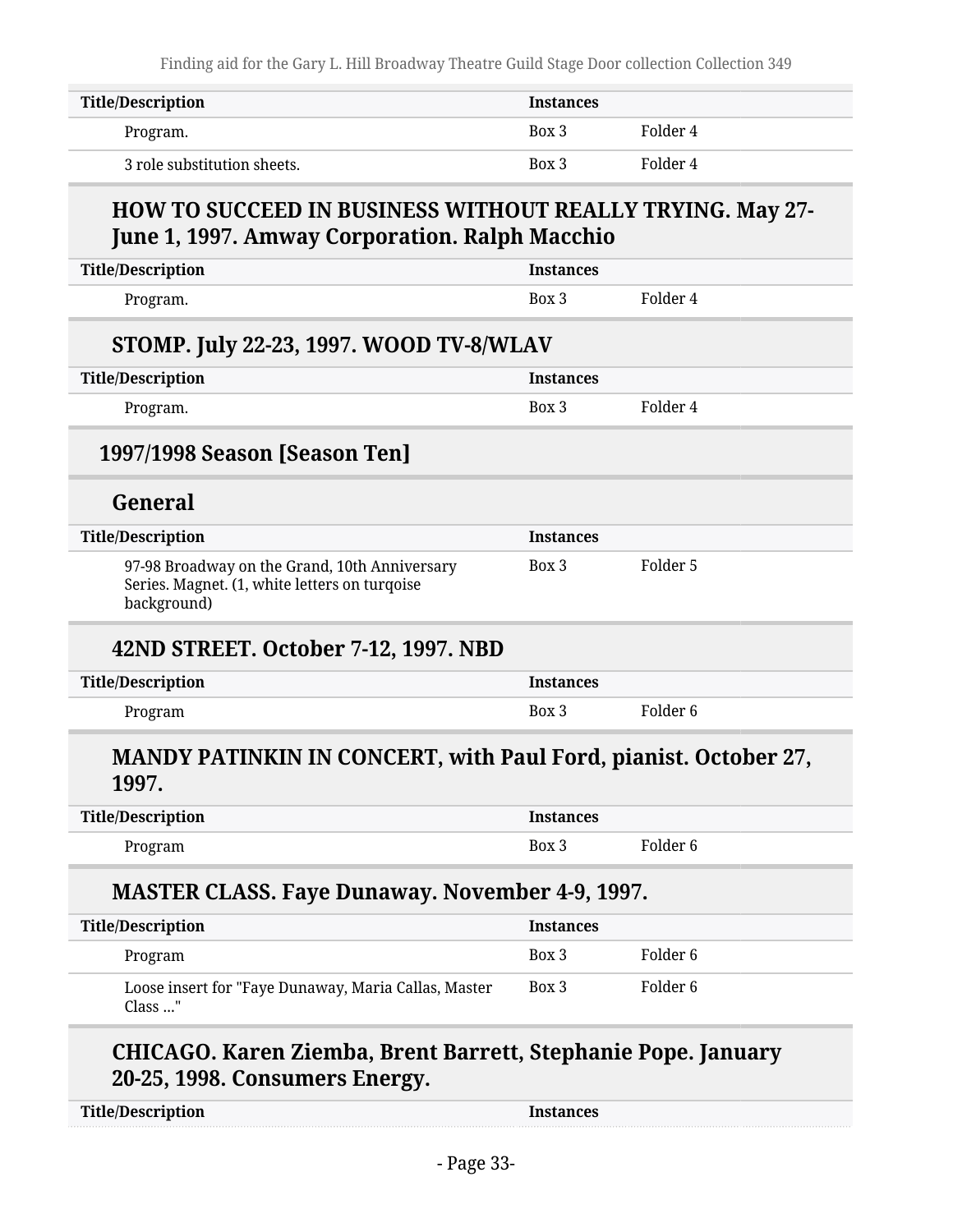Finding aid for the Gary L. Hill Broadway Theatre Guild Stage Door collection Collection 349

| Title/Description           | <b>Instances</b> |          |
|-----------------------------|------------------|----------|
| Program.                    | Box 3            | Folder 4 |
| 3 role substitution sheets. | Box 3            | Folder 4 |

### **HOW TO SUCCEED IN BUSINESS WITHOUT REALLY TRYING. May 27- June 1, 1997. Amway Corporation. Ralph Macchio**

| <b>Title/Description</b>                                                                                      | <b>Instances</b> |                     |  |
|---------------------------------------------------------------------------------------------------------------|------------------|---------------------|--|
| Program.                                                                                                      | Box 3            | Folder 4            |  |
| STOMP. July 22-23, 1997. WOOD TV-8/WLAV                                                                       |                  |                     |  |
| <b>Title/Description</b>                                                                                      | <b>Instances</b> |                     |  |
| Program.                                                                                                      | Box 3            | Folder 4            |  |
| 1997/1998 Season [Season Ten]                                                                                 |                  |                     |  |
| General                                                                                                       |                  |                     |  |
| <b>Title/Description</b>                                                                                      | <b>Instances</b> |                     |  |
| 97-98 Broadway on the Grand, 10th Anniversary<br>Series. Magnet. (1, white letters on turqoise<br>background) | Box 3            | Folder 5            |  |
| 42ND STREET. October 7-12, 1997. NBD                                                                          |                  |                     |  |
| <b>Title/Description</b>                                                                                      | <b>Instances</b> |                     |  |
| Program                                                                                                       | Box 3            | Folder <sub>6</sub> |  |
| <b>MANDY PATINKIN IN CONCERT, with Paul Ford, pianist. October 27,</b><br>1997.                               |                  |                     |  |
| <b>Title/Description</b>                                                                                      | <b>Instances</b> |                     |  |
| Program                                                                                                       | Box 3            | Folder <sub>6</sub> |  |
| <b>MASTER CLASS. Faye Dunaway. November 4-9, 1997.</b>                                                        |                  |                     |  |
| <b>Title/Description</b>                                                                                      | <b>Instances</b> |                     |  |
| Program                                                                                                       | Box 3            | Folder <sub>6</sub> |  |
| Loose insert for "Faye Dunaway, Maria Callas, Master<br>Class "                                               | Box 3            | Folder <sub>6</sub> |  |
| CHICAGO. Karen Ziemba, Brent Barrett, Stephanie Pope. January<br>20-25, 1998. Consumers Energy.               |                  |                     |  |
| <b>Title/Description</b>                                                                                      | <b>Instances</b> |                     |  |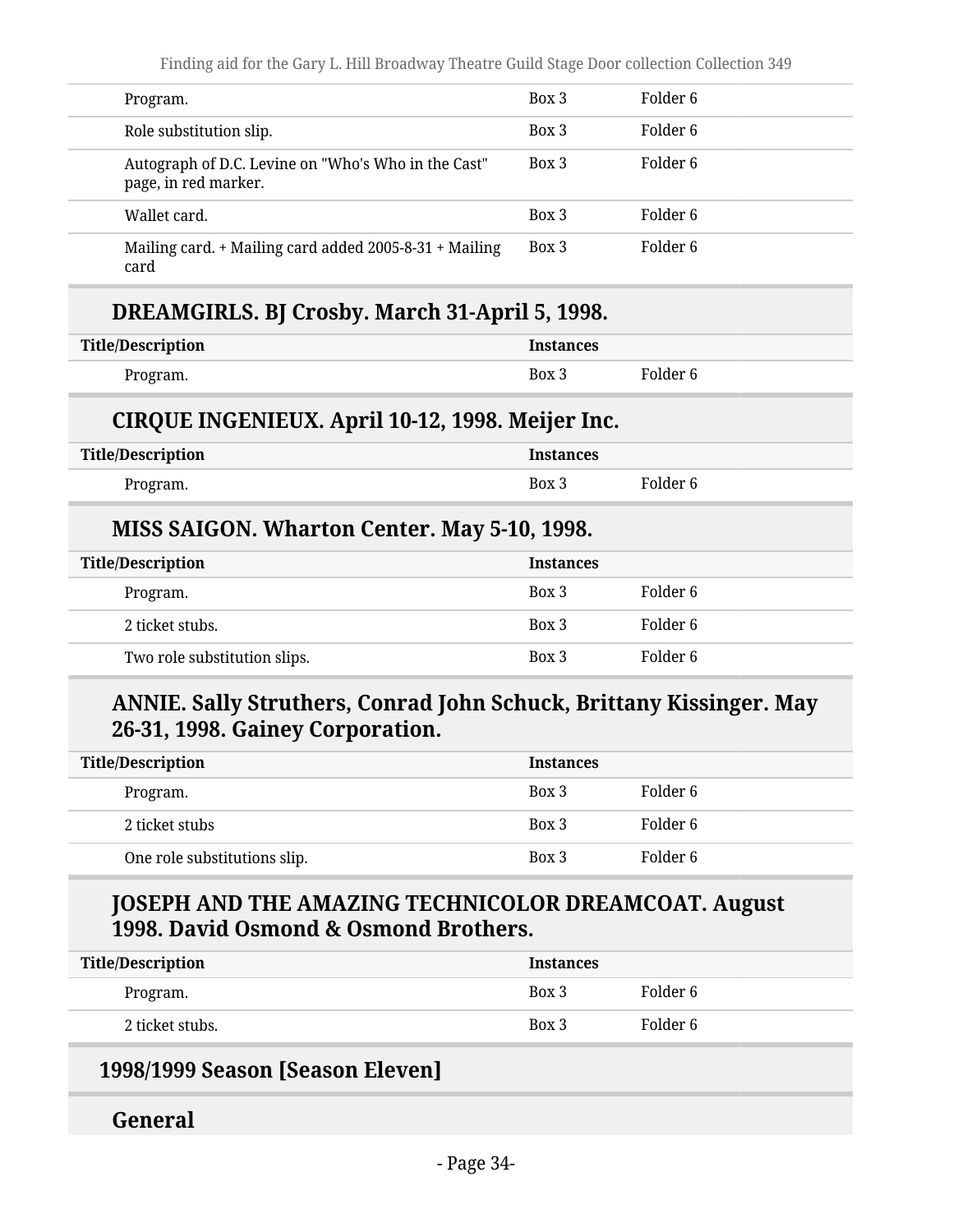| Program.                                                                    | Box 3 | Folder 6 |
|-----------------------------------------------------------------------------|-------|----------|
| Role substitution slip.                                                     | Box 3 | Folder 6 |
| Autograph of D.C. Levine on "Who's Who in the Cast"<br>page, in red marker. | Box 3 | Folder 6 |
| Wallet card.                                                                | Box 3 | Folder 6 |
| Mailing card. + Mailing card added 2005-8-31 + Mailing<br>card              | Box 3 | Folder 6 |

#### **DREAMGIRLS. BJ Crosby. March 31-April 5, 1998.**

| Title/Description | <b>Instances</b> |          |
|-------------------|------------------|----------|
| Program.          | Box 3            | Folder 6 |

#### **CIRQUE INGENIEUX. April 10-12, 1998. Meijer Inc.**

| <b>Title/Description</b> | <b>Instances</b> |          |
|--------------------------|------------------|----------|
| Program.                 | Box 3            | Folder 6 |

#### **MISS SAIGON. Wharton Center. May 5-10, 1998.**

| <b>Title/Description</b>     | <b>Instances</b> |          |
|------------------------------|------------------|----------|
| Program.                     | Box 3            | Folder 6 |
| 2 ticket stubs.              | Box 3            | Folder 6 |
| Two role substitution slips. | Box 3            | Folder 6 |

### **ANNIE. Sally Struthers, Conrad John Schuck, Brittany Kissinger. May 26-31, 1998. Gainey Corporation.**

| <b>Title/Description</b>     | <b>Instances</b> |          |
|------------------------------|------------------|----------|
| Program.                     | Box 3            | Folder 6 |
| 2 ticket stubs               | Box 3            | Folder 6 |
| One role substitutions slip. | Box 3            | Folder 6 |

#### **JOSEPH AND THE AMAZING TECHNICOLOR DREAMCOAT. August 1998. David Osmond & Osmond Brothers.**

| <b>Title/Description</b> | <b>Instances</b> |          |
|--------------------------|------------------|----------|
| Program.                 | Box 3            | Folder 6 |
| 2 ticket stubs.          | Box 3            | Folder 6 |

#### **1998/1999 Season [Season Eleven]**

#### **General**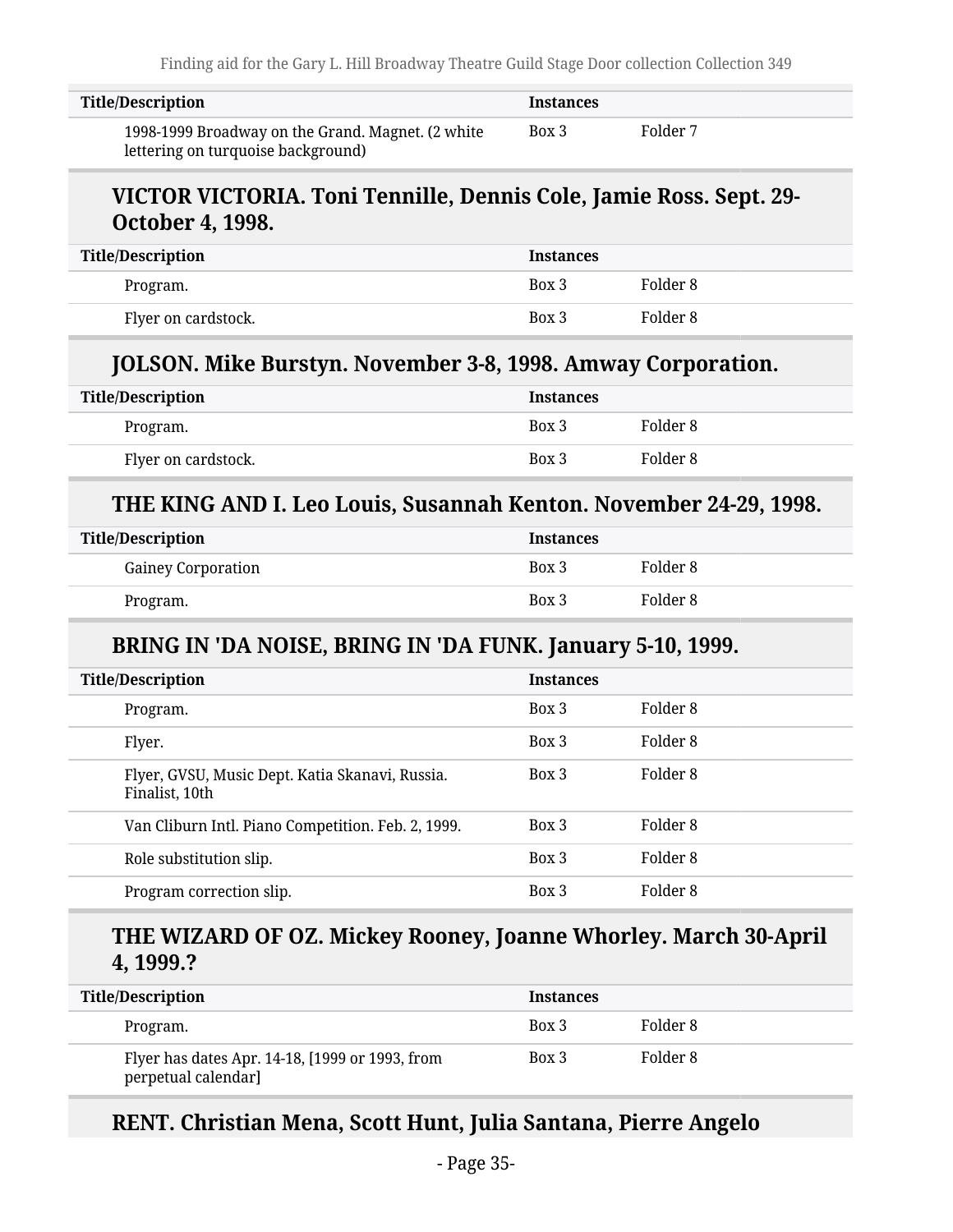| Title/Description                                                                       | <b>Instances</b> |          |
|-----------------------------------------------------------------------------------------|------------------|----------|
| 1998-1999 Broadway on the Grand. Magnet. (2 white<br>lettering on turquoise background) | Box 3            | Folder 7 |

#### **VICTOR VICTORIA. Toni Tennille, Dennis Cole, Jamie Ross. Sept. 29- October 4, 1998.**

| <b>Title/Description</b> | <b>Instances</b> |          |
|--------------------------|------------------|----------|
| Program.                 | Box 3            | Folder 8 |
| Flyer on cardstock.      | Box 3            | Folder 8 |

#### **JOLSON. Mike Burstyn. November 3-8, 1998. Amway Corporation.**

| <b>Title/Description</b> | <b>Instances</b> |          |
|--------------------------|------------------|----------|
| Program.                 | Box 3            | Folder 8 |
| Flyer on cardstock.      | Box 3            | Folder 8 |

#### **THE KING AND I. Leo Louis, Susannah Kenton. November 24-29, 1998.**

| Title/Description |                           | <b>Instances</b> |          |
|-------------------|---------------------------|------------------|----------|
|                   | <b>Gainey Corporation</b> | Box 3            | Folder 8 |
|                   | Program.                  | Box 3            | Folder 8 |

### **BRING IN 'DA NOISE, BRING IN 'DA FUNK. January 5-10, 1999.**

| <b>Title/Description</b>                                          | <b>Instances</b> |          |  |
|-------------------------------------------------------------------|------------------|----------|--|
| Program.                                                          | Box 3            | Folder 8 |  |
| Flyer.                                                            | Box 3            | Folder 8 |  |
| Flyer, GVSU, Music Dept. Katia Skanavi, Russia.<br>Finalist, 10th | Box 3            | Folder 8 |  |
| Van Cliburn Intl. Piano Competition. Feb. 2, 1999.                | $Box\ 3$         | Folder 8 |  |
| Role substitution slip.                                           | Box 3            | Folder 8 |  |
| Program correction slip.                                          | Box 3            | Folder 8 |  |

#### **THE WIZARD OF OZ. Mickey Rooney, Joanne Whorley. March 30-April 4, 1999.?**

| <b>Title/Description</b>                                               | <b>Instances</b> |          |
|------------------------------------------------------------------------|------------------|----------|
| Program.                                                               | Box 3            | Folder 8 |
| Flyer has dates Apr. 14-18, [1999 or 1993, from<br>perpetual calendar] | Box 3            | Folder 8 |

#### **RENT. Christian Mena, Scott Hunt, Julia Santana, Pierre Angelo**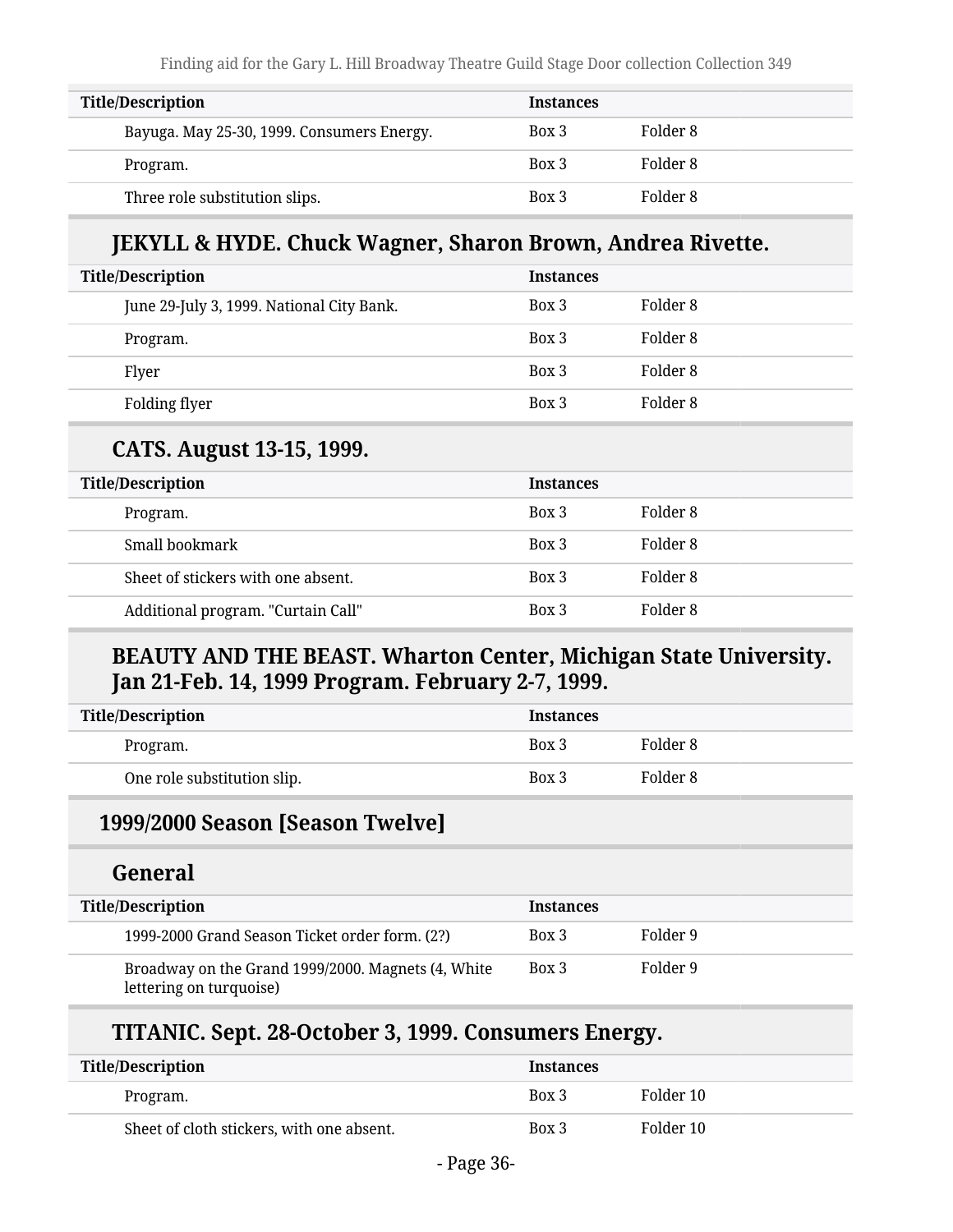| <b>Title/Description</b>                   | <b>Instances</b> |          |
|--------------------------------------------|------------------|----------|
| Bayuga. May 25-30, 1999. Consumers Energy. | Box 3            | Folder 8 |
| Program.                                   | Box 3            | Folder 8 |
| Three role substitution slips.             | Box 3            | Folder 8 |

#### **JEKYLL & HYDE. Chuck Wagner, Sharon Brown, Andrea Rivette.**

| <b>Title/Description</b>                  | <b>Instances</b> |          |
|-------------------------------------------|------------------|----------|
| June 29-July 3, 1999. National City Bank. | Box 3            | Folder 8 |
| Program.                                  | Box 3            | Folder 8 |
| Flyer                                     | Box 3            | Folder 8 |
| Folding flyer                             | Box 3            | Folder 8 |

#### **CATS. August 13-15, 1999.**

| <b>Title/Description</b>           | <b>Instances</b> |          |
|------------------------------------|------------------|----------|
| Program.                           | Box 3            | Folder 8 |
| Small bookmark                     | Box 3            | Folder 8 |
| Sheet of stickers with one absent. | Box 3            | Folder 8 |
| Additional program. "Curtain Call" | Box 3            | Folder 8 |

#### **BEAUTY AND THE BEAST. Wharton Center, Michigan State University. Jan 21-Feb. 14, 1999 Program. February 2-7, 1999.**

| Title/Description           | <b>Instances</b> |          |
|-----------------------------|------------------|----------|
| Program.                    | Box 3            | Folder 8 |
| One role substitution slip. | Box 3            | Folder 8 |

#### **1999/2000 Season [Season Twelve]**

#### **General**

| <b>Title/Description</b>                                                      | <b>Instances</b> |          |
|-------------------------------------------------------------------------------|------------------|----------|
| 1999-2000 Grand Season Ticket order form. (2?)                                | Box 3            | Folder 9 |
| Broadway on the Grand 1999/2000. Magnets (4, White<br>lettering on turquoise) | Box 3            | Folder 9 |

#### **TITANIC. Sept. 28-October 3, 1999. Consumers Energy.**

| <b>Title/Description</b>                  | <b>Instances</b> |           |
|-------------------------------------------|------------------|-----------|
| Program.                                  | Box 3            | Folder 10 |
| Sheet of cloth stickers, with one absent. | Box 3            | Folder 10 |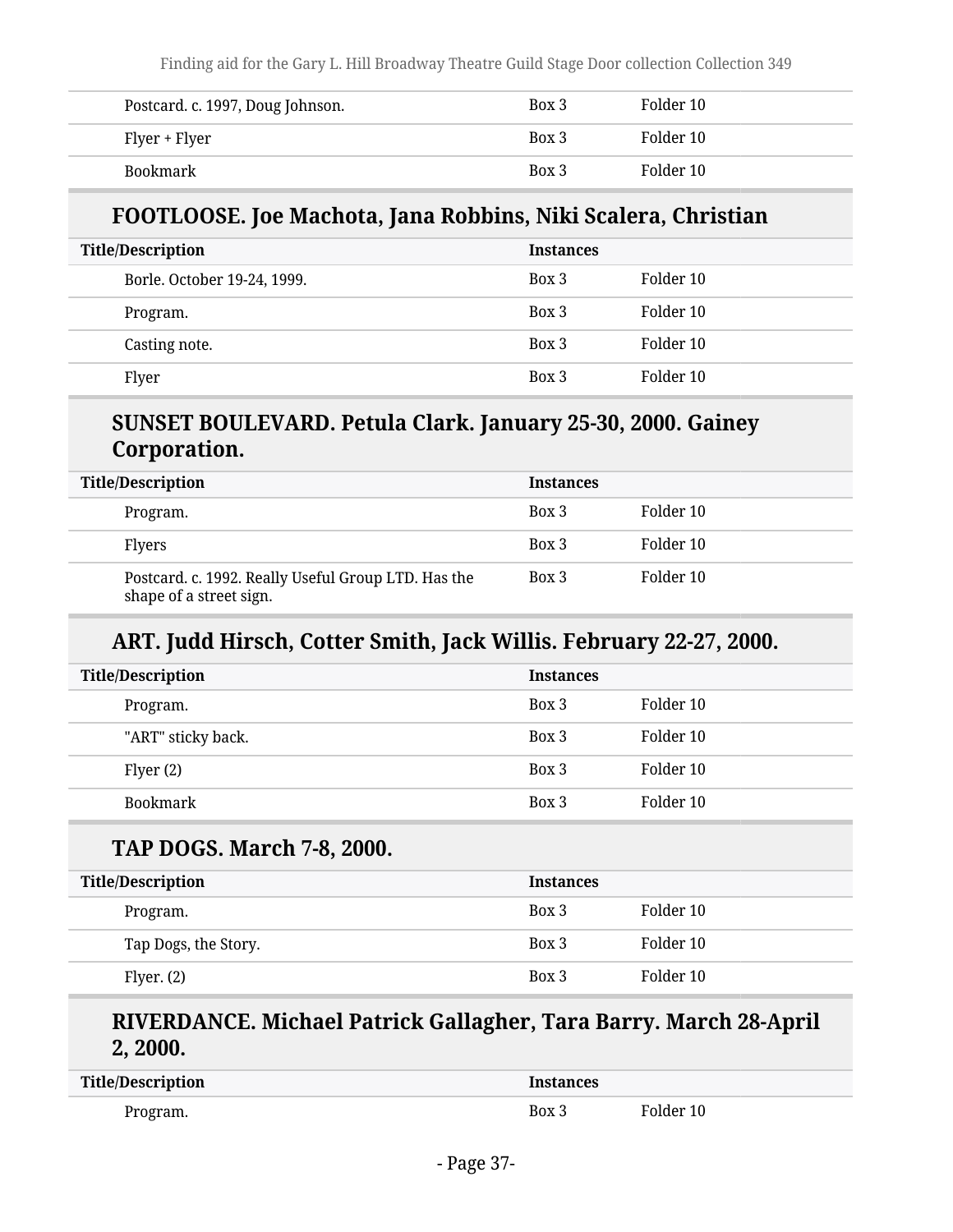| Postcard. c. 1997, Doug Johnson. | Box 3 | Folder 10 |
|----------------------------------|-------|-----------|
| Flyer + Flyer                    | Box 3 | Folder 10 |
| Bookmark                         | Box 3 | Folder 10 |

#### **FOOTLOOSE. Joe Machota, Jana Robbins, Niki Scalera, Christian**

| <b>Title/Description</b>    | <b>Instances</b> |           |
|-----------------------------|------------------|-----------|
| Borle. October 19-24, 1999. | Box 3            | Folder 10 |
| Program.                    | Box 3            | Folder 10 |
| Casting note.               | Box 3            | Folder 10 |
| Flyer                       | Box 3            | Folder 10 |

#### **SUNSET BOULEVARD. Petula Clark. January 25-30, 2000. Gainey Corporation.**

| <b>Title/Description</b>                                                       | <b>Instances</b> |           |
|--------------------------------------------------------------------------------|------------------|-----------|
| Program.                                                                       | Box 3            | Folder 10 |
| <b>Flyers</b>                                                                  | Box 3            | Folder 10 |
| Postcard. c. 1992. Really Useful Group LTD. Has the<br>shape of a street sign. | Box 3            | Folder 10 |

#### **ART. Judd Hirsch, Cotter Smith, Jack Willis. February 22-27, 2000.**

| <b>Title/Description</b> | <b>Instances</b> |           |
|--------------------------|------------------|-----------|
| Program.                 | Box 3            | Folder 10 |
| "ART" sticky back.       | Box 3            | Folder 10 |
| Flyer $(2)$              | Box 3            | Folder 10 |
| Bookmark                 | Box 3            | Folder 10 |

#### **TAP DOGS. March 7-8, 2000.**

| <b>Title/Description</b> | <b>Instances</b> |           |
|--------------------------|------------------|-----------|
| Program.                 | Box 3            | Folder 10 |
| Tap Dogs, the Story.     | Box 3            | Folder 10 |
| Flyer. $(2)$             | Box 3            | Folder 10 |

#### **RIVERDANCE. Michael Patrick Gallagher, Tara Barry. March 28-April 2, 2000.**

| Title/Description | <b>Instances</b> |           |
|-------------------|------------------|-----------|
| Program.          | Box 3            | Folder 10 |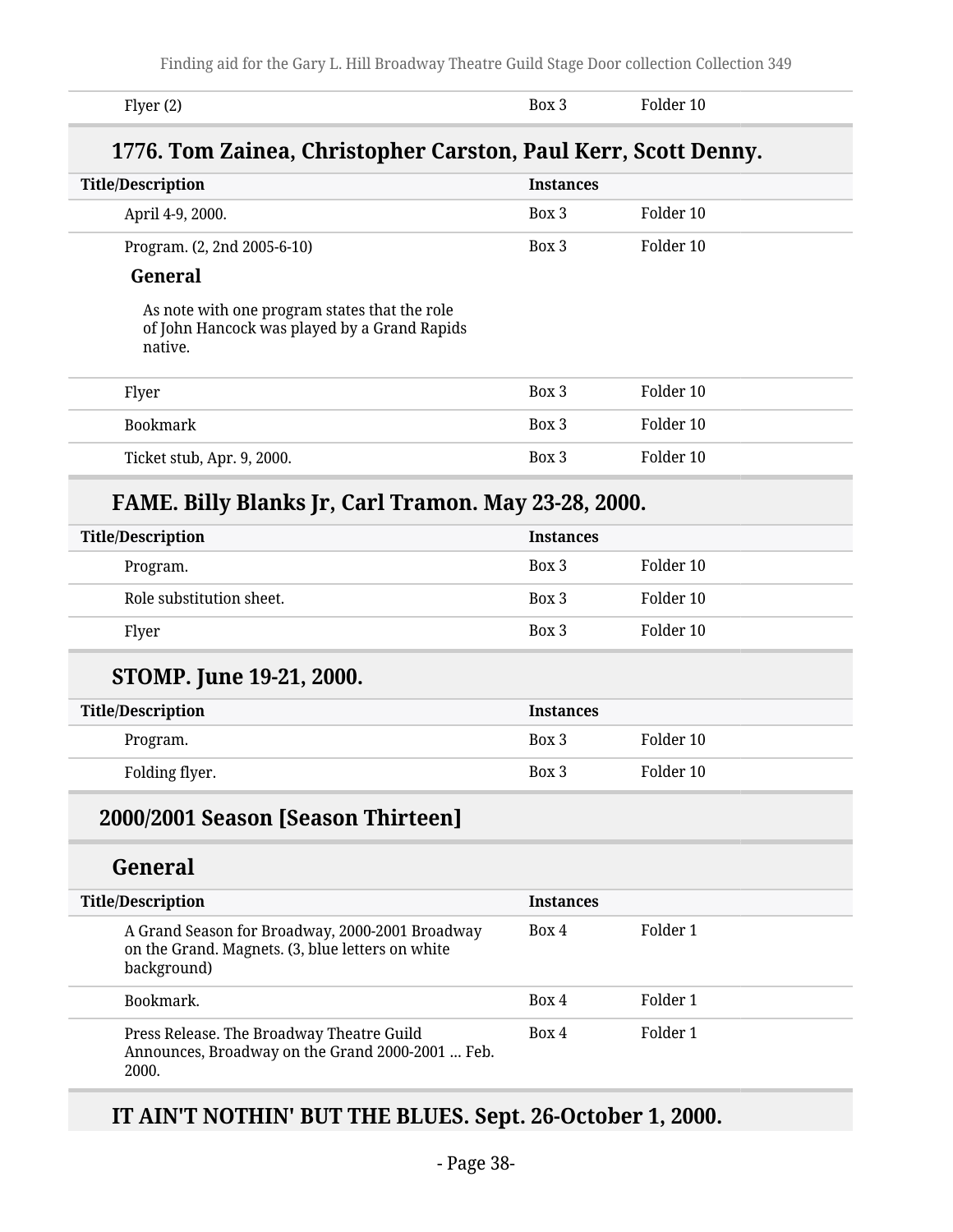| Flyer $(2)$                                                    | Box 3            | Folder 10 |
|----------------------------------------------------------------|------------------|-----------|
| 1776. Tom Zainea, Christopher Carston, Paul Kerr, Scott Denny. |                  |           |
| <b>Title/Description</b>                                       | <b>Instances</b> |           |
| April 4-9, 2000.                                               | Box 3            | Folder 10 |
|                                                                |                  |           |

#### **General**

As note with one program states that the role of John Hancock was played by a Grand Rapids native.

| Flyer                      | Box 3 | Folder 10 |
|----------------------------|-------|-----------|
| Bookmark                   | Box 3 | Folder 10 |
| Ticket stub, Apr. 9, 2000. | Box 3 | Folder 10 |

#### **FAME. Billy Blanks Jr, Carl Tramon. May 23-28, 2000.**

| <b>Title/Description</b> | <b>Instances</b> |           |
|--------------------------|------------------|-----------|
| Program.                 | Box 3            | Folder 10 |
| Role substitution sheet. | Box 3            | Folder 10 |
| Flyer                    | Box 3            | Folder 10 |

#### **STOMP. June 19-21, 2000.**

| <b>Title/Description</b> | <b>Instances</b> |           |
|--------------------------|------------------|-----------|
| Program.                 | Box 3            | Folder 10 |
| Folding flyer.           | Box 3            | Folder 10 |

#### **2000/2001 Season [Season Thirteen]**

#### **General**

| <b>Title/Description</b>                                                                                           | <b>Instances</b> |          |  |
|--------------------------------------------------------------------------------------------------------------------|------------------|----------|--|
| A Grand Season for Broadway, 2000-2001 Broadway<br>on the Grand. Magnets. (3, blue letters on white<br>background) | Box 4            | Folder 1 |  |
| Bookmark.                                                                                                          | Box 4            | Folder 1 |  |
| Press Release. The Broadway Theatre Guild<br>Announces, Broadway on the Grand 2000-2001  Feb.<br>2000.             | Box 4            | Folder 1 |  |

#### **IT AIN'T NOTHIN' BUT THE BLUES. Sept. 26-October 1, 2000.**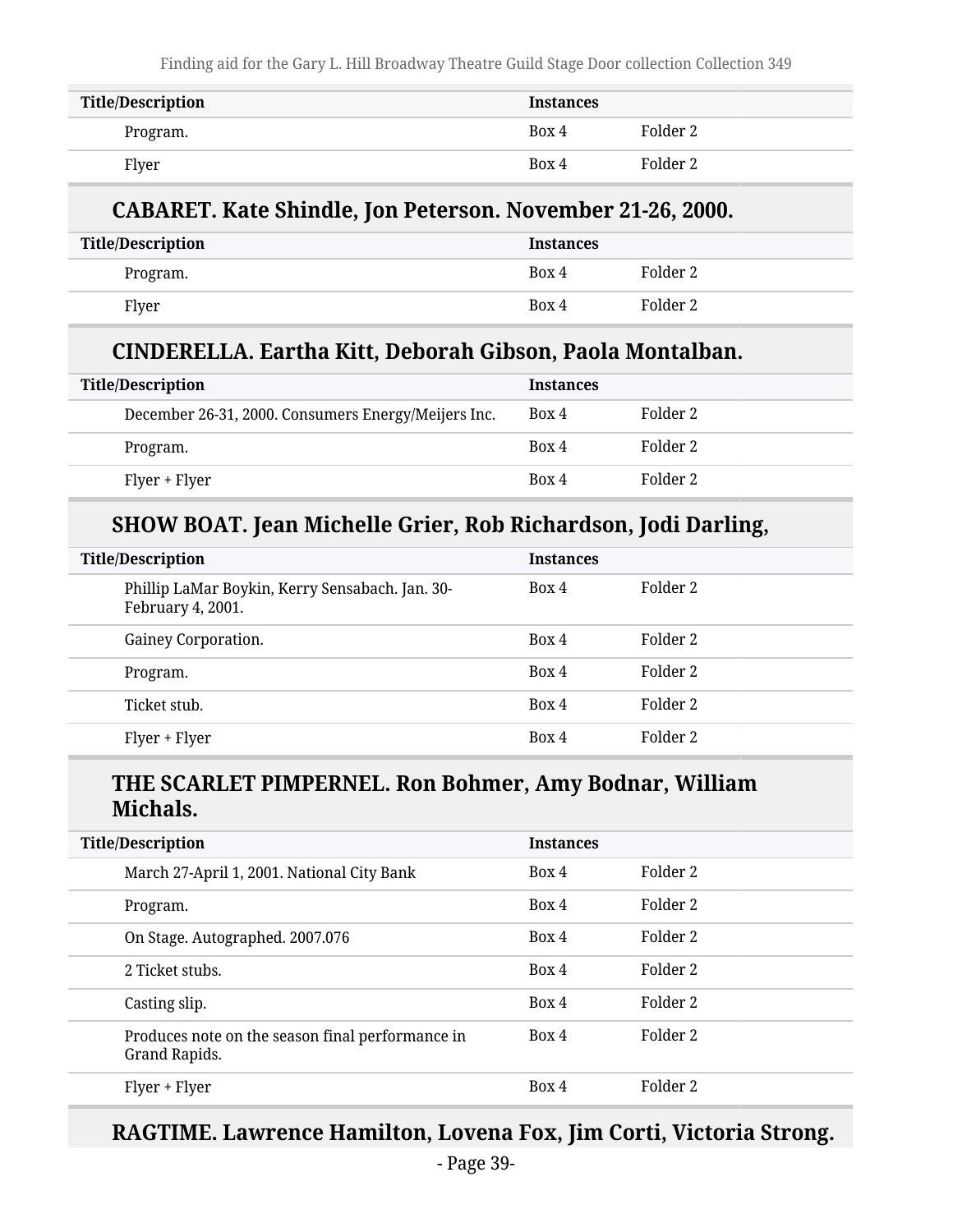Finding aid for the Gary L. Hill Broadway Theatre Guild Stage Door collection Collection 349

| <b>Title/Description</b> | <b>Instances</b> |          |
|--------------------------|------------------|----------|
| Program.                 | Box 4            | Folder 2 |
| Flyer                    | Box 4            | Folder 2 |

#### **CABARET. Kate Shindle, Jon Peterson. November 21-26, 2000.**

| Title/Description | <b>Instances</b> |          |
|-------------------|------------------|----------|
| Program.          | Box 4            | Folder 2 |
| Flyer             | Box 4            | Folder 2 |

#### **CINDERELLA. Eartha Kitt, Deborah Gibson, Paola Montalban.**

| <b>Title/Description</b>                            | <b>Instances</b> |          |
|-----------------------------------------------------|------------------|----------|
| December 26-31, 2000. Consumers Energy/Meijers Inc. | Box 4            | Folder 2 |
| Program.                                            | Box 4            | Folder 2 |
| Flyer + Flyer                                       | Box 4            | Folder 2 |

#### **SHOW BOAT. Jean Michelle Grier, Rob Richardson, Jodi Darling,**

| <b>Title/Description</b>                                             | <b>Instances</b> |          |
|----------------------------------------------------------------------|------------------|----------|
| Phillip LaMar Boykin, Kerry Sensabach. Jan. 30-<br>February 4, 2001. | Box 4            | Folder 2 |
| Gainey Corporation.                                                  | Box 4            | Folder 2 |
| Program.                                                             | Box 4            | Folder 2 |
| Ticket stub.                                                         | Box 4            | Folder 2 |
| Flyer + Flyer                                                        | Box 4            | Folder 2 |

#### **THE SCARLET PIMPERNEL. Ron Bohmer, Amy Bodnar, William Michals.**

| <b>Title/Description</b>                                          | <b>Instances</b> |          |
|-------------------------------------------------------------------|------------------|----------|
| March 27-April 1, 2001. National City Bank                        | Box 4            | Folder 2 |
| Program.                                                          | Box 4            | Folder 2 |
| On Stage. Autographed. 2007.076                                   | Box 4            | Folder 2 |
| 2 Ticket stubs.                                                   | Box 4            | Folder 2 |
| Casting slip.                                                     | Box 4            | Folder 2 |
| Produces note on the season final performance in<br>Grand Rapids. | Box 4            | Folder 2 |
| Flyer + Flyer                                                     | Box 4            | Folder 2 |

## **RAGTIME. Lawrence Hamilton, Lovena Fox, Jim Corti, Victoria Strong.**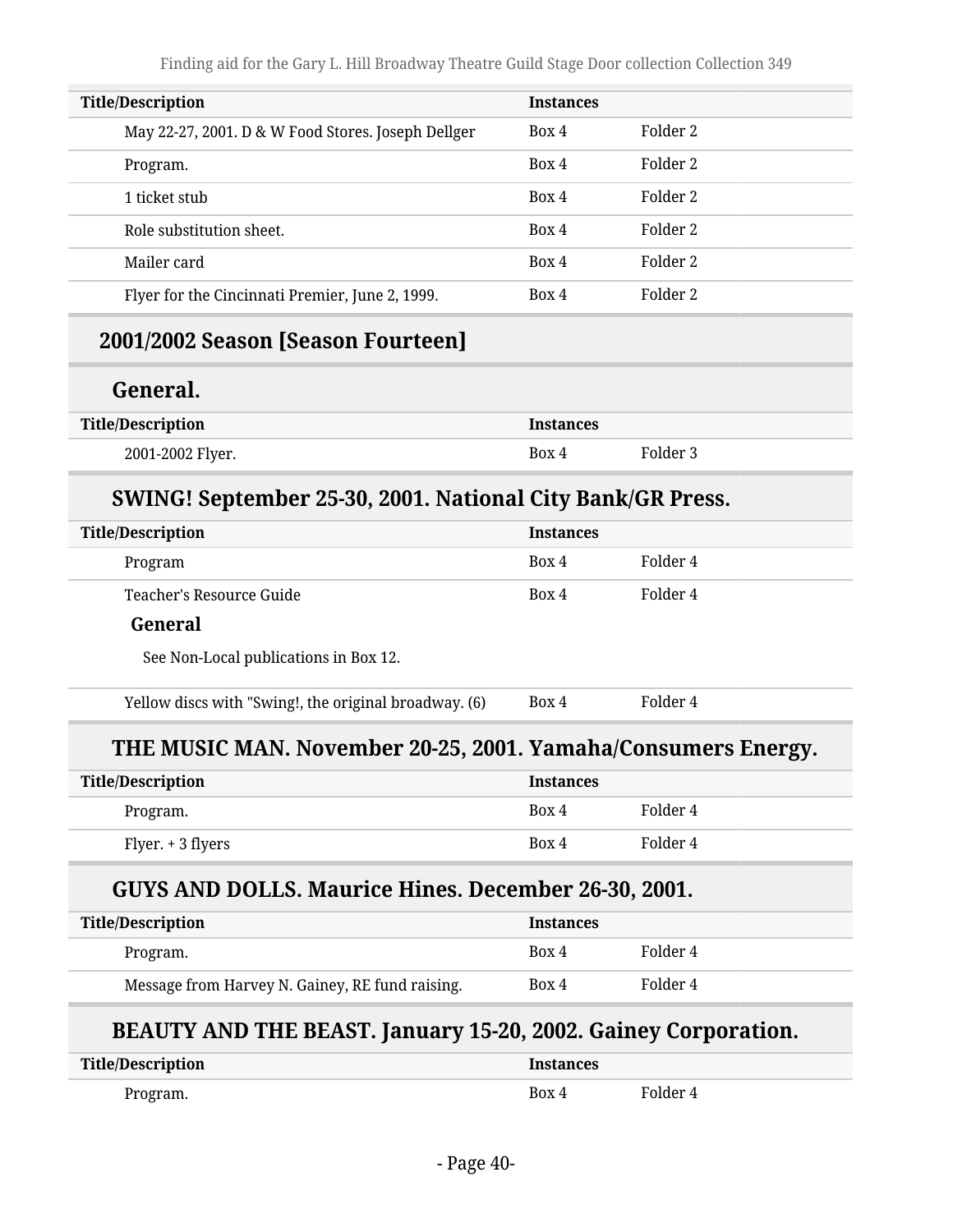| <b>Title/Description</b>                                              | <b>Instances</b> |                     |
|-----------------------------------------------------------------------|------------------|---------------------|
| May 22-27, 2001. D & W Food Stores. Joseph Dellger                    | Box 4            | Folder <sub>2</sub> |
| Program.                                                              | Box 4            | Folder <sub>2</sub> |
| 1 ticket stub                                                         | Box 4            | Folder <sub>2</sub> |
| Role substitution sheet.                                              | Box 4            | Folder <sub>2</sub> |
| Mailer card                                                           | Box 4            | Folder <sub>2</sub> |
| Flyer for the Cincinnati Premier, June 2, 1999.                       | Box 4            | Folder <sub>2</sub> |
| 2001/2002 Season [Season Fourteen]                                    |                  |                     |
| General.                                                              |                  |                     |
| <b>Title/Description</b>                                              | <b>Instances</b> |                     |
| 2001-2002 Flyer.                                                      | Box 4            | Folder 3            |
| SWING! September 25-30, 2001. National City Bank/GR Press.            |                  |                     |
| <b>Title/Description</b>                                              | <b>Instances</b> |                     |
| Program                                                               | Box 4            | Folder 4            |
| Teacher's Resource Guide                                              | Box 4            | Folder 4            |
| General                                                               |                  |                     |
| See Non-Local publications in Box 12.                                 |                  |                     |
| Yellow discs with "Swing!, the original broadway. (6)                 | Box 4            | Folder 4            |
| THE MUSIC MAN. November 20-25, 2001. Yamaha/Consumers Energy.         |                  |                     |
| <b>Title/Description</b>                                              | <b>Instances</b> |                     |
| Program.                                                              | Box 4            | Folder 4            |
| Flyer. + 3 flyers                                                     | Box 4            | Folder 4            |
| <b>GUYS AND DOLLS. Maurice Hines. December 26-30, 2001.</b>           |                  |                     |
| <b>Title/Description</b>                                              | <b>Instances</b> |                     |
| Program.                                                              | Box 4            | Folder 4            |
| Message from Harvey N. Gainey, RE fund raising.                       | Box 4            | Folder 4            |
| <b>BEAUTY AND THE BEAST. January 15-20, 2002. Gainey Corporation.</b> |                  |                     |
| <b>Title/Description</b>                                              | <b>Instances</b> |                     |
| Program.                                                              | Box 4            | Folder 4            |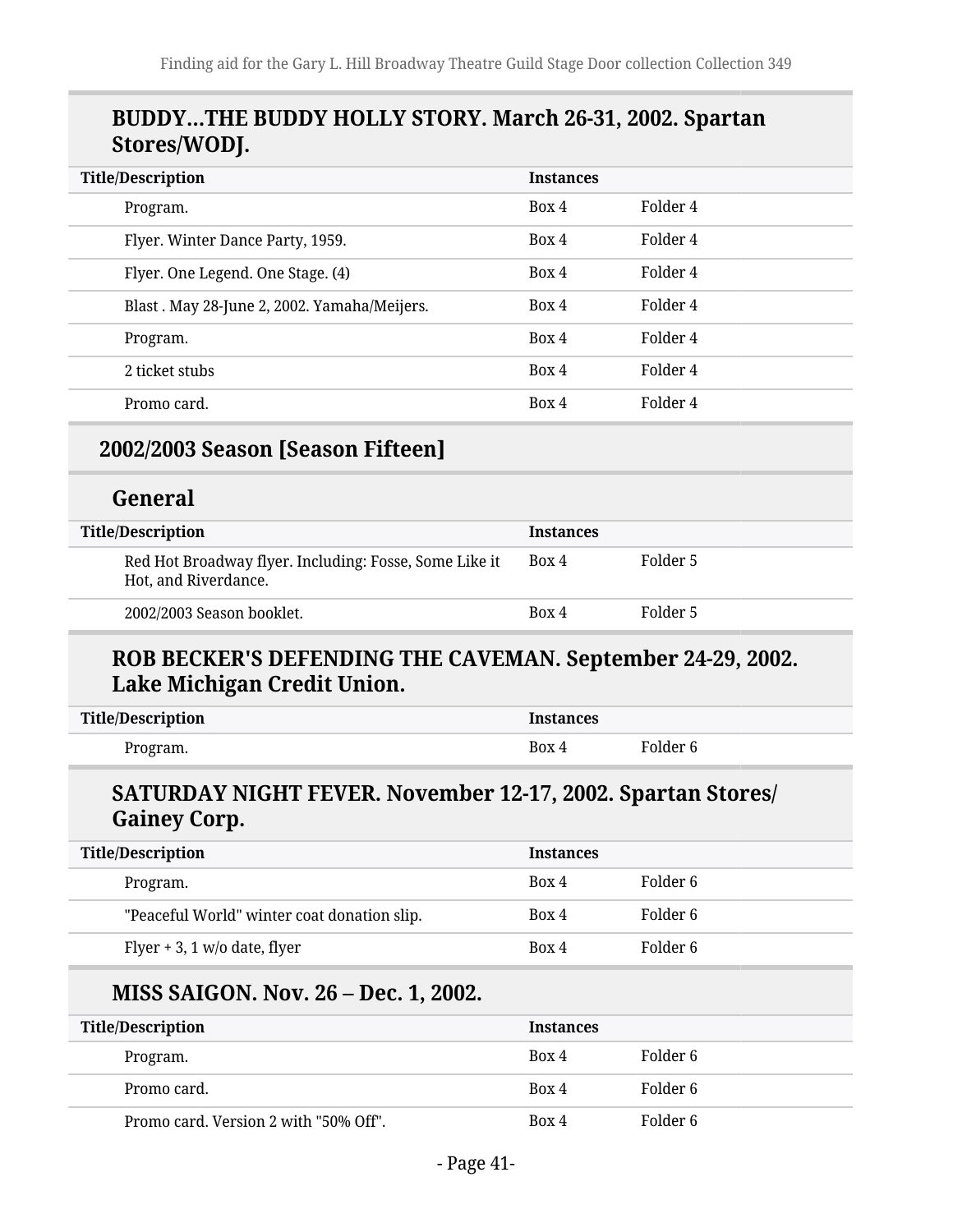#### **BUDDY…THE BUDDY HOLLY STORY. March 26-31, 2002. Spartan Stores/WODJ.**

| <b>Title/Description</b>                    | <b>Instances</b> |          |
|---------------------------------------------|------------------|----------|
| Program.                                    | Box 4            | Folder 4 |
| Flyer. Winter Dance Party, 1959.            | Box 4            | Folder 4 |
| Flyer. One Legend. One Stage. (4)           | Box 4            | Folder 4 |
| Blast. May 28-June 2, 2002. Yamaha/Meijers. | Box 4            | Folder 4 |
| Program.                                    | Box 4            | Folder 4 |
| 2 ticket stubs                              | Box 4            | Folder 4 |
| Promo card.                                 | Box 4            | Folder 4 |

#### **2002/2003 Season [Season Fifteen]**

#### **General**

| Title/Description                                                              | <b>Instances</b> |          |
|--------------------------------------------------------------------------------|------------------|----------|
| Red Hot Broadway flyer. Including: Fosse, Some Like it<br>Hot, and Riverdance. | Box 4            | Folder 5 |
| 2002/2003 Season booklet.                                                      | Box 4            | Folder 5 |

#### **ROB BECKER'S DEFENDING THE CAVEMAN. September 24-29, 2002. Lake Michigan Credit Union.**

| <b>Title/Description</b> | <b>Instances</b> |          |
|--------------------------|------------------|----------|
| Program.                 | Box 4            | Folder 6 |

#### **SATURDAY NIGHT FEVER. November 12-17, 2002. Spartan Stores/ Gainey Corp.**

| <b>Title/Description</b>                    | <b>Instances</b> |          |
|---------------------------------------------|------------------|----------|
| Program.                                    | Box 4            | Folder 6 |
| "Peaceful World" winter coat donation slip. | Box 4            | Folder 6 |
| Flyer + 3, 1 $w/o$ date, flyer              | Box 4            | Folder 6 |

#### **MISS SAIGON. Nov. 26 – Dec. 1, 2002.**

| <b>Title/Description</b>              | <b>Instances</b> |          |
|---------------------------------------|------------------|----------|
| Program.                              | Box 4            | Folder 6 |
| Promo card.                           | Box 4            | Folder 6 |
| Promo card. Version 2 with "50% Off". | Box 4            | Folder 6 |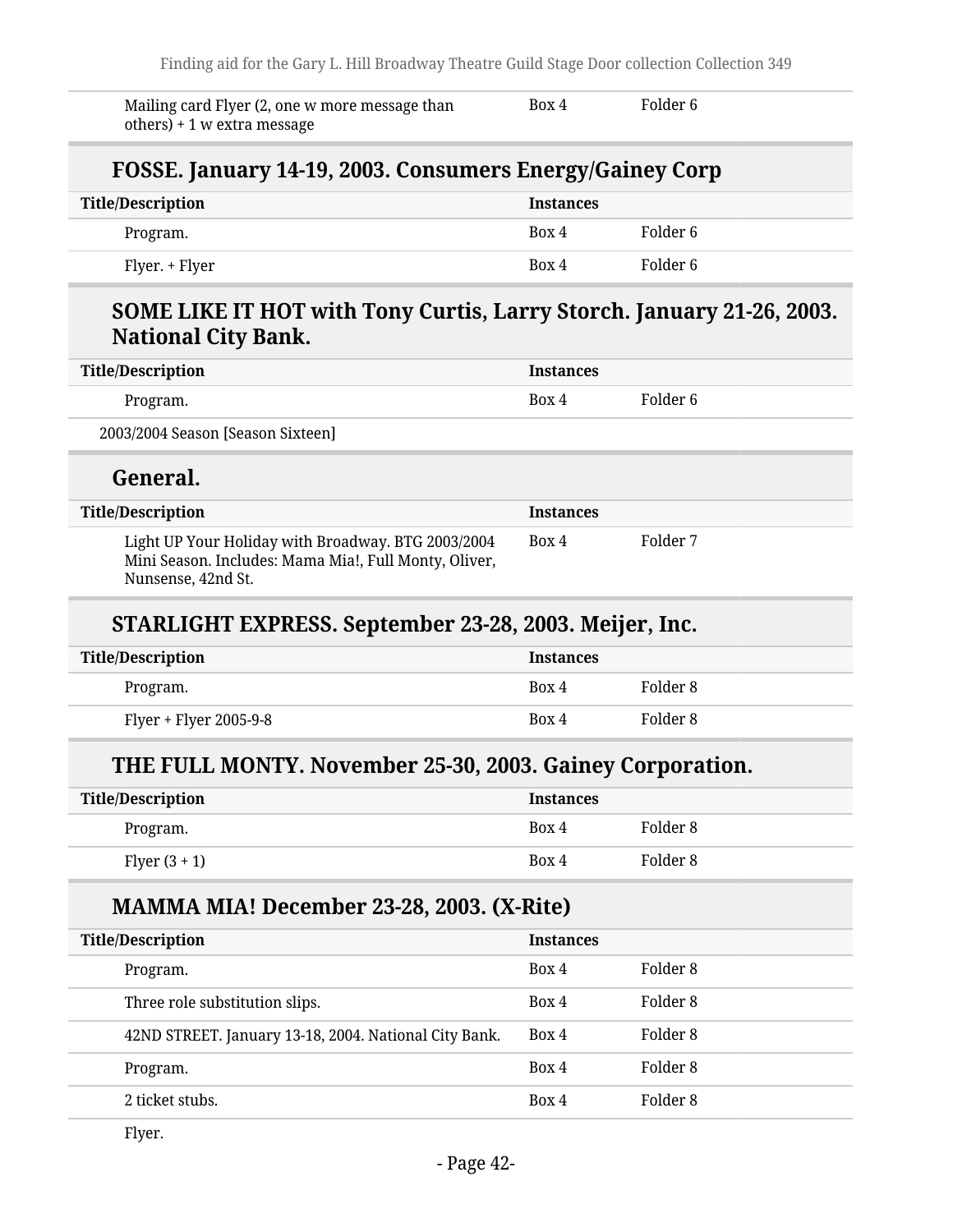Mailing card Flyer (2, one w more message than others) + 1 w extra message Box 4 Folder 6

#### **FOSSE. January 14-19, 2003. Consumers Energy/Gainey Corp**

| Title/Description | <b>Instances</b> |          |
|-------------------|------------------|----------|
| Program.          | Box 4            | Folder 6 |
| Flyer. + Flyer    | Box 4            | Folder 6 |

#### **SOME LIKE IT HOT with Tony Curtis, Larry Storch. January 21-26, 2003. National City Bank.**

| Title/Description                 | <b>Instances</b> |          |
|-----------------------------------|------------------|----------|
| Program.                          | Box 4            | Folder 6 |
| 2003/2004 Season [Season Sixteen] |                  |          |

#### **General.**

| Title/Description                                                                                                                 | <b>Instances</b> |          |
|-----------------------------------------------------------------------------------------------------------------------------------|------------------|----------|
| Light UP Your Holiday with Broadway. BTG 2003/2004<br>Mini Season. Includes: Mama Mia!, Full Monty, Oliver,<br>Nunsense, 42nd St. | Box 4            | Folder 7 |

#### **STARLIGHT EXPRESS. September 23-28, 2003. Meijer, Inc.**

| <b>Title/Description</b> | <b>Instances</b> |          |
|--------------------------|------------------|----------|
| Program.                 | Box 4            | Folder 8 |
| Flyer + Flyer 2005-9-8   | Box 4            | Folder 8 |

#### **THE FULL MONTY. November 25-30, 2003. Gainey Corporation.**

| Title/Description | <b>Instances</b> |          |
|-------------------|------------------|----------|
| Program.          | Box 4            | Folder 8 |
| Flyer $(3 + 1)$   | Box 4            | Folder 8 |

#### **MAMMA MIA! December 23-28, 2003. (X-Rite)**

| <b>Title/Description</b>                              | <b>Instances</b> |          |
|-------------------------------------------------------|------------------|----------|
| Program.                                              | Box 4            | Folder 8 |
| Three role substitution slips.                        | Box 4            | Folder 8 |
| 42ND STREET. January 13-18, 2004. National City Bank. | Box 4            | Folder 8 |
| Program.                                              | Box 4            | Folder 8 |
| 2 ticket stubs.                                       | Box 4            | Folder 8 |
|                                                       |                  |          |

Flyer.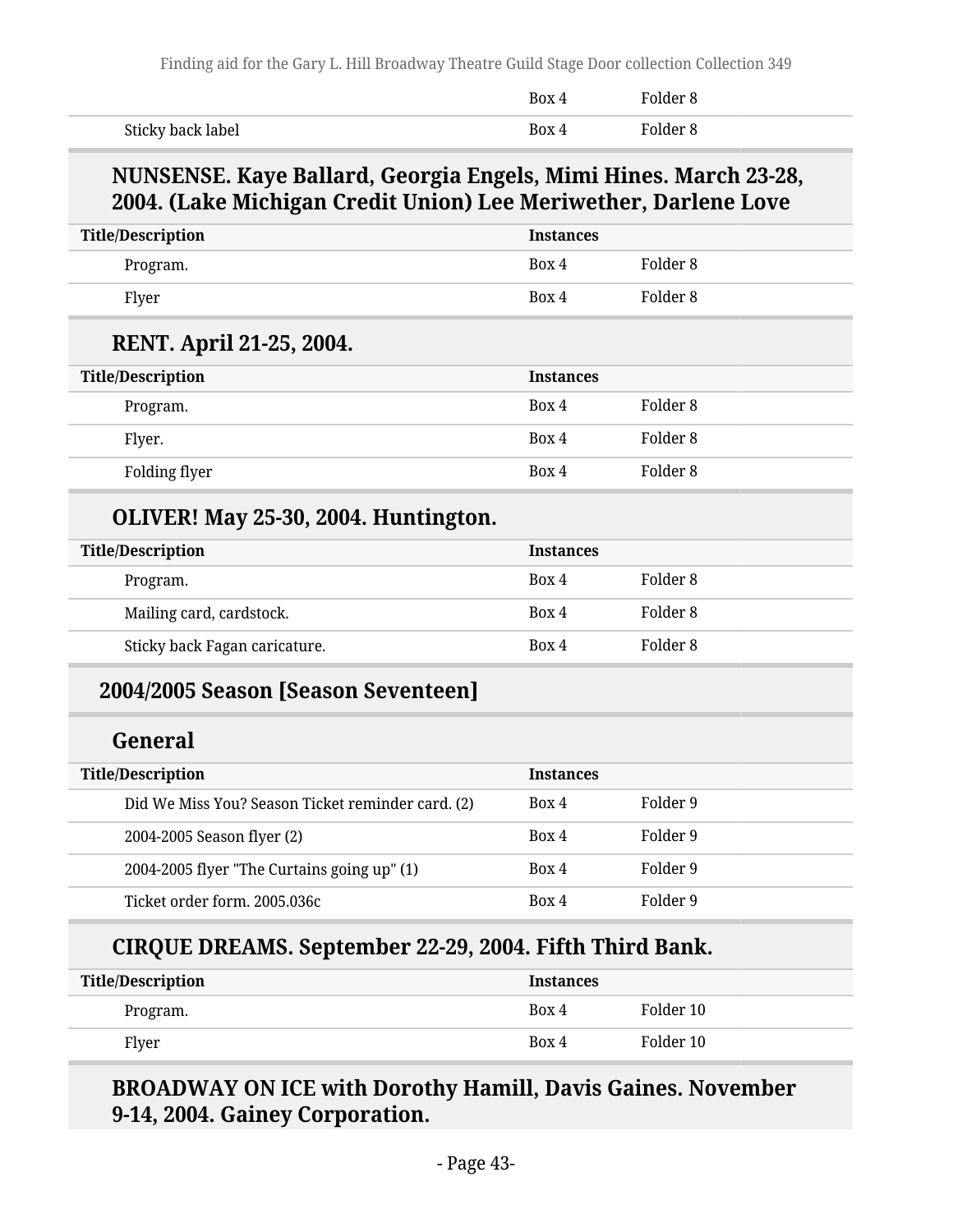|                   | <b>Box</b> | kolder ۶ |
|-------------------|------------|----------|
| Sticky back label | Box 4      | Polder 8 |

#### **NUNSENSE. Kaye Ballard, Georgia Engels, Mimi Hines. March 23-28, 2004. (Lake Michigan Credit Union) Lee Meriwether, Darlene Love**

| <b>Title/Description</b>                          | <b>Instances</b> |                     |  |
|---------------------------------------------------|------------------|---------------------|--|
| Program.                                          | Box 4            | Folder <sub>8</sub> |  |
| Flyer                                             | Box 4            | Folder <sub>8</sub> |  |
| RENT. April 21-25, 2004.                          |                  |                     |  |
| <b>Title/Description</b>                          | <b>Instances</b> |                     |  |
| Program.                                          | Box 4            | Folder <sub>8</sub> |  |
| Flyer.                                            | Box 4            | Folder <sub>8</sub> |  |
| Folding flyer                                     | Box 4            | Folder <sub>8</sub> |  |
| OLIVER! May 25-30, 2004. Huntington.              |                  |                     |  |
| <b>Title/Description</b>                          | <b>Instances</b> |                     |  |
| Program.                                          | Box 4            | Folder <sub>8</sub> |  |
| Mailing card, cardstock.                          | Box 4            | Folder <sub>8</sub> |  |
| Sticky back Fagan caricature.                     | Box 4            | Folder <sub>8</sub> |  |
| 2004/2005 Season [Season Seventeen]               |                  |                     |  |
| General                                           |                  |                     |  |
| <b>Title/Description</b>                          | <b>Instances</b> |                     |  |
| Did We Miss You? Season Ticket reminder card. (2) | Box 4            | Folder 9            |  |
| 2004-2005 Season flyer (2)                        | Box 4            | Folder 9            |  |
| 2004-2005 flyer "The Curtains going up" (1)       | Box 4            | Folder 9            |  |
| Ticket order form. 2005.036c                      | Box 4            | Folder 9            |  |

| <b>Title/Description</b> | Instances |           |
|--------------------------|-----------|-----------|
| Program.                 | Box 4     | Folder 10 |
| Flyer                    | Box 4     | Folder 10 |

#### **BROADWAY ON ICE with Dorothy Hamill, Davis Gaines. November 9-14, 2004. Gainey Corporation.**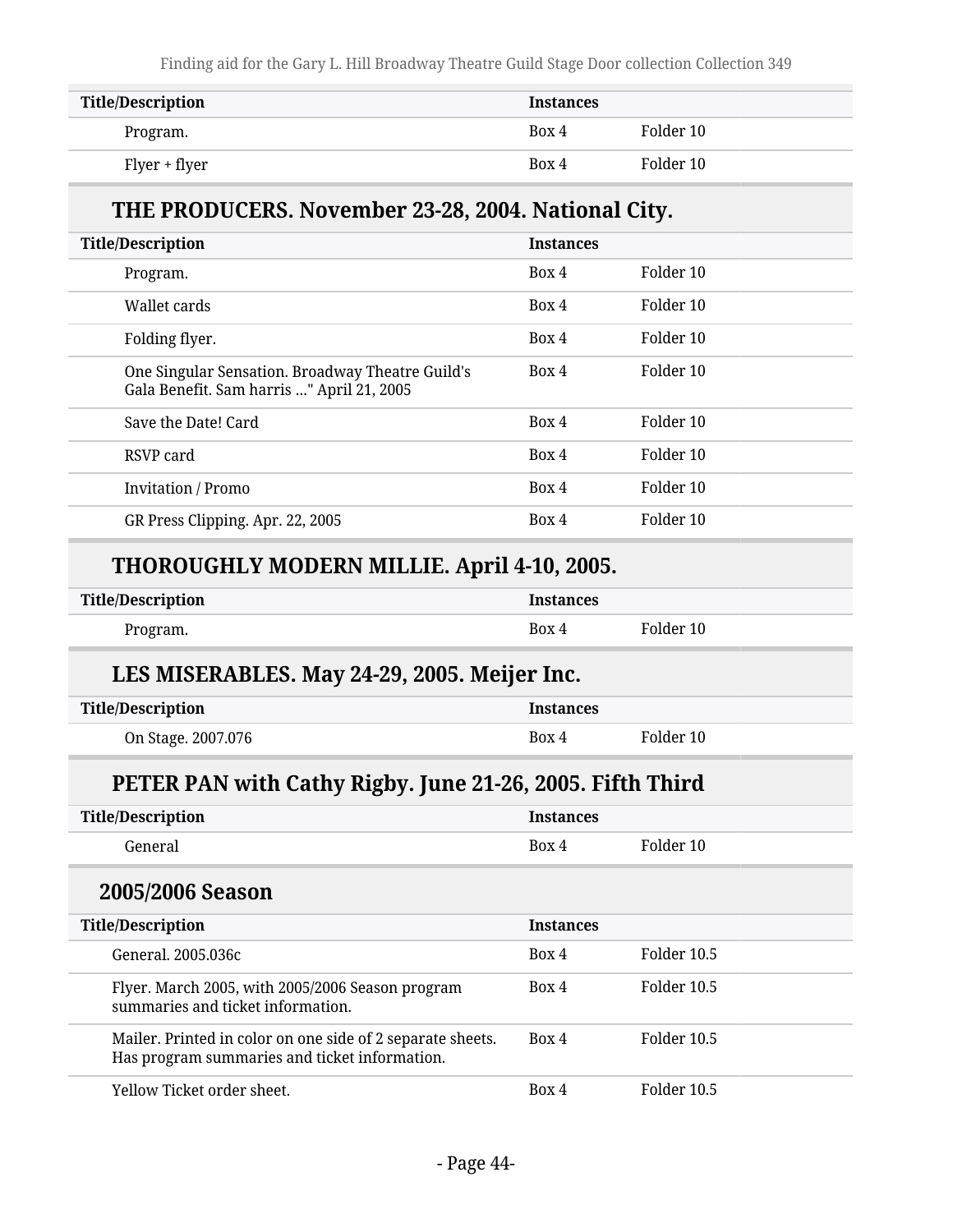Finding aid for the Gary L. Hill Broadway Theatre Guild Stage Door collection Collection 349

| <b>Title/Description</b> | <b>Instances</b> |           |
|--------------------------|------------------|-----------|
| Program.                 | Box 4            | Folder 10 |
| Flyer + flyer            | Box 4            | Folder 10 |

#### **THE PRODUCERS. November 23-28, 2004. National City.**

| <b>Title/Description</b>                                                                      | <b>Instances</b> |           |  |
|-----------------------------------------------------------------------------------------------|------------------|-----------|--|
| Program.                                                                                      | Box 4            | Folder 10 |  |
| Wallet cards                                                                                  | Box 4            | Folder 10 |  |
| Folding flyer.                                                                                | Box 4            | Folder 10 |  |
| One Singular Sensation. Broadway Theatre Guild's<br>Gala Benefit. Sam harris " April 21, 2005 | Box 4            | Folder 10 |  |
| Save the Date! Card                                                                           | Box 4            | Folder 10 |  |
| RSVP card                                                                                     | Box 4            | Folder 10 |  |
| <b>Invitation</b> / Promo                                                                     | Box 4            | Folder 10 |  |
| GR Press Clipping. Apr. 22, 2005                                                              | Box 4            | Folder 10 |  |
|                                                                                               |                  |           |  |

#### **THOROUGHLY MODERN MILLIE. April 4-10, 2005.**

| <b>Title/Description</b> | Instances |           |
|--------------------------|-----------|-----------|
| Program.                 | Box 4     | Folder 10 |

#### **LES MISERABLES. May 24-29, 2005. Meijer Inc.**

| <b>Title/Description</b> | <b>Instances</b> |           |
|--------------------------|------------------|-----------|
| On Stage. 2007.076       | Box 4            | Folder 10 |

#### **PETER PAN with Cathy Rigby. June 21-26, 2005. Fifth Third**

| <b>Title/Description</b>                                                                                    | <b>Instances</b> |             |  |
|-------------------------------------------------------------------------------------------------------------|------------------|-------------|--|
| General                                                                                                     | Box 4            | Folder 10   |  |
| 2005/2006 Season                                                                                            |                  |             |  |
| <b>Title/Description</b>                                                                                    | <b>Instances</b> |             |  |
| General, 2005.036c                                                                                          | Box 4            | Folder 10.5 |  |
| Flyer. March 2005, with 2005/2006 Season program<br>summaries and ticket information.                       | Box 4            | Folder 10.5 |  |
| Mailer. Printed in color on one side of 2 separate sheets.<br>Has program summaries and ticket information. | Box 4            | Folder 10.5 |  |

Yellow Ticket order sheet. Box 4 Folder 10.5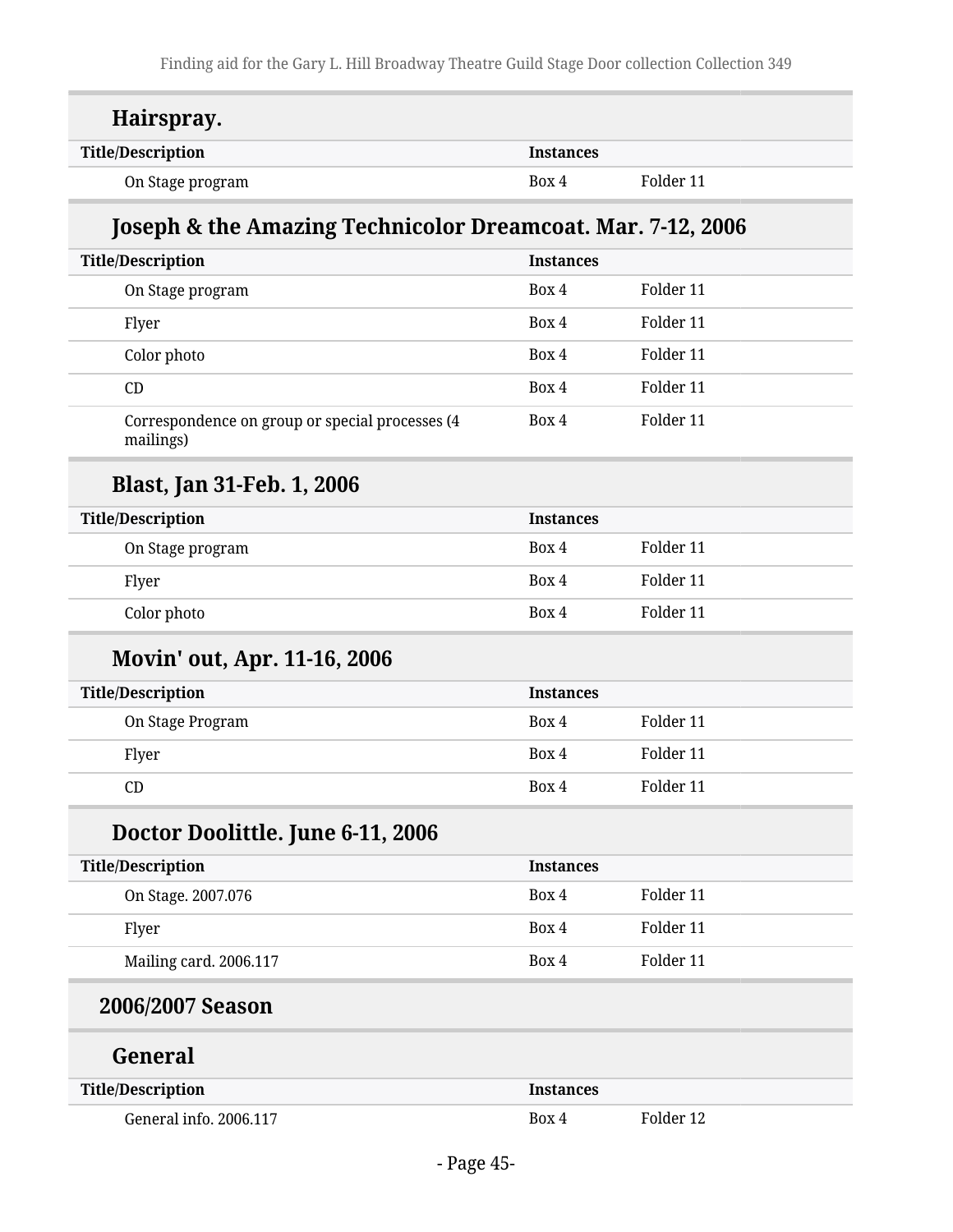| Hairspray.                                                   |                  |           |
|--------------------------------------------------------------|------------------|-----------|
| <b>Title/Description</b>                                     | <b>Instances</b> |           |
| On Stage program                                             | Box 4            | Folder 11 |
| Joseph & the Amazing Technicolor Dreamcoat. Mar. 7-12, 2006  |                  |           |
| <b>Title/Description</b>                                     | <b>Instances</b> |           |
| On Stage program                                             | Box 4            | Folder 11 |
| Flyer                                                        | Box 4            | Folder 11 |
| Color photo                                                  | Box 4            | Folder 11 |
| CD                                                           | Box 4            | Folder 11 |
| Correspondence on group or special processes (4<br>mailings) | Box 4            | Folder 11 |
| <b>Blast, Jan 31-Feb. 1, 2006</b>                            |                  |           |
| <b>Title/Description</b>                                     | <b>Instances</b> |           |
| On Stage program                                             | Box 4            | Folder 11 |
| Flyer                                                        | Box 4            | Folder 11 |
| Color photo                                                  | Box 4            | Folder 11 |
| <b>Movin' out, Apr. 11-16, 2006</b>                          |                  |           |
| <b>Title/Description</b>                                     | <b>Instances</b> |           |
| On Stage Program                                             | Box 4            | Folder 11 |
| Flyer                                                        | Box 4            | Folder 11 |
| CD                                                           | Box 4            | Folder 11 |
| Doctor Doolittle. June 6-11, 2006                            |                  |           |
| <b>Title/Description</b>                                     | <b>Instances</b> |           |
| On Stage. 2007.076                                           | Box 4            | Folder 11 |
| Flyer                                                        | Box 4            | Folder 11 |
| Mailing card. 2006.117                                       | Box 4            | Folder 11 |
| 2006/2007 Season                                             |                  |           |
| General                                                      |                  |           |
| <b>Title/Description</b>                                     | <b>Instances</b> |           |
| General info. 2006.117                                       | Box 4            | Folder 12 |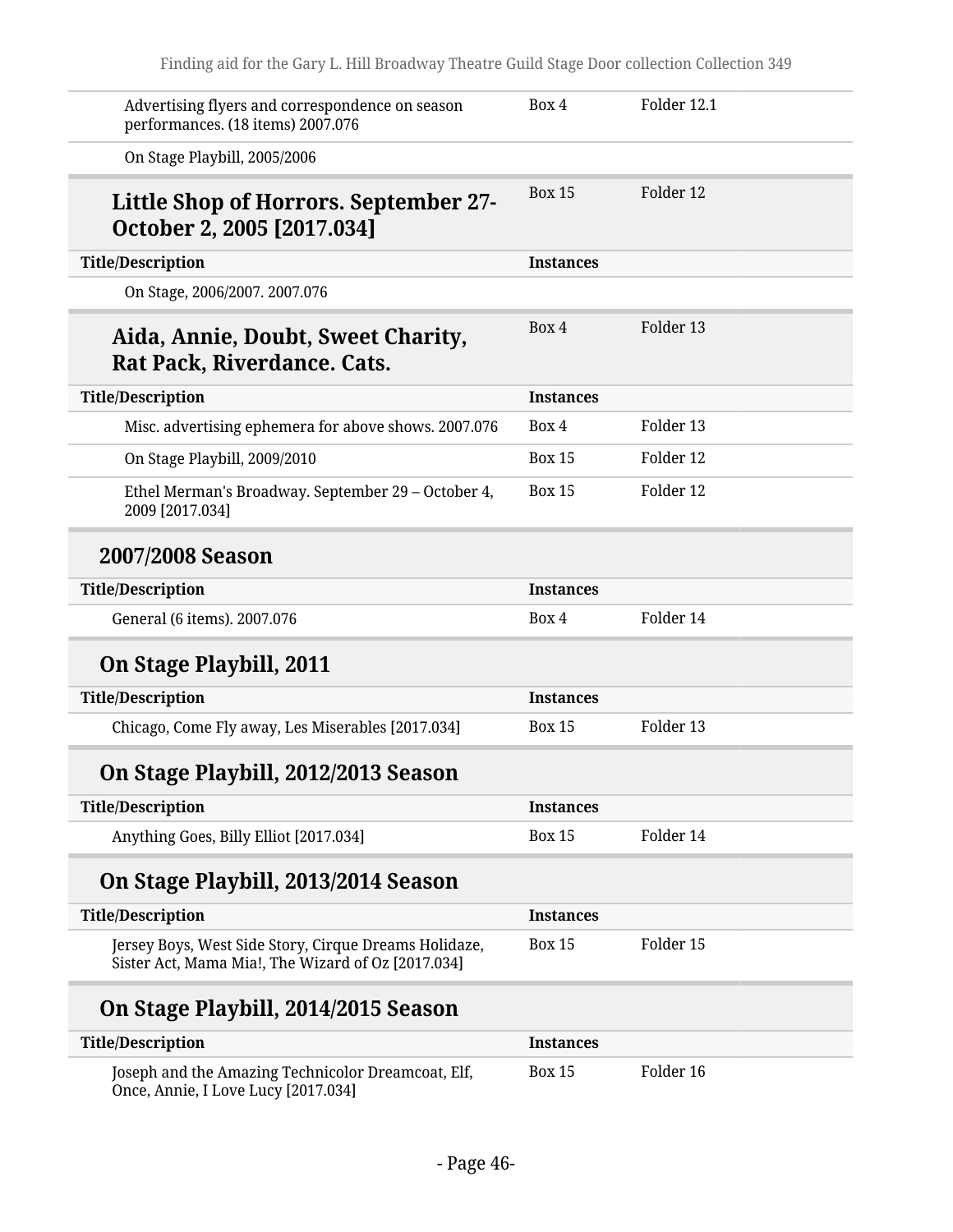| Advertising flyers and correspondence on season<br>performances. (18 items) 2007.076                        | Box 4            | Folder 12.1 |  |
|-------------------------------------------------------------------------------------------------------------|------------------|-------------|--|
| On Stage Playbill, 2005/2006                                                                                |                  |             |  |
| Little Shop of Horrors. September 27-<br>October 2, 2005 [2017.034]                                         | <b>Box 15</b>    | Folder 12   |  |
| <b>Title/Description</b>                                                                                    | <b>Instances</b> |             |  |
| On Stage, 2006/2007. 2007.076                                                                               |                  |             |  |
| Aida, Annie, Doubt, Sweet Charity,<br>Rat Pack, Riverdance. Cats.                                           | Box 4            | Folder 13   |  |
| <b>Title/Description</b>                                                                                    | <b>Instances</b> |             |  |
| Misc. advertising ephemera for above shows. 2007.076                                                        | Box 4            | Folder 13   |  |
| On Stage Playbill, 2009/2010                                                                                | <b>Box 15</b>    | Folder 12   |  |
| Ethel Merman's Broadway. September 29 - October 4,<br>2009 [2017.034]                                       | <b>Box 15</b>    | Folder 12   |  |
| 2007/2008 Season                                                                                            |                  |             |  |
| <b>Title/Description</b>                                                                                    | <b>Instances</b> |             |  |
| General (6 items). 2007.076                                                                                 | Box 4            | Folder 14   |  |
| On Stage Playbill, 2011                                                                                     |                  |             |  |
| <b>Title/Description</b>                                                                                    | <b>Instances</b> |             |  |
| Chicago, Come Fly away, Les Miserables [2017.034]                                                           | <b>Box 15</b>    | Folder 13   |  |
| On Stage Playbill, 2012/2013 Season                                                                         |                  |             |  |
| <b>Title/Description</b>                                                                                    | <b>Instances</b> |             |  |
| Anything Goes, Billy Elliot [2017.034]                                                                      | <b>Box 15</b>    | Folder 14   |  |
| On Stage Playbill, 2013/2014 Season                                                                         |                  |             |  |
| <b>Title/Description</b>                                                                                    | <b>Instances</b> |             |  |
| Jersey Boys, West Side Story, Cirque Dreams Holidaze,<br>Sister Act, Mama Mia!, The Wizard of Oz [2017.034] | <b>Box 15</b>    | Folder 15   |  |
| On Stage Playbill, 2014/2015 Season                                                                         |                  |             |  |
| <b>Title/Description</b>                                                                                    | <b>Instances</b> |             |  |
| Joseph and the Amazing Technicolor Dreamcoat, Elf,                                                          | <b>Box 15</b>    | Folder 16   |  |

Once, Annie, I Love Lucy [2017.034]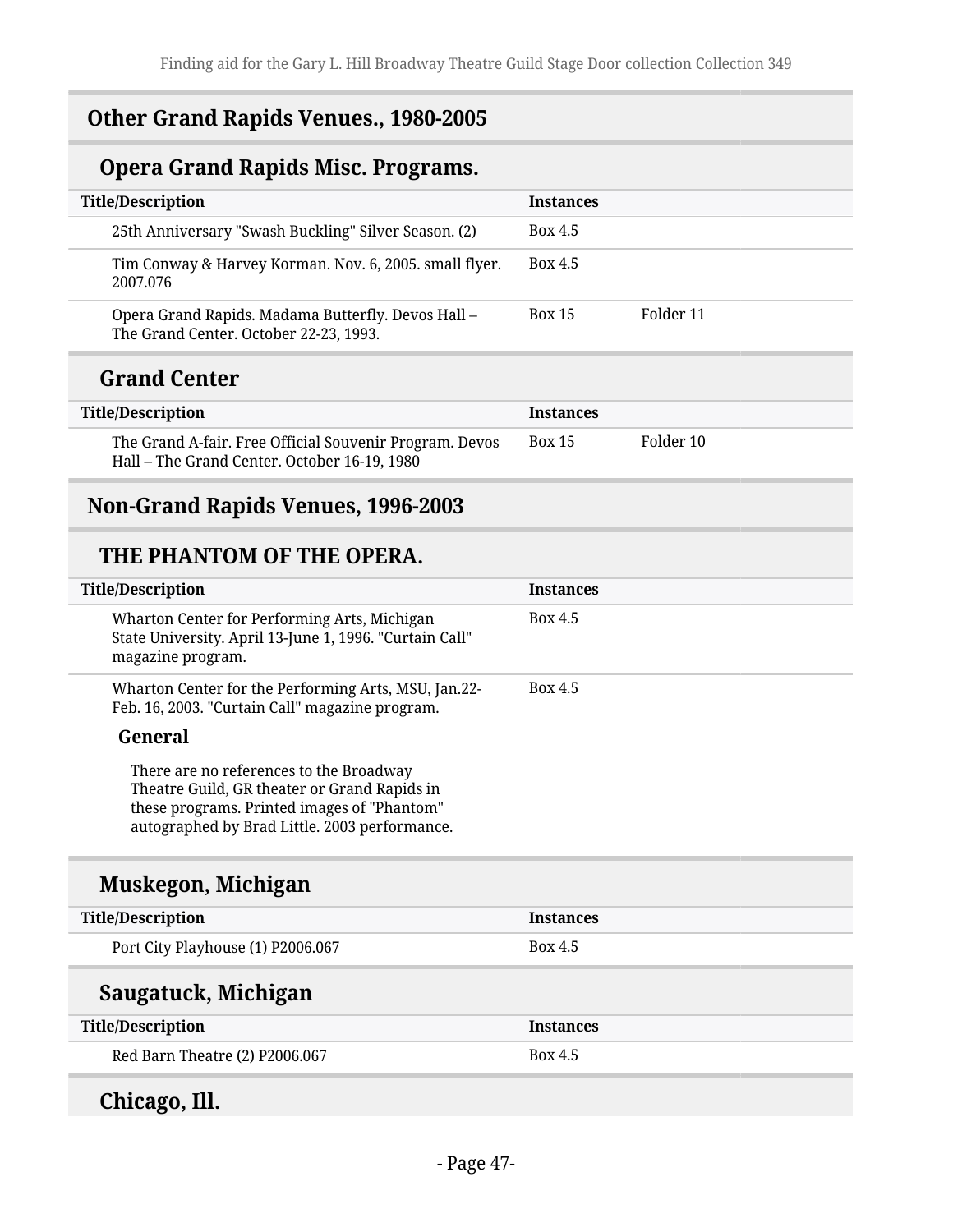#### **Other Grand Rapids Venues., 1980-2005**

## **Opera Grand Rapids Misc. Programs.**

| <b>Title/Description</b>                                                                     | <b>Instances</b>           |
|----------------------------------------------------------------------------------------------|----------------------------|
| 25th Anniversary "Swash Buckling" Silver Season. (2)                                         | <b>Box 4.5</b>             |
| Tim Conway & Harvey Korman. Nov. 6, 2005. small flyer.<br>2007.076                           | Box 4.5                    |
| Opera Grand Rapids. Madama Butterfly. Devos Hall -<br>The Grand Center. October 22-23, 1993. | Folder 11<br><b>Box 15</b> |

#### **Grand Center**

| <b>Title/Description</b>                                                                                | <b>Instances</b> |           |
|---------------------------------------------------------------------------------------------------------|------------------|-----------|
| The Grand A-fair. Free Official Souvenir Program. Devos<br>Hall – The Grand Center. October 16-19, 1980 | <b>Box 15</b>    | Folder 10 |

#### **Non-Grand Rapids Venues, 1996-2003**

#### **THE PHANTOM OF THE OPERA.**

| <b>Title/Description</b>                                                                                                                                                                | <b>Instances</b> |
|-----------------------------------------------------------------------------------------------------------------------------------------------------------------------------------------|------------------|
| Wharton Center for Performing Arts, Michigan<br>State University. April 13-June 1, 1996. "Curtain Call"<br>magazine program.                                                            | Box 4.5          |
| Wharton Center for the Performing Arts, MSU, Jan.22-<br>Feb. 16, 2003. "Curtain Call" magazine program.                                                                                 | <b>Box 4.5</b>   |
| General                                                                                                                                                                                 |                  |
| There are no references to the Broadway<br>Theatre Guild, GR theater or Grand Rapids in<br>these programs. Printed images of "Phantom"<br>autographed by Brad Little. 2003 performance. |                  |
| Muskegon, Michigan                                                                                                                                                                      |                  |

| <b>Title/Description</b>          | <b>Instances</b> |
|-----------------------------------|------------------|
| Port City Playhouse (1) P2006.067 | Box 4.5          |
|                                   |                  |
| Saugatuck, Michigan               |                  |
| <b>Title/Description</b>          | <b>Instances</b> |

## **Chicago, Ill.**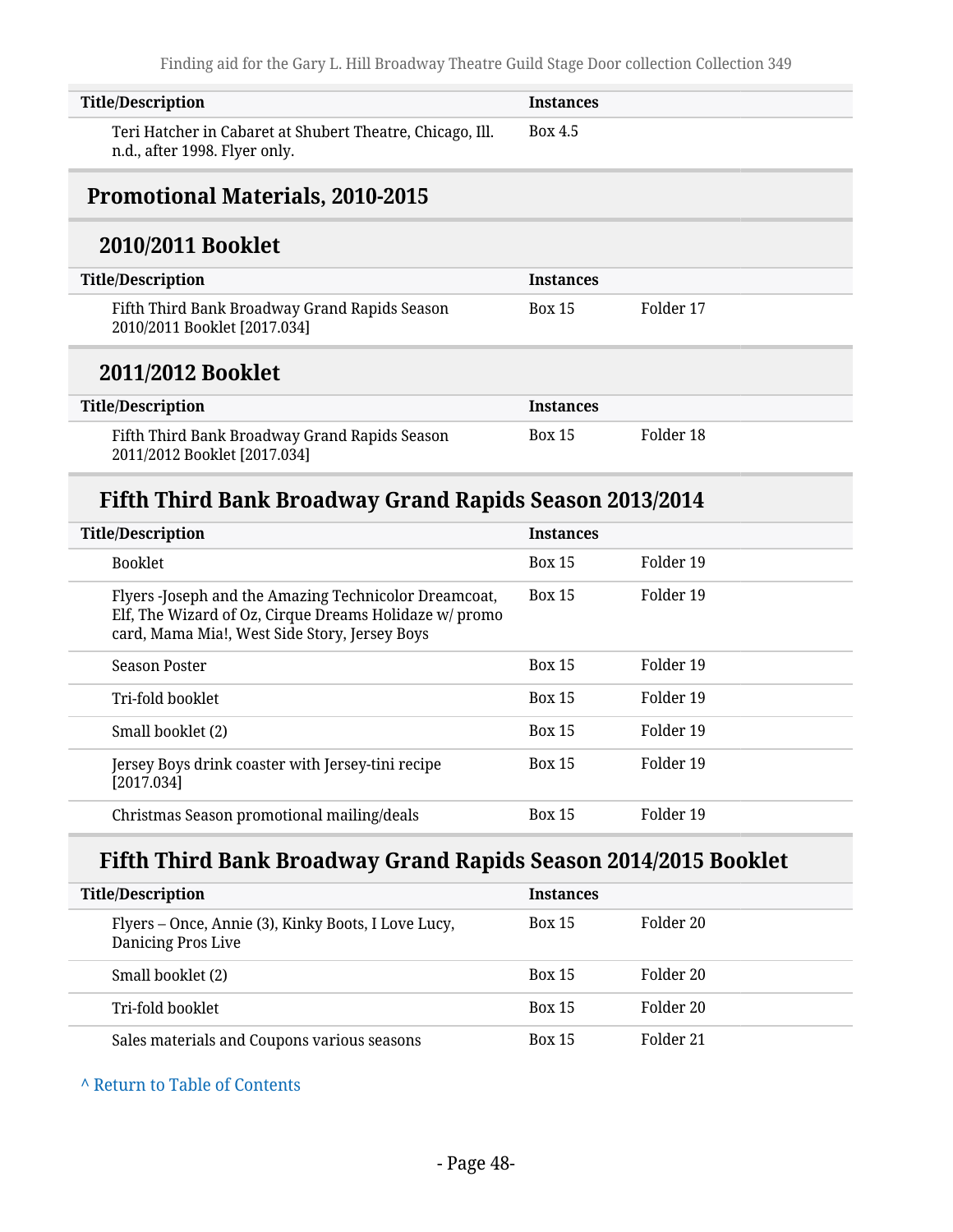| <b>Title/Description</b>                                                                   | <b>Instances</b> |           |  |
|--------------------------------------------------------------------------------------------|------------------|-----------|--|
| Teri Hatcher in Cabaret at Shubert Theatre, Chicago, Ill.<br>n.d., after 1998. Flyer only. | <b>Box 4.5</b>   |           |  |
| <b>Promotional Materials, 2010-2015</b>                                                    |                  |           |  |
| 2010/2011 Booklet                                                                          |                  |           |  |
| <b>Title/Description</b>                                                                   | <b>Instances</b> |           |  |
| Fifth Third Bank Broadway Grand Rapids Season<br>2010/2011 Booklet [2017.034]              | <b>Box 15</b>    | Folder 17 |  |
| 2011/2012 Booklet                                                                          |                  |           |  |
| <b>Title/Description</b>                                                                   | <b>Instances</b> |           |  |
| Fifth Third Bank Broadway Grand Rapids Season<br>2011/2012 Booklet [2017.034]              | <b>Box 15</b>    | Folder 18 |  |
| Fifth Third Bank Broadway Grand Rapids Season 2013/2014                                    |                  |           |  |

| <b>Title/Description</b>                                                                                                                                         | <b>Instances</b> |           |
|------------------------------------------------------------------------------------------------------------------------------------------------------------------|------------------|-----------|
| <b>Booklet</b>                                                                                                                                                   | <b>Box 15</b>    | Folder 19 |
| Flyers -Joseph and the Amazing Technicolor Dreamcoat,<br>Elf, The Wizard of Oz, Cirque Dreams Holidaze w/ promo<br>card, Mama Mia!, West Side Story, Jersey Boys | <b>Box 15</b>    | Folder 19 |
| Season Poster                                                                                                                                                    | <b>Box 15</b>    | Folder 19 |
| Tri-fold booklet                                                                                                                                                 | <b>Box 15</b>    | Folder 19 |
| Small booklet (2)                                                                                                                                                | <b>Box 15</b>    | Folder 19 |
| Jersey Boys drink coaster with Jersey-tini recipe<br>[2017.034]                                                                                                  | <b>Box 15</b>    | Folder 19 |
| Christmas Season promotional mailing/deals                                                                                                                       | <b>Box 15</b>    | Folder 19 |

## **Fifth Third Bank Broadway Grand Rapids Season 2014/2015 Booklet**

| <b>Title/Description</b>                                                  | <b>Instances</b> |           |
|---------------------------------------------------------------------------|------------------|-----------|
| Flyers – Once, Annie (3), Kinky Boots, I Love Lucy,<br>Danicing Pros Live | <b>Box 15</b>    | Folder 20 |
| Small booklet (2)                                                         | <b>Box 15</b>    | Folder 20 |
| Tri-fold booklet                                                          | <b>Box 15</b>    | Folder 20 |
| Sales materials and Coupons various seasons                               | <b>Box 15</b>    | Folder 21 |

#### **^** [Return to Table of Contents](#page-1-0)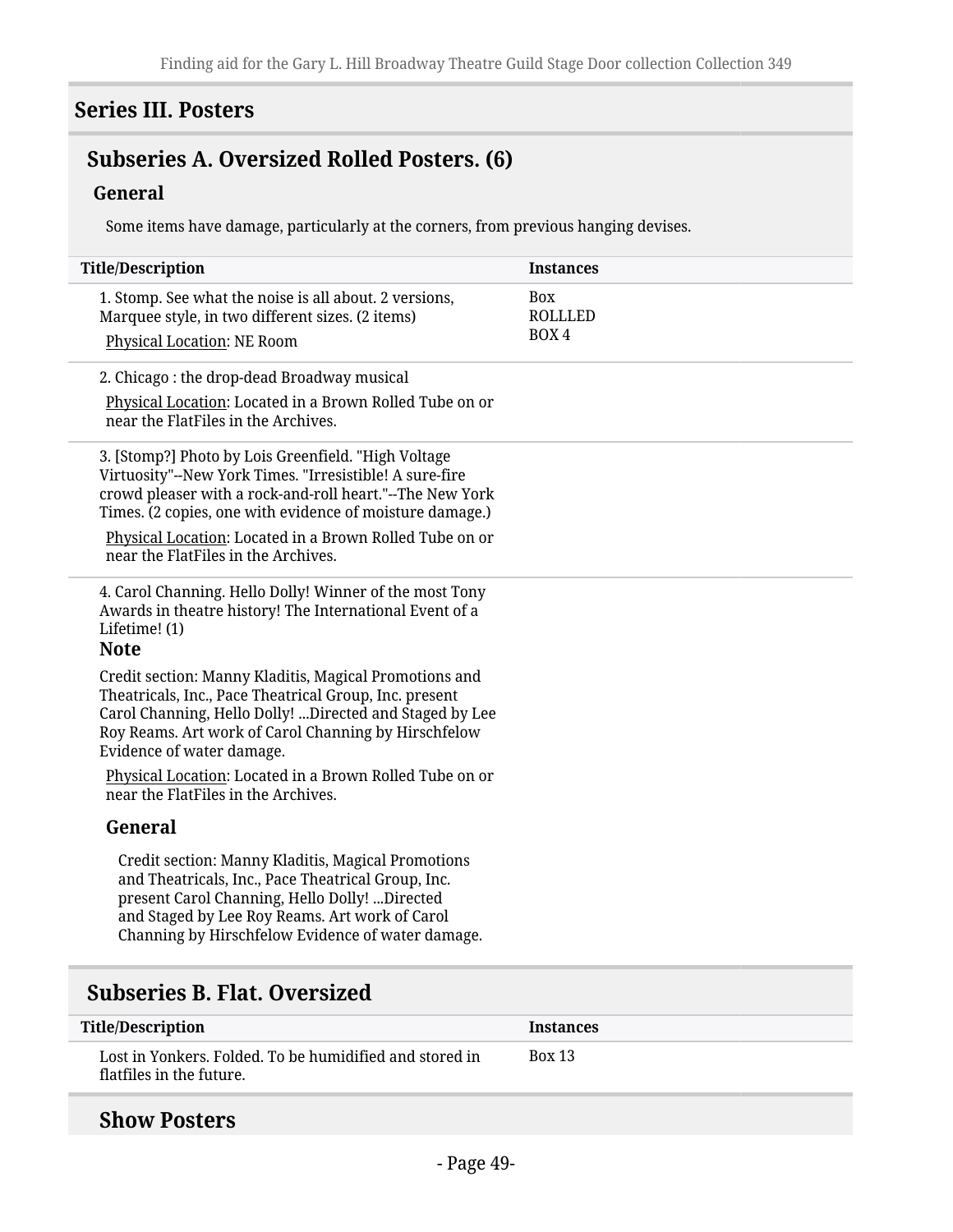#### **Series III. Posters**

## **Subseries A. Oversized Rolled Posters. (6)**

#### **General**

Some items have damage, particularly at the corners, from previous hanging devises.

| <b>Title/Description</b>                                                                                                                                                                                                                                         | <b>Instances</b>               |
|------------------------------------------------------------------------------------------------------------------------------------------------------------------------------------------------------------------------------------------------------------------|--------------------------------|
| 1. Stomp. See what the noise is all about. 2 versions,<br>Marquee style, in two different sizes. (2 items)                                                                                                                                                       | <b>Box</b><br>ROLLLED<br>BOX 4 |
| Physical Location: NE Room                                                                                                                                                                                                                                       |                                |
| 2. Chicago: the drop-dead Broadway musical                                                                                                                                                                                                                       |                                |
| Physical Location: Located in a Brown Rolled Tube on or<br>near the FlatFiles in the Archives.                                                                                                                                                                   |                                |
| 3. [Stomp?] Photo by Lois Greenfield. "High Voltage<br>Virtuosity"--New York Times. "Irresistible! A sure-fire<br>crowd pleaser with a rock-and-roll heart."--The New York<br>Times. (2 copies, one with evidence of moisture damage.)                           |                                |
| Physical Location: Located in a Brown Rolled Tube on or<br>near the FlatFiles in the Archives.                                                                                                                                                                   |                                |
| 4. Carol Channing. Hello Dolly! Winner of the most Tony<br>Awards in theatre history! The International Event of a<br>Lifetime! (1)<br><b>Note</b>                                                                                                               |                                |
| Credit section: Manny Kladitis, Magical Promotions and<br>Theatricals, Inc., Pace Theatrical Group, Inc. present<br>Carol Channing, Hello Dolly! Directed and Staged by Lee<br>Roy Reams. Art work of Carol Channing by Hirschfelow<br>Evidence of water damage. |                                |
| Physical Location: Located in a Brown Rolled Tube on or<br>near the FlatFiles in the Archives.                                                                                                                                                                   |                                |
| General                                                                                                                                                                                                                                                          |                                |
| Credit section: Manny Kladitis, Magical Promotions<br>and Theatricals, Inc., Pace Theatrical Group, Inc.<br>present Carol Channing, Hello Dolly! Directed<br>and Staged by Lee Roy Reams. Art work of Carol<br>Channing by Hirschfelow Evidence of water damage. |                                |
| <b>Subseries B. Flat. Oversized</b>                                                                                                                                                                                                                              |                                |
| <b>Title/Description</b>                                                                                                                                                                                                                                         | <b>Instances</b>               |
| Lost in Yonkers. Folded. To be humidified and stored in                                                                                                                                                                                                          | <b>Box 13</b>                  |

#### **Show Posters**

flatfiles in the future.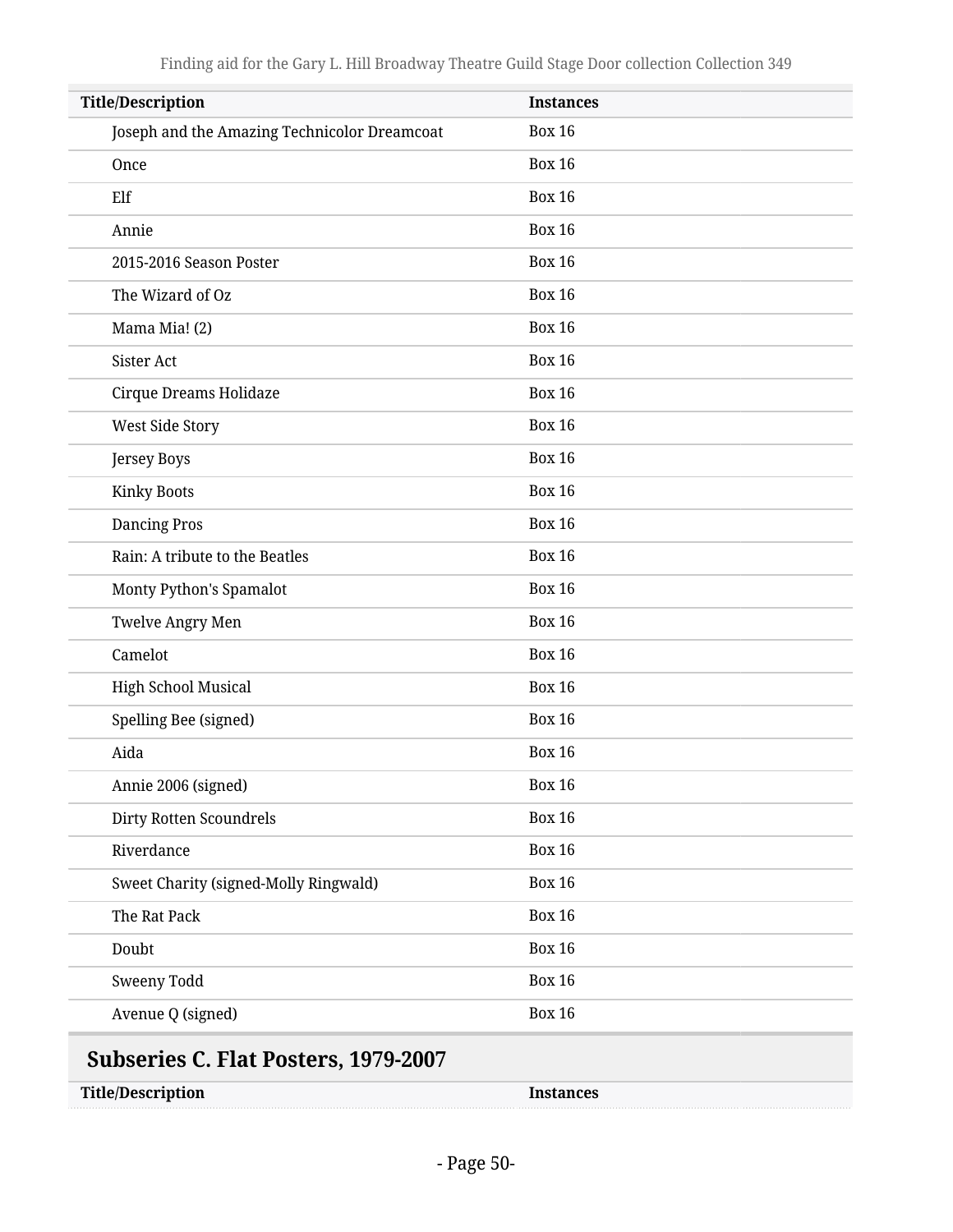| <b>Title/Description</b>                     | <b>Instances</b> |
|----------------------------------------------|------------------|
| Joseph and the Amazing Technicolor Dreamcoat | <b>Box 16</b>    |
| Once                                         | <b>Box 16</b>    |
| Elf                                          | <b>Box 16</b>    |
| Annie                                        | <b>Box 16</b>    |
| 2015-2016 Season Poster                      | <b>Box 16</b>    |
| The Wizard of Oz                             | <b>Box 16</b>    |
| Mama Mia! (2)                                | <b>Box 16</b>    |
| Sister Act                                   | <b>Box 16</b>    |
| Cirque Dreams Holidaze                       | <b>Box 16</b>    |
| West Side Story                              | <b>Box 16</b>    |
| Jersey Boys                                  | <b>Box 16</b>    |
| <b>Kinky Boots</b>                           | <b>Box 16</b>    |
| <b>Dancing Pros</b>                          | <b>Box 16</b>    |
| Rain: A tribute to the Beatles               | <b>Box 16</b>    |
| Monty Python's Spamalot                      | <b>Box 16</b>    |
| <b>Twelve Angry Men</b>                      | <b>Box 16</b>    |
| Camelot                                      | <b>Box 16</b>    |
| <b>High School Musical</b>                   | <b>Box 16</b>    |
| Spelling Bee (signed)                        | <b>Box 16</b>    |
| Aida                                         | <b>Box 16</b>    |
| Annie 2006 (signed)                          | <b>Box 16</b>    |
| Dirty Rotten Scoundrels                      | <b>Box 16</b>    |
| Riverdance                                   | <b>Box 16</b>    |
| Sweet Charity (signed-Molly Ringwald)        | <b>Box 16</b>    |
| The Rat Pack                                 | <b>Box 16</b>    |
| Doubt                                        | <b>Box 16</b>    |
| Sweeny Todd                                  | <b>Box 16</b>    |
| Avenue Q (signed)                            | <b>Box 16</b>    |

| <b>Title/Description</b> |  |
|--------------------------|--|
|--------------------------|--|

Instances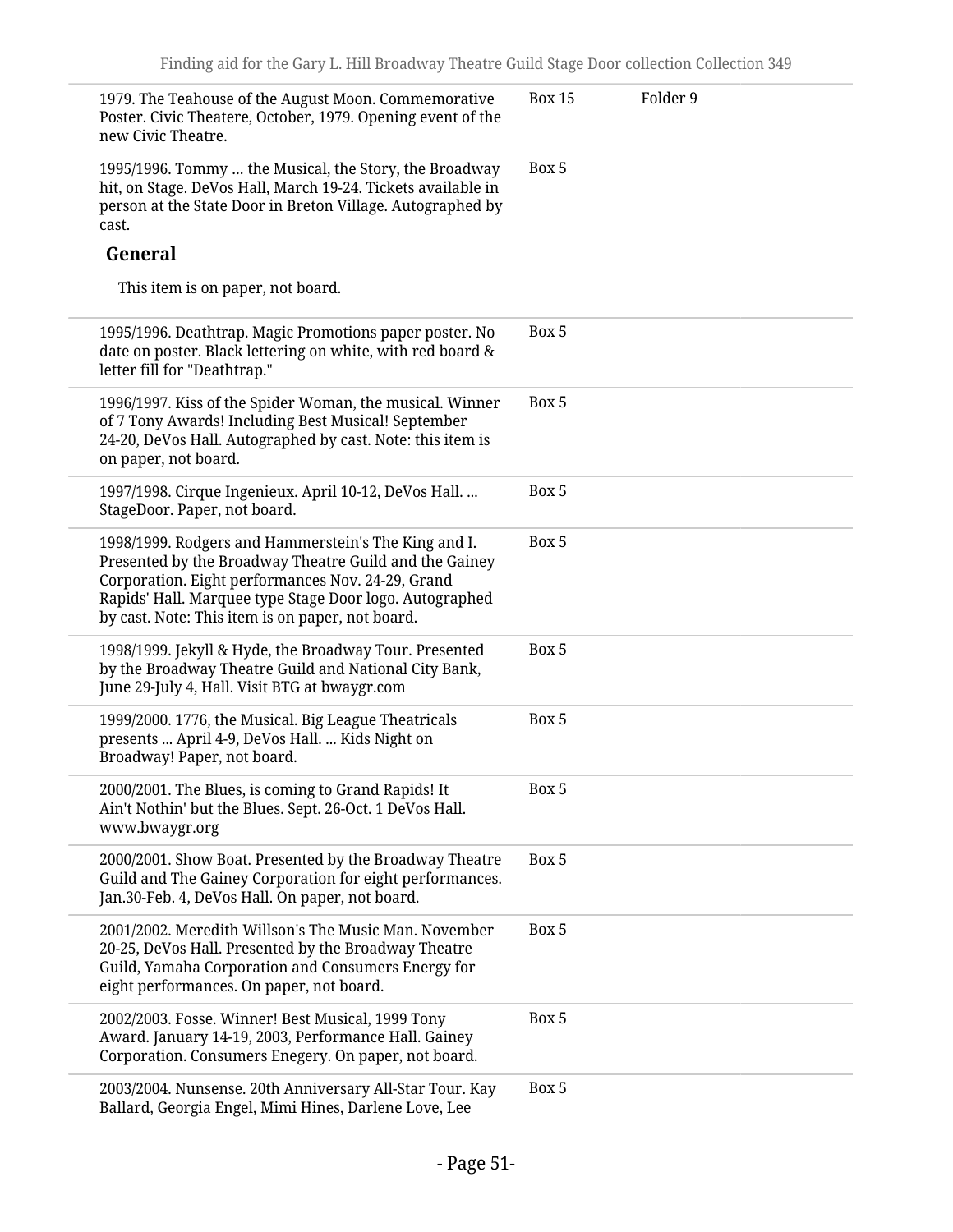| 1979. The Teahouse of the August Moon. Commemorative<br>Poster. Civic Theatere, October, 1979. Opening event of the<br>new Civic Theatre.                                                                                                                                          | <b>Box 15</b> | Folder 9 |
|------------------------------------------------------------------------------------------------------------------------------------------------------------------------------------------------------------------------------------------------------------------------------------|---------------|----------|
| 1995/1996. Tommy  the Musical, the Story, the Broadway<br>hit, on Stage. DeVos Hall, March 19-24. Tickets available in<br>person at the State Door in Breton Village. Autographed by<br>cast.                                                                                      | Box 5         |          |
| General                                                                                                                                                                                                                                                                            |               |          |
| This item is on paper, not board.                                                                                                                                                                                                                                                  |               |          |
| 1995/1996. Deathtrap. Magic Promotions paper poster. No<br>date on poster. Black lettering on white, with red board &<br>letter fill for "Deathtrap."                                                                                                                              | Box 5         |          |
| 1996/1997. Kiss of the Spider Woman, the musical. Winner<br>of 7 Tony Awards! Including Best Musical! September<br>24-20, DeVos Hall. Autographed by cast. Note: this item is<br>on paper, not board.                                                                              | Box 5         |          |
| 1997/1998. Cirque Ingenieux. April 10-12, DeVos Hall.<br>StageDoor. Paper, not board.                                                                                                                                                                                              | Box 5         |          |
| 1998/1999. Rodgers and Hammerstein's The King and I.<br>Presented by the Broadway Theatre Guild and the Gainey<br>Corporation. Eight performances Nov. 24-29, Grand<br>Rapids' Hall. Marquee type Stage Door logo. Autographed<br>by cast. Note: This item is on paper, not board. | Box 5         |          |
| 1998/1999. Jekyll & Hyde, the Broadway Tour. Presented<br>by the Broadway Theatre Guild and National City Bank,<br>June 29-July 4, Hall. Visit BTG at bwaygr.com                                                                                                                   | Box 5         |          |
| 1999/2000. 1776, the Musical. Big League Theatricals<br>presents  April 4-9, DeVos Hall.  Kids Night on<br>Broadway! Paper, not board.                                                                                                                                             | Box 5         |          |
| 2000/2001. The Blues, is coming to Grand Rapids! It<br>Ain't Nothin' but the Blues. Sept. 26-Oct. 1 DeVos Hall.<br>www.bwaygr.org                                                                                                                                                  | Box 5         |          |
| 2000/2001. Show Boat. Presented by the Broadway Theatre<br>Guild and The Gainey Corporation for eight performances.<br>Jan.30-Feb. 4, DeVos Hall. On paper, not board.                                                                                                             | Box 5         |          |
| 2001/2002. Meredith Willson's The Music Man. November<br>20-25, DeVos Hall. Presented by the Broadway Theatre<br>Guild, Yamaha Corporation and Consumers Energy for<br>eight performances. On paper, not board.                                                                    | Box 5         |          |
| 2002/2003. Fosse. Winner! Best Musical, 1999 Tony<br>Award. January 14-19, 2003, Performance Hall. Gainey<br>Corporation. Consumers Enegery. On paper, not board.                                                                                                                  | Box 5         |          |
| 2003/2004. Nunsense. 20th Anniversary All-Star Tour. Kay<br>Ballard, Georgia Engel, Mimi Hines, Darlene Love, Lee                                                                                                                                                                  | Box 5         |          |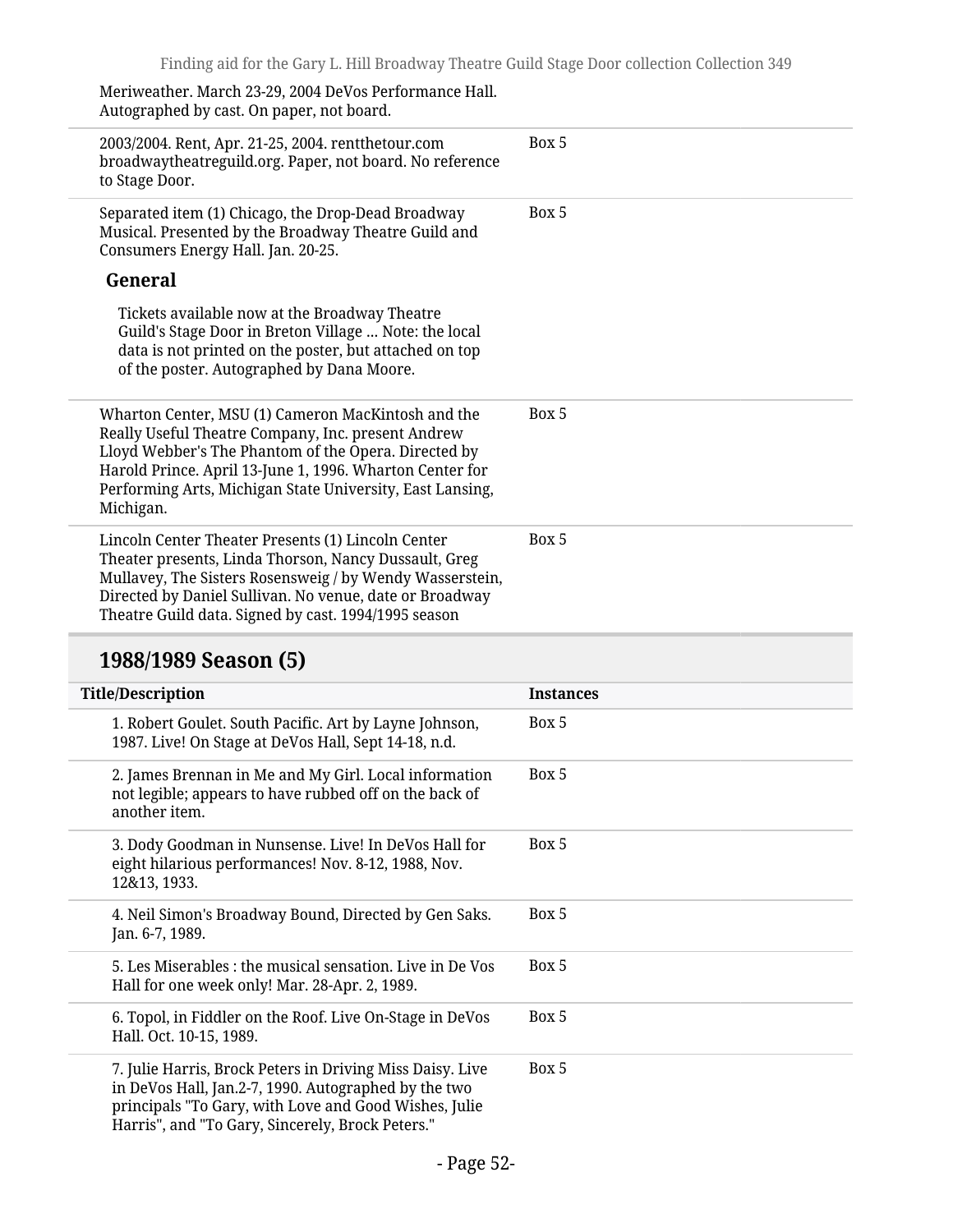Meriweather. March 23-29, 2004 DeVos Performance Hall. Autographed by cast. On paper, not board.

| 2003/2004. Rent, Apr. 21-25, 2004. rentthetour.com<br>broadwaytheatreguild.org. Paper, not board. No reference<br>to Stage Door.                                                                                                                                                                       | Box 5 |
|--------------------------------------------------------------------------------------------------------------------------------------------------------------------------------------------------------------------------------------------------------------------------------------------------------|-------|
| Separated item (1) Chicago, the Drop-Dead Broadway<br>Musical. Presented by the Broadway Theatre Guild and<br>Consumers Energy Hall. Jan. 20-25.                                                                                                                                                       | Box 5 |
| General                                                                                                                                                                                                                                                                                                |       |
| Tickets available now at the Broadway Theatre<br>Guild's Stage Door in Breton Village  Note: the local<br>data is not printed on the poster, but attached on top<br>of the poster. Autographed by Dana Moore.                                                                                          |       |
| Wharton Center, MSU (1) Cameron MacKintosh and the<br>Really Useful Theatre Company, Inc. present Andrew<br>Lloyd Webber's The Phantom of the Opera. Directed by<br>Harold Prince. April 13-June 1, 1996. Wharton Center for<br>Performing Arts, Michigan State University, East Lansing,<br>Michigan. | Box 5 |
| Lincoln Center Theater Presents (1) Lincoln Center<br>Theater presents, Linda Thorson, Nancy Dussault, Greg<br>Mullavey, The Sisters Rosensweig / by Wendy Wasserstein,<br>Directed by Daniel Sullivan. No venue, date or Broadway<br>Theatre Guild data. Signed by cast. 1994/1995 season             | Box 5 |

## **1988/1989 Season (5)**

| <b>Title/Description</b>                                                                                                                                                                                                       | <b>Instances</b> |
|--------------------------------------------------------------------------------------------------------------------------------------------------------------------------------------------------------------------------------|------------------|
| 1. Robert Goulet. South Pacific. Art by Layne Johnson,<br>1987. Live! On Stage at DeVos Hall, Sept 14-18, n.d.                                                                                                                 | Box 5            |
| 2. James Brennan in Me and My Girl. Local information<br>not legible; appears to have rubbed off on the back of<br>another item.                                                                                               | Box 5            |
| 3. Dody Goodman in Nunsense. Live! In DeVos Hall for<br>eight hilarious performances! Nov. 8-12, 1988, Nov.<br>12&13, 1933.                                                                                                    | Box 5            |
| 4. Neil Simon's Broadway Bound, Directed by Gen Saks.<br>Jan. 6-7, 1989.                                                                                                                                                       | Box 5            |
| 5. Les Miserables : the musical sensation. Live in De Vos<br>Hall for one week only! Mar. 28-Apr. 2, 1989.                                                                                                                     | Box 5            |
| 6. Topol, in Fiddler on the Roof. Live On-Stage in DeVos<br>Hall. Oct. 10-15, 1989.                                                                                                                                            | Box 5            |
| 7. Julie Harris, Brock Peters in Driving Miss Daisy. Live<br>in DeVos Hall, Jan.2-7, 1990. Autographed by the two<br>principals "To Gary, with Love and Good Wishes, Julie<br>Harris", and "To Gary, Sincerely, Brock Peters." | Box 5            |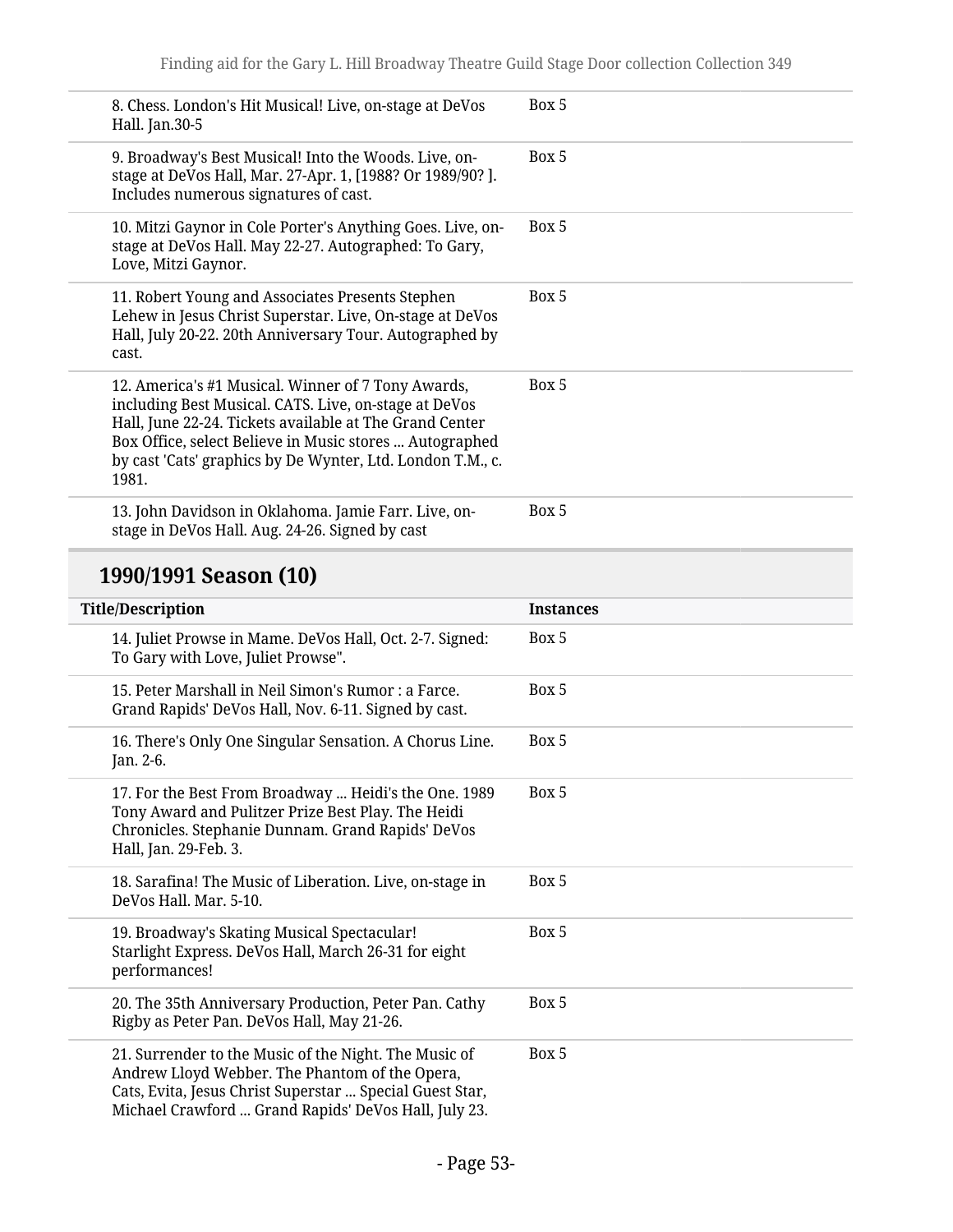| 8. Chess. London's Hit Musical! Live, on-stage at DeVos<br>Hall. Jan.30-5                                                                                                                                                                                                                                | Box 5 |
|----------------------------------------------------------------------------------------------------------------------------------------------------------------------------------------------------------------------------------------------------------------------------------------------------------|-------|
| 9. Broadway's Best Musical! Into the Woods. Live, on-<br>stage at DeVos Hall, Mar. 27-Apr. 1, [1988? Or 1989/90? ].<br>Includes numerous signatures of cast.                                                                                                                                             | Box 5 |
| 10. Mitzi Gaynor in Cole Porter's Anything Goes. Live, on-<br>stage at DeVos Hall. May 22-27. Autographed: To Gary,<br>Love, Mitzi Gaynor.                                                                                                                                                               | Box 5 |
| 11. Robert Young and Associates Presents Stephen<br>Lehew in Jesus Christ Superstar. Live, On-stage at DeVos<br>Hall, July 20-22. 20th Anniversary Tour. Autographed by<br>cast.                                                                                                                         | Box 5 |
| 12. America's #1 Musical. Winner of 7 Tony Awards,<br>including Best Musical. CATS. Live, on-stage at DeVos<br>Hall, June 22-24. Tickets available at The Grand Center<br>Box Office, select Believe in Music stores  Autographed<br>by cast 'Cats' graphics by De Wynter, Ltd. London T.M., c.<br>1981. | Box 5 |
| 13. John Davidson in Oklahoma. Jamie Farr. Live, on-<br>stage in DeVos Hall. Aug. 24-26. Signed by cast                                                                                                                                                                                                  | Box 5 |

# **1990/1991 Season (10)**

| <b>Title/Description</b>                                                                                                                                                                                                    | <b>Instances</b> |
|-----------------------------------------------------------------------------------------------------------------------------------------------------------------------------------------------------------------------------|------------------|
| 14. Juliet Prowse in Mame. DeVos Hall, Oct. 2-7. Signed:<br>To Gary with Love, Juliet Prowse".                                                                                                                              | Box 5            |
| 15. Peter Marshall in Neil Simon's Rumor : a Farce.<br>Grand Rapids' DeVos Hall, Nov. 6-11. Signed by cast.                                                                                                                 | Box 5            |
| 16. There's Only One Singular Sensation. A Chorus Line.<br>Jan. 2-6.                                                                                                                                                        | Box 5            |
| 17. For the Best From Broadway  Heidi's the One. 1989<br>Tony Award and Pulitzer Prize Best Play. The Heidi<br>Chronicles. Stephanie Dunnam. Grand Rapids' DeVos<br>Hall, Jan. 29-Feb. 3.                                   | Box 5            |
| 18. Sarafina! The Music of Liberation. Live, on-stage in<br>DeVos Hall. Mar. 5-10.                                                                                                                                          | Box 5            |
| 19. Broadway's Skating Musical Spectacular!<br>Starlight Express. DeVos Hall, March 26-31 for eight<br>performances!                                                                                                        | Box 5            |
| 20. The 35th Anniversary Production, Peter Pan. Cathy<br>Rigby as Peter Pan. DeVos Hall, May 21-26.                                                                                                                         | Box 5            |
| 21. Surrender to the Music of the Night. The Music of<br>Andrew Lloyd Webber. The Phantom of the Opera,<br>Cats, Evita, Jesus Christ Superstar  Special Guest Star,<br>Michael Crawford  Grand Rapids' DeVos Hall, July 23. | Box 5            |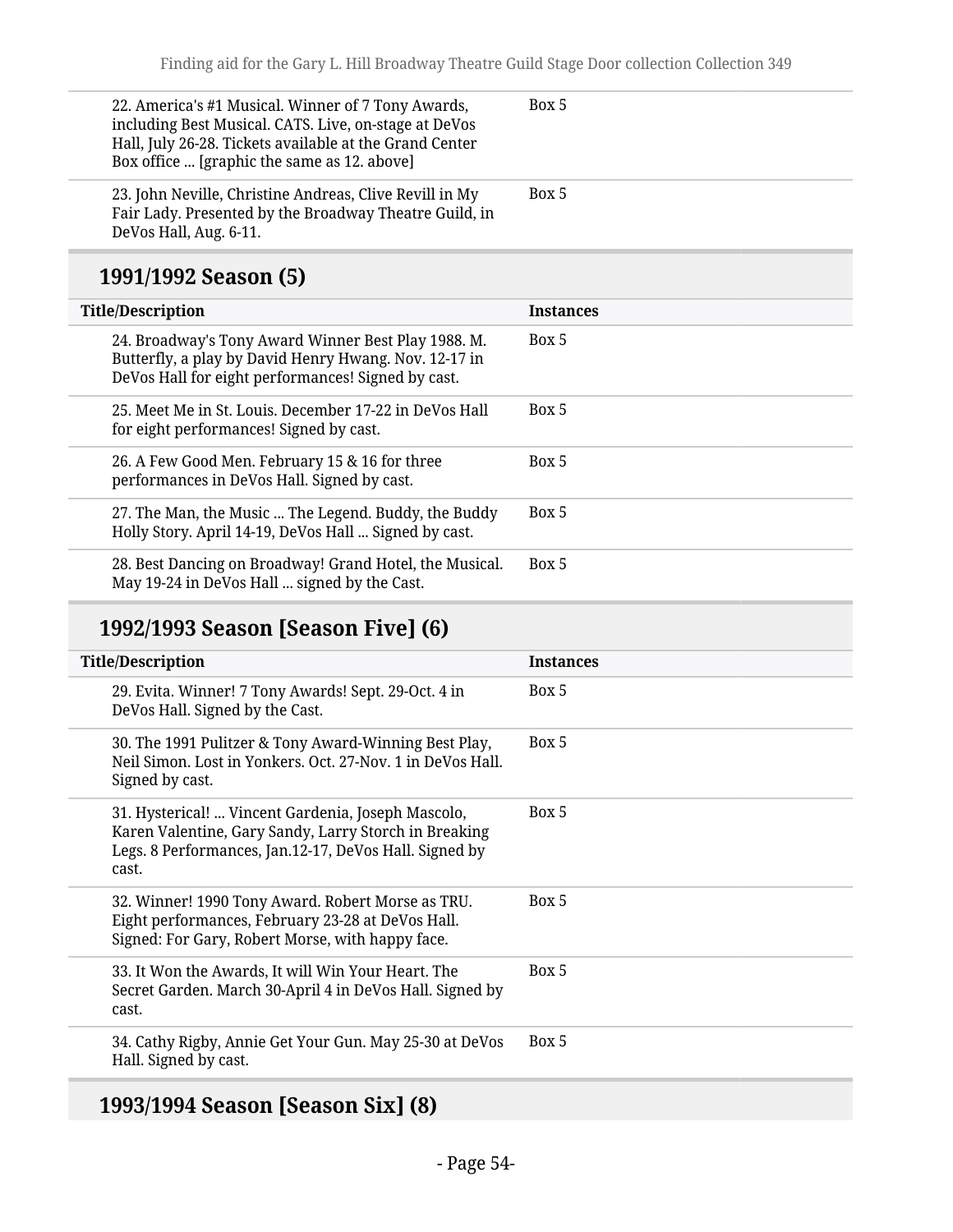| 22. America's #1 Musical. Winner of 7 Tony Awards,<br>including Best Musical. CATS. Live, on-stage at DeVos<br>Hall, July 26-28. Tickets available at the Grand Center<br>Box office  [graphic the same as 12. above] | Box 5            |
|-----------------------------------------------------------------------------------------------------------------------------------------------------------------------------------------------------------------------|------------------|
| 23. John Neville, Christine Andreas, Clive Revill in My<br>Fair Lady. Presented by the Broadway Theatre Guild, in<br>DeVos Hall, Aug. 6-11.                                                                           | Box 5            |
| 1991/1992 Season (5)                                                                                                                                                                                                  |                  |
|                                                                                                                                                                                                                       |                  |
| <b>Title/Description</b>                                                                                                                                                                                              | <b>Instances</b> |
| 24. Broadway's Tony Award Winner Best Play 1988. M.<br>Butterfly, a play by David Henry Hwang. Nov. 12-17 in<br>DeVos Hall for eight performances! Signed by cast.                                                    | Box 5            |
| 25. Meet Me in St. Louis. December 17-22 in DeVos Hall<br>for eight performances! Signed by cast.                                                                                                                     | Box 5            |
| 26. A Few Good Men. February 15 & 16 for three<br>performances in DeVos Hall. Signed by cast.                                                                                                                         | Box 5            |

28. Best Dancing on Broadway! Grand Hotel, the Musical. May 19-24 in DeVos Hall ... signed by the Cast. Box 5

#### **1992/1993 Season [Season Five] (6)**

Holly Story. April 14-19, DeVos Hall ... Signed by cast.

| <b>Title/Description</b>                                                                                                                                                       | <b>Instances</b> |
|--------------------------------------------------------------------------------------------------------------------------------------------------------------------------------|------------------|
| 29. Evita. Winner! 7 Tony Awards! Sept. 29-Oct. 4 in<br>DeVos Hall. Signed by the Cast.                                                                                        | Box 5            |
| 30. The 1991 Pulitzer & Tony Award-Winning Best Play,<br>Neil Simon, Lost in Yonkers, Oct. 27-Nov. 1 in DeVos Hall.<br>Signed by cast.                                         | Box 5            |
| 31. Hysterical!  Vincent Gardenia, Joseph Mascolo,<br>Karen Valentine, Gary Sandy, Larry Storch in Breaking<br>Legs. 8 Performances, Jan.12-17, DeVos Hall. Signed by<br>cast. | Box 5            |
| 32. Winner! 1990 Tony Award. Robert Morse as TRU.<br>Eight performances, February 23-28 at DeVos Hall.<br>Signed: For Gary, Robert Morse, with happy face.                     | Box 5            |
| 33. It Won the Awards, It will Win Your Heart. The<br>Secret Garden. March 30-April 4 in DeVos Hall. Signed by<br>cast.                                                        | Box 5            |
| 34. Cathy Rigby, Annie Get Your Gun. May 25-30 at DeVos<br>Hall. Signed by cast.                                                                                               | Box 5            |
|                                                                                                                                                                                |                  |

#### **1993/1994 Season [Season Six] (8)**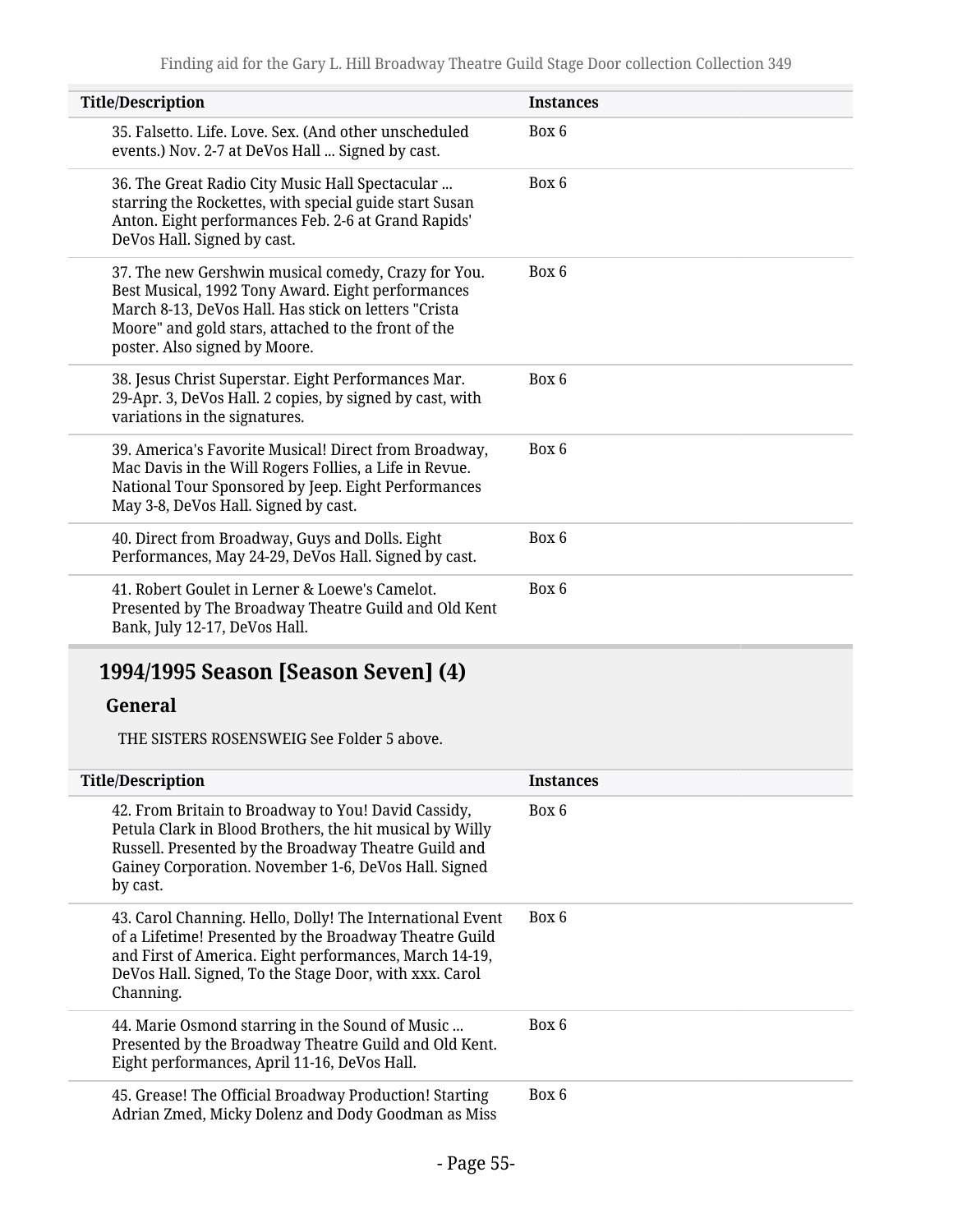| <b>Title/Description</b>                                                                                                                                                                                                                                 | <b>Instances</b> |
|----------------------------------------------------------------------------------------------------------------------------------------------------------------------------------------------------------------------------------------------------------|------------------|
| 35. Falsetto. Life. Love. Sex. (And other unscheduled<br>events.) Nov. 2-7 at DeVos Hall  Signed by cast.                                                                                                                                                | Box 6            |
| 36. The Great Radio City Music Hall Spectacular<br>starring the Rockettes, with special guide start Susan<br>Anton. Eight performances Feb. 2-6 at Grand Rapids'<br>DeVos Hall. Signed by cast.                                                          | Box 6            |
| 37. The new Gershwin musical comedy, Crazy for You.<br>Best Musical, 1992 Tony Award. Eight performances<br>March 8-13, DeVos Hall. Has stick on letters "Crista<br>Moore" and gold stars, attached to the front of the<br>poster. Also signed by Moore. | Box 6            |
| 38. Jesus Christ Superstar. Eight Performances Mar.<br>29-Apr. 3, DeVos Hall. 2 copies, by signed by cast, with<br>variations in the signatures.                                                                                                         | Box 6            |
| 39. America's Favorite Musical! Direct from Broadway,<br>Mac Davis in the Will Rogers Follies, a Life in Revue.<br>National Tour Sponsored by Jeep. Eight Performances<br>May 3-8, DeVos Hall. Signed by cast.                                           | Box 6            |
| 40. Direct from Broadway, Guys and Dolls. Eight<br>Performances, May 24-29, DeVos Hall. Signed by cast.                                                                                                                                                  | Box 6            |
| 41. Robert Goulet in Lerner & Loewe's Camelot.<br>Presented by The Broadway Theatre Guild and Old Kent<br>Bank, July 12-17, DeVos Hall.                                                                                                                  | Box 6            |

## **1994/1995 Season [Season Seven] (4)**

#### **General**

THE SISTERS ROSENSWEIG See Folder 5 above.

| <b>Title/Description</b>                                                                                                                                                                                                                             | <b>Instances</b> |
|------------------------------------------------------------------------------------------------------------------------------------------------------------------------------------------------------------------------------------------------------|------------------|
| 42. From Britain to Broadway to You! David Cassidy,<br>Petula Clark in Blood Brothers, the hit musical by Willy<br>Russell. Presented by the Broadway Theatre Guild and<br>Gainey Corporation. November 1-6, DeVos Hall. Signed<br>by cast.          | Box 6            |
| 43. Carol Channing. Hello, Dolly! The International Event<br>of a Lifetime! Presented by the Broadway Theatre Guild<br>and First of America. Eight performances, March 14-19,<br>DeVos Hall. Signed, To the Stage Door, with xxx. Carol<br>Channing. | Box 6            |
| 44. Marie Osmond starring in the Sound of Music<br>Presented by the Broadway Theatre Guild and Old Kent.<br>Eight performances, April 11-16, DeVos Hall.                                                                                             | Box 6            |
| 45. Grease! The Official Broadway Production! Starting<br>Adrian Zmed, Micky Dolenz and Dody Goodman as Miss                                                                                                                                         | Box 6            |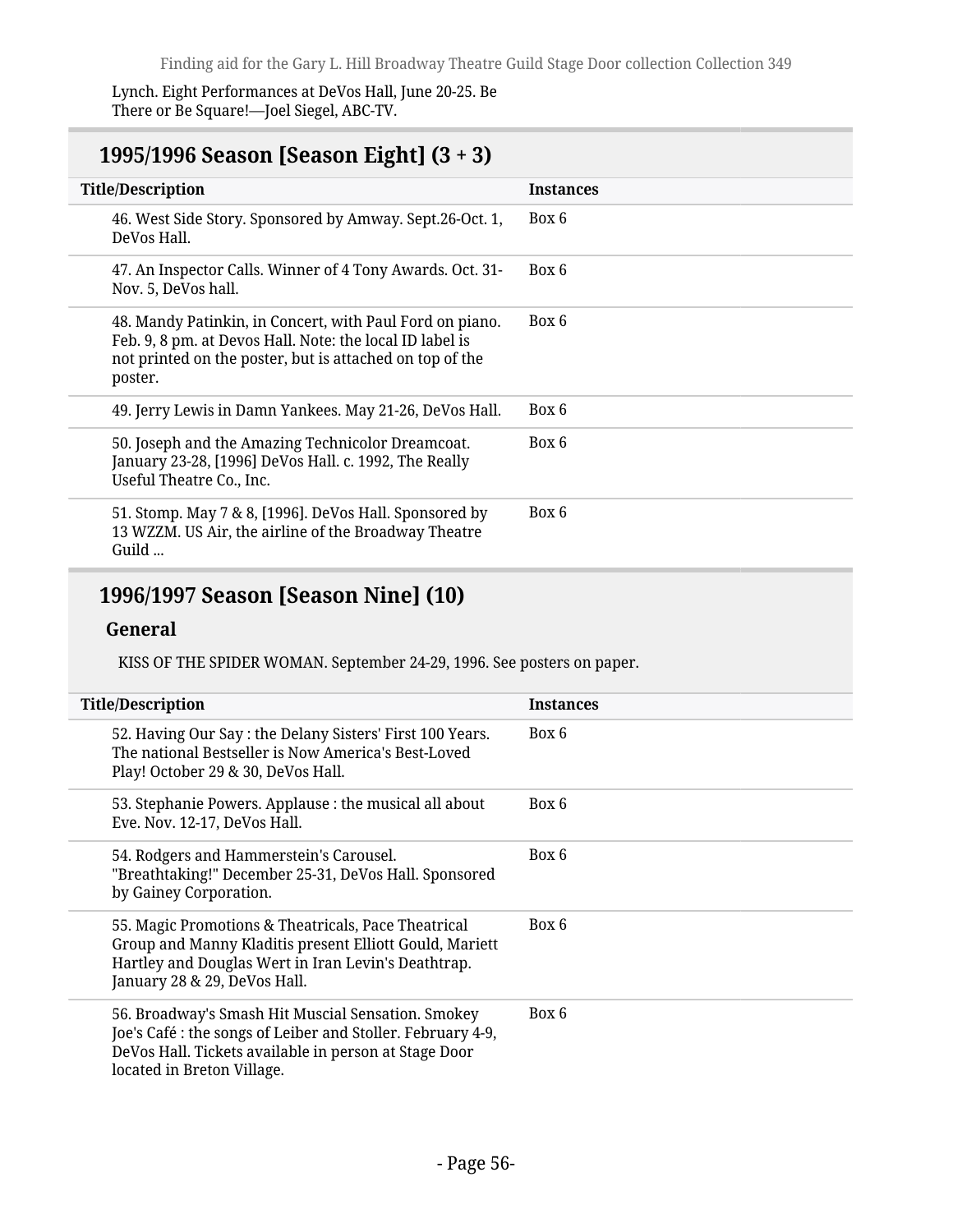Lynch. Eight Performances at DeVos Hall, June 20-25. Be There or Be Square!—Joel Siegel, ABC-TV.

#### **1995/1996 Season [Season Eight] (3 + 3)**

| <b>Title/Description</b>                                                                                                                                                                    | <b>Instances</b> |
|---------------------------------------------------------------------------------------------------------------------------------------------------------------------------------------------|------------------|
| 46. West Side Story. Sponsored by Amway. Sept.26-Oct. 1,<br>DeVos Hall.                                                                                                                     | Box 6            |
| 47. An Inspector Calls. Winner of 4 Tony Awards. Oct. 31-<br>Nov. 5, DeVos hall.                                                                                                            | Box 6            |
| 48. Mandy Patinkin, in Concert, with Paul Ford on piano.<br>Feb. 9, 8 pm. at Devos Hall. Note: the local ID label is<br>not printed on the poster, but is attached on top of the<br>poster. | Box 6            |
| 49. Jerry Lewis in Damn Yankees. May 21-26, DeVos Hall.                                                                                                                                     | Box 6            |
| 50. Joseph and the Amazing Technicolor Dreamcoat.<br>January 23-28, [1996] DeVos Hall. c. 1992, The Really<br>Useful Theatre Co., Inc.                                                      | Box 6            |
| 51. Stomp. May 7 & 8, [1996]. DeVos Hall. Sponsored by<br>13 WZZM. US Air, the airline of the Broadway Theatre<br>Guild                                                                     | Box 6            |
|                                                                                                                                                                                             |                  |

#### **1996/1997 Season [Season Nine] (10)**

#### **General**

KISS OF THE SPIDER WOMAN. September 24-29, 1996. See posters on paper.

| <b>Title/Description</b>                                                                                                                                                                                 | <b>Instances</b> |
|----------------------------------------------------------------------------------------------------------------------------------------------------------------------------------------------------------|------------------|
| 52. Having Our Say: the Delany Sisters' First 100 Years.<br>The national Bestseller is Now America's Best-Loved<br>Play! October 29 & 30, DeVos Hall.                                                    | Box 6            |
| 53. Stephanie Powers. Applause : the musical all about<br>Eve. Nov. 12-17, DeVos Hall.                                                                                                                   | Box 6            |
| 54. Rodgers and Hammerstein's Carousel.<br>"Breathtaking!" December 25-31, DeVos Hall. Sponsored<br>by Gainey Corporation.                                                                               | Box 6            |
| 55. Magic Promotions & Theatricals, Pace Theatrical<br>Group and Manny Kladitis present Elliott Gould, Mariett<br>Hartley and Douglas Wert in Iran Levin's Deathtrap.<br>January 28 & 29, DeVos Hall.    | Box 6            |
| 56. Broadway's Smash Hit Muscial Sensation. Smokey<br>Joe's Café : the songs of Leiber and Stoller. February 4-9,<br>DeVos Hall. Tickets available in person at Stage Door<br>located in Breton Village. | Box 6            |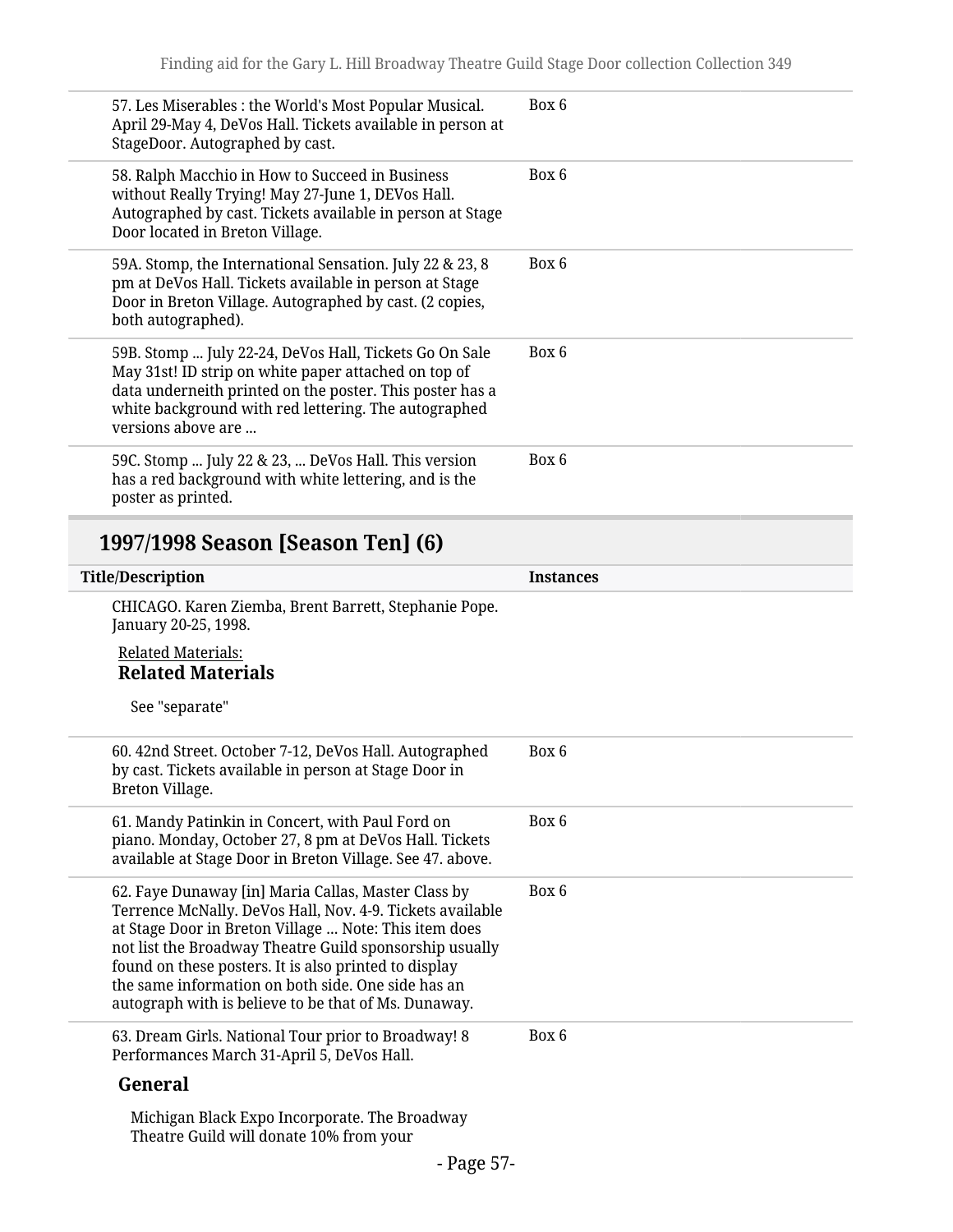| 57. Les Miserables : the World's Most Popular Musical.<br>April 29-May 4, DeVos Hall. Tickets available in person at<br>StageDoor. Autographed by cast.                                                                                                                                                                                                                                                     | Box 6            |
|-------------------------------------------------------------------------------------------------------------------------------------------------------------------------------------------------------------------------------------------------------------------------------------------------------------------------------------------------------------------------------------------------------------|------------------|
| 58. Ralph Macchio in How to Succeed in Business<br>without Really Trying! May 27-June 1, DEVos Hall.<br>Autographed by cast. Tickets available in person at Stage<br>Door located in Breton Village.                                                                                                                                                                                                        | Box 6            |
| 59A. Stomp, the International Sensation. July 22 & 23, 8<br>pm at DeVos Hall. Tickets available in person at Stage<br>Door in Breton Village. Autographed by cast. (2 copies,<br>both autographed).                                                                                                                                                                                                         | Box 6            |
| 59B. Stomp  July 22-24, DeVos Hall, Tickets Go On Sale<br>May 31st! ID strip on white paper attached on top of<br>data underneith printed on the poster. This poster has a<br>white background with red lettering. The autographed<br>versions above are                                                                                                                                                    | Box 6            |
| 59C. Stomp  July 22 & 23,  DeVos Hall. This version<br>has a red background with white lettering, and is the<br>poster as printed.                                                                                                                                                                                                                                                                          | Box 6            |
| 1997/1998 Season [Season Ten] (6)                                                                                                                                                                                                                                                                                                                                                                           |                  |
| <b>Title/Description</b>                                                                                                                                                                                                                                                                                                                                                                                    | <b>Instances</b> |
| CHICAGO. Karen Ziemba, Brent Barrett, Stephanie Pope.<br>January 20-25, 1998.                                                                                                                                                                                                                                                                                                                               |                  |
| <b>Related Materials:</b><br><b>Related Materials</b>                                                                                                                                                                                                                                                                                                                                                       |                  |
| See "separate"                                                                                                                                                                                                                                                                                                                                                                                              |                  |
| 60. 42nd Street. October 7-12, DeVos Hall. Autographed<br>by cast. Tickets available in person at Stage Door in<br>Breton Village.                                                                                                                                                                                                                                                                          | Box 6            |
| 61. Mandy Patinkin in Concert, with Paul Ford on<br>piano. Monday, October 27, 8 pm at DeVos Hall. Tickets<br>available at Stage Door in Breton Village. See 47. above.                                                                                                                                                                                                                                     | Box 6            |
| 62. Faye Dunaway [in] Maria Callas, Master Class by<br>Terrence McNally. DeVos Hall, Nov. 4-9. Tickets available<br>at Stage Door in Breton Village  Note: This item does<br>not list the Broadway Theatre Guild sponsorship usually<br>found on these posters. It is also printed to display<br>the same information on both side. One side has an<br>autograph with is believe to be that of Ms. Dunaway. | Box 6            |
| 63. Dream Girls. National Tour prior to Broadway! 8<br>Performances March 31-April 5, DeVos Hall.                                                                                                                                                                                                                                                                                                           | Box 6            |
| General                                                                                                                                                                                                                                                                                                                                                                                                     |                  |
|                                                                                                                                                                                                                                                                                                                                                                                                             |                  |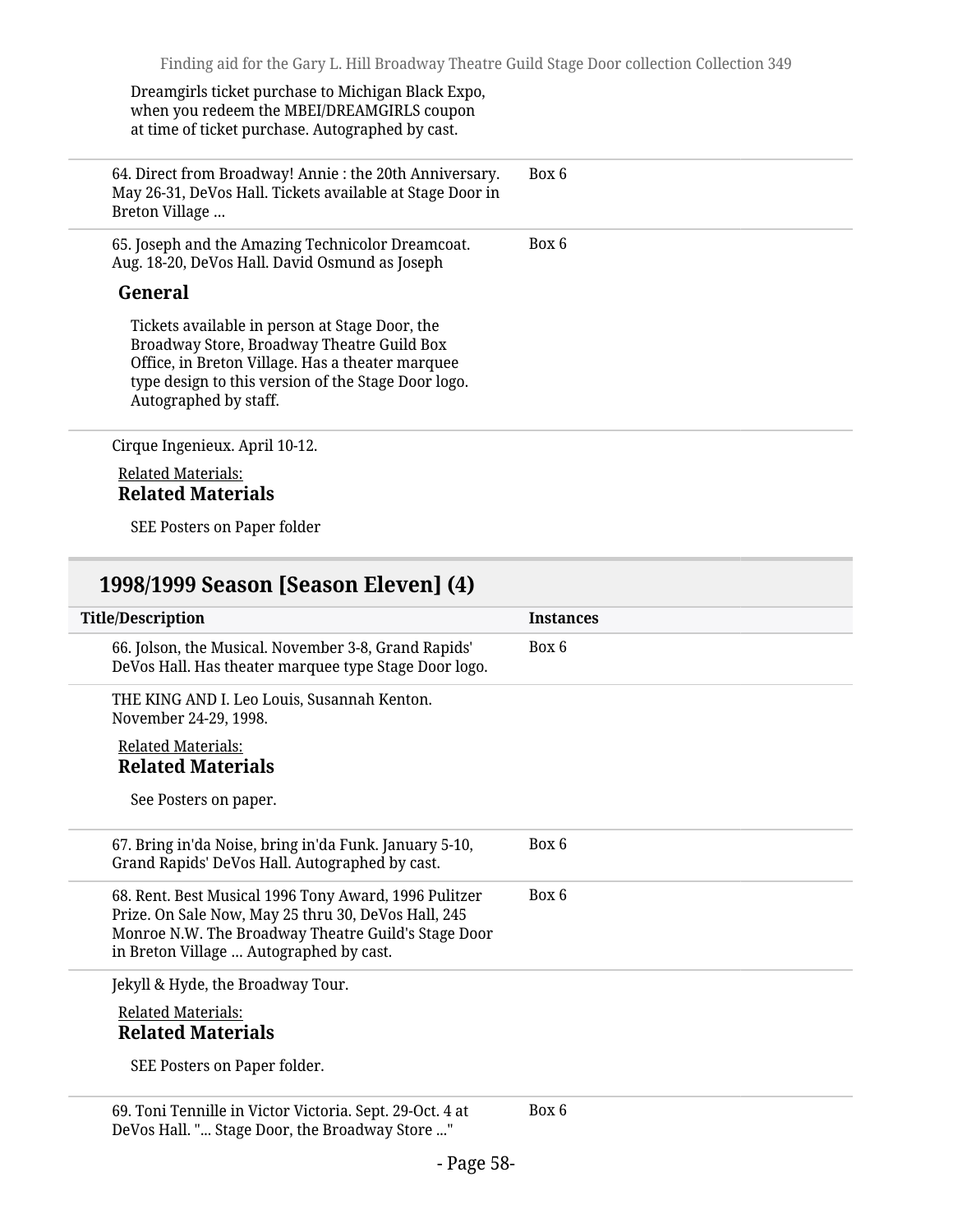Dreamgirls ticket purchase to Michigan Black Expo, when you redeem the MBEI/DREAMGIRLS coupon at time of ticket purchase. Autographed by cast.

64. Direct from Broadway! Annie : the 20th Anniversary. May 26-31, DeVos Hall. Tickets available at Stage Door in Breton Village … Box 6 65. Joseph and the Amazing Technicolor Dreamcoat. Aug. 18-20, DeVos Hall. David Osmund as Joseph **General** Tickets available in person at Stage Door, the Broadway Store, Broadway Theatre Guild Box Office, in Breton Village. Has a theater marquee type design to this version of the Stage Door logo. Autographed by staff. Box 6 Cirque Ingenieux. April 10-12.

Related Materials: **Related Materials**

SEE Posters on Paper folder

#### **1998/1999 Season [Season Eleven] (4)**

| <b>Title/Description</b>                                                                                                                                                                                       | <b>Instances</b> |
|----------------------------------------------------------------------------------------------------------------------------------------------------------------------------------------------------------------|------------------|
| 66. Jolson, the Musical. November 3-8, Grand Rapids'<br>DeVos Hall. Has theater marquee type Stage Door logo.                                                                                                  | Box 6            |
| THE KING AND I. Leo Louis, Susannah Kenton.<br>November 24-29, 1998.                                                                                                                                           |                  |
| <b>Related Materials:</b><br><b>Related Materials</b>                                                                                                                                                          |                  |
| See Posters on paper.                                                                                                                                                                                          |                  |
| 67. Bring in'da Noise, bring in'da Funk. January 5-10,<br>Grand Rapids' DeVos Hall. Autographed by cast.                                                                                                       | Box 6            |
| 68. Rent. Best Musical 1996 Tony Award, 1996 Pulitzer<br>Prize. On Sale Now, May 25 thru 30, DeVos Hall, 245<br>Monroe N.W. The Broadway Theatre Guild's Stage Door<br>in Breton Village  Autographed by cast. | Box 6            |
| Jekyll & Hyde, the Broadway Tour.                                                                                                                                                                              |                  |
| <b>Related Materials:</b><br><b>Related Materials</b>                                                                                                                                                          |                  |
| SEE Posters on Paper folder.                                                                                                                                                                                   |                  |

69. Toni Tennille in Victor Victoria. Sept. 29-Oct. 4 at DeVos Hall. "... Stage Door, the Broadway Store ..." Box 6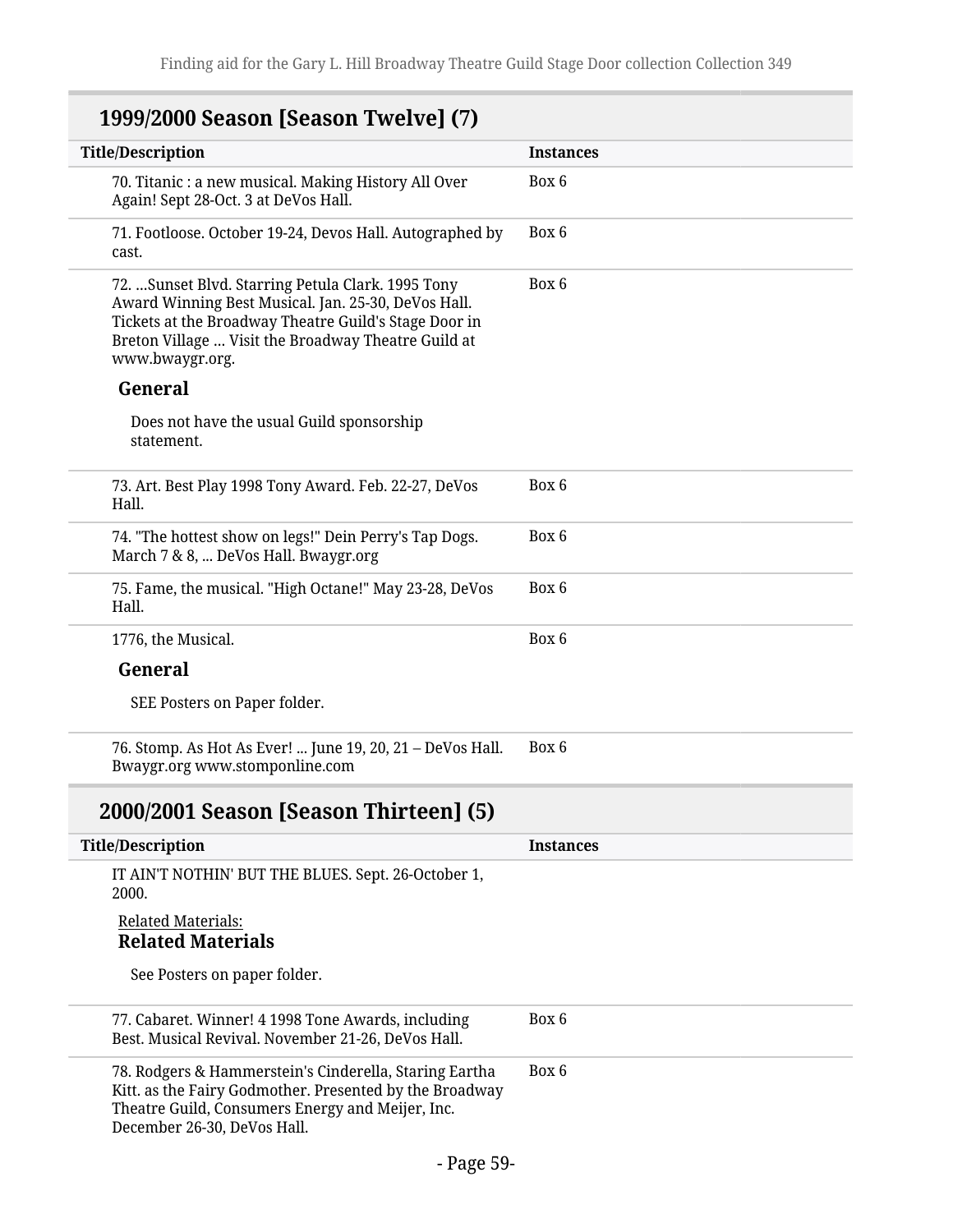| 1999/2000 Season [Season Twelve] (7)                                                                                                                                                                                                        |                  |
|---------------------------------------------------------------------------------------------------------------------------------------------------------------------------------------------------------------------------------------------|------------------|
| <b>Title/Description</b>                                                                                                                                                                                                                    | <b>Instances</b> |
| 70. Titanic : a new musical. Making History All Over<br>Again! Sept 28-Oct. 3 at DeVos Hall.                                                                                                                                                | Box 6            |
| 71. Footloose. October 19-24, Devos Hall. Autographed by<br>cast.                                                                                                                                                                           | Box 6            |
| 72. Sunset Blvd. Starring Petula Clark. 1995 Tony<br>Award Winning Best Musical. Jan. 25-30, DeVos Hall.<br>Tickets at the Broadway Theatre Guild's Stage Door in<br>Breton Village  Visit the Broadway Theatre Guild at<br>www.bwaygr.org. | Box 6            |
| General                                                                                                                                                                                                                                     |                  |
| Does not have the usual Guild sponsorship<br>statement.                                                                                                                                                                                     |                  |
| 73. Art. Best Play 1998 Tony Award. Feb. 22-27, DeVos<br>Hall.                                                                                                                                                                              | Box 6            |
| 74. "The hottest show on legs!" Dein Perry's Tap Dogs.<br>March 7 & 8,  DeVos Hall. Bwaygr.org                                                                                                                                              | Box 6            |
| 75. Fame, the musical. "High Octane!" May 23-28, DeVos<br>Hall.                                                                                                                                                                             | Box 6            |
| 1776, the Musical.                                                                                                                                                                                                                          | Box 6            |
| General                                                                                                                                                                                                                                     |                  |
| SEE Posters on Paper folder.                                                                                                                                                                                                                |                  |
| 76. Stomp. As Hot As Ever!  June 19, 20, 21 - DeVos Hall.<br>Bwaygr.org www.stomponline.com                                                                                                                                                 | Box 6            |
| 2000/2001 Season [Season Thirteen] (5)                                                                                                                                                                                                      |                  |
| <b>Title/Description</b>                                                                                                                                                                                                                    | <b>Instances</b> |
| IT AIN'T NOTHIN' BUT THE BLUES. Sept. 26-October 1,<br>2000.                                                                                                                                                                                |                  |
| <b>Related Materials:</b><br><b>Related Materials</b>                                                                                                                                                                                       |                  |
| See Posters on paper folder.                                                                                                                                                                                                                |                  |
| 77. Cabaret. Winner! 4 1998 Tone Awards, including<br>Best. Musical Revival. November 21-26, DeVos Hall.                                                                                                                                    | Box 6            |
| 78. Rodgers & Hammerstein's Cinderella, Staring Eartha<br>Kitt. as the Fairy Godmother. Presented by the Broadway<br>Theatre Guild, Consumers Energy and Meijer, Inc.<br>December 26-30, DeVos Hall.                                        | Box 6            |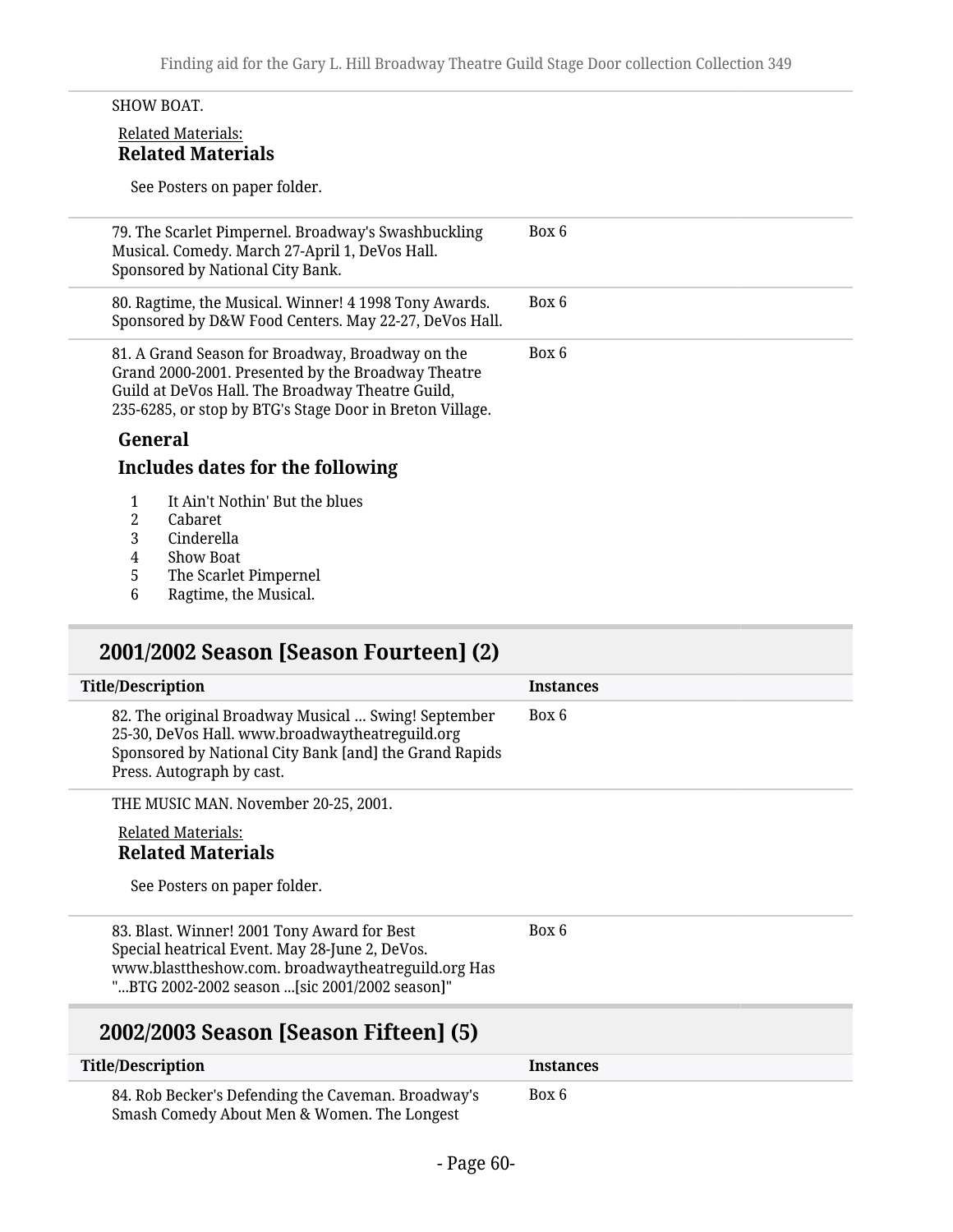#### SHOW BOAT.

#### Related Materials: **Related Materials**

See Posters on paper folder.

| 79. The Scarlet Pimpernel. Broadway's Swashbuckling<br>Musical. Comedy. March 27-April 1, DeVos Hall.<br>Sponsored by National City Bank.                                                                              | Box 6 |
|------------------------------------------------------------------------------------------------------------------------------------------------------------------------------------------------------------------------|-------|
| 80. Ragtime, the Musical. Winner! 4 1998 Tony Awards.<br>Sponsored by D&W Food Centers. May 22-27, DeVos Hall.                                                                                                         | Box 6 |
| 81. A Grand Season for Broadway, Broadway on the<br>Grand 2000-2001. Presented by the Broadway Theatre<br>Guild at DeVos Hall. The Broadway Theatre Guild,<br>235-6285, or stop by BTG's Stage Door in Breton Village. | Box 6 |
| General<br>Includes dates for the following                                                                                                                                                                            |       |
| It Ain <sup>1</sup> Mothin! Dut the blues<br>$\sim$ 1                                                                                                                                                                  |       |

- 1 It Ain't Nothin' But the blues<br>2 Cabaret
- 2 Cabaret
- 3 Cinderella
- 4 Show Boat<br>5 The Scarlet
- 5 The Scarlet Pimpernel<br>6 Ragtime, the Musical.
- Ragtime, the Musical.

## **2001/2002 Season [Season Fourteen] (2)**

| <b>Title/Description</b>                                                                                                                                                                      | <b>Instances</b> |
|-----------------------------------------------------------------------------------------------------------------------------------------------------------------------------------------------|------------------|
| 82. The original Broadway Musical  Swing! September<br>25-30, DeVos Hall. www.broadwaytheatreguild.org<br>Sponsored by National City Bank [and] the Grand Rapids<br>Press. Autograph by cast. | Box 6            |
| THE MUSIC MAN. November 20-25, 2001.                                                                                                                                                          |                  |
| <b>Related Materials:</b>                                                                                                                                                                     |                  |
| <b>Related Materials</b>                                                                                                                                                                      |                  |
| See Posters on paper folder.                                                                                                                                                                  |                  |
| 83. Blast. Winner! 2001 Tony Award for Best                                                                                                                                                   | Box 6            |
| Special heatrical Event. May 28-June 2, DeVos.<br>www.blasttheshow.com. broadwaytheatreguild.org Has                                                                                          |                  |
| "BTG 2002-2002 season [sic 2001/2002 season]"                                                                                                                                                 |                  |
| 2002/2003 Season [Season Fifteen] (5)                                                                                                                                                         |                  |

# **Title/Description Instances**

84. Rob Becker's Defending the Caveman. Broadway's Smash Comedy About Men & Women. The Longest

Box 6

- Page 60-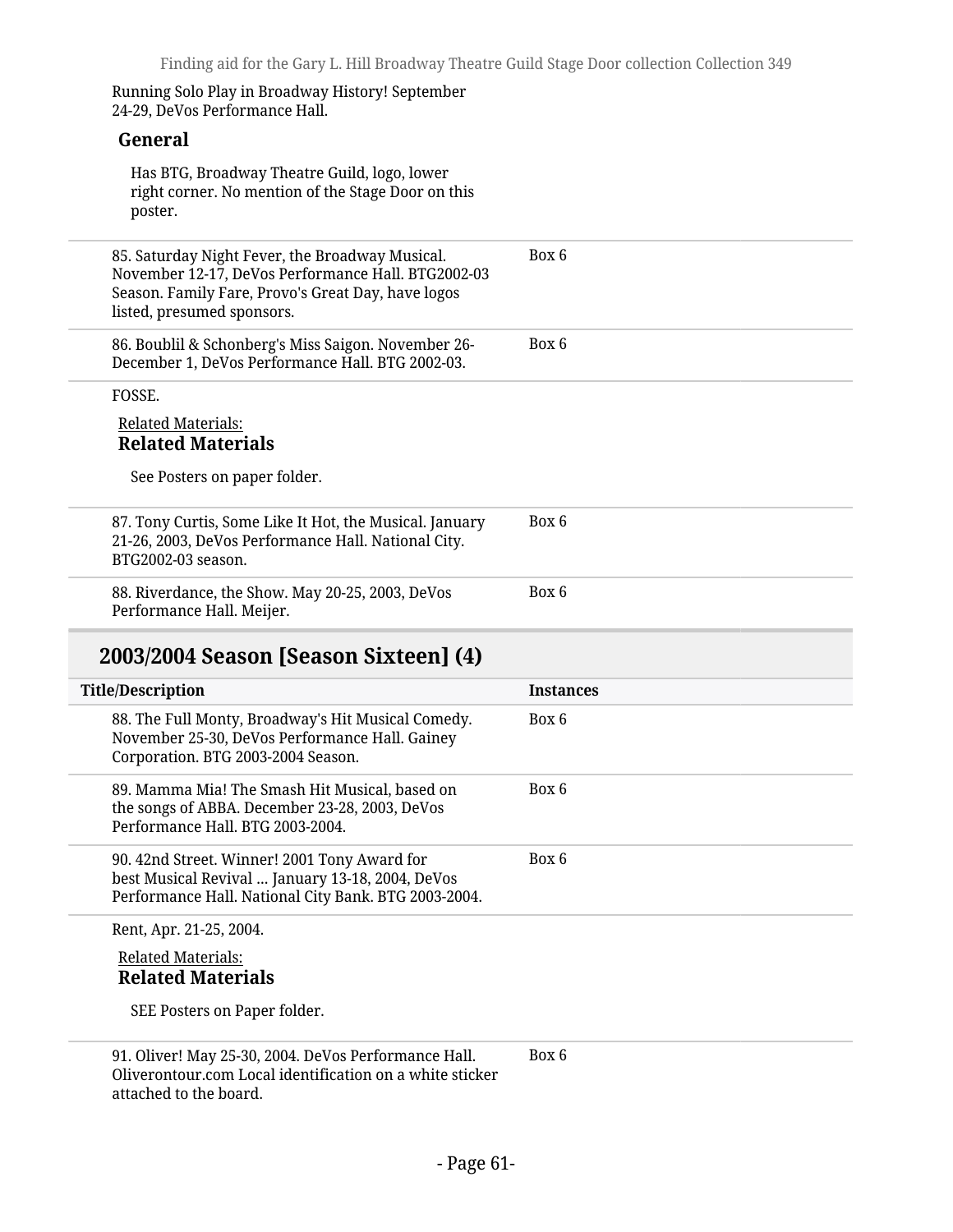Running Solo Play in Broadway History! September 24-29, DeVos Performance Hall.

#### **General**

Has BTG, Broadway Theatre Guild, logo, lower right corner. No mention of the Stage Door on this poster.

| 85. Saturday Night Fever, the Broadway Musical.<br>November 12-17, DeVos Performance Hall. BTG2002-03<br>Season. Family Fare, Provo's Great Day, have logos<br>listed, presumed sponsors. | Box 6            |
|-------------------------------------------------------------------------------------------------------------------------------------------------------------------------------------------|------------------|
| 86. Boublil & Schonberg's Miss Saigon. November 26-<br>December 1, DeVos Performance Hall. BTG 2002-03.                                                                                   | Box 6            |
| FOSSE.                                                                                                                                                                                    |                  |
| <b>Related Materials:</b><br><b>Related Materials</b>                                                                                                                                     |                  |
| See Posters on paper folder.                                                                                                                                                              |                  |
| 87. Tony Curtis, Some Like It Hot, the Musical. January<br>21-26, 2003, DeVos Performance Hall. National City.<br>BTG2002-03 season.                                                      | Box 6            |
| 88. Riverdance, the Show. May 20-25, 2003, DeVos<br>Performance Hall. Meijer.                                                                                                             | Box 6            |
|                                                                                                                                                                                           |                  |
| 2003/2004 Season [Season Sixteen] (4)                                                                                                                                                     |                  |
|                                                                                                                                                                                           | <b>Instances</b> |
| 88. The Full Monty, Broadway's Hit Musical Comedy.<br>November 25-30, DeVos Performance Hall. Gainey<br>Corporation. BTG 2003-2004 Season.                                                | Box 6            |
| 89. Mamma Mia! The Smash Hit Musical, based on<br>the songs of ABBA. December 23-28, 2003, DeVos<br>Performance Hall. BTG 2003-2004.                                                      | Box 6            |
| <b>Title/Description</b><br>90. 42nd Street. Winner! 2001 Tony Award for<br>best Musical Revival  January 13-18, 2004, DeVos<br>Performance Hall. National City Bank. BTG 2003-2004.      | Box 6            |
| Rent, Apr. 21-25, 2004.                                                                                                                                                                   |                  |
| <b>Related Materials:</b><br><b>Related Materials</b>                                                                                                                                     |                  |
| SEE Posters on Paper folder.                                                                                                                                                              |                  |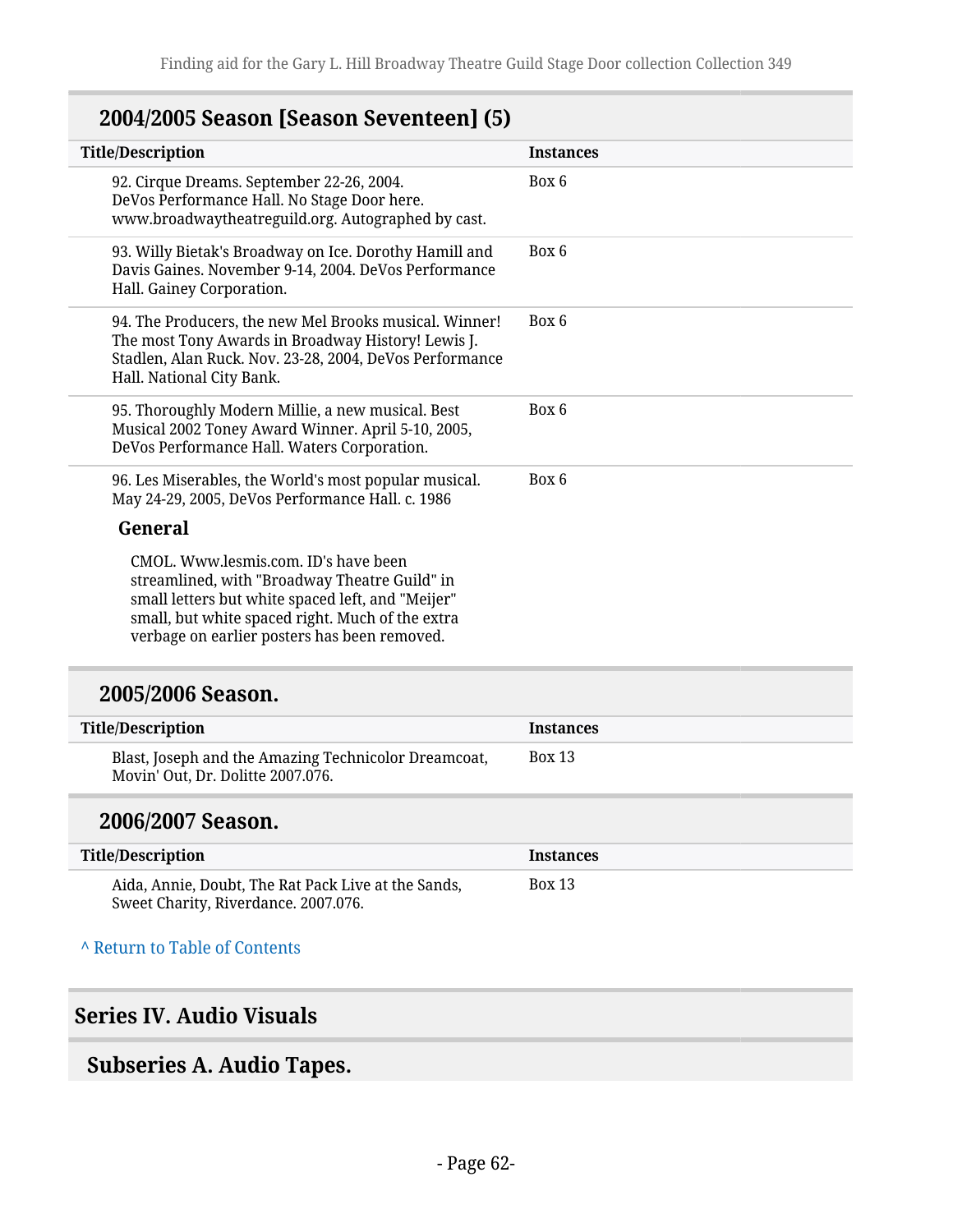## **2004/2005 Season [Season Seventeen] (5)**

| <b>COMOON TOOMOON OUT CHILDUIT</b>                                                                                                                                                                                                             |                  |
|------------------------------------------------------------------------------------------------------------------------------------------------------------------------------------------------------------------------------------------------|------------------|
| <b>Title/Description</b>                                                                                                                                                                                                                       | <b>Instances</b> |
| 92. Cirque Dreams. September 22-26, 2004.<br>DeVos Performance Hall. No Stage Door here.<br>www.broadwaytheatreguild.org. Autographed by cast.                                                                                                 | Box 6            |
| 93. Willy Bietak's Broadway on Ice. Dorothy Hamill and<br>Davis Gaines. November 9-14, 2004. DeVos Performance<br>Hall. Gainey Corporation.                                                                                                    | Box 6            |
| 94. The Producers, the new Mel Brooks musical. Winner!<br>The most Tony Awards in Broadway History! Lewis J.<br>Stadlen, Alan Ruck. Nov. 23-28, 2004, DeVos Performance<br>Hall. National City Bank.                                           | Box 6            |
| 95. Thoroughly Modern Millie, a new musical. Best<br>Musical 2002 Toney Award Winner. April 5-10, 2005,<br>DeVos Performance Hall. Waters Corporation.                                                                                         | Box 6            |
| 96. Les Miserables, the World's most popular musical.<br>May 24-29, 2005, DeVos Performance Hall. c. 1986                                                                                                                                      | Box 6            |
| General                                                                                                                                                                                                                                        |                  |
| CMOL. Www.lesmis.com. ID's have been<br>streamlined, with "Broadway Theatre Guild" in<br>small letters but white spaced left, and "Meijer"<br>small, but white spaced right. Much of the extra<br>verbage on earlier posters has been removed. |                  |
| 2005/2006 Season.                                                                                                                                                                                                                              |                  |
| <b>Title/Description</b>                                                                                                                                                                                                                       | <b>Instances</b> |
| Blast, Joseph and the Amazing Technicolor Dreamcoat,<br>Movin' Out, Dr. Dolitte 2007.076.                                                                                                                                                      | <b>Box 13</b>    |
| 2006/2007 Season.                                                                                                                                                                                                                              |                  |
| <b>Title/Description</b>                                                                                                                                                                                                                       | <b>Instances</b> |
| Aida, Annie, Doubt, The Rat Pack Live at the Sands,<br>Sweet Charity, Riverdance. 2007.076.                                                                                                                                                    | <b>Box 13</b>    |
| A Return to Table of Contents                                                                                                                                                                                                                  |                  |
| <b>Series IV. Audio Visuals</b>                                                                                                                                                                                                                |                  |

## **Subseries A. Audio Tapes.**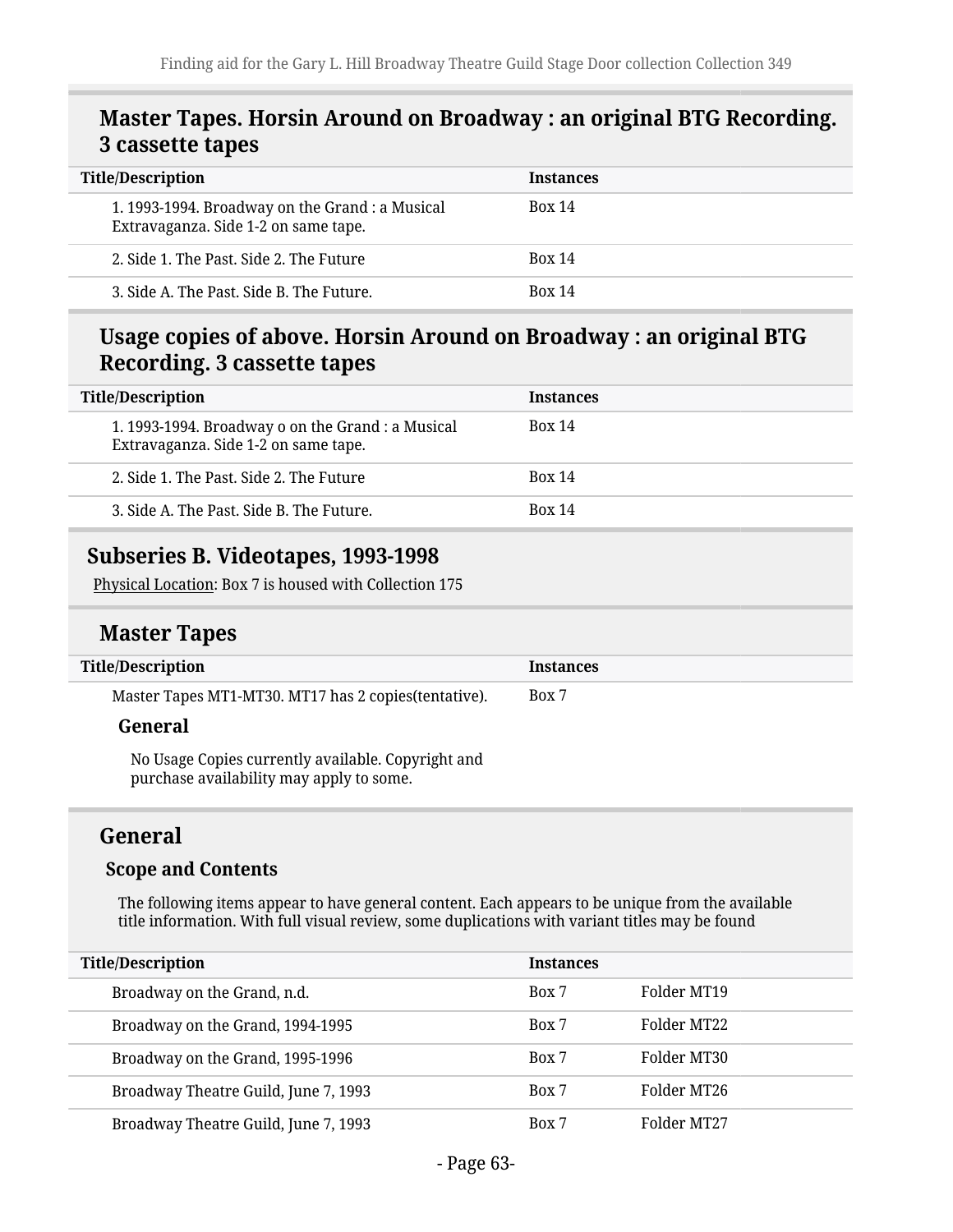#### **Master Tapes. Horsin Around on Broadway : an original BTG Recording. 3 cassette tapes**

| <b>Title/Description</b>                                                                | <b>Instances</b> |
|-----------------------------------------------------------------------------------------|------------------|
| 1. 1993-1994. Broadway on the Grand : a Musical<br>Extravaganza. Side 1-2 on same tape. | <b>Box 14</b>    |
| 2. Side 1. The Past, Side 2. The Future                                                 | <b>Box 14</b>    |
| 3. Side A. The Past. Side B. The Future.                                                | <b>Box 14</b>    |

#### **Usage copies of above. Horsin Around on Broadway : an original BTG Recording. 3 cassette tapes**

| <b>Title/Description</b>                                                                  | <b>Instances</b> |
|-------------------------------------------------------------------------------------------|------------------|
| 1. 1993-1994. Broadway o on the Grand : a Musical<br>Extravaganza. Side 1-2 on same tape. | <b>Box 14</b>    |
| 2. Side 1. The Past, Side 2. The Future.                                                  | <b>Box 14</b>    |
| 3. Side A. The Past. Side B. The Future.                                                  | <b>Box 14</b>    |

#### **Subseries B. Videotapes, 1993-1998**

Physical Location: Box 7 is housed with Collection 175

#### **Master Tapes**

| <b>Title/Description</b>                                                                       | <b>Instances</b> |
|------------------------------------------------------------------------------------------------|------------------|
| Master Tapes MT1-MT30. MT17 has 2 copies (tentative).                                          | Box 7            |
| General                                                                                        |                  |
| No Usage Copies currently available. Copyright and<br>purchase availability may apply to some. |                  |

#### **General**

#### **Scope and Contents**

The following items appear to have general content. Each appears to be unique from the available title information. With full visual review, some duplications with variant titles may be found

| <b>Title/Description</b> |                                      | <b>Instances</b> |             |
|--------------------------|--------------------------------------|------------------|-------------|
|                          | Broadway on the Grand, n.d.          | Box 7            | Folder MT19 |
|                          | Broadway on the Grand, 1994-1995     | Box 7            | Folder MT22 |
|                          | Broadway on the Grand, 1995-1996     | Box 7            | Folder MT30 |
|                          | Broadway Theatre Guild, June 7, 1993 | Box 7            | Folder MT26 |
|                          | Broadway Theatre Guild, June 7, 1993 | Box 7            | Folder MT27 |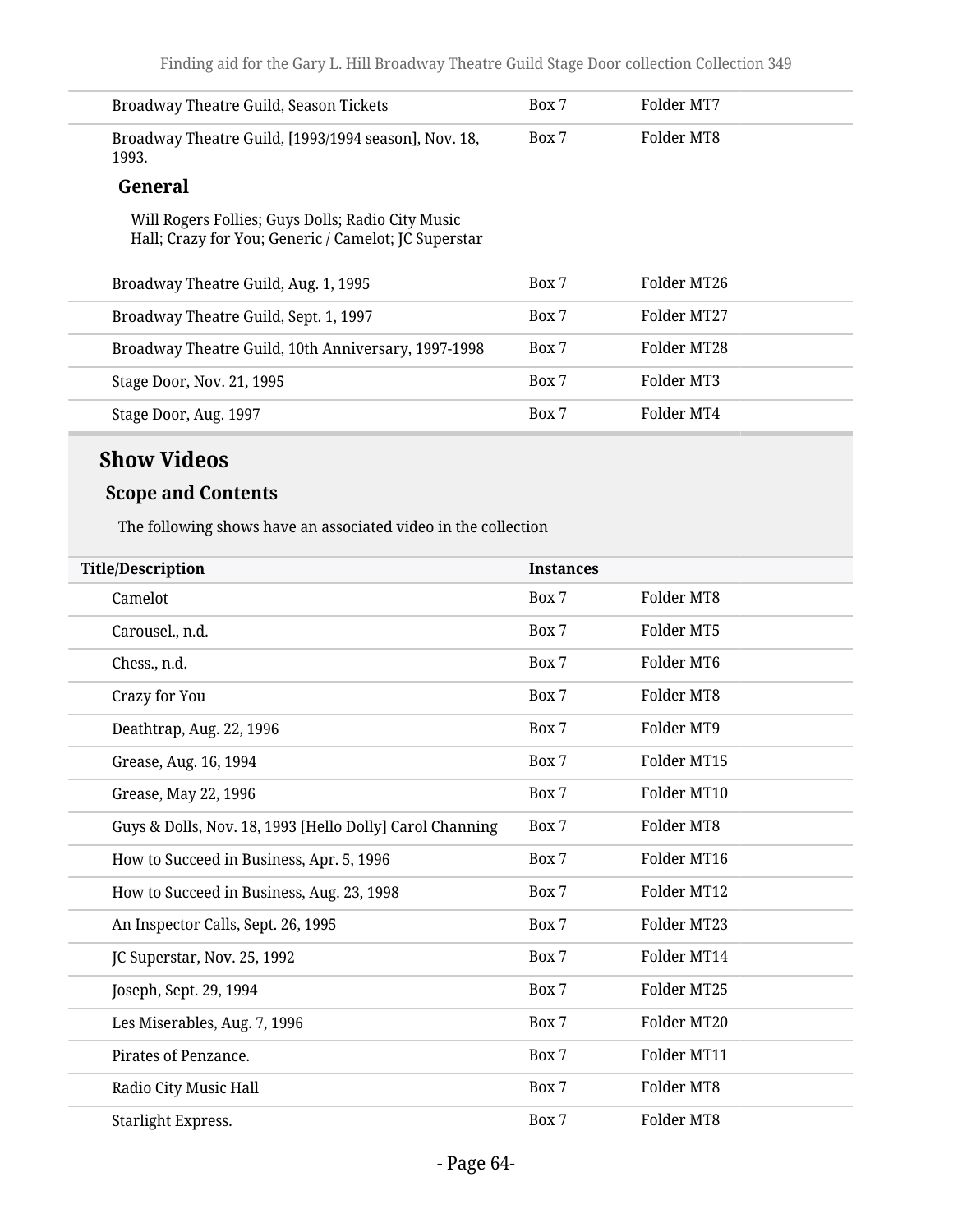| Broadway Theatre Guild, Season Tickets                        | Box 7 | Folder MT7 |
|---------------------------------------------------------------|-------|------------|
| Broadway Theatre Guild, [1993/1994 season], Nov. 18,<br>1993. | Box 7 | Folder MT8 |
| $C_{\alpha}$ and $C_{\alpha}$                                 |       |            |

#### **General**

Will Rogers Follies; Guys Dolls; Radio City Music Hall; Crazy for You; Generic / Camelot; JC Superstar

| Broadway Theatre Guild, Aug. 1, 1995                | Box 7 | Folder MT26 |
|-----------------------------------------------------|-------|-------------|
| Broadway Theatre Guild, Sept. 1, 1997               | Box 7 | Folder MT27 |
| Broadway Theatre Guild, 10th Anniversary, 1997-1998 | Box 7 | Folder MT28 |
| Stage Door, Nov. 21, 1995                           | Box 7 | Folder MT3  |
| Stage Door, Aug. 1997                               | Box 7 | Folder MT4  |
|                                                     |       |             |

#### **Show Videos**

#### **Scope and Contents**

The following shows have an associated video in the collection

| <b>Title/Description</b>                                 | <b>Instances</b> |             |
|----------------------------------------------------------|------------------|-------------|
| Camelot                                                  | Box 7            | Folder MT8  |
| Carousel., n.d.                                          | Box 7            | Folder MT5  |
| Chess., n.d.                                             | Box 7            | Folder MT6  |
| Crazy for You                                            | Box 7            | Folder MT8  |
| Deathtrap, Aug. 22, 1996                                 | Box 7            | Folder MT9  |
| Grease, Aug. 16, 1994                                    | Box 7            | Folder MT15 |
| Grease, May 22, 1996                                     | Box 7            | Folder MT10 |
| Guys & Dolls, Nov. 18, 1993 [Hello Dolly] Carol Channing | Box 7            | Folder MT8  |
| How to Succeed in Business, Apr. 5, 1996                 | Box 7            | Folder MT16 |
| How to Succeed in Business, Aug. 23, 1998                | Box 7            | Folder MT12 |
| An Inspector Calls, Sept. 26, 1995                       | Box 7            | Folder MT23 |
| JC Superstar, Nov. 25, 1992                              | Box 7            | Folder MT14 |
| Joseph, Sept. 29, 1994                                   | Box 7            | Folder MT25 |
| Les Miserables, Aug. 7, 1996                             | Box 7            | Folder MT20 |
| Pirates of Penzance.                                     | Box 7            | Folder MT11 |
| Radio City Music Hall                                    | Box 7            | Folder MT8  |
| Starlight Express.                                       | Box 7            | Folder MT8  |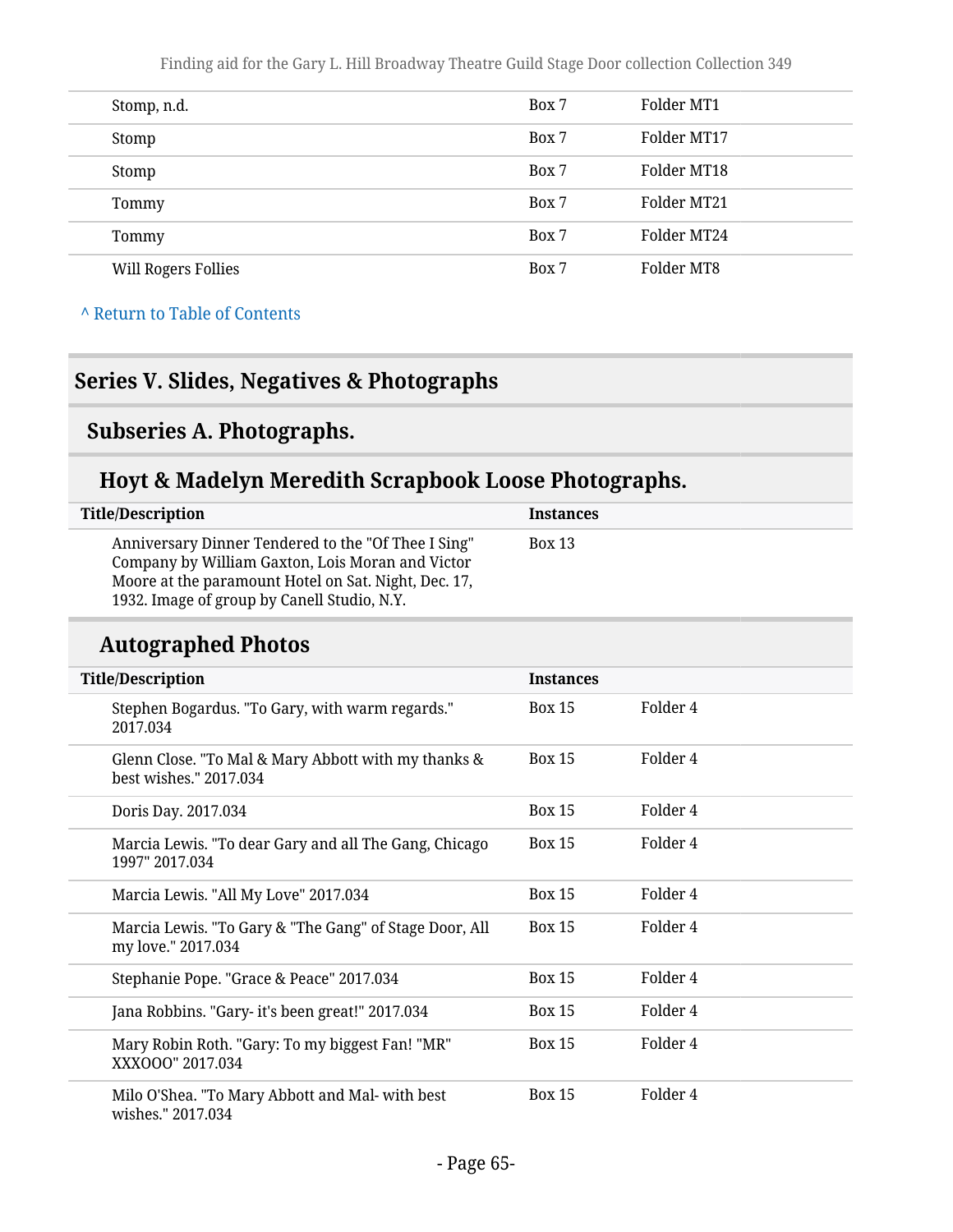Finding aid for the Gary L. Hill Broadway Theatre Guild Stage Door collection Collection 349

| Stomp, n.d.                | Box 7 | Folder MT1  |
|----------------------------|-------|-------------|
| Stomp                      | Box 7 | Folder MT17 |
| Stomp                      | Box 7 | Folder MT18 |
| Tommy                      | Box 7 | Folder MT21 |
| Tommy                      | Box 7 | Folder MT24 |
| <b>Will Rogers Follies</b> | Box 7 | Folder MT8  |

**^** [Return to Table of Contents](#page-1-0)

## **Series V. Slides, Negatives & Photographs**

#### **Subseries A. Photographs.**

## **Hoyt & Madelyn Meredith Scrapbook Loose Photographs.**

| <b>Title/Description</b>                                                                                                                                                                                       | <b>Instances</b> |
|----------------------------------------------------------------------------------------------------------------------------------------------------------------------------------------------------------------|------------------|
| Anniversary Dinner Tendered to the "Of Thee I Sing"<br>Company by William Gaxton, Lois Moran and Victor<br>Moore at the paramount Hotel on Sat. Night, Dec. 17,<br>1932. Image of group by Canell Studio, N.Y. | <b>Box 13</b>    |

## **Autographed Photos**

| <b>Title/Description</b>                                                      | <b>Instances</b> |          |
|-------------------------------------------------------------------------------|------------------|----------|
| Stephen Bogardus. "To Gary, with warm regards."<br>2017.034                   | Box 15           | Folder 4 |
| Glenn Close. "To Mal & Mary Abbott with my thanks &<br>best wishes." 2017.034 | <b>Box 15</b>    | Folder 4 |
| Doris Day. 2017.034                                                           | <b>Box 15</b>    | Folder 4 |
| Marcia Lewis. "To dear Gary and all The Gang, Chicago<br>1997" 2017.034       | <b>Box 15</b>    | Folder 4 |
| Marcia Lewis. "All My Love" 2017.034                                          | <b>Box 15</b>    | Folder 4 |
| Marcia Lewis. "To Gary & "The Gang" of Stage Door, All<br>my love." 2017.034  | <b>Box 15</b>    | Folder 4 |
| Stephanie Pope. "Grace & Peace" 2017.034                                      | <b>Box 15</b>    | Folder 4 |
| Jana Robbins. "Gary- it's been great!" 2017.034                               | <b>Box 15</b>    | Folder 4 |
| Mary Robin Roth. "Gary: To my biggest Fan! "MR"<br>XXXOOO" 2017.034           | <b>Box 15</b>    | Folder 4 |
| Milo O'Shea. "To Mary Abbott and Mal- with best<br>wishes." 2017.034          | <b>Box 15</b>    | Folder 4 |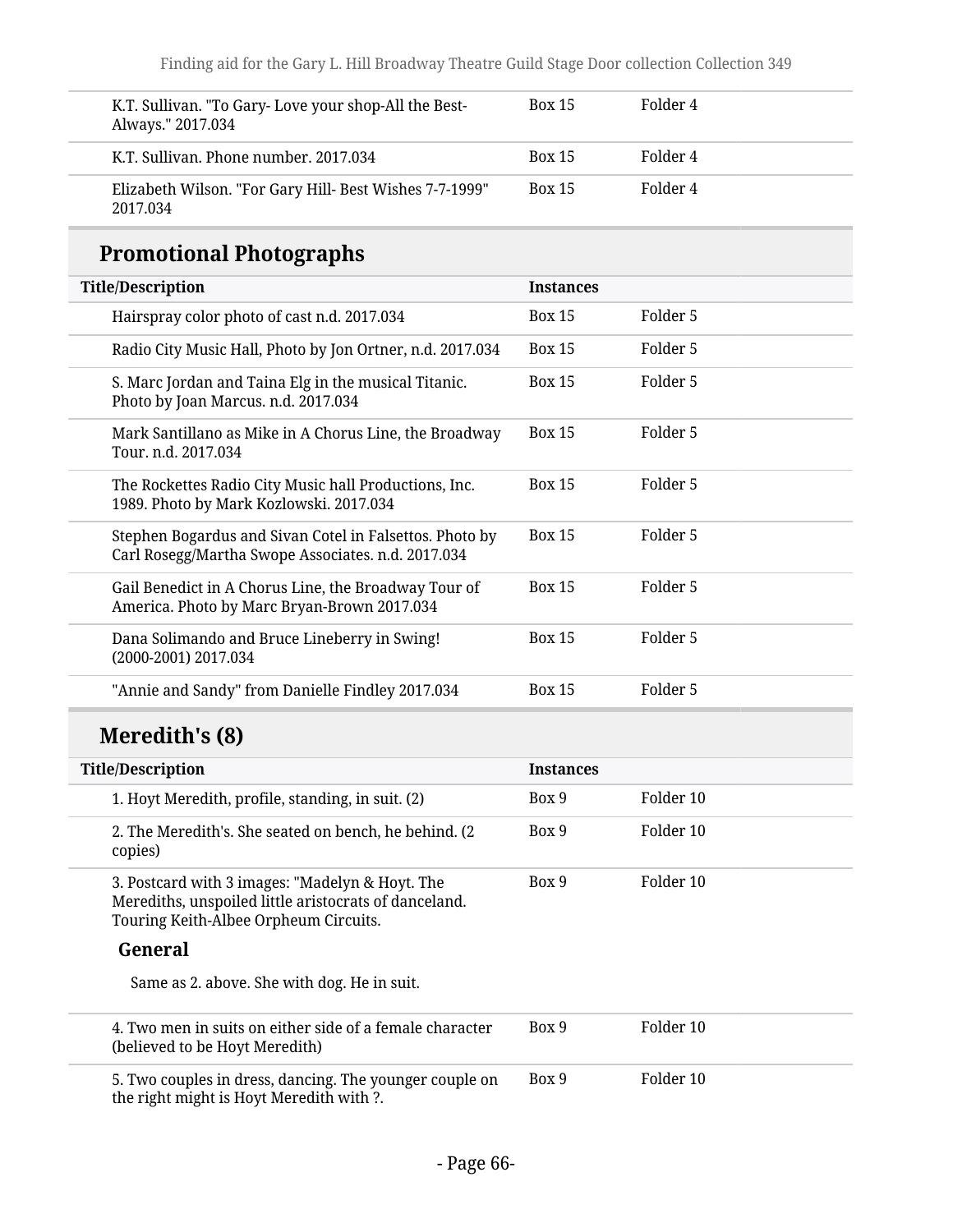| K.T. Sullivan. "To Gary-Love your shop-All the Best-<br>Always." 2017.034 | <b>Box 15</b> | Folder 4 |
|---------------------------------------------------------------------------|---------------|----------|
| K.T. Sullivan. Phone number, 2017.034                                     | <b>Box 15</b> | Folder 4 |
| Elizabeth Wilson. "For Gary Hill- Best Wishes 7-7-1999"<br>2017.034       | <b>Box 15</b> | Folder 4 |

# **Promotional Photographs**

| <b>Title/Description</b>                                                                                      | <b>Instances</b> |          |
|---------------------------------------------------------------------------------------------------------------|------------------|----------|
| Hairspray color photo of cast n.d. 2017.034                                                                   | <b>Box 15</b>    | Folder 5 |
| Radio City Music Hall, Photo by Jon Ortner, n.d. 2017.034                                                     | <b>Box 15</b>    | Folder 5 |
| S. Marc Jordan and Taina Elg in the musical Titanic.<br>Photo by Joan Marcus. n.d. 2017.034                   | <b>Box 15</b>    | Folder 5 |
| Mark Santillano as Mike in A Chorus Line, the Broadway<br>Tour. n.d. 2017.034                                 | <b>Box 15</b>    | Folder 5 |
| The Rockettes Radio City Music hall Productions, Inc.<br>1989. Photo by Mark Kozlowski. 2017.034              | <b>Box 15</b>    | Folder 5 |
| Stephen Bogardus and Sivan Cotel in Falsettos. Photo by<br>Carl Rosegg/Martha Swope Associates. n.d. 2017.034 | <b>Box 15</b>    | Folder 5 |
| Gail Benedict in A Chorus Line, the Broadway Tour of<br>America. Photo by Marc Bryan-Brown 2017.034           | <b>Box 15</b>    | Folder 5 |
| Dana Solimando and Bruce Lineberry in Swing!<br>(2000-2001) 2017.034                                          | <b>Box 15</b>    | Folder 5 |
| "Annie and Sandy" from Danielle Findley 2017.034                                                              | <b>Box 15</b>    | Folder 5 |

## **Meredith's (8)**

| <b>Title/Description</b>                                                                                                                          | <b>Instances</b> |           |
|---------------------------------------------------------------------------------------------------------------------------------------------------|------------------|-----------|
| 1. Hoyt Meredith, profile, standing, in suit. (2)                                                                                                 | Box 9            | Folder 10 |
| 2. The Meredith's. She seated on bench, he behind. (2)<br>copies)                                                                                 | Box 9            | Folder 10 |
| 3. Postcard with 3 images: "Madelyn & Hoyt. The<br>Merediths, unspoiled little aristocrats of danceland.<br>Touring Keith-Albee Orpheum Circuits. | Box 9            | Folder 10 |
| General                                                                                                                                           |                  |           |
| Same as 2. above. She with dog. He in suit.                                                                                                       |                  |           |
| 4. Two men in suits on either side of a female character<br>(believed to be Hoyt Meredith)                                                        | Box 9            | Folder 10 |
| 5. Two couples in dress, dancing. The younger couple on<br>$\mathbf{u}$ . The state is the state of $\mathbf{u}$                                  | Box 9            | Folder 10 |

the right might is Hoyt Meredith with ?.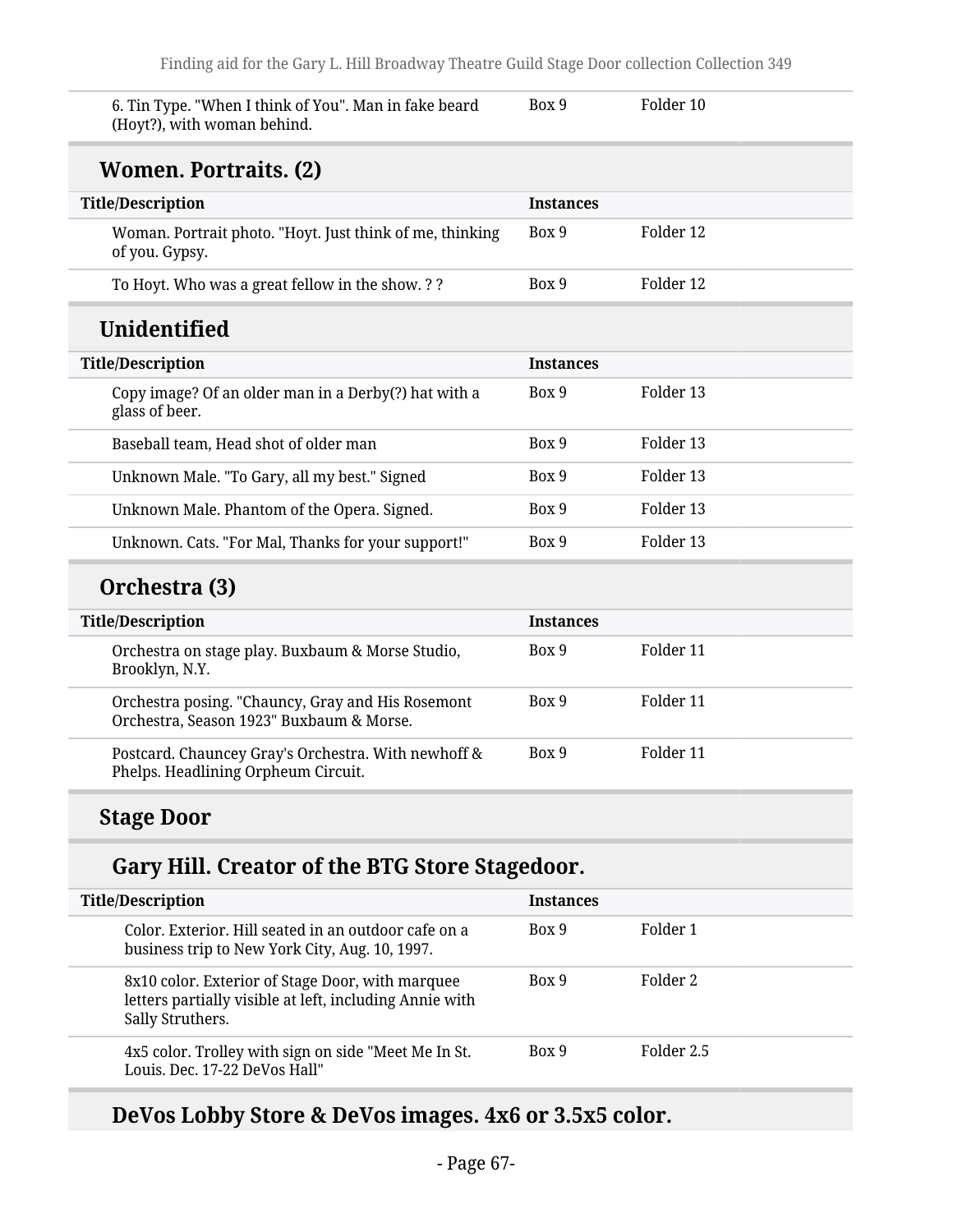6. Tin Type. "When I think of You". Man in fake beard (Hoyt?), with woman behind.

Box 9 Folder 10

#### **Women. Portraits. (2)**

| <b>Title/Description</b>                                                                      | <b>Instances</b> |                      |
|-----------------------------------------------------------------------------------------------|------------------|----------------------|
| Woman. Portrait photo. "Hoyt. Just think of me, thinking<br>of you. Gypsy.                    | Box 9            | Folder 12            |
| To Hoyt. Who was a great fellow in the show. ??                                               | Box 9            | Folder 12            |
| Unidentified                                                                                  |                  |                      |
| <b>Title/Description</b>                                                                      | <b>Instances</b> |                      |
| Copy image? Of an older man in a Derby(?) hat with a<br>glass of beer.                        | Box 9            | Folder <sub>13</sub> |
| Baseball team, Head shot of older man                                                         | Box 9            | Folder 13            |
| Unknown Male. "To Gary, all my best." Signed                                                  | Box 9            | Folder 13            |
| Unknown Male. Phantom of the Opera. Signed.                                                   | Box 9            | Folder 13            |
| Unknown. Cats. "For Mal, Thanks for your support!"                                            | Box 9            | Folder 13            |
| Orchestra (3)                                                                                 |                  |                      |
| <b>Title/Description</b>                                                                      | <b>Instances</b> |                      |
| Orchestra on stage play. Buxbaum & Morse Studio,<br>Brooklyn, N.Y.                            | Box 9            | Folder 11            |
| Orchestra posing. "Chauncy, Gray and His Rosemont<br>Orchestra, Season 1923" Buxbaum & Morse. | Box 9            | Folder 11            |
| Postcard. Chauncey Gray's Orchestra. With newhoff &<br>Phelps. Headlining Orpheum Circuit.    | Box 9            | Folder 11            |

## **Stage Door**

#### **Gary Hill. Creator of the BTG Store Stagedoor.**

| <b>Title/Description</b> |                                                                                                                                 | <b>Instances</b> |            |
|--------------------------|---------------------------------------------------------------------------------------------------------------------------------|------------------|------------|
|                          | Color. Exterior. Hill seated in an outdoor cafe on a<br>business trip to New York City, Aug. 10, 1997.                          | Box 9            | Folder 1   |
|                          | 8x10 color. Exterior of Stage Door, with marquee<br>letters partially visible at left, including Annie with<br>Sally Struthers. | Box 9            | Folder 2   |
|                          | 4x5 color. Trolley with sign on side "Meet Me In St.<br>Louis. Dec. 17-22 DeVos Hall"                                           | Box 9            | Folder 2.5 |

#### **DeVos Lobby Store & DeVos images. 4x6 or 3.5x5 color.**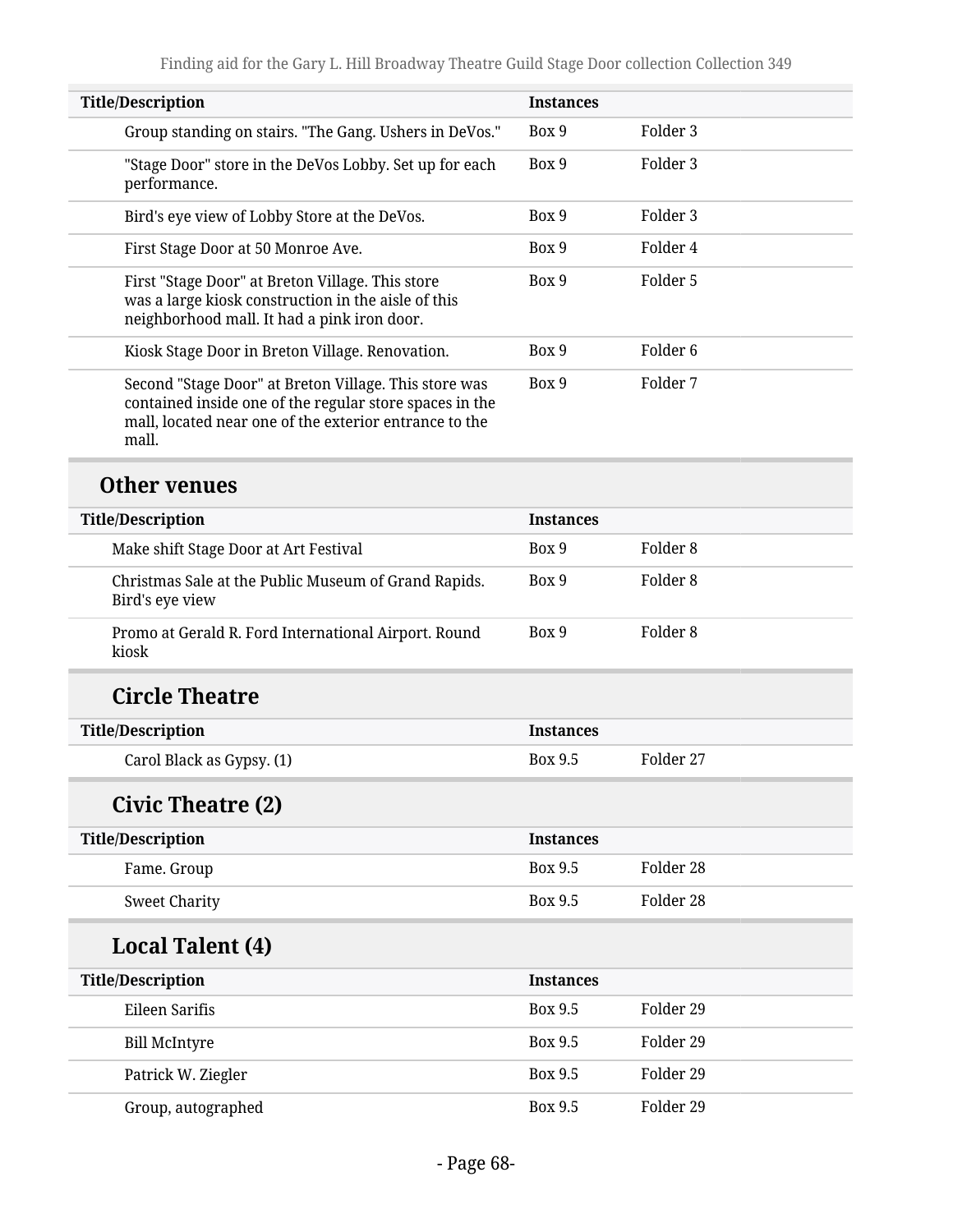| <b>Title/Description</b>                                                                                                                                                            | <b>Instances</b> |                     |
|-------------------------------------------------------------------------------------------------------------------------------------------------------------------------------------|------------------|---------------------|
| Group standing on stairs. "The Gang. Ushers in DeVos."                                                                                                                              | Box 9            | Folder 3            |
| "Stage Door" store in the DeVos Lobby. Set up for each<br>performance.                                                                                                              | Box 9            | Folder 3            |
| Bird's eye view of Lobby Store at the DeVos.                                                                                                                                        | Box 9            | Folder 3            |
| First Stage Door at 50 Monroe Ave.                                                                                                                                                  | Box 9            | Folder 4            |
| First "Stage Door" at Breton Village. This store<br>was a large kiosk construction in the aisle of this<br>neighborhood mall. It had a pink iron door.                              | Box 9            | Folder 5            |
| Kiosk Stage Door in Breton Village. Renovation.                                                                                                                                     | Box 9            | Folder <sub>6</sub> |
| Second "Stage Door" at Breton Village. This store was<br>contained inside one of the regular store spaces in the<br>mall, located near one of the exterior entrance to the<br>mall. | Box 9            | Folder 7            |
| Other venues                                                                                                                                                                        |                  |                     |
| <b>Title/Description</b>                                                                                                                                                            | <b>Instances</b> |                     |
| Make shift Stage Door at Art Festival                                                                                                                                               | Box 9            | Folder <sub>8</sub> |
| Christmas Sale at the Public Museum of Grand Rapids.<br>Bird's eye view                                                                                                             | Box 9            | Folder <sub>8</sub> |
| Promo at Gerald R. Ford International Airport. Round<br>kiosk                                                                                                                       | Box 9            | Folder <sub>8</sub> |
| <b>Circle Theatre</b>                                                                                                                                                               |                  |                     |
| <b>Title/Description</b>                                                                                                                                                            | <b>Instances</b> |                     |
| Carol Black as Gypsy. (1)                                                                                                                                                           | <b>Box 9.5</b>   | Folder 27           |
| Civic Theatre (2)                                                                                                                                                                   |                  |                     |
| <b>Title/Description</b>                                                                                                                                                            | <b>Instances</b> |                     |
| Fame. Group                                                                                                                                                                         | Box 9.5          | Folder 28           |
| <b>Sweet Charity</b>                                                                                                                                                                | <b>Box 9.5</b>   | Folder 28           |
| <b>Local Talent (4)</b>                                                                                                                                                             |                  |                     |
| <b>Title/Description</b>                                                                                                                                                            | <b>Instances</b> |                     |
| Eileen Sarifis                                                                                                                                                                      | Box 9.5          | Folder 29           |
| <b>Bill McIntyre</b>                                                                                                                                                                | Box 9.5          | Folder 29           |
| Patrick W. Ziegler                                                                                                                                                                  | Box 9.5          | Folder 29           |
| Group, autographed                                                                                                                                                                  | <b>Box 9.5</b>   | Folder 29           |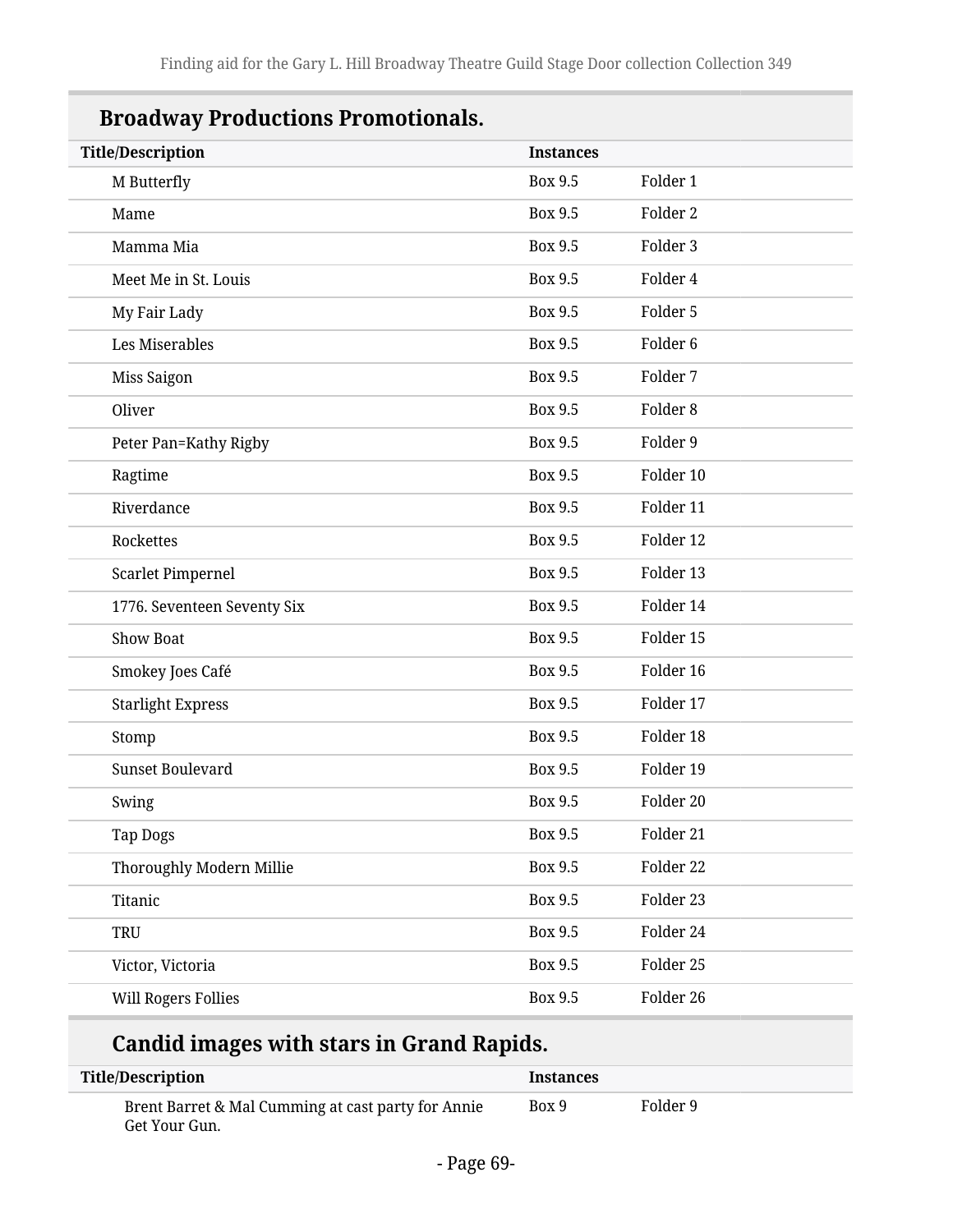| <b>Broadway Productions Promotionals.</b> |                  |                     |  |
|-------------------------------------------|------------------|---------------------|--|
| <b>Title/Description</b>                  | <b>Instances</b> |                     |  |
| M Butterfly                               | Box 9.5          | Folder 1            |  |
| Mame                                      | Box 9.5          | Folder 2            |  |
| Mamma Mia                                 | Box 9.5          | Folder 3            |  |
| Meet Me in St. Louis                      | Box 9.5          | Folder 4            |  |
| My Fair Lady                              | Box 9.5          | Folder 5            |  |
| Les Miserables                            | <b>Box 9.5</b>   | Folder <sub>6</sub> |  |
| Miss Saigon                               | <b>Box 9.5</b>   | Folder 7            |  |
| Oliver                                    | <b>Box 9.5</b>   | Folder <sub>8</sub> |  |
| Peter Pan=Kathy Rigby                     | <b>Box 9.5</b>   | Folder 9            |  |
| Ragtime                                   | <b>Box 9.5</b>   | Folder 10           |  |
| Riverdance                                | <b>Box 9.5</b>   | Folder 11           |  |
| Rockettes                                 | <b>Box 9.5</b>   | Folder 12           |  |
| Scarlet Pimpernel                         | <b>Box 9.5</b>   | Folder 13           |  |
| 1776. Seventeen Seventy Six               | Box 9.5          | Folder 14           |  |
| <b>Show Boat</b>                          | <b>Box 9.5</b>   | Folder 15           |  |
| Smokey Joes Café                          | <b>Box 9.5</b>   | Folder 16           |  |
| <b>Starlight Express</b>                  | <b>Box 9.5</b>   | Folder 17           |  |
| Stomp                                     | <b>Box 9.5</b>   | Folder 18           |  |
| Sunset Boulevard                          | Box 9.5          | Folder 19           |  |
| Swing                                     | Box 9.5          | Folder 20           |  |
| Tap Dogs                                  | Box 9.5          | Folder 21           |  |
| Thoroughly Modern Millie                  | Box 9.5          | Folder 22           |  |
| Titanic                                   | Box 9.5          | Folder 23           |  |
| TRU                                       | Box 9.5          | Folder 24           |  |
| Victor, Victoria                          | Box 9.5          | Folder 25           |  |
| <b>Will Rogers Follies</b>                | Box 9.5          | Folder 26           |  |

# **Candid images with stars in Grand Rapids.**

| Title/Description                                                   | <b>Instances</b> |          |
|---------------------------------------------------------------------|------------------|----------|
| Brent Barret & Mal Cumming at cast party for Annie<br>Get Your Gun. | Box 9            | Folder 9 |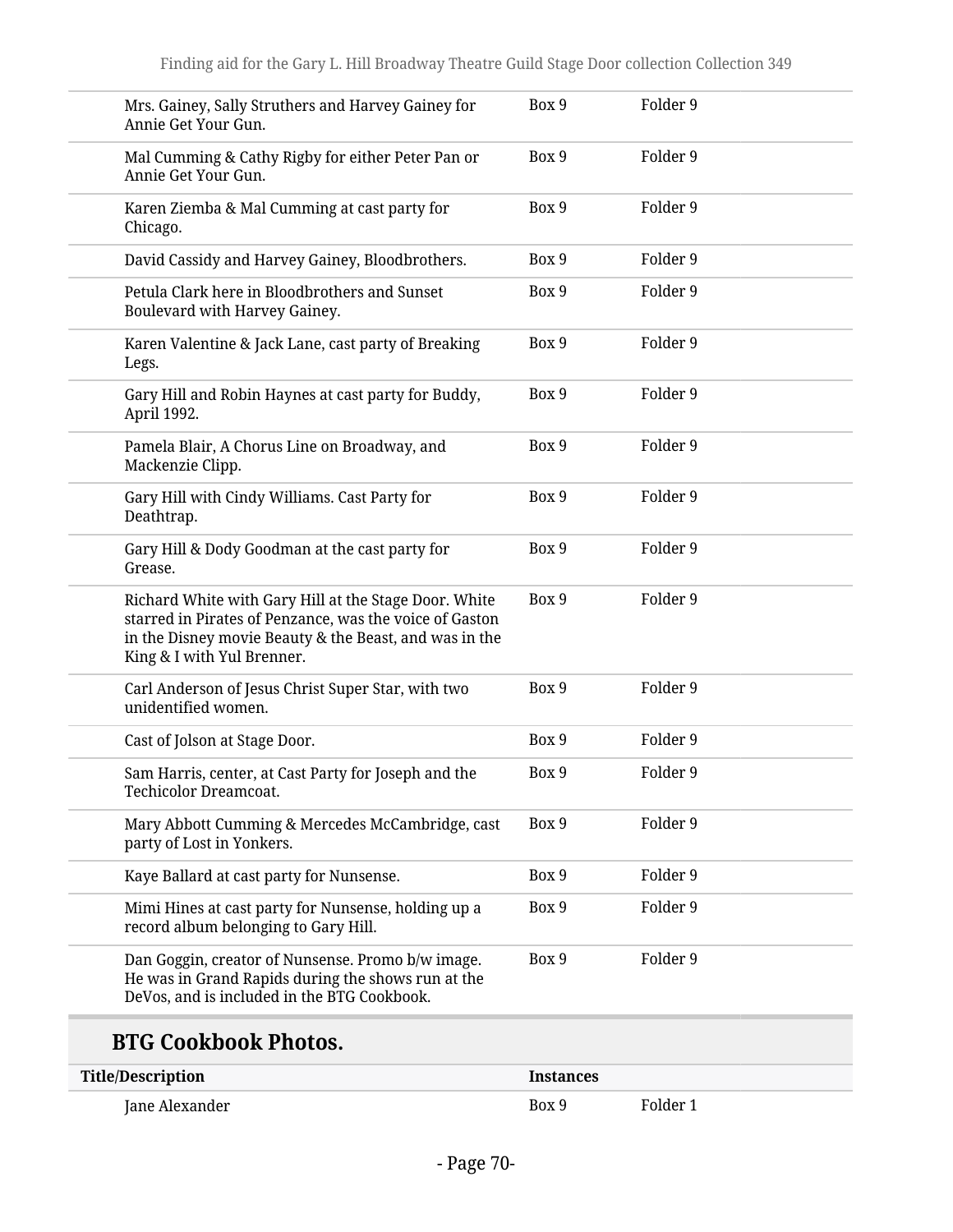| Mrs. Gainey, Sally Struthers and Harvey Gainey for<br>Annie Get Your Gun.                                                                                                                                | Box 9 | Folder 9 |
|----------------------------------------------------------------------------------------------------------------------------------------------------------------------------------------------------------|-------|----------|
| Mal Cumming & Cathy Rigby for either Peter Pan or<br>Annie Get Your Gun.                                                                                                                                 | Box 9 | Folder 9 |
| Karen Ziemba & Mal Cumming at cast party for<br>Chicago.                                                                                                                                                 | Box 9 | Folder 9 |
| David Cassidy and Harvey Gainey, Bloodbrothers.                                                                                                                                                          | Box 9 | Folder 9 |
| Petula Clark here in Bloodbrothers and Sunset<br>Boulevard with Harvey Gainey.                                                                                                                           | Box 9 | Folder 9 |
| Karen Valentine & Jack Lane, cast party of Breaking<br>Legs.                                                                                                                                             | Box 9 | Folder 9 |
| Gary Hill and Robin Haynes at cast party for Buddy,<br>April 1992.                                                                                                                                       | Box 9 | Folder 9 |
| Pamela Blair, A Chorus Line on Broadway, and<br>Mackenzie Clipp.                                                                                                                                         | Box 9 | Folder 9 |
| Gary Hill with Cindy Williams. Cast Party for<br>Deathtrap.                                                                                                                                              | Box 9 | Folder 9 |
| Gary Hill & Dody Goodman at the cast party for<br>Grease.                                                                                                                                                | Box 9 | Folder 9 |
| Richard White with Gary Hill at the Stage Door. White<br>starred in Pirates of Penzance, was the voice of Gaston<br>in the Disney movie Beauty & the Beast, and was in the<br>King & I with Yul Brenner. | Box 9 | Folder 9 |
| Carl Anderson of Jesus Christ Super Star, with two<br>unidentified women.                                                                                                                                | Box 9 | Folder 9 |
| Cast of Jolson at Stage Door.                                                                                                                                                                            | Box 9 | Folder 9 |
| Sam Harris, center, at Cast Party for Joseph and the<br>Techicolor Dreamcoat.                                                                                                                            | Box 9 | Folder 9 |
| Mary Abbott Cumming & Mercedes McCambridge, cast<br>party of Lost in Yonkers.                                                                                                                            | Box 9 | Folder 9 |
| Kaye Ballard at cast party for Nunsense.                                                                                                                                                                 | Box 9 | Folder 9 |
| Mimi Hines at cast party for Nunsense, holding up a<br>record album belonging to Gary Hill.                                                                                                              | Box 9 | Folder 9 |
| Dan Goggin, creator of Nunsense. Promo b/w image.<br>He was in Grand Rapids during the shows run at the<br>DeVos, and is included in the BTG Cookbook.                                                   | Box 9 | Folder 9 |

## **BTG Cookbook Photos.**

| <b>Title/Description</b> | <b>Instances</b> |          |
|--------------------------|------------------|----------|
| Jane Alexander           | Box 9            | Folder 1 |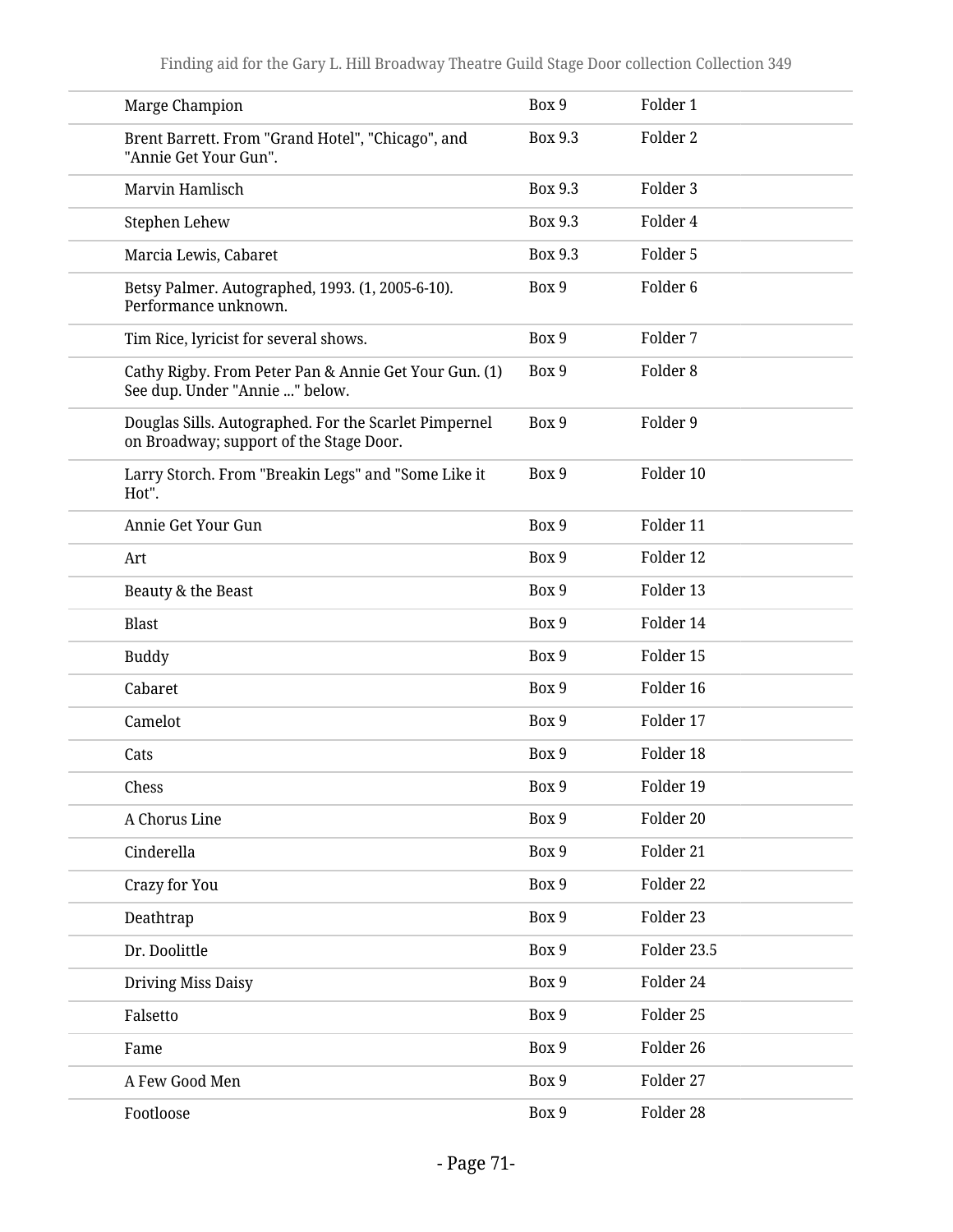| Marge Champion                                                                                   | Box 9          | Folder 1            |
|--------------------------------------------------------------------------------------------------|----------------|---------------------|
| Brent Barrett. From "Grand Hotel", "Chicago", and<br>"Annie Get Your Gun".                       | Box 9.3        | Folder 2            |
| Marvin Hamlisch                                                                                  | <b>Box 9.3</b> | Folder 3            |
| Stephen Lehew                                                                                    | <b>Box 9.3</b> | Folder 4            |
| Marcia Lewis, Cabaret                                                                            | Box 9.3        | Folder 5            |
| Betsy Palmer. Autographed, 1993. (1, 2005-6-10).<br>Performance unknown.                         | Box 9          | Folder <sub>6</sub> |
| Tim Rice, lyricist for several shows.                                                            | Box 9          | Folder 7            |
| Cathy Rigby. From Peter Pan & Annie Get Your Gun. (1)<br>See dup. Under "Annie " below.          | Box 9          | Folder <sub>8</sub> |
| Douglas Sills. Autographed. For the Scarlet Pimpernel<br>on Broadway; support of the Stage Door. | Box 9          | Folder 9            |
| Larry Storch. From "Breakin Legs" and "Some Like it<br>Hot".                                     | Box 9          | Folder 10           |
| Annie Get Your Gun                                                                               | Box 9          | Folder 11           |
| Art                                                                                              | Box 9          | Folder 12           |
| Beauty & the Beast                                                                               | Box 9          | Folder 13           |
| <b>Blast</b>                                                                                     | Box 9          | Folder 14           |
| <b>Buddy</b>                                                                                     | Box 9          | Folder 15           |
| Cabaret                                                                                          | Box 9          | Folder 16           |
| Camelot                                                                                          | Box 9          | Folder 17           |
| Cats                                                                                             | Box 9          | Folder 18           |
| Chess                                                                                            | Box 9          | Folder 19           |
| A Chorus Line                                                                                    | Box 9          | Folder 20           |
| Cinderella                                                                                       | Box 9          | Folder 21           |
| Crazy for You                                                                                    | Box 9          | Folder 22           |
| Deathtrap                                                                                        | Box 9          | Folder 23           |
| Dr. Doolittle                                                                                    | Box 9          | Folder 23.5         |
| Driving Miss Daisy                                                                               | Box 9          | Folder 24           |
| Falsetto                                                                                         | Box 9          | Folder 25           |
| Fame                                                                                             | Box 9          | Folder 26           |
| A Few Good Men                                                                                   | Box 9          | Folder 27           |
| Footloose                                                                                        | Box 9          | Folder 28           |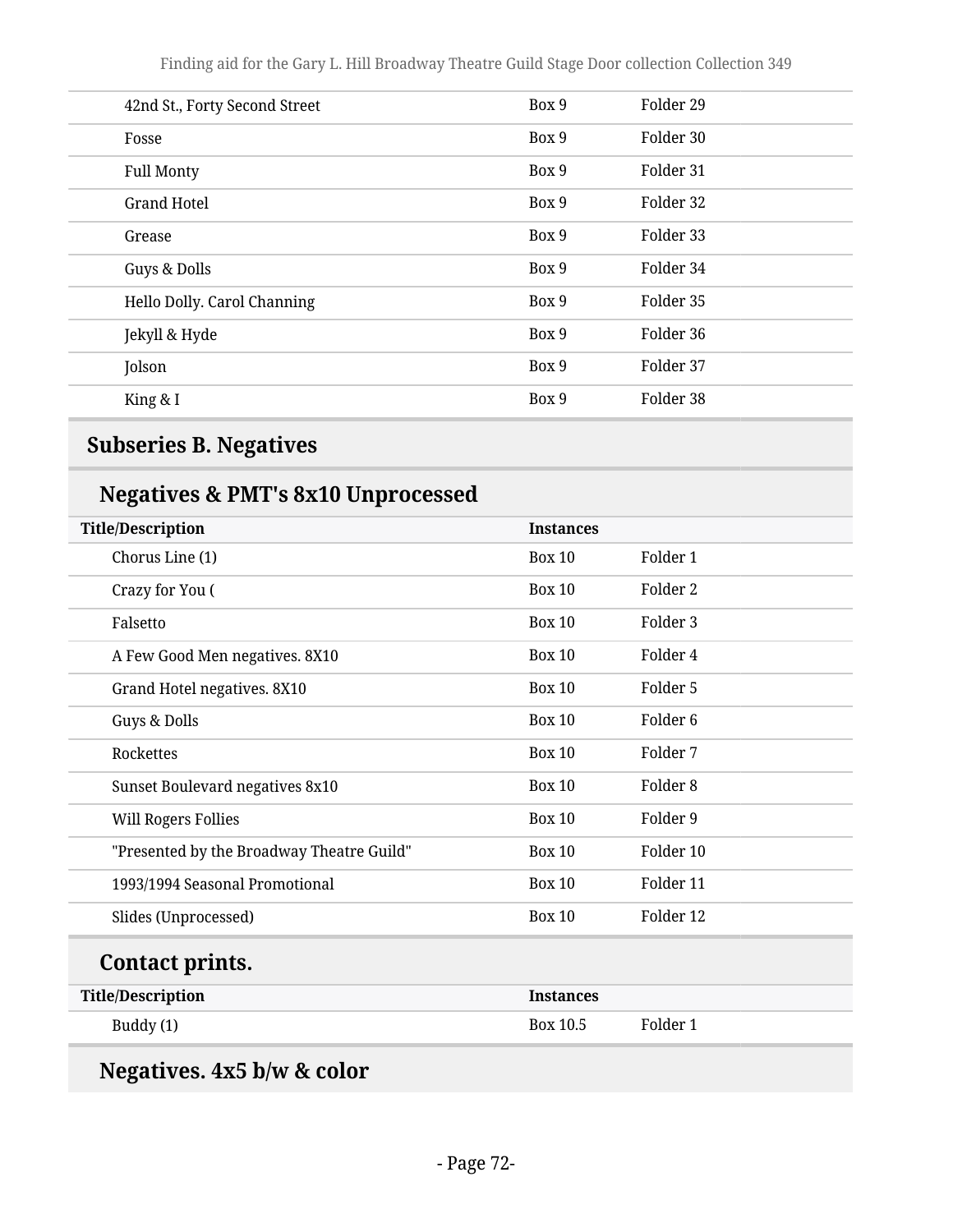| 42nd St., Forty Second Street | Box 9 | Folder 29 |
|-------------------------------|-------|-----------|
| Fosse                         | Box 9 | Folder 30 |
| <b>Full Monty</b>             | Box 9 | Folder 31 |
| <b>Grand Hotel</b>            | Box 9 | Folder 32 |
| Grease                        | Box 9 | Folder 33 |
| Guys & Dolls                  | Box 9 | Folder 34 |
| Hello Dolly. Carol Channing   | Box 9 | Folder 35 |
| Jekyll & Hyde                 | Box 9 | Folder 36 |
| Jolson                        | Box 9 | Folder 37 |
| King & I                      | Box 9 | Folder 38 |
|                               |       |           |

## **Subseries B. Negatives**

## **Negatives & PMT's 8x10 Unprocessed**

| <b>Title/Description</b>                  | <b>Instances</b> |                     |
|-------------------------------------------|------------------|---------------------|
| Chorus Line (1)                           | <b>Box 10</b>    | Folder 1            |
| Crazy for You (                           | <b>Box 10</b>    | Folder 2            |
| Falsetto                                  | <b>Box 10</b>    | Folder 3            |
| A Few Good Men negatives. 8X10            | <b>Box 10</b>    | Folder 4            |
| Grand Hotel negatives. 8X10               | <b>Box 10</b>    | Folder 5            |
| Guys & Dolls                              | <b>Box 10</b>    | Folder <sub>6</sub> |
| Rockettes                                 | <b>Box 10</b>    | Folder 7            |
| Sunset Boulevard negatives 8x10           | <b>Box 10</b>    | Folder <sub>8</sub> |
| <b>Will Rogers Follies</b>                | <b>Box 10</b>    | Folder 9            |
| "Presented by the Broadway Theatre Guild" | <b>Box 10</b>    | Folder 10           |
| 1993/1994 Seasonal Promotional            | <b>Box 10</b>    | Folder 11           |
| Slides (Unprocessed)                      | <b>Box 10</b>    | Folder 12           |
| Contact prints.                           |                  |                     |
| <b>Title/Description</b>                  | <b>Instances</b> |                     |
| Buddy (1)                                 | Box 10.5         | Folder 1            |

# **Negatives. 4x5 b/w & color**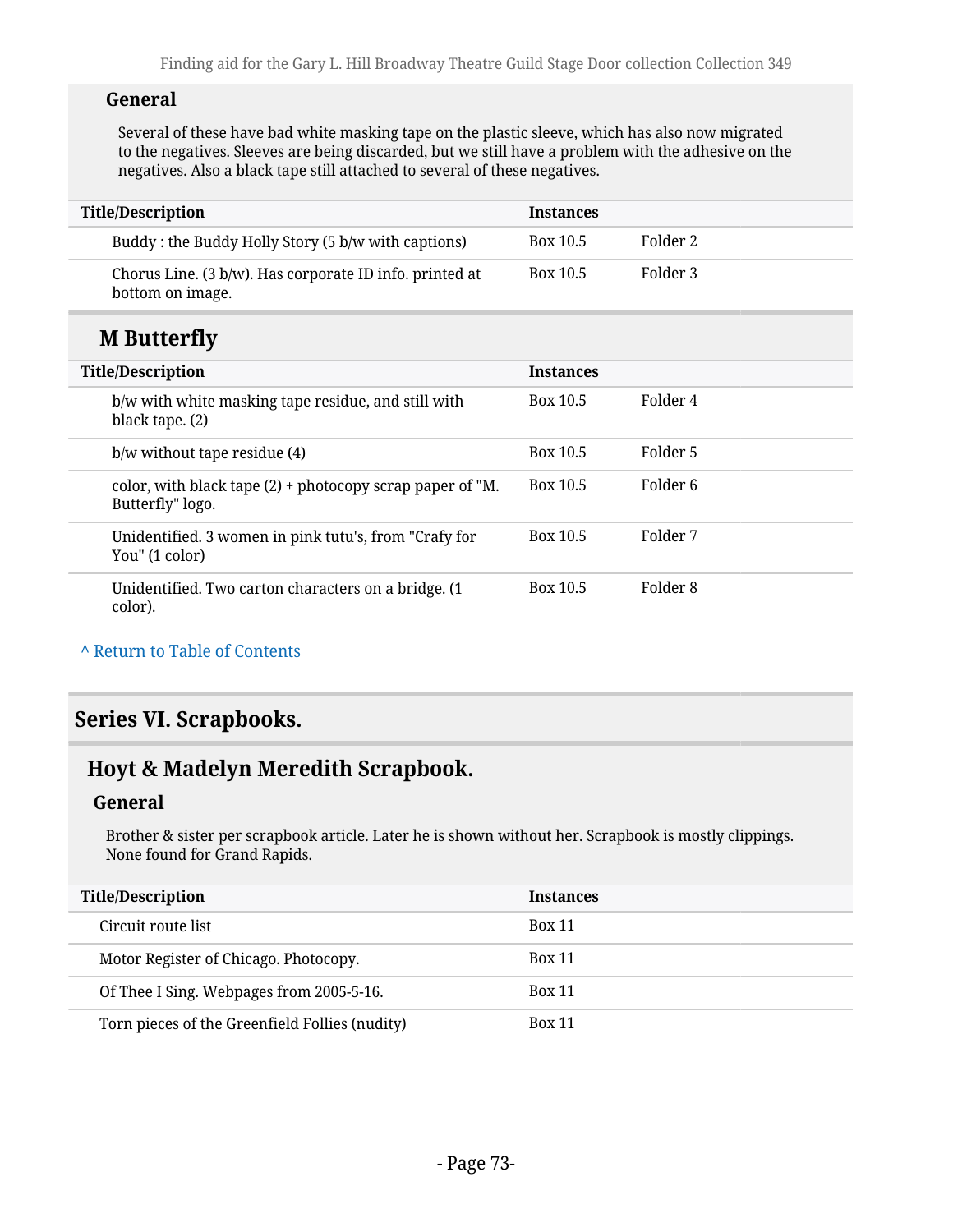#### **General**

Several of these have bad white masking tape on the plastic sleeve, which has also now migrated to the negatives. Sleeves are being discarded, but we still have a problem with the adhesive on the negatives. Also a black tape still attached to several of these negatives.

| <b>Title/Description</b>                                                        | <b>Instances</b> |          |
|---------------------------------------------------------------------------------|------------------|----------|
| Buddy: the Buddy Holly Story (5 b/w with captions)                              | Box 10.5         | Folder 2 |
| Chorus Line. (3 b/w). Has corporate ID info. printed at<br>bottom on image.     | Box 10.5         | Folder 3 |
| <b>M</b> Butterfly                                                              |                  |          |
| <b>Title/Description</b>                                                        | <b>Instances</b> |          |
| b/w with white masking tape residue, and still with<br>black tape. (2)          | Box 10.5         | Folder 4 |
| $b/w$ without tape residue $(4)$                                                | Box 10.5         | Folder 5 |
| color, with black tape $(2)$ + photocopy scrap paper of "M.<br>Butterfly" logo. | Box 10.5         | Folder 6 |
| Unidentified. 3 women in pink tutu's, from "Crafy for<br>You" (1 color)         | Box 10.5         | Folder 7 |
| Unidentified. Two carton characters on a bridge. (1)<br>color).                 | Box 10.5         | Folder 8 |

#### **^** [Return to Table of Contents](#page-1-0)

## **Series VI. Scrapbooks.**

# **Hoyt & Madelyn Meredith Scrapbook.**

### **General**

Brother & sister per scrapbook article. Later he is shown without her. Scrapbook is mostly clippings. None found for Grand Rapids.

| <b>Title/Description</b>                       | <b>Instances</b> |
|------------------------------------------------|------------------|
| Circuit route list                             | <b>Box 11</b>    |
| Motor Register of Chicago. Photocopy.          | <b>Box 11</b>    |
| Of Thee I Sing. Webpages from 2005-5-16.       | <b>Box 11</b>    |
| Torn pieces of the Greenfield Follies (nudity) | <b>Box 11</b>    |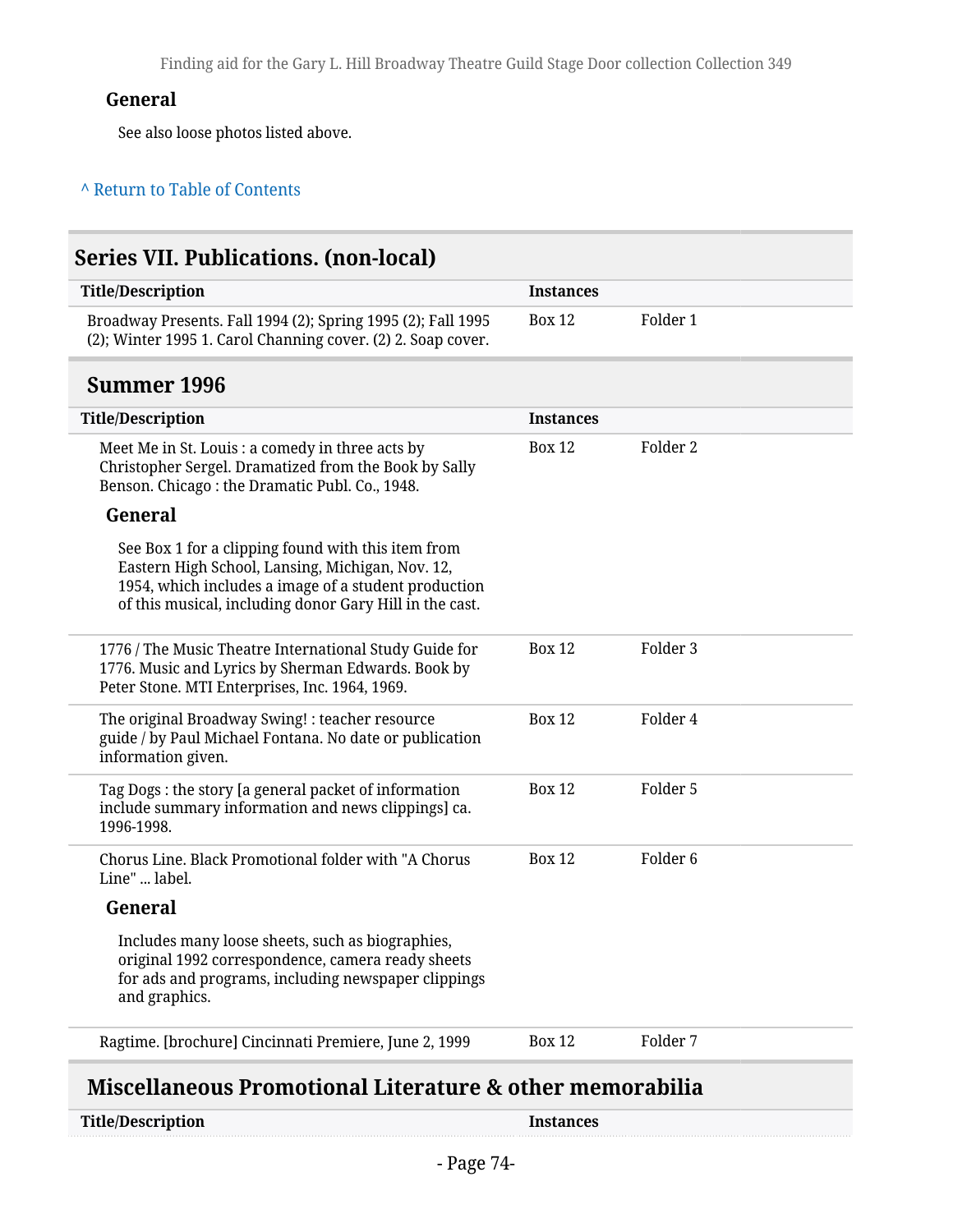## **General**

See also loose photos listed above.

### **^** [Return to Table of Contents](#page-1-0)

| <b>Series VII. Publications. (non-local)</b>                                                                                                                                                                              |                  |                     |  |
|---------------------------------------------------------------------------------------------------------------------------------------------------------------------------------------------------------------------------|------------------|---------------------|--|
| <b>Title/Description</b>                                                                                                                                                                                                  | <b>Instances</b> |                     |  |
| Broadway Presents. Fall 1994 (2); Spring 1995 (2); Fall 1995<br>(2); Winter 1995 1. Carol Channing cover. (2) 2. Soap cover.                                                                                              | <b>Box 12</b>    | Folder 1            |  |
| <b>Summer 1996</b>                                                                                                                                                                                                        |                  |                     |  |
| <b>Title/Description</b>                                                                                                                                                                                                  | <b>Instances</b> |                     |  |
| Meet Me in St. Louis : a comedy in three acts by<br>Christopher Sergel. Dramatized from the Book by Sally<br>Benson. Chicago: the Dramatic Publ. Co., 1948.                                                               | <b>Box 12</b>    | Folder 2            |  |
| General                                                                                                                                                                                                                   |                  |                     |  |
| See Box 1 for a clipping found with this item from<br>Eastern High School, Lansing, Michigan, Nov. 12,<br>1954, which includes a image of a student production<br>of this musical, including donor Gary Hill in the cast. |                  |                     |  |
| 1776 / The Music Theatre International Study Guide for<br>1776. Music and Lyrics by Sherman Edwards. Book by<br>Peter Stone. MTI Enterprises, Inc. 1964, 1969.                                                            | <b>Box 12</b>    | Folder 3            |  |
| The original Broadway Swing! : teacher resource<br>guide / by Paul Michael Fontana. No date or publication<br>information given.                                                                                          | <b>Box 12</b>    | Folder 4            |  |
| Tag Dogs: the story [a general packet of information<br>include summary information and news clippings] ca.<br>1996-1998.                                                                                                 | <b>Box 12</b>    | Folder 5            |  |
| Chorus Line. Black Promotional folder with "A Chorus<br>Line"  label.                                                                                                                                                     | <b>Box 12</b>    | Folder <sub>6</sub> |  |
| General                                                                                                                                                                                                                   |                  |                     |  |
| Includes many loose sheets, such as biographies,<br>original 1992 correspondence, camera ready sheets<br>for ads and programs, including newspaper clippings<br>and graphics.                                             |                  |                     |  |
| Ragtime. [brochure] Cincinnati Premiere, June 2, 1999                                                                                                                                                                     | <b>Box 12</b>    | Folder 7            |  |

## **Miscellaneous Promotional Literature & other memorabilia**